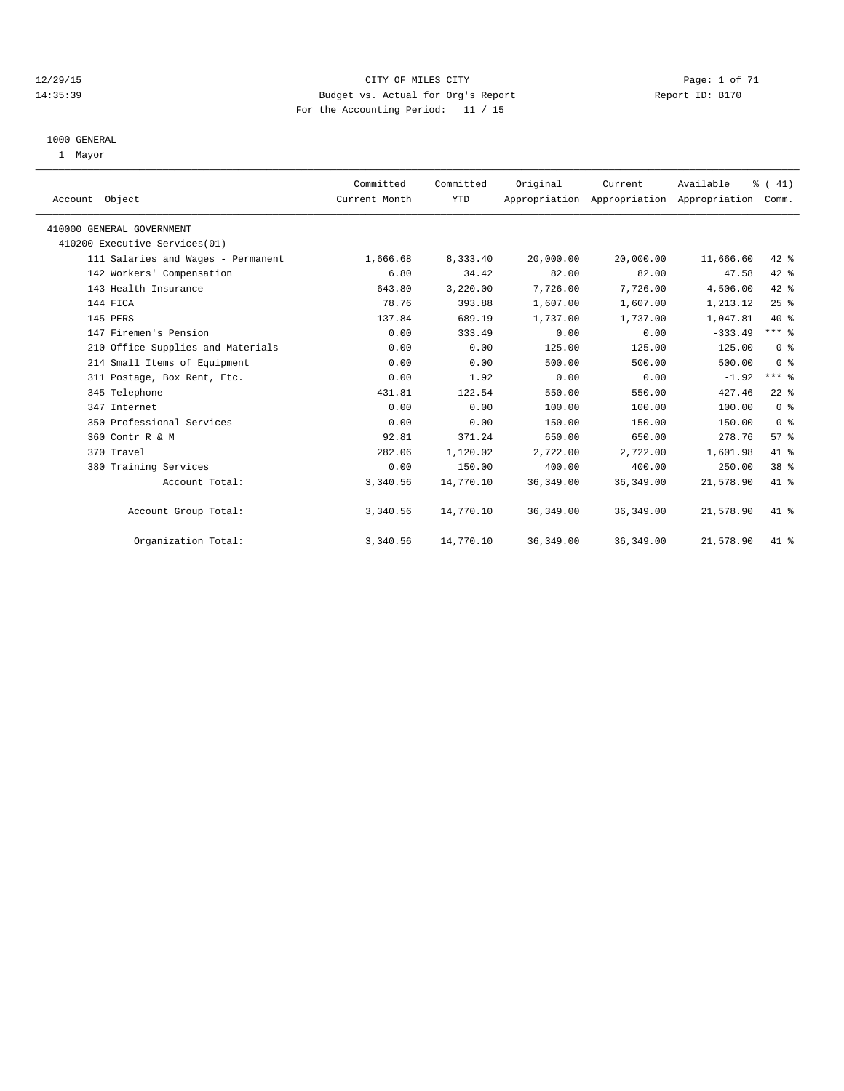#### 12/29/15 CITY OF MILES CITY Page: 1 of 71 14:35:39 Budget vs. Actual for Org's Report Report ID: B170 For the Accounting Period: 11 / 15

#### 1000 GENERAL

1 Mayor

| Account Object                     | Committed<br>Current Month | Committed<br><b>YTD</b> | Original   | Current    | Available<br>Appropriation Appropriation Appropriation | % (41)<br>Comm. |  |
|------------------------------------|----------------------------|-------------------------|------------|------------|--------------------------------------------------------|-----------------|--|
| 410000 GENERAL GOVERNMENT          |                            |                         |            |            |                                                        |                 |  |
| 410200 Executive Services(01)      |                            |                         |            |            |                                                        |                 |  |
| 111 Salaries and Wages - Permanent | 1,666.68                   | 8,333.40                | 20,000.00  | 20,000.00  | 11,666.60                                              | $42$ %          |  |
| 142 Workers' Compensation          | 6.80                       | 34.42                   | 82.00      | 82.00      | 47.58                                                  | 42 %            |  |
| 143 Health Insurance               | 643.80                     | 3,220.00                | 7,726.00   | 7,726.00   | 4,506.00                                               | $42$ $%$        |  |
| 144 FICA                           | 78.76                      | 393.88                  | 1,607.00   | 1,607.00   | 1,213.12                                               | 25%             |  |
| 145 PERS                           | 137.84                     | 689.19                  | 1,737.00   | 1,737.00   | 1,047.81                                               | $40*$           |  |
| 147 Firemen's Pension              | 0.00                       | 333.49                  | 0.00       | 0.00       | $-333.49$                                              | $***$ $-$       |  |
| 210 Office Supplies and Materials  | 0.00                       | 0.00                    | 125.00     | 125.00     | 125.00                                                 | 0 <sup>8</sup>  |  |
| 214 Small Items of Equipment       | 0.00                       | 0.00                    | 500.00     | 500.00     | 500.00                                                 | 0 <sup>8</sup>  |  |
| 311 Postage, Box Rent, Etc.        | 0.00                       | 1.92                    | 0.00       | 0.00       | $-1.92$                                                | $***$ $-$       |  |
| 345 Telephone                      | 431.81                     | 122.54                  | 550.00     | 550.00     | 427.46                                                 | $22$ $%$        |  |
| 347 Internet                       | 0.00                       | 0.00                    | 100.00     | 100.00     | 100.00                                                 | 0 <sup>8</sup>  |  |
| 350 Professional Services          | 0.00                       | 0.00                    | 150.00     | 150.00     | 150.00                                                 | 0 <sup>8</sup>  |  |
| 360 Contr R & M                    | 92.81                      | 371.24                  | 650.00     | 650.00     | 278.76                                                 | 57 <sup>8</sup> |  |
| 370 Travel                         | 282.06                     | 1,120.02                | 2,722.00   | 2,722.00   | 1,601.98                                               | 41 %            |  |
| 380 Training Services              | 0.00                       | 150.00                  | 400.00     | 400.00     | 250.00                                                 | 38 <sup>8</sup> |  |
| Account Total:                     | 3,340.56                   | 14,770.10               | 36, 349.00 | 36, 349.00 | 21,578.90                                              | 41 %            |  |
| Account Group Total:               | 3,340.56                   | 14,770.10               | 36, 349.00 | 36, 349.00 | 21,578.90                                              | 41 %            |  |
| Organization Total:                | 3,340.56                   | 14,770.10               | 36, 349.00 | 36, 349.00 | 21,578.90                                              | $41*$           |  |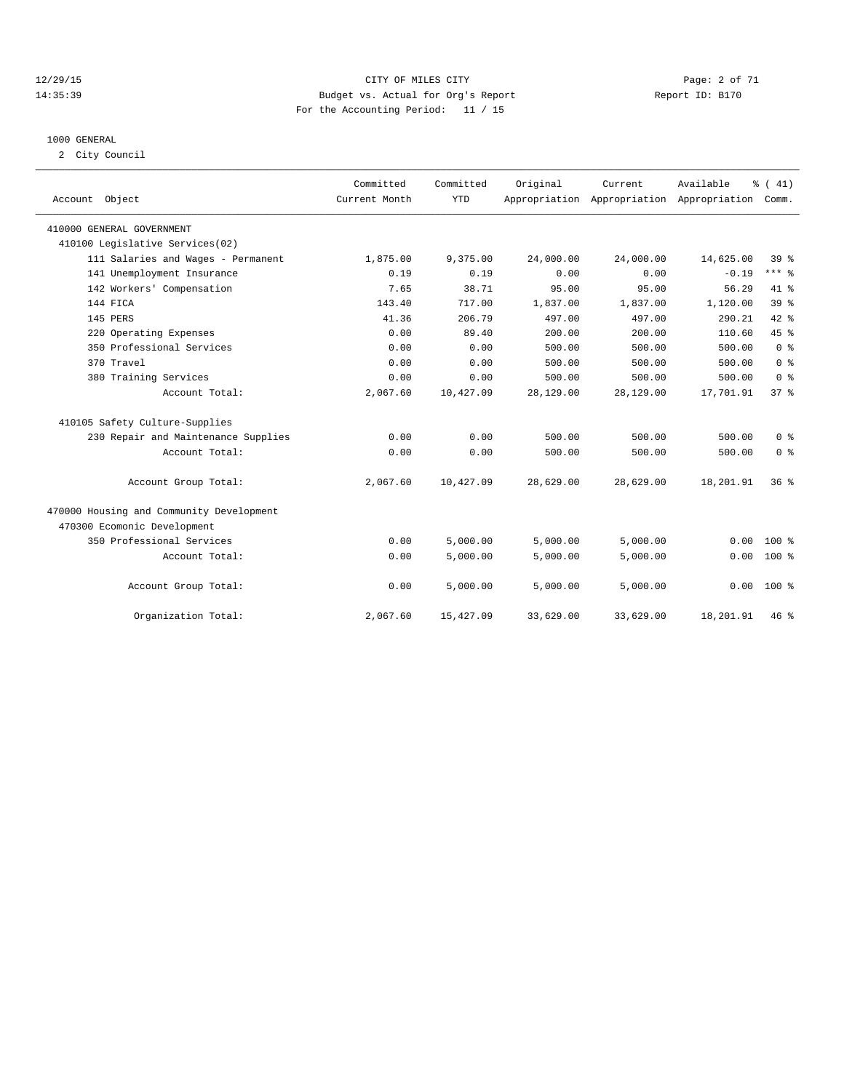#### 12/29/15 CITY OF MILES CITY Page: 2 of 71 14:35:39 Budget vs. Actual for Org's Report Report ID: B170 For the Accounting Period: 11 / 15

#### 1000 GENERAL

2 City Council

| Account Object                           | Committed<br>Current Month | Committed<br><b>YTD</b> | Original  | Current.  | Available<br>Appropriation Appropriation Appropriation | $\frac{1}{6}$ ( 41)<br>Comm. |
|------------------------------------------|----------------------------|-------------------------|-----------|-----------|--------------------------------------------------------|------------------------------|
| 410000 GENERAL GOVERNMENT                |                            |                         |           |           |                                                        |                              |
| 410100 Legislative Services(02)          |                            |                         |           |           |                                                        |                              |
| 111 Salaries and Wages - Permanent       | 1,875.00                   | 9,375.00                | 24,000.00 | 24,000.00 | 14,625.00                                              | 39 %                         |
| 141 Unemployment Insurance               | 0.19                       | 0.19                    | 0.00      | 0.00      | $-0.19$                                                | $***$ 8                      |
| 142 Workers' Compensation                | 7.65                       | 38.71                   | 95.00     | 95.00     | 56.29                                                  | 41.8                         |
| 144 FICA                                 | 143.40                     | 717.00                  | 1,837.00  | 1,837.00  | 1,120.00                                               | 39 <sup>°</sup>              |
| 145 PERS                                 | 41.36                      | 206.79                  | 497.00    | 497.00    | 290.21                                                 | 42 %                         |
| 220 Operating Expenses                   | 0.00                       | 89.40                   | 200.00    | 200.00    | 110.60                                                 | 45%                          |
| 350 Professional Services                | 0.00                       | 0.00                    | 500.00    | 500.00    | 500.00                                                 | 0 <sup>8</sup>               |
| 370 Travel                               | 0.00                       | 0.00                    | 500.00    | 500.00    | 500.00                                                 | 0 <sup>8</sup>               |
| 380 Training Services                    | 0.00                       | 0.00                    | 500.00    | 500.00    | 500.00                                                 | 0 <sup>8</sup>               |
| Account Total:                           | 2,067.60                   | 10,427.09               | 28,129.00 | 28,129.00 | 17,701.91                                              | 37 <sup>8</sup>              |
| 410105 Safety Culture-Supplies           |                            |                         |           |           |                                                        |                              |
| 230 Repair and Maintenance Supplies      | 0.00                       | 0.00                    | 500.00    | 500.00    | 500.00                                                 | 0 <sup>8</sup>               |
| Account Total:                           | 0.00                       | 0.00                    | 500.00    | 500.00    | 500.00                                                 | 0 <sup>8</sup>               |
| Account Group Total:                     | 2,067.60                   | 10,427.09               | 28,629.00 | 28,629.00 | 18,201.91                                              | 36 <sup>8</sup>              |
| 470000 Housing and Community Development |                            |                         |           |           |                                                        |                              |
| 470300 Ecomonic Development              |                            |                         |           |           |                                                        |                              |
| 350 Professional Services                | 0.00                       | 5,000.00                | 5,000.00  | 5,000.00  | 0.00                                                   | $100$ %                      |
| Account Total:                           | 0.00                       | 5.000.00                | 5.000.00  | 5.000.00  | 0.00                                                   | $100*$                       |
| Account Group Total:                     | 0.00                       | 5,000.00                | 5,000.00  | 5,000.00  | 0.00                                                   | $100*$                       |
| Organization Total:                      | 2,067.60                   | 15,427.09               | 33,629.00 | 33,629.00 | 18,201.91                                              | 46 %                         |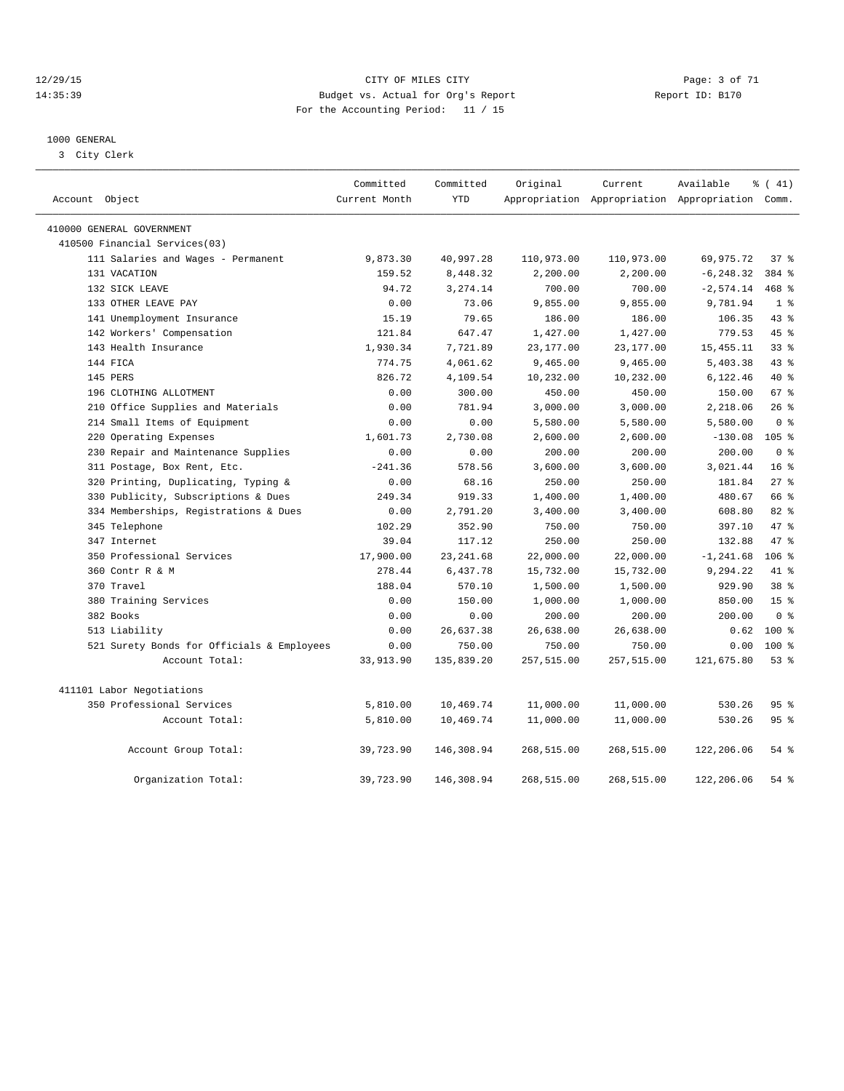#### 12/29/15 CITY OF MILES CITY Page: 3 of 71 14:35:39 Budget vs. Actual for Org's Report Report ID: B170 For the Accounting Period: 11 / 15

#### 1000 GENERAL

3 City Clerk

| Account Object                             | Committed<br>Current Month | Committed<br><b>YTD</b> | Original   | Current    | Available<br>Appropriation Appropriation Appropriation Comm. | % (41)           |
|--------------------------------------------|----------------------------|-------------------------|------------|------------|--------------------------------------------------------------|------------------|
| 410000 GENERAL GOVERNMENT                  |                            |                         |            |            |                                                              |                  |
| 410500 Financial Services(03)              |                            |                         |            |            |                                                              |                  |
| 111 Salaries and Wages - Permanent         | 9,873.30                   | 40,997.28               | 110,973.00 | 110,973.00 | 69,975.72                                                    | 37%              |
| 131 VACATION                               | 159.52                     | 8,448.32                | 2,200.00   | 2,200.00   | $-6, 248.32$                                                 | 384 %            |
| 132 SICK LEAVE                             | 94.72                      | 3, 274.14               | 700.00     | 700.00     | $-2,574.14$                                                  | 468 %            |
| 133 OTHER LEAVE PAY                        | 0.00                       | 73.06                   | 9,855.00   | 9,855.00   | 9,781.94                                                     | 1 <sup>8</sup>   |
| 141 Unemployment Insurance                 | 15.19                      | 79.65                   | 186.00     | 186.00     | 106.35                                                       | 43 %             |
| 142 Workers' Compensation                  | 121.84                     | 647.47                  | 1,427.00   | 1,427.00   | 779.53                                                       | 45 %             |
| 143 Health Insurance                       | 1,930.34                   | 7,721.89                | 23,177.00  | 23, 177.00 | 15, 455. 11                                                  | 33 <sup>8</sup>  |
| 144 FICA                                   | 774.75                     | 4,061.62                | 9,465.00   | 9,465.00   | 5,403.38                                                     | 43 %             |
| 145 PERS                                   | 826.72                     | 4,109.54                | 10,232.00  | 10,232.00  | 6,122.46                                                     | 40 %             |
| 196 CLOTHING ALLOTMENT                     | 0.00                       | 300.00                  | 450.00     | 450.00     | 150.00                                                       | 67 %             |
| 210 Office Supplies and Materials          | 0.00                       | 781.94                  | 3,000.00   | 3,000.00   | 2,218.06                                                     | 26%              |
| 214 Small Items of Equipment               | 0.00                       | 0.00                    | 5,580.00   | 5,580.00   | 5,580.00                                                     | 0 <sup>8</sup>   |
| 220 Operating Expenses                     | 1,601.73                   | 2,730.08                | 2,600.00   | 2,600.00   | $-130.08$                                                    | 105 <sub>8</sub> |
| 230 Repair and Maintenance Supplies        | 0.00                       | 0.00                    | 200.00     | 200.00     | 200.00                                                       | 0 <sup>8</sup>   |
| 311 Postage, Box Rent, Etc.                | $-241.36$                  | 578.56                  | 3,600.00   | 3,600.00   | 3,021.44                                                     | 16 <sup>8</sup>  |
| 320 Printing, Duplicating, Typing &        | 0.00                       | 68.16                   | 250.00     | 250.00     | 181.84                                                       | $27$ %           |
| Publicity, Subscriptions & Dues<br>330     | 249.34                     | 919.33                  | 1,400.00   | 1,400.00   | 480.67                                                       | 66 %             |
| 334 Memberships, Registrations & Dues      | 0.00                       | 2,791.20                | 3,400.00   | 3,400.00   | 608.80                                                       | $82*$            |
| 345 Telephone                              | 102.29                     | 352.90                  | 750.00     | 750.00     | 397.10                                                       | 47 %             |
| 347 Internet                               | 39.04                      | 117.12                  | 250.00     | 250.00     | 132.88                                                       | 47 %             |
| 350 Professional Services                  | 17,900.00                  | 23, 241.68              | 22,000.00  | 22,000.00  | $-1, 241.68$                                                 | $106$ %          |
| 360 Contr R & M                            | 278.44                     | 6,437.78                | 15,732.00  | 15,732.00  | 9,294.22                                                     | 41 %             |
| 370 Travel                                 | 188.04                     | 570.10                  | 1,500.00   | 1,500.00   | 929.90                                                       | 38 <sup>8</sup>  |
| 380 Training Services                      | 0.00                       | 150.00                  | 1,000.00   | 1,000.00   | 850.00                                                       | 15 <sup>°</sup>  |
| 382 Books                                  | 0.00                       | 0.00                    | 200.00     | 200.00     | 200.00                                                       | 0 <sup>8</sup>   |
| 513 Liability                              | 0.00                       | 26,637.38               | 26,638.00  | 26,638.00  | 0.62                                                         | 100 %            |
| 521 Surety Bonds for Officials & Employees | 0.00                       | 750.00                  | 750.00     | 750.00     | 0.00                                                         | $100*$           |
| Account Total:                             | 33,913.90                  | 135,839.20              | 257,515.00 | 257,515.00 | 121,675.80                                                   | 53%              |
| 411101 Labor Negotiations                  |                            |                         |            |            |                                                              |                  |
| 350 Professional Services                  | 5,810.00                   | 10,469.74               | 11,000.00  | 11,000.00  | 530.26                                                       | 95 <sub>8</sub>  |
| Account Total:                             | 5,810.00                   | 10,469.74               | 11,000.00  | 11,000.00  | 530.26                                                       | 95 <sub>8</sub>  |
| Account Group Total:                       | 39,723.90                  | 146,308.94              | 268,515.00 | 268,515.00 | 122,206.06                                                   | $54$ $%$         |
| Organization Total:                        | 39,723.90                  | 146,308.94              | 268,515.00 | 268,515.00 | 122,206.06                                                   | 54%              |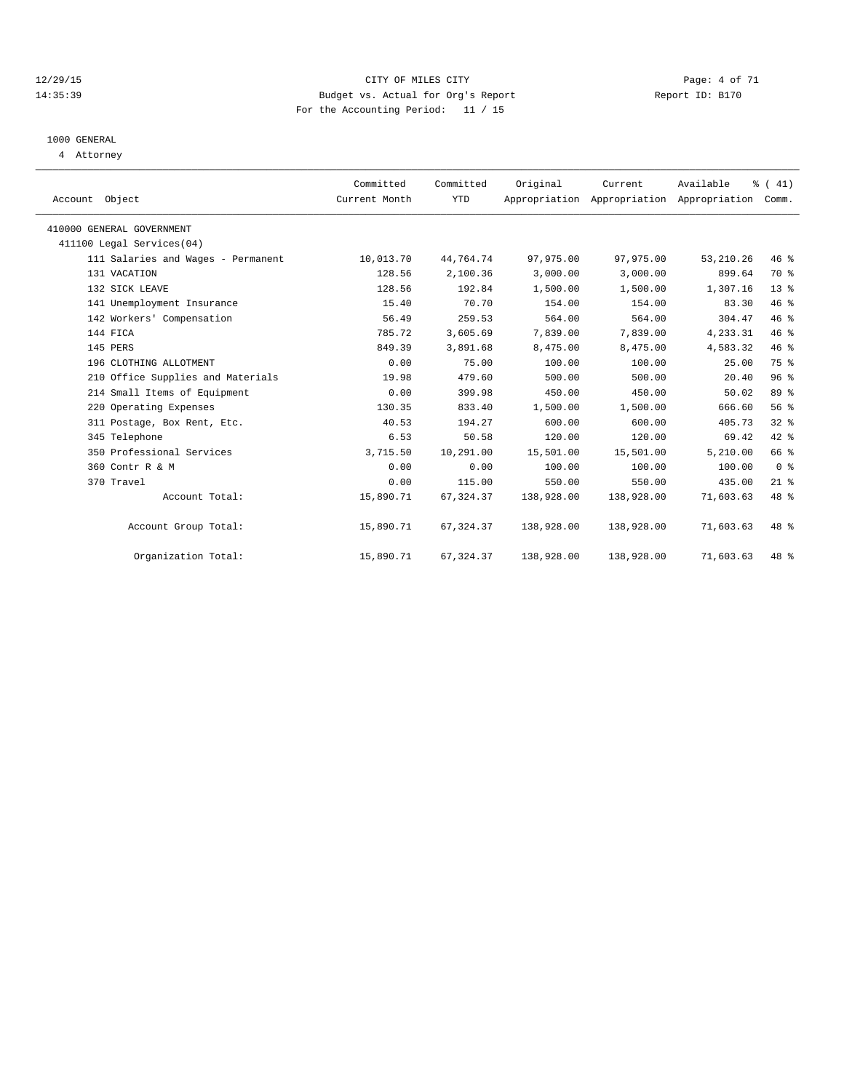#### 12/29/15 CITY OF MILES CITY Page: 4 of 71 14:35:39 Budget vs. Actual for Org's Report Report ID: B170 For the Accounting Period: 11 / 15

# 1000 GENERAL

4 Attorney

| Account Object                     | Committed<br>Current Month | Committed<br><b>YTD</b> | Original   | Current<br>Appropriation Appropriation Appropriation | Available  | $\frac{1}{6}$ ( 41)<br>Comm. |  |
|------------------------------------|----------------------------|-------------------------|------------|------------------------------------------------------|------------|------------------------------|--|
| 410000 GENERAL GOVERNMENT          |                            |                         |            |                                                      |            |                              |  |
| 411100 Legal Services(04)          |                            |                         |            |                                                      |            |                              |  |
| 111 Salaries and Wages - Permanent | 10,013.70                  | 44,764.74               | 97,975.00  | 97,975.00                                            | 53, 210.26 | 46 %                         |  |
| 131 VACATION                       | 128.56                     | 2,100.36                | 3,000.00   | 3,000.00                                             | 899.64     | 70 %                         |  |
| 132 SICK LEAVE                     | 128.56                     | 192.84                  | 1,500.00   | 1,500.00                                             | 1,307.16   | 13 <sup>°</sup>              |  |
| 141 Unemployment Insurance         | 15.40                      | 70.70                   | 154.00     | 154.00                                               | 83.30      | 46 %                         |  |
| 142 Workers' Compensation          | 56.49                      | 259.53                  | 564.00     | 564.00                                               | 304.47     | 46 %                         |  |
| 144 FICA                           | 785.72                     | 3,605.69                | 7,839.00   | 7,839.00                                             | 4,233.31   | 46%                          |  |
| 145 PERS                           | 849.39                     | 3,891.68                | 8,475.00   | 8,475.00                                             | 4,583.32   | 46 %                         |  |
| 196 CLOTHING ALLOTMENT             | 0.00                       | 75.00                   | 100.00     | 100.00                                               | 25.00      | 75 %                         |  |
| 210 Office Supplies and Materials  | 19.98                      | 479.60                  | 500.00     | 500.00                                               | 20.40      | 96%                          |  |
| 214 Small Items of Equipment       | 0.00                       | 399.98                  | 450.00     | 450.00                                               | 50.02      | 89 %                         |  |
| 220 Operating Expenses             | 130.35                     | 833.40                  | 1,500.00   | 1,500.00                                             | 666.60     | 56 %                         |  |
| 311 Postage, Box Rent, Etc.        | 40.53                      | 194.27                  | 600.00     | 600.00                                               | 405.73     | 32%                          |  |
| 345 Telephone                      | 6.53                       | 50.58                   | 120.00     | 120.00                                               | 69.42      | 42 %                         |  |
| 350 Professional Services          | 3,715.50                   | 10,291.00               | 15,501.00  | 15,501.00                                            | 5,210.00   | 66 %                         |  |
| 360 Contr R & M                    | 0.00                       | 0.00                    | 100.00     | 100.00                                               | 100.00     | 0 <sup>8</sup>               |  |
| 370 Travel                         | 0.00                       | 115.00                  | 550.00     | 550.00                                               | 435.00     | $21$ %                       |  |
| Account Total:                     | 15,890.71                  | 67, 324.37              | 138,928.00 | 138,928.00                                           | 71,603.63  | 48 %                         |  |
| Account Group Total:               | 15,890.71                  | 67, 324.37              | 138,928.00 | 138,928.00                                           | 71,603.63  | 48 %                         |  |
| Organization Total:                | 15,890.71                  | 67, 324.37              | 138,928.00 | 138,928.00                                           | 71,603.63  | $48*$                        |  |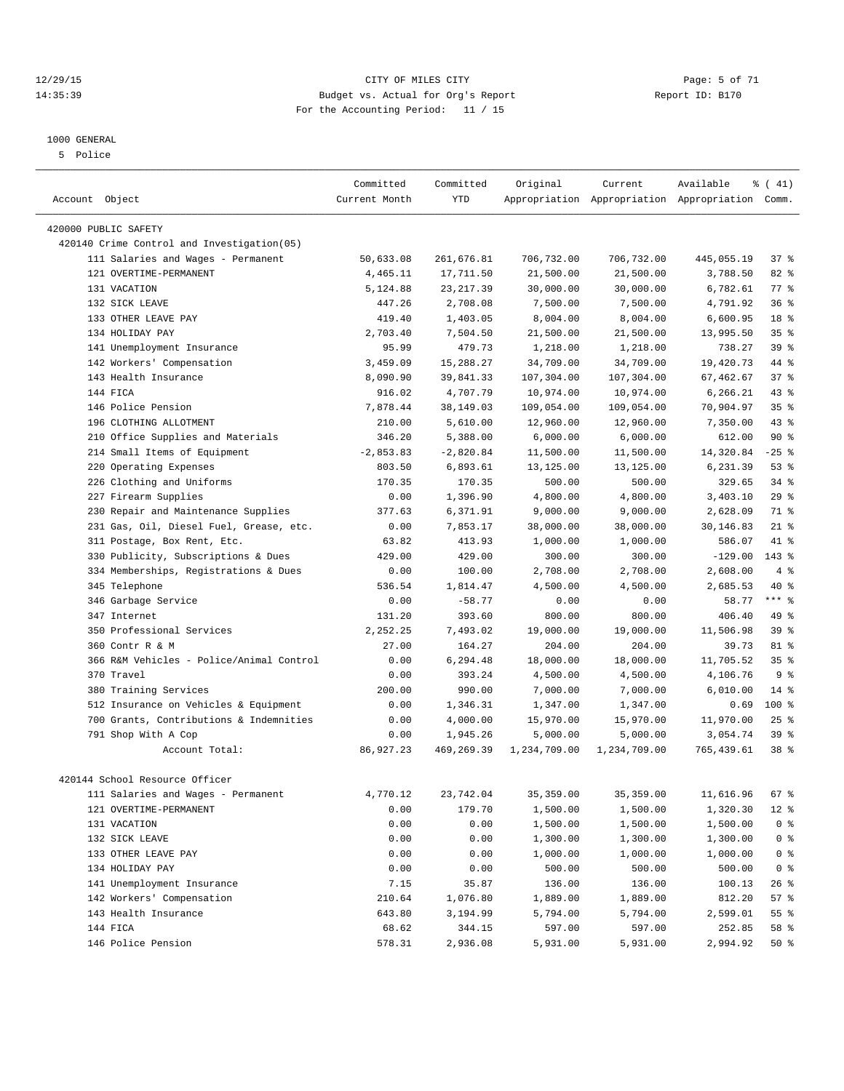#### 12/29/15 CITY OF MILES CITY Page: 5 of 71 14:35:39 Budget vs. Actual for Org's Report Report ID: B170 For the Accounting Period: 11 / 15

————————————————————————————————————————————————————————————————————————————————————————————————————————————————————————————————————

#### 1000 GENERAL

5 Police

|                      |                                            | Committed     | Committed   | Original                | Current                 | Available                                       | $\frac{1}{6}$ ( 41) |
|----------------------|--------------------------------------------|---------------|-------------|-------------------------|-------------------------|-------------------------------------------------|---------------------|
| Account Object       |                                            | Current Month | <b>YTD</b>  |                         |                         | Appropriation Appropriation Appropriation Comm. |                     |
| 420000 PUBLIC SAFETY |                                            |               |             |                         |                         |                                                 |                     |
|                      | 420140 Crime Control and Investigation(05) |               |             |                         |                         |                                                 |                     |
|                      | 111 Salaries and Wages - Permanent         | 50,633.08     | 261,676.81  | 706,732.00              | 706,732.00              | 445,055.19                                      | 37%                 |
|                      | 121 OVERTIME-PERMANENT                     | 4,465.11      | 17,711.50   | 21,500.00               | 21,500.00               | 3,788.50                                        | $82$ $%$            |
|                      | 131 VACATION                               | 5,124.88      | 23, 217.39  | 30,000.00               | 30,000.00               | 6,782.61                                        | $77$ $%$            |
|                      | 132 SICK LEAVE                             | 447.26        | 2,708.08    | 7,500.00                | 7,500.00                | 4,791.92                                        | 36%                 |
|                      | 133 OTHER LEAVE PAY                        | 419.40        | 1,403.05    | 8,004.00                | 8,004.00                | 6,600.95                                        | 18 <sup>°</sup>     |
|                      | 134 HOLIDAY PAY                            | 2,703.40      | 7,504.50    | 21,500.00               | 21,500.00               | 13,995.50                                       | 35%                 |
|                      | 141 Unemployment Insurance                 | 95.99         | 479.73      | 1,218.00                | 1,218.00                | 738.27                                          | 39 %                |
|                      | 142 Workers' Compensation                  | 3,459.09      | 15,288.27   | 34,709.00               | 34,709.00               | 19,420.73                                       | 44 %                |
|                      | 143 Health Insurance                       | 8,090.90      | 39,841.33   | 107,304.00              | 107,304.00              | 67,462.67                                       | 37%                 |
|                      | 144 FICA                                   | 916.02        | 4,707.79    |                         |                         |                                                 | $43$ $%$            |
|                      | 146 Police Pension                         | 7,878.44      |             | 10,974.00<br>109,054.00 | 10,974.00<br>109,054.00 | 6,266.21<br>70,904.97                           | 35%                 |
|                      |                                            |               | 38,149.03   |                         |                         |                                                 | $43$ %              |
|                      | 196 CLOTHING ALLOTMENT                     | 210.00        | 5,610.00    | 12,960.00               | 12,960.00               | 7,350.00                                        |                     |
|                      | 210 Office Supplies and Materials          | 346.20        | 5,388.00    | 6,000.00                | 6,000.00                | 612.00                                          | 90%                 |
|                      | 214 Small Items of Equipment               | $-2,853.83$   | $-2,820.84$ | 11,500.00               | 11,500.00               | 14,320.84                                       | $-25$ %             |
|                      | 220 Operating Expenses                     | 803.50        | 6,893.61    | 13,125.00               | 13,125.00               | 6,231.39                                        | $53$ $%$            |
|                      | 226 Clothing and Uniforms                  | 170.35        | 170.35      | 500.00                  | 500.00                  | 329.65                                          | $34$ $%$            |
|                      | 227 Firearm Supplies                       | 0.00          | 1,396.90    | 4,800.00                | 4,800.00                | 3,403.10                                        | 29%                 |
|                      | 230 Repair and Maintenance Supplies        | 377.63        | 6,371.91    | 9,000.00                | 9,000.00                | 2,628.09                                        | 71 %                |
|                      | 231 Gas, Oil, Diesel Fuel, Grease, etc.    | 0.00          | 7,853.17    | 38,000.00               | 38,000.00               | 30,146.83                                       | $21$ %              |
|                      | 311 Postage, Box Rent, Etc.                | 63.82         | 413.93      | 1,000.00                | 1,000.00                | 586.07                                          | 41 %                |
|                      | 330 Publicity, Subscriptions & Dues        | 429.00        | 429.00      | 300.00                  | 300.00                  | $-129.00$                                       | 143 %               |
|                      | 334 Memberships, Registrations & Dues      | 0.00          | 100.00      | 2,708.00                | 2,708.00                | 2,608.00                                        | 4%                  |
|                      | 345 Telephone                              | 536.54        | 1,814.47    | 4,500.00                | 4,500.00                | 2,685.53                                        | 40 %                |
|                      | 346 Garbage Service                        | 0.00          | $-58.77$    | 0.00                    | 0.00                    | 58.77                                           | $***$ $-$           |
|                      | 347 Internet                               | 131.20        | 393.60      | 800.00                  | 800.00                  | 406.40                                          | 49 %                |
|                      | 350 Professional Services                  | 2,252.25      | 7,493.02    | 19,000.00               | 19,000.00               | 11,506.98                                       | 39%                 |
|                      | 360 Contr R & M                            | 27.00         | 164.27      | 204.00                  | 204.00                  | 39.73                                           | 81 %                |
|                      | 366 R&M Vehicles - Police/Animal Control   | 0.00          | 6,294.48    | 18,000.00               | 18,000.00               | 11,705.52                                       | 35%                 |
|                      | 370 Travel                                 | 0.00          | 393.24      | 4,500.00                | 4,500.00                | 4,106.76                                        | 9 <sub>8</sub>      |
|                      | 380 Training Services                      | 200.00        | 990.00      | 7,000.00                | 7,000.00                | 6,010.00                                        | $14$ %              |
|                      | 512 Insurance on Vehicles & Equipment      | 0.00          | 1,346.31    | 1,347.00                | 1,347.00                | 0.69                                            | $100*$              |
|                      | 700 Grants, Contributions & Indemnities    | 0.00          | 4,000.00    | 15,970.00               | 15,970.00               | 11,970.00                                       | $25$ %              |
|                      | 791 Shop With A Cop                        | 0.00          | 1,945.26    | 5,000.00                | 5,000.00                | 3,054.74                                        | 39 %                |
|                      | Account Total:                             | 86,927.23     | 469,269.39  | 1,234,709.00            | 1,234,709.00            | 765,439.61                                      | 38 %                |
|                      | 420144 School Resource Officer             |               |             |                         |                         |                                                 |                     |
|                      | 111 Salaries and Wages - Permanent         | 4,770.12      | 23,742.04   | 35,359.00               | 35,359.00               | 11,616.96 67 %                                  |                     |
|                      | 121 OVERTIME-PERMANENT                     | 0.00          | 179.70      | 1,500.00                | 1,500.00                | 1,320.30                                        | $12$ %              |
|                      | 131 VACATION                               | 0.00          | 0.00        | 1,500.00                | 1,500.00                | 1,500.00                                        | $0$ %               |
|                      | 132 SICK LEAVE                             | 0.00          | 0.00        | 1,300.00                | 1,300.00                | 1,300.00                                        | 0 <sup>8</sup>      |
|                      | 133 OTHER LEAVE PAY                        | 0.00          | 0.00        | 1,000.00                | 1,000.00                | 1,000.00                                        | $0$ %               |
|                      | 134 HOLIDAY PAY                            | 0.00          | 0.00        | 500.00                  | 500.00                  | 500.00                                          | 0 <sup>8</sup>      |
|                      | 141 Unemployment Insurance                 | 7.15          | 35.87       | 136.00                  | 136.00                  | 100.13                                          | 26 %                |
|                      | 142 Workers' Compensation                  | 210.64        | 1,076.80    | 1,889.00                | 1,889.00                | 812.20                                          | 57 %                |
|                      | 143 Health Insurance                       | 643.80        | 3,194.99    | 5,794.00                | 5,794.00                | 2,599.01                                        | 55 %                |
|                      | 144 FICA                                   | 68.62         | 344.15      | 597.00                  | 597.00                  | 252.85                                          | 58 %                |
|                      | 146 Police Pension                         | 578.31        | 2,936.08    | 5,931.00                | 5,931.00                | 2,994.92                                        | $50*$               |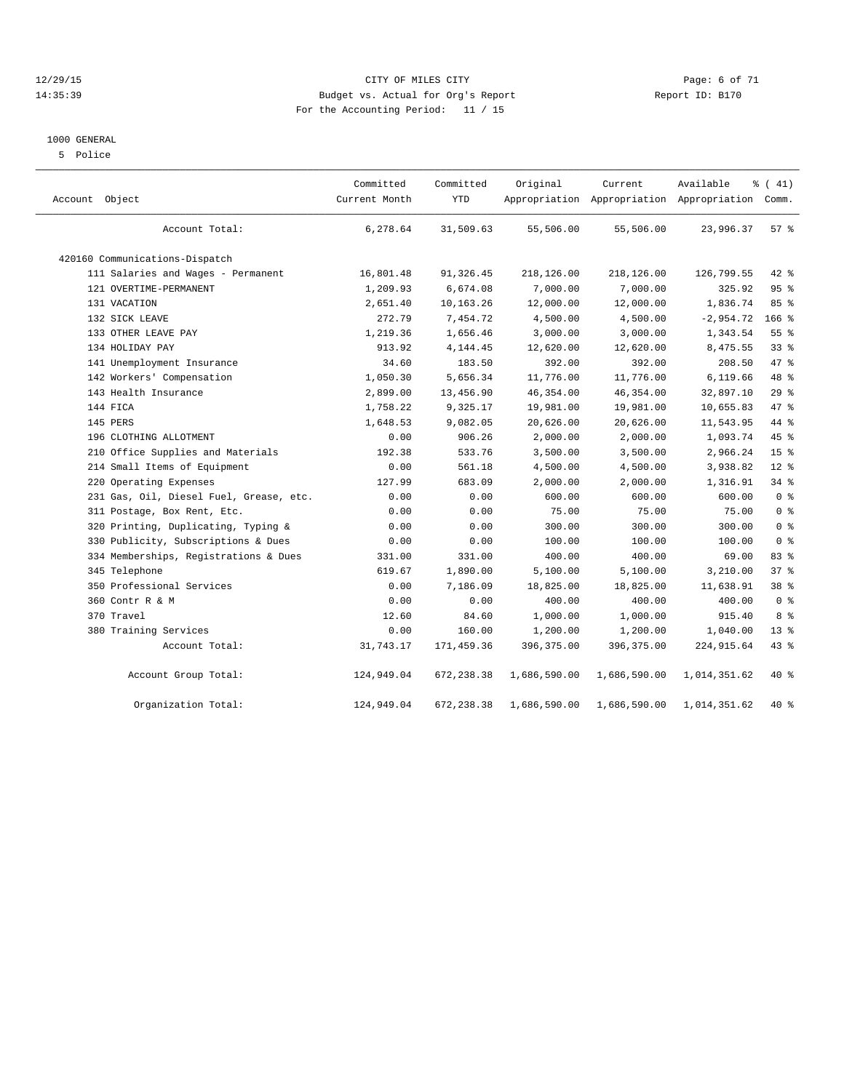#### 12/29/15 CITY OF MILES CITY Page: 6 of 71 14:35:39 Budget vs. Actual for Org's Report Report ID: B170 For the Accounting Period: 11 / 15

#### 1000 GENERAL

5 Police

| Account Object |                                         | Committed<br>Current Month | Committed<br><b>YTD</b> | Original     | Current      | Available<br>Appropriation Appropriation Appropriation | % (41)<br>Comm. |  |
|----------------|-----------------------------------------|----------------------------|-------------------------|--------------|--------------|--------------------------------------------------------|-----------------|--|
|                | Account Total:                          | 6,278.64                   | 31,509.63               | 55,506.00    | 55,506.00    | 23,996.37                                              | $57*$           |  |
|                | 420160 Communications-Dispatch          |                            |                         |              |              |                                                        |                 |  |
|                | 111 Salaries and Wages - Permanent      | 16,801.48                  | 91,326.45               | 218,126.00   | 218,126.00   | 126,799.55                                             | 42 %            |  |
|                | 121 OVERTIME-PERMANENT                  | 1,209.93                   | 6,674.08                | 7,000.00     | 7,000.00     | 325.92                                                 | 95 <sub>8</sub> |  |
|                | 131 VACATION                            | 2,651.40                   | 10,163.26               | 12,000.00    | 12,000.00    | 1,836.74                                               | 85%             |  |
|                | 132 SICK LEAVE                          | 272.79                     | 7,454.72                | 4,500.00     | 4,500.00     | $-2,954.72$                                            | $166$ %         |  |
|                | 133 OTHER LEAVE PAY                     | 1,219.36                   | 1,656.46                | 3,000.00     | 3,000.00     | 1,343.54                                               | 55 <sup>8</sup> |  |
|                | 134 HOLIDAY PAY                         | 913.92                     | 4, 144. 45              | 12,620.00    | 12,620.00    | 8,475.55                                               | 33 <sup>8</sup> |  |
|                | 141 Unemployment Insurance              | 34.60                      | 183.50                  | 392.00       | 392.00       | 208.50                                                 | 47.8            |  |
|                | 142 Workers' Compensation               | 1,050.30                   | 5,656.34                | 11,776.00    | 11,776.00    | 6,119.66                                               | 48 %            |  |
|                | 143 Health Insurance                    | 2,899.00                   | 13,456.90               | 46,354.00    | 46,354.00    | 32,897.10                                              | 29%             |  |
|                | 144 FICA                                | 1,758.22                   | 9,325.17                | 19,981.00    | 19,981.00    | 10,655.83                                              | 47 %            |  |
|                | 145 PERS                                | 1,648.53                   | 9,082.05                | 20,626.00    | 20,626.00    | 11,543.95                                              | 44 %            |  |
|                | 196 CLOTHING ALLOTMENT                  | 0.00                       | 906.26                  | 2,000.00     | 2,000.00     | 1,093.74                                               | 45 %            |  |
|                | 210 Office Supplies and Materials       | 192.38                     | 533.76                  | 3,500.00     | 3,500.00     | 2,966.24                                               | 15 <sup>°</sup> |  |
|                | 214 Small Items of Equipment            | 0.00                       | 561.18                  | 4,500.00     | 4,500.00     | 3,938.82                                               | $12*$           |  |
|                | 220 Operating Expenses                  | 127.99                     | 683.09                  | 2,000.00     | 2,000.00     | 1,316.91                                               | 34 %            |  |
|                | 231 Gas, Oil, Diesel Fuel, Grease, etc. | 0.00                       | 0.00                    | 600.00       | 600.00       | 600.00                                                 | 0 <sup>8</sup>  |  |
|                | 311 Postage, Box Rent, Etc.             | 0.00                       | 0.00                    | 75.00        | 75.00        | 75.00                                                  | 0 <sup>8</sup>  |  |
|                | 320 Printing, Duplicating, Typing &     | 0.00                       | 0.00                    | 300.00       | 300.00       | 300.00                                                 | 0 <sup>8</sup>  |  |
|                | 330 Publicity, Subscriptions & Dues     | 0.00                       | 0.00                    | 100.00       | 100.00       | 100.00                                                 | 0 <sup>8</sup>  |  |
|                | 334 Memberships, Registrations & Dues   | 331.00                     | 331.00                  | 400.00       | 400.00       | 69.00                                                  | 83 %            |  |
|                | 345 Telephone                           | 619.67                     | 1,890.00                | 5,100.00     | 5,100.00     | 3,210.00                                               | 37%             |  |
|                | 350 Professional Services               | 0.00                       | 7,186.09                | 18,825.00    | 18,825.00    | 11,638.91                                              | 38 %            |  |
|                | 360 Contr R & M                         | 0.00                       | 0.00                    | 400.00       | 400.00       | 400.00                                                 | 0 <sup>8</sup>  |  |
|                | 370 Travel                              | 12.60                      | 84.60                   | 1,000.00     | 1,000.00     | 915.40                                                 | 8 %             |  |
|                | 380 Training Services                   | 0.00                       | 160.00                  | 1,200.00     | 1,200.00     | 1,040.00                                               | $13*$           |  |
|                | Account Total:                          | 31,743.17                  | 171,459.36              | 396,375.00   | 396,375.00   | 224, 915.64                                            | $43$ %          |  |
|                | Account Group Total:                    | 124,949.04                 | 672,238.38              | 1,686,590.00 | 1,686,590.00 | 1,014,351.62                                           | 40 %            |  |
|                | Organization Total:                     | 124,949.04                 | 672,238.38              | 1,686,590.00 | 1,686,590.00 | 1,014,351.62                                           | 40 %            |  |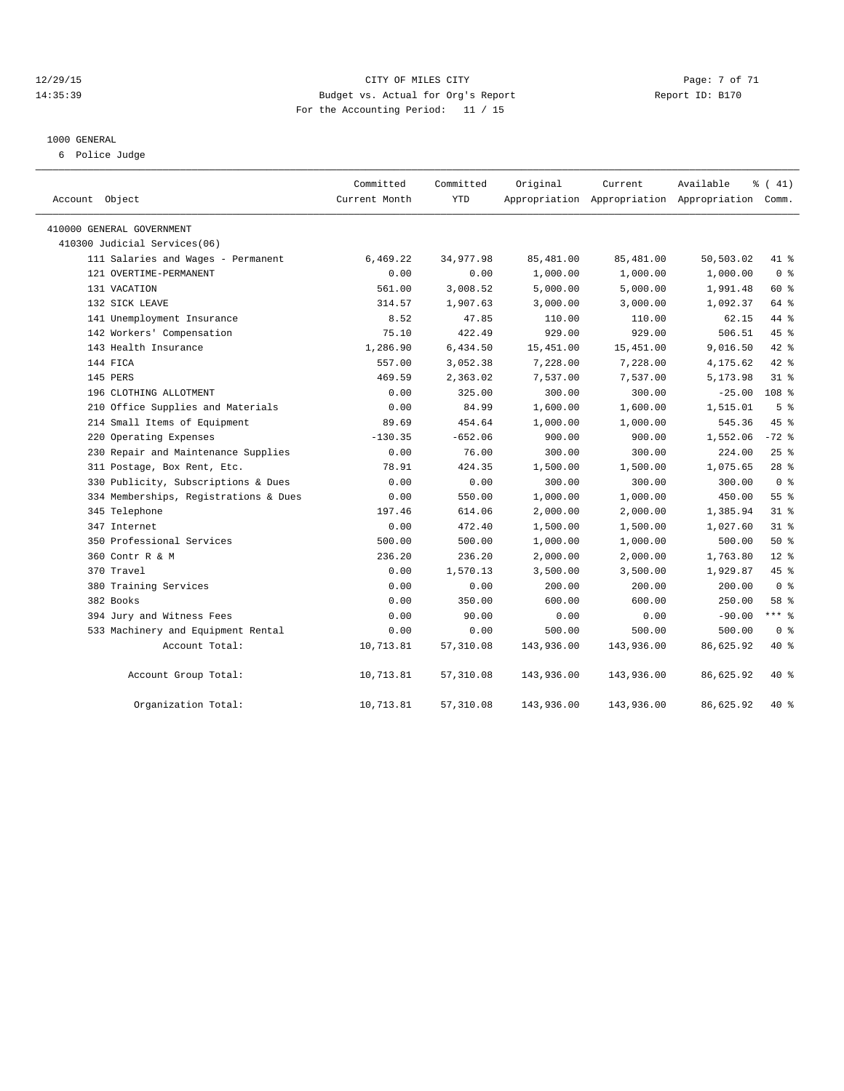#### 12/29/15 CITY OF MILES CITY Page: 7 of 71 14:35:39 Budget vs. Actual for Org's Report Report ID: B170 For the Accounting Period: 11 / 15

#### 1000 GENERAL

6 Police Judge

| Account Object                        | Committed<br>Current Month | Committed<br><b>YTD</b> | Original   | Current    | Available<br>Appropriation Appropriation Appropriation Comm. | % (41)           |
|---------------------------------------|----------------------------|-------------------------|------------|------------|--------------------------------------------------------------|------------------|
| 410000 GENERAL GOVERNMENT             |                            |                         |            |            |                                                              |                  |
| 410300 Judicial Services(06)          |                            |                         |            |            |                                                              |                  |
| 111 Salaries and Wages - Permanent    | 6,469.22                   | 34,977.98               | 85,481.00  | 85,481.00  | 50,503.02                                                    | 41 %             |
| 121 OVERTIME-PERMANENT                | 0.00                       | 0.00                    | 1,000.00   | 1,000.00   | 1,000.00                                                     | 0 <sup>8</sup>   |
| 131 VACATION                          | 561.00                     | 3,008.52                | 5,000.00   | 5,000.00   | 1,991.48                                                     | 60 %             |
| 132 SICK LEAVE                        | 314.57                     | 1,907.63                | 3,000.00   | 3,000.00   | 1,092.37                                                     | 64 %             |
| 141 Unemployment Insurance            | 8.52                       | 47.85                   | 110.00     | 110.00     | 62.15                                                        | 44 %             |
| 142 Workers' Compensation             | 75.10                      | 422.49                  | 929.00     | 929.00     | 506.51                                                       | 45%              |
| 143 Health Insurance                  | 1,286.90                   | 6,434.50                | 15,451.00  | 15,451.00  | 9,016.50                                                     | 42 %             |
| 144 FICA                              | 557.00                     | 3,052.38                | 7,228.00   | 7,228.00   | 4,175.62                                                     | 42 %             |
| 145 PERS                              | 469.59                     | 2,363.02                | 7,537.00   | 7,537.00   | 5,173.98                                                     | 31.8             |
| 196 CLOTHING ALLOTMENT                | 0.00                       | 325.00                  | 300.00     | 300.00     | $-25.00$                                                     | 108 <sup>8</sup> |
| 210 Office Supplies and Materials     | 0.00                       | 84.99                   | 1,600.00   | 1,600.00   | 1,515.01                                                     | 5 <sup>°</sup>   |
| 214 Small Items of Equipment          | 89.69                      | 454.64                  | 1,000.00   | 1,000.00   | 545.36                                                       | 45 %             |
| 220 Operating Expenses                | $-130.35$                  | $-652.06$               | 900.00     | 900.00     | 1,552.06                                                     | $-72$ %          |
| 230 Repair and Maintenance Supplies   | 0.00                       | 76.00                   | 300.00     | 300.00     | 224.00                                                       | 25%              |
| 311 Postage, Box Rent, Etc.           | 78.91                      | 424.35                  | 1,500.00   | 1,500.00   | 1,075.65                                                     | $28$ %           |
| 330 Publicity, Subscriptions & Dues   | 0.00                       | 0.00                    | 300.00     | 300.00     | 300.00                                                       | 0 <sup>8</sup>   |
| 334 Memberships, Registrations & Dues | 0.00                       | 550.00                  | 1,000.00   | 1,000.00   | 450.00                                                       | $55$ $%$         |
| 345 Telephone                         | 197.46                     | 614.06                  | 2,000.00   | 2,000.00   | 1,385.94                                                     | 31.8             |
| 347 Internet                          | 0.00                       | 472.40                  | 1,500.00   | 1,500.00   | 1,027.60                                                     | $31$ $%$         |
| 350 Professional Services             | 500.00                     | 500.00                  | 1,000.00   | 1,000.00   | 500.00                                                       | $50*$            |
| 360 Contr R & M                       | 236.20                     | 236.20                  | 2,000.00   | 2,000.00   | 1,763.80                                                     | $12*$            |
| 370 Travel                            | 0.00                       | 1,570.13                | 3,500.00   | 3,500.00   | 1,929.87                                                     | 45%              |
| 380 Training Services                 | 0.00                       | 0.00                    | 200.00     | 200.00     | 200.00                                                       | 0 <sup>8</sup>   |
| 382 Books                             | 0.00                       | 350.00                  | 600.00     | 600.00     | 250.00                                                       | 58 %             |
| 394 Jury and Witness Fees             | 0.00                       | 90.00                   | 0.00       | 0.00       | $-90.00$                                                     | *** %            |
| 533 Machinery and Equipment Rental    | 0.00                       | 0.00                    | 500.00     | 500.00     | 500.00                                                       | 0 <sup>8</sup>   |
| Account Total:                        | 10,713.81                  | 57,310.08               | 143,936.00 | 143,936.00 | 86,625.92                                                    | 40 %             |
| Account Group Total:                  | 10,713.81                  | 57,310.08               | 143,936.00 | 143,936.00 | 86,625.92                                                    | 40 %             |
| Organization Total:                   | 10,713.81                  | 57,310.08               | 143,936.00 | 143,936.00 | 86,625.92                                                    | 40 %             |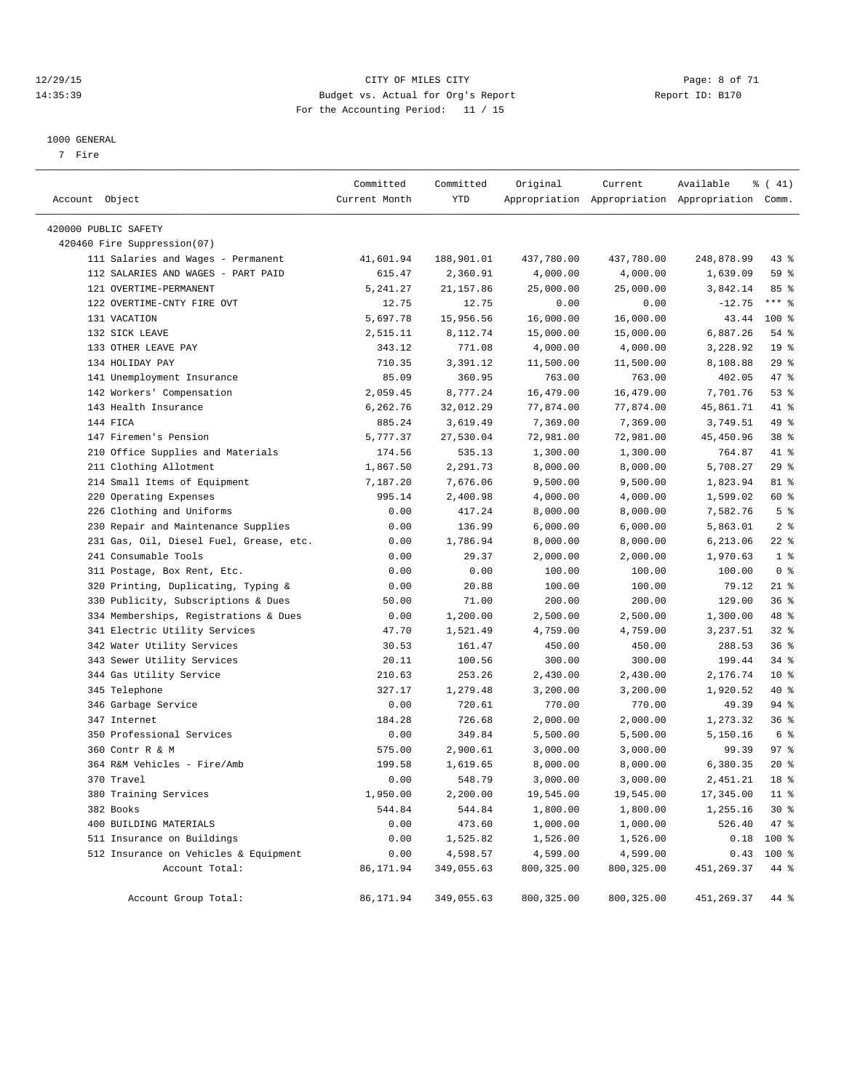#### 12/29/15 CITY OF MILES CITY Page: 8 of 71 14:35:39 Budget vs. Actual for Org's Report Report ID: B170 For the Accounting Period: 11 / 15

————————————————————————————————————————————————————————————————————————————————————————————————————————————————————————————————————

#### 1000 GENERAL

7 Fire

| Account Object<br>Current Month<br>YTD<br>Appropriation Appropriation Appropriation Comm.<br>420000 PUBLIC SAFETY<br>420460 Fire Suppression(07)<br>111 Salaries and Wages - Permanent<br>41,601.94<br>188,901.01<br>437,780.00<br>437,780.00<br>248,878.99<br>112 SALARIES AND WAGES - PART PAID<br>615.47<br>2,360.91<br>4,000.00<br>4,000.00<br>1,639.09<br>121 OVERTIME-PERMANENT<br>25,000.00<br>25,000.00<br>3,842.14<br>5, 241.27<br>21,157.86<br>122 OVERTIME-CNTY FIRE OVT<br>12.75<br>$-12.75$<br>12.75<br>0.00<br>0.00<br>131 VACATION<br>5,697.78<br>15,956.56<br>16,000.00<br>16,000.00<br>43.44<br>132 SICK LEAVE<br>6,887.26<br>2,515.11<br>8,112.74<br>15,000.00<br>15,000.00<br>133 OTHER LEAVE PAY<br>3,228.92<br>343.12<br>771.08<br>4,000.00<br>4,000.00<br>134 HOLIDAY PAY<br>710.35<br>3,391.12<br>8,108.88<br>11,500.00<br>11,500.00<br>141 Unemployment Insurance<br>85.09<br>360.95<br>763.00<br>763.00<br>402.05<br>142 Workers' Compensation<br>8,777.24<br>7,701.76<br>2,059.45<br>16,479.00<br>16,479.00<br>143 Health Insurance<br>6,262.76<br>32,012.29<br>77,874.00<br>77,874.00<br>45,861.71<br>144 FICA<br>885.24<br>3,619.49<br>7,369.00<br>7,369.00<br>3,749.51<br>147 Firemen's Pension<br>72,981.00<br>72,981.00<br>45, 450.96<br>5,777.37<br>27,530.04<br>210 Office Supplies and Materials<br>1,300.00<br>174.56<br>535.13<br>1,300.00<br>764.87<br>211 Clothing Allotment<br>2,291.73<br>5,708.27<br>1,867.50<br>8,000.00<br>8,000.00<br>214 Small Items of Equipment<br>7,187.20<br>7,676.06<br>9,500.00<br>9,500.00<br>1,823.94<br>220 Operating Expenses<br>1,599.02<br>995.14<br>2,400.98<br>4,000.00<br>4,000.00<br>226 Clothing and Uniforms<br>0.00<br>417.24<br>8,000.00<br>7,582.76<br>8,000.00<br>230 Repair and Maintenance Supplies<br>0.00<br>136.99<br>6,000.00<br>5,863.01<br>6,000.00<br>231 Gas, Oil, Diesel Fuel, Grease, etc.<br>1,786.94<br>0.00<br>8,000.00<br>8,000.00<br>6,213.06<br>241 Consumable Tools<br>0.00<br>29.37<br>2,000.00<br>2,000.00<br>1,970.63<br>100.00<br>311 Postage, Box Rent, Etc.<br>0.00<br>0.00<br>100.00<br>100.00<br>320 Printing, Duplicating, Typing &<br>0.00<br>20.88<br>100.00<br>100.00<br>79.12<br>330 Publicity, Subscriptions & Dues<br>71.00<br>200.00<br>200.00<br>129.00<br>50.00<br>334 Memberships, Registrations & Dues<br>2,500.00<br>1,300.00<br>0.00<br>1,200.00<br>2,500.00<br>341 Electric Utility Services<br>47.70<br>1,521.49<br>4,759.00<br>4,759.00<br>3,237.51<br>342 Water Utility Services<br>30.53<br>450.00<br>288.53<br>161.47<br>450.00<br>343 Sewer Utility Services<br>20.11<br>100.56<br>300.00<br>300.00<br>199.44<br>344 Gas Utility Service<br>253.26<br>2,430.00<br>2,176.74<br>210.63<br>2,430.00<br>345 Telephone<br>327.17<br>1,279.48<br>3,200.00<br>3,200.00<br>1,920.52<br>346 Garbage Service<br>0.00<br>720.61<br>770.00<br>770.00<br>49.39<br>1,273.32<br>347 Internet<br>184.28<br>726.68<br>2,000.00<br>2,000.00<br>350 Professional Services<br>0.00<br>349.84<br>5,500.00<br>5,150.16<br>5,500.00<br>360 Contr R & M<br>2,900.61<br>575.00<br>3,000.00<br>3,000.00<br>99.39<br>364 R&M Vehicles - Fire/Amb<br>199.58<br>1,619.65<br>8,000.00<br>8,000.00<br>6,380.35<br>370 Travel<br>0.00<br>548.79<br>3,000.00<br>3,000.00<br>2,451.21<br>380 Training Services<br>1,950.00<br>19,545.00<br>19,545.00<br>17,345.00<br>2,200.00<br>382 Books<br>544.84<br>544.84<br>1,800.00<br>1,800.00<br>1,255.16<br>400 BUILDING MATERIALS<br>0.00<br>473.60<br>1,000.00<br>1,000.00<br>526.40<br>511 Insurance on Buildings<br>0.00<br>1,525.82<br>1,526.00<br>$0.18$ 100 %<br>1,526.00<br>512 Insurance on Vehicles & Equipment<br>0.00<br>4,599.00<br>4,598.57<br>4,599.00<br>0.43<br>86,171.94<br>800, 325.00<br>800, 325.00<br>451,269.37<br>Account Total:<br>349,055.63 |                      | Committed | Committed  | Original    | Current     | Available  | $\frac{1}{6}$ ( 41) |
|-------------------------------------------------------------------------------------------------------------------------------------------------------------------------------------------------------------------------------------------------------------------------------------------------------------------------------------------------------------------------------------------------------------------------------------------------------------------------------------------------------------------------------------------------------------------------------------------------------------------------------------------------------------------------------------------------------------------------------------------------------------------------------------------------------------------------------------------------------------------------------------------------------------------------------------------------------------------------------------------------------------------------------------------------------------------------------------------------------------------------------------------------------------------------------------------------------------------------------------------------------------------------------------------------------------------------------------------------------------------------------------------------------------------------------------------------------------------------------------------------------------------------------------------------------------------------------------------------------------------------------------------------------------------------------------------------------------------------------------------------------------------------------------------------------------------------------------------------------------------------------------------------------------------------------------------------------------------------------------------------------------------------------------------------------------------------------------------------------------------------------------------------------------------------------------------------------------------------------------------------------------------------------------------------------------------------------------------------------------------------------------------------------------------------------------------------------------------------------------------------------------------------------------------------------------------------------------------------------------------------------------------------------------------------------------------------------------------------------------------------------------------------------------------------------------------------------------------------------------------------------------------------------------------------------------------------------------------------------------------------------------------------------------------------------------------------------------------------------------------------------------------------------------------------------------------------------------------------------------------------------------------------------------------------------------------------------------------------------------------------------------------------------------------------------------------------------------------------------------------------------------------------------------------------------------------------------------------------------------------------------------------------------------------------------------------------------------------------------------------------------------------------------------------------------------------|----------------------|-----------|------------|-------------|-------------|------------|---------------------|
|                                                                                                                                                                                                                                                                                                                                                                                                                                                                                                                                                                                                                                                                                                                                                                                                                                                                                                                                                                                                                                                                                                                                                                                                                                                                                                                                                                                                                                                                                                                                                                                                                                                                                                                                                                                                                                                                                                                                                                                                                                                                                                                                                                                                                                                                                                                                                                                                                                                                                                                                                                                                                                                                                                                                                                                                                                                                                                                                                                                                                                                                                                                                                                                                                                                                                                                                                                                                                                                                                                                                                                                                                                                                                                                                                                                                                   |                      |           |            |             |             |            |                     |
|                                                                                                                                                                                                                                                                                                                                                                                                                                                                                                                                                                                                                                                                                                                                                                                                                                                                                                                                                                                                                                                                                                                                                                                                                                                                                                                                                                                                                                                                                                                                                                                                                                                                                                                                                                                                                                                                                                                                                                                                                                                                                                                                                                                                                                                                                                                                                                                                                                                                                                                                                                                                                                                                                                                                                                                                                                                                                                                                                                                                                                                                                                                                                                                                                                                                                                                                                                                                                                                                                                                                                                                                                                                                                                                                                                                                                   |                      |           |            |             |             |            |                     |
|                                                                                                                                                                                                                                                                                                                                                                                                                                                                                                                                                                                                                                                                                                                                                                                                                                                                                                                                                                                                                                                                                                                                                                                                                                                                                                                                                                                                                                                                                                                                                                                                                                                                                                                                                                                                                                                                                                                                                                                                                                                                                                                                                                                                                                                                                                                                                                                                                                                                                                                                                                                                                                                                                                                                                                                                                                                                                                                                                                                                                                                                                                                                                                                                                                                                                                                                                                                                                                                                                                                                                                                                                                                                                                                                                                                                                   |                      |           |            |             |             |            |                     |
|                                                                                                                                                                                                                                                                                                                                                                                                                                                                                                                                                                                                                                                                                                                                                                                                                                                                                                                                                                                                                                                                                                                                                                                                                                                                                                                                                                                                                                                                                                                                                                                                                                                                                                                                                                                                                                                                                                                                                                                                                                                                                                                                                                                                                                                                                                                                                                                                                                                                                                                                                                                                                                                                                                                                                                                                                                                                                                                                                                                                                                                                                                                                                                                                                                                                                                                                                                                                                                                                                                                                                                                                                                                                                                                                                                                                                   |                      |           |            |             |             |            | 43 %                |
|                                                                                                                                                                                                                                                                                                                                                                                                                                                                                                                                                                                                                                                                                                                                                                                                                                                                                                                                                                                                                                                                                                                                                                                                                                                                                                                                                                                                                                                                                                                                                                                                                                                                                                                                                                                                                                                                                                                                                                                                                                                                                                                                                                                                                                                                                                                                                                                                                                                                                                                                                                                                                                                                                                                                                                                                                                                                                                                                                                                                                                                                                                                                                                                                                                                                                                                                                                                                                                                                                                                                                                                                                                                                                                                                                                                                                   |                      |           |            |             |             |            | 59 %                |
|                                                                                                                                                                                                                                                                                                                                                                                                                                                                                                                                                                                                                                                                                                                                                                                                                                                                                                                                                                                                                                                                                                                                                                                                                                                                                                                                                                                                                                                                                                                                                                                                                                                                                                                                                                                                                                                                                                                                                                                                                                                                                                                                                                                                                                                                                                                                                                                                                                                                                                                                                                                                                                                                                                                                                                                                                                                                                                                                                                                                                                                                                                                                                                                                                                                                                                                                                                                                                                                                                                                                                                                                                                                                                                                                                                                                                   |                      |           |            |             |             |            | 85%                 |
|                                                                                                                                                                                                                                                                                                                                                                                                                                                                                                                                                                                                                                                                                                                                                                                                                                                                                                                                                                                                                                                                                                                                                                                                                                                                                                                                                                                                                                                                                                                                                                                                                                                                                                                                                                                                                                                                                                                                                                                                                                                                                                                                                                                                                                                                                                                                                                                                                                                                                                                                                                                                                                                                                                                                                                                                                                                                                                                                                                                                                                                                                                                                                                                                                                                                                                                                                                                                                                                                                                                                                                                                                                                                                                                                                                                                                   |                      |           |            |             |             |            | $***$ $-$           |
|                                                                                                                                                                                                                                                                                                                                                                                                                                                                                                                                                                                                                                                                                                                                                                                                                                                                                                                                                                                                                                                                                                                                                                                                                                                                                                                                                                                                                                                                                                                                                                                                                                                                                                                                                                                                                                                                                                                                                                                                                                                                                                                                                                                                                                                                                                                                                                                                                                                                                                                                                                                                                                                                                                                                                                                                                                                                                                                                                                                                                                                                                                                                                                                                                                                                                                                                                                                                                                                                                                                                                                                                                                                                                                                                                                                                                   |                      |           |            |             |             |            | $100$ %             |
|                                                                                                                                                                                                                                                                                                                                                                                                                                                                                                                                                                                                                                                                                                                                                                                                                                                                                                                                                                                                                                                                                                                                                                                                                                                                                                                                                                                                                                                                                                                                                                                                                                                                                                                                                                                                                                                                                                                                                                                                                                                                                                                                                                                                                                                                                                                                                                                                                                                                                                                                                                                                                                                                                                                                                                                                                                                                                                                                                                                                                                                                                                                                                                                                                                                                                                                                                                                                                                                                                                                                                                                                                                                                                                                                                                                                                   |                      |           |            |             |             |            | 54 %                |
|                                                                                                                                                                                                                                                                                                                                                                                                                                                                                                                                                                                                                                                                                                                                                                                                                                                                                                                                                                                                                                                                                                                                                                                                                                                                                                                                                                                                                                                                                                                                                                                                                                                                                                                                                                                                                                                                                                                                                                                                                                                                                                                                                                                                                                                                                                                                                                                                                                                                                                                                                                                                                                                                                                                                                                                                                                                                                                                                                                                                                                                                                                                                                                                                                                                                                                                                                                                                                                                                                                                                                                                                                                                                                                                                                                                                                   |                      |           |            |             |             |            | 19 <sup>°</sup>     |
|                                                                                                                                                                                                                                                                                                                                                                                                                                                                                                                                                                                                                                                                                                                                                                                                                                                                                                                                                                                                                                                                                                                                                                                                                                                                                                                                                                                                                                                                                                                                                                                                                                                                                                                                                                                                                                                                                                                                                                                                                                                                                                                                                                                                                                                                                                                                                                                                                                                                                                                                                                                                                                                                                                                                                                                                                                                                                                                                                                                                                                                                                                                                                                                                                                                                                                                                                                                                                                                                                                                                                                                                                                                                                                                                                                                                                   |                      |           |            |             |             |            | 29%                 |
|                                                                                                                                                                                                                                                                                                                                                                                                                                                                                                                                                                                                                                                                                                                                                                                                                                                                                                                                                                                                                                                                                                                                                                                                                                                                                                                                                                                                                                                                                                                                                                                                                                                                                                                                                                                                                                                                                                                                                                                                                                                                                                                                                                                                                                                                                                                                                                                                                                                                                                                                                                                                                                                                                                                                                                                                                                                                                                                                                                                                                                                                                                                                                                                                                                                                                                                                                                                                                                                                                                                                                                                                                                                                                                                                                                                                                   |                      |           |            |             |             |            | 47 %                |
|                                                                                                                                                                                                                                                                                                                                                                                                                                                                                                                                                                                                                                                                                                                                                                                                                                                                                                                                                                                                                                                                                                                                                                                                                                                                                                                                                                                                                                                                                                                                                                                                                                                                                                                                                                                                                                                                                                                                                                                                                                                                                                                                                                                                                                                                                                                                                                                                                                                                                                                                                                                                                                                                                                                                                                                                                                                                                                                                                                                                                                                                                                                                                                                                                                                                                                                                                                                                                                                                                                                                                                                                                                                                                                                                                                                                                   |                      |           |            |             |             |            | 53%                 |
|                                                                                                                                                                                                                                                                                                                                                                                                                                                                                                                                                                                                                                                                                                                                                                                                                                                                                                                                                                                                                                                                                                                                                                                                                                                                                                                                                                                                                                                                                                                                                                                                                                                                                                                                                                                                                                                                                                                                                                                                                                                                                                                                                                                                                                                                                                                                                                                                                                                                                                                                                                                                                                                                                                                                                                                                                                                                                                                                                                                                                                                                                                                                                                                                                                                                                                                                                                                                                                                                                                                                                                                                                                                                                                                                                                                                                   |                      |           |            |             |             |            | 41 %                |
|                                                                                                                                                                                                                                                                                                                                                                                                                                                                                                                                                                                                                                                                                                                                                                                                                                                                                                                                                                                                                                                                                                                                                                                                                                                                                                                                                                                                                                                                                                                                                                                                                                                                                                                                                                                                                                                                                                                                                                                                                                                                                                                                                                                                                                                                                                                                                                                                                                                                                                                                                                                                                                                                                                                                                                                                                                                                                                                                                                                                                                                                                                                                                                                                                                                                                                                                                                                                                                                                                                                                                                                                                                                                                                                                                                                                                   |                      |           |            |             |             |            | 49 %                |
|                                                                                                                                                                                                                                                                                                                                                                                                                                                                                                                                                                                                                                                                                                                                                                                                                                                                                                                                                                                                                                                                                                                                                                                                                                                                                                                                                                                                                                                                                                                                                                                                                                                                                                                                                                                                                                                                                                                                                                                                                                                                                                                                                                                                                                                                                                                                                                                                                                                                                                                                                                                                                                                                                                                                                                                                                                                                                                                                                                                                                                                                                                                                                                                                                                                                                                                                                                                                                                                                                                                                                                                                                                                                                                                                                                                                                   |                      |           |            |             |             |            | 38 %                |
|                                                                                                                                                                                                                                                                                                                                                                                                                                                                                                                                                                                                                                                                                                                                                                                                                                                                                                                                                                                                                                                                                                                                                                                                                                                                                                                                                                                                                                                                                                                                                                                                                                                                                                                                                                                                                                                                                                                                                                                                                                                                                                                                                                                                                                                                                                                                                                                                                                                                                                                                                                                                                                                                                                                                                                                                                                                                                                                                                                                                                                                                                                                                                                                                                                                                                                                                                                                                                                                                                                                                                                                                                                                                                                                                                                                                                   |                      |           |            |             |             |            | 41 %                |
|                                                                                                                                                                                                                                                                                                                                                                                                                                                                                                                                                                                                                                                                                                                                                                                                                                                                                                                                                                                                                                                                                                                                                                                                                                                                                                                                                                                                                                                                                                                                                                                                                                                                                                                                                                                                                                                                                                                                                                                                                                                                                                                                                                                                                                                                                                                                                                                                                                                                                                                                                                                                                                                                                                                                                                                                                                                                                                                                                                                                                                                                                                                                                                                                                                                                                                                                                                                                                                                                                                                                                                                                                                                                                                                                                                                                                   |                      |           |            |             |             |            | 29%                 |
|                                                                                                                                                                                                                                                                                                                                                                                                                                                                                                                                                                                                                                                                                                                                                                                                                                                                                                                                                                                                                                                                                                                                                                                                                                                                                                                                                                                                                                                                                                                                                                                                                                                                                                                                                                                                                                                                                                                                                                                                                                                                                                                                                                                                                                                                                                                                                                                                                                                                                                                                                                                                                                                                                                                                                                                                                                                                                                                                                                                                                                                                                                                                                                                                                                                                                                                                                                                                                                                                                                                                                                                                                                                                                                                                                                                                                   |                      |           |            |             |             |            | 81 %                |
|                                                                                                                                                                                                                                                                                                                                                                                                                                                                                                                                                                                                                                                                                                                                                                                                                                                                                                                                                                                                                                                                                                                                                                                                                                                                                                                                                                                                                                                                                                                                                                                                                                                                                                                                                                                                                                                                                                                                                                                                                                                                                                                                                                                                                                                                                                                                                                                                                                                                                                                                                                                                                                                                                                                                                                                                                                                                                                                                                                                                                                                                                                                                                                                                                                                                                                                                                                                                                                                                                                                                                                                                                                                                                                                                                                                                                   |                      |           |            |             |             |            | 60 %                |
|                                                                                                                                                                                                                                                                                                                                                                                                                                                                                                                                                                                                                                                                                                                                                                                                                                                                                                                                                                                                                                                                                                                                                                                                                                                                                                                                                                                                                                                                                                                                                                                                                                                                                                                                                                                                                                                                                                                                                                                                                                                                                                                                                                                                                                                                                                                                                                                                                                                                                                                                                                                                                                                                                                                                                                                                                                                                                                                                                                                                                                                                                                                                                                                                                                                                                                                                                                                                                                                                                                                                                                                                                                                                                                                                                                                                                   |                      |           |            |             |             |            | 5 <sup>°</sup>      |
|                                                                                                                                                                                                                                                                                                                                                                                                                                                                                                                                                                                                                                                                                                                                                                                                                                                                                                                                                                                                                                                                                                                                                                                                                                                                                                                                                                                                                                                                                                                                                                                                                                                                                                                                                                                                                                                                                                                                                                                                                                                                                                                                                                                                                                                                                                                                                                                                                                                                                                                                                                                                                                                                                                                                                                                                                                                                                                                                                                                                                                                                                                                                                                                                                                                                                                                                                                                                                                                                                                                                                                                                                                                                                                                                                                                                                   |                      |           |            |             |             |            | 2 <sup>8</sup>      |
|                                                                                                                                                                                                                                                                                                                                                                                                                                                                                                                                                                                                                                                                                                                                                                                                                                                                                                                                                                                                                                                                                                                                                                                                                                                                                                                                                                                                                                                                                                                                                                                                                                                                                                                                                                                                                                                                                                                                                                                                                                                                                                                                                                                                                                                                                                                                                                                                                                                                                                                                                                                                                                                                                                                                                                                                                                                                                                                                                                                                                                                                                                                                                                                                                                                                                                                                                                                                                                                                                                                                                                                                                                                                                                                                                                                                                   |                      |           |            |             |             |            | $22$ %              |
|                                                                                                                                                                                                                                                                                                                                                                                                                                                                                                                                                                                                                                                                                                                                                                                                                                                                                                                                                                                                                                                                                                                                                                                                                                                                                                                                                                                                                                                                                                                                                                                                                                                                                                                                                                                                                                                                                                                                                                                                                                                                                                                                                                                                                                                                                                                                                                                                                                                                                                                                                                                                                                                                                                                                                                                                                                                                                                                                                                                                                                                                                                                                                                                                                                                                                                                                                                                                                                                                                                                                                                                                                                                                                                                                                                                                                   |                      |           |            |             |             |            | 1 <sup>8</sup>      |
|                                                                                                                                                                                                                                                                                                                                                                                                                                                                                                                                                                                                                                                                                                                                                                                                                                                                                                                                                                                                                                                                                                                                                                                                                                                                                                                                                                                                                                                                                                                                                                                                                                                                                                                                                                                                                                                                                                                                                                                                                                                                                                                                                                                                                                                                                                                                                                                                                                                                                                                                                                                                                                                                                                                                                                                                                                                                                                                                                                                                                                                                                                                                                                                                                                                                                                                                                                                                                                                                                                                                                                                                                                                                                                                                                                                                                   |                      |           |            |             |             |            | 0 <sup>8</sup>      |
|                                                                                                                                                                                                                                                                                                                                                                                                                                                                                                                                                                                                                                                                                                                                                                                                                                                                                                                                                                                                                                                                                                                                                                                                                                                                                                                                                                                                                                                                                                                                                                                                                                                                                                                                                                                                                                                                                                                                                                                                                                                                                                                                                                                                                                                                                                                                                                                                                                                                                                                                                                                                                                                                                                                                                                                                                                                                                                                                                                                                                                                                                                                                                                                                                                                                                                                                                                                                                                                                                                                                                                                                                                                                                                                                                                                                                   |                      |           |            |             |             |            | $21$ %              |
|                                                                                                                                                                                                                                                                                                                                                                                                                                                                                                                                                                                                                                                                                                                                                                                                                                                                                                                                                                                                                                                                                                                                                                                                                                                                                                                                                                                                                                                                                                                                                                                                                                                                                                                                                                                                                                                                                                                                                                                                                                                                                                                                                                                                                                                                                                                                                                                                                                                                                                                                                                                                                                                                                                                                                                                                                                                                                                                                                                                                                                                                                                                                                                                                                                                                                                                                                                                                                                                                                                                                                                                                                                                                                                                                                                                                                   |                      |           |            |             |             |            | 36%                 |
|                                                                                                                                                                                                                                                                                                                                                                                                                                                                                                                                                                                                                                                                                                                                                                                                                                                                                                                                                                                                                                                                                                                                                                                                                                                                                                                                                                                                                                                                                                                                                                                                                                                                                                                                                                                                                                                                                                                                                                                                                                                                                                                                                                                                                                                                                                                                                                                                                                                                                                                                                                                                                                                                                                                                                                                                                                                                                                                                                                                                                                                                                                                                                                                                                                                                                                                                                                                                                                                                                                                                                                                                                                                                                                                                                                                                                   |                      |           |            |             |             |            | 48 %                |
|                                                                                                                                                                                                                                                                                                                                                                                                                                                                                                                                                                                                                                                                                                                                                                                                                                                                                                                                                                                                                                                                                                                                                                                                                                                                                                                                                                                                                                                                                                                                                                                                                                                                                                                                                                                                                                                                                                                                                                                                                                                                                                                                                                                                                                                                                                                                                                                                                                                                                                                                                                                                                                                                                                                                                                                                                                                                                                                                                                                                                                                                                                                                                                                                                                                                                                                                                                                                                                                                                                                                                                                                                                                                                                                                                                                                                   |                      |           |            |             |             |            | $32$ $%$            |
|                                                                                                                                                                                                                                                                                                                                                                                                                                                                                                                                                                                                                                                                                                                                                                                                                                                                                                                                                                                                                                                                                                                                                                                                                                                                                                                                                                                                                                                                                                                                                                                                                                                                                                                                                                                                                                                                                                                                                                                                                                                                                                                                                                                                                                                                                                                                                                                                                                                                                                                                                                                                                                                                                                                                                                                                                                                                                                                                                                                                                                                                                                                                                                                                                                                                                                                                                                                                                                                                                                                                                                                                                                                                                                                                                                                                                   |                      |           |            |             |             |            | 36%                 |
|                                                                                                                                                                                                                                                                                                                                                                                                                                                                                                                                                                                                                                                                                                                                                                                                                                                                                                                                                                                                                                                                                                                                                                                                                                                                                                                                                                                                                                                                                                                                                                                                                                                                                                                                                                                                                                                                                                                                                                                                                                                                                                                                                                                                                                                                                                                                                                                                                                                                                                                                                                                                                                                                                                                                                                                                                                                                                                                                                                                                                                                                                                                                                                                                                                                                                                                                                                                                                                                                                                                                                                                                                                                                                                                                                                                                                   |                      |           |            |             |             |            | 34 %                |
|                                                                                                                                                                                                                                                                                                                                                                                                                                                                                                                                                                                                                                                                                                                                                                                                                                                                                                                                                                                                                                                                                                                                                                                                                                                                                                                                                                                                                                                                                                                                                                                                                                                                                                                                                                                                                                                                                                                                                                                                                                                                                                                                                                                                                                                                                                                                                                                                                                                                                                                                                                                                                                                                                                                                                                                                                                                                                                                                                                                                                                                                                                                                                                                                                                                                                                                                                                                                                                                                                                                                                                                                                                                                                                                                                                                                                   |                      |           |            |             |             |            | $10*$               |
|                                                                                                                                                                                                                                                                                                                                                                                                                                                                                                                                                                                                                                                                                                                                                                                                                                                                                                                                                                                                                                                                                                                                                                                                                                                                                                                                                                                                                                                                                                                                                                                                                                                                                                                                                                                                                                                                                                                                                                                                                                                                                                                                                                                                                                                                                                                                                                                                                                                                                                                                                                                                                                                                                                                                                                                                                                                                                                                                                                                                                                                                                                                                                                                                                                                                                                                                                                                                                                                                                                                                                                                                                                                                                                                                                                                                                   |                      |           |            |             |             |            | 40 %                |
|                                                                                                                                                                                                                                                                                                                                                                                                                                                                                                                                                                                                                                                                                                                                                                                                                                                                                                                                                                                                                                                                                                                                                                                                                                                                                                                                                                                                                                                                                                                                                                                                                                                                                                                                                                                                                                                                                                                                                                                                                                                                                                                                                                                                                                                                                                                                                                                                                                                                                                                                                                                                                                                                                                                                                                                                                                                                                                                                                                                                                                                                                                                                                                                                                                                                                                                                                                                                                                                                                                                                                                                                                                                                                                                                                                                                                   |                      |           |            |             |             |            | 94 %                |
|                                                                                                                                                                                                                                                                                                                                                                                                                                                                                                                                                                                                                                                                                                                                                                                                                                                                                                                                                                                                                                                                                                                                                                                                                                                                                                                                                                                                                                                                                                                                                                                                                                                                                                                                                                                                                                                                                                                                                                                                                                                                                                                                                                                                                                                                                                                                                                                                                                                                                                                                                                                                                                                                                                                                                                                                                                                                                                                                                                                                                                                                                                                                                                                                                                                                                                                                                                                                                                                                                                                                                                                                                                                                                                                                                                                                                   |                      |           |            |             |             |            | 36%                 |
|                                                                                                                                                                                                                                                                                                                                                                                                                                                                                                                                                                                                                                                                                                                                                                                                                                                                                                                                                                                                                                                                                                                                                                                                                                                                                                                                                                                                                                                                                                                                                                                                                                                                                                                                                                                                                                                                                                                                                                                                                                                                                                                                                                                                                                                                                                                                                                                                                                                                                                                                                                                                                                                                                                                                                                                                                                                                                                                                                                                                                                                                                                                                                                                                                                                                                                                                                                                                                                                                                                                                                                                                                                                                                                                                                                                                                   |                      |           |            |             |             |            | 6 %                 |
|                                                                                                                                                                                                                                                                                                                                                                                                                                                                                                                                                                                                                                                                                                                                                                                                                                                                                                                                                                                                                                                                                                                                                                                                                                                                                                                                                                                                                                                                                                                                                                                                                                                                                                                                                                                                                                                                                                                                                                                                                                                                                                                                                                                                                                                                                                                                                                                                                                                                                                                                                                                                                                                                                                                                                                                                                                                                                                                                                                                                                                                                                                                                                                                                                                                                                                                                                                                                                                                                                                                                                                                                                                                                                                                                                                                                                   |                      |           |            |             |             |            | 97%                 |
|                                                                                                                                                                                                                                                                                                                                                                                                                                                                                                                                                                                                                                                                                                                                                                                                                                                                                                                                                                                                                                                                                                                                                                                                                                                                                                                                                                                                                                                                                                                                                                                                                                                                                                                                                                                                                                                                                                                                                                                                                                                                                                                                                                                                                                                                                                                                                                                                                                                                                                                                                                                                                                                                                                                                                                                                                                                                                                                                                                                                                                                                                                                                                                                                                                                                                                                                                                                                                                                                                                                                                                                                                                                                                                                                                                                                                   |                      |           |            |             |             |            | $20*$               |
|                                                                                                                                                                                                                                                                                                                                                                                                                                                                                                                                                                                                                                                                                                                                                                                                                                                                                                                                                                                                                                                                                                                                                                                                                                                                                                                                                                                                                                                                                                                                                                                                                                                                                                                                                                                                                                                                                                                                                                                                                                                                                                                                                                                                                                                                                                                                                                                                                                                                                                                                                                                                                                                                                                                                                                                                                                                                                                                                                                                                                                                                                                                                                                                                                                                                                                                                                                                                                                                                                                                                                                                                                                                                                                                                                                                                                   |                      |           |            |             |             |            | 18 <sup>8</sup>     |
|                                                                                                                                                                                                                                                                                                                                                                                                                                                                                                                                                                                                                                                                                                                                                                                                                                                                                                                                                                                                                                                                                                                                                                                                                                                                                                                                                                                                                                                                                                                                                                                                                                                                                                                                                                                                                                                                                                                                                                                                                                                                                                                                                                                                                                                                                                                                                                                                                                                                                                                                                                                                                                                                                                                                                                                                                                                                                                                                                                                                                                                                                                                                                                                                                                                                                                                                                                                                                                                                                                                                                                                                                                                                                                                                                                                                                   |                      |           |            |             |             |            | 11 <sub>8</sub>     |
|                                                                                                                                                                                                                                                                                                                                                                                                                                                                                                                                                                                                                                                                                                                                                                                                                                                                                                                                                                                                                                                                                                                                                                                                                                                                                                                                                                                                                                                                                                                                                                                                                                                                                                                                                                                                                                                                                                                                                                                                                                                                                                                                                                                                                                                                                                                                                                                                                                                                                                                                                                                                                                                                                                                                                                                                                                                                                                                                                                                                                                                                                                                                                                                                                                                                                                                                                                                                                                                                                                                                                                                                                                                                                                                                                                                                                   |                      |           |            |             |             |            | 30 %                |
|                                                                                                                                                                                                                                                                                                                                                                                                                                                                                                                                                                                                                                                                                                                                                                                                                                                                                                                                                                                                                                                                                                                                                                                                                                                                                                                                                                                                                                                                                                                                                                                                                                                                                                                                                                                                                                                                                                                                                                                                                                                                                                                                                                                                                                                                                                                                                                                                                                                                                                                                                                                                                                                                                                                                                                                                                                                                                                                                                                                                                                                                                                                                                                                                                                                                                                                                                                                                                                                                                                                                                                                                                                                                                                                                                                                                                   |                      |           |            |             |             |            | 47 %                |
|                                                                                                                                                                                                                                                                                                                                                                                                                                                                                                                                                                                                                                                                                                                                                                                                                                                                                                                                                                                                                                                                                                                                                                                                                                                                                                                                                                                                                                                                                                                                                                                                                                                                                                                                                                                                                                                                                                                                                                                                                                                                                                                                                                                                                                                                                                                                                                                                                                                                                                                                                                                                                                                                                                                                                                                                                                                                                                                                                                                                                                                                                                                                                                                                                                                                                                                                                                                                                                                                                                                                                                                                                                                                                                                                                                                                                   |                      |           |            |             |             |            |                     |
|                                                                                                                                                                                                                                                                                                                                                                                                                                                                                                                                                                                                                                                                                                                                                                                                                                                                                                                                                                                                                                                                                                                                                                                                                                                                                                                                                                                                                                                                                                                                                                                                                                                                                                                                                                                                                                                                                                                                                                                                                                                                                                                                                                                                                                                                                                                                                                                                                                                                                                                                                                                                                                                                                                                                                                                                                                                                                                                                                                                                                                                                                                                                                                                                                                                                                                                                                                                                                                                                                                                                                                                                                                                                                                                                                                                                                   |                      |           |            |             |             |            | 100 %               |
|                                                                                                                                                                                                                                                                                                                                                                                                                                                                                                                                                                                                                                                                                                                                                                                                                                                                                                                                                                                                                                                                                                                                                                                                                                                                                                                                                                                                                                                                                                                                                                                                                                                                                                                                                                                                                                                                                                                                                                                                                                                                                                                                                                                                                                                                                                                                                                                                                                                                                                                                                                                                                                                                                                                                                                                                                                                                                                                                                                                                                                                                                                                                                                                                                                                                                                                                                                                                                                                                                                                                                                                                                                                                                                                                                                                                                   |                      |           |            |             |             |            | 44 %                |
|                                                                                                                                                                                                                                                                                                                                                                                                                                                                                                                                                                                                                                                                                                                                                                                                                                                                                                                                                                                                                                                                                                                                                                                                                                                                                                                                                                                                                                                                                                                                                                                                                                                                                                                                                                                                                                                                                                                                                                                                                                                                                                                                                                                                                                                                                                                                                                                                                                                                                                                                                                                                                                                                                                                                                                                                                                                                                                                                                                                                                                                                                                                                                                                                                                                                                                                                                                                                                                                                                                                                                                                                                                                                                                                                                                                                                   | Account Group Total: | 86,171.94 | 349,055.63 | 800, 325.00 | 800, 325.00 | 451,269.37 | 44 %                |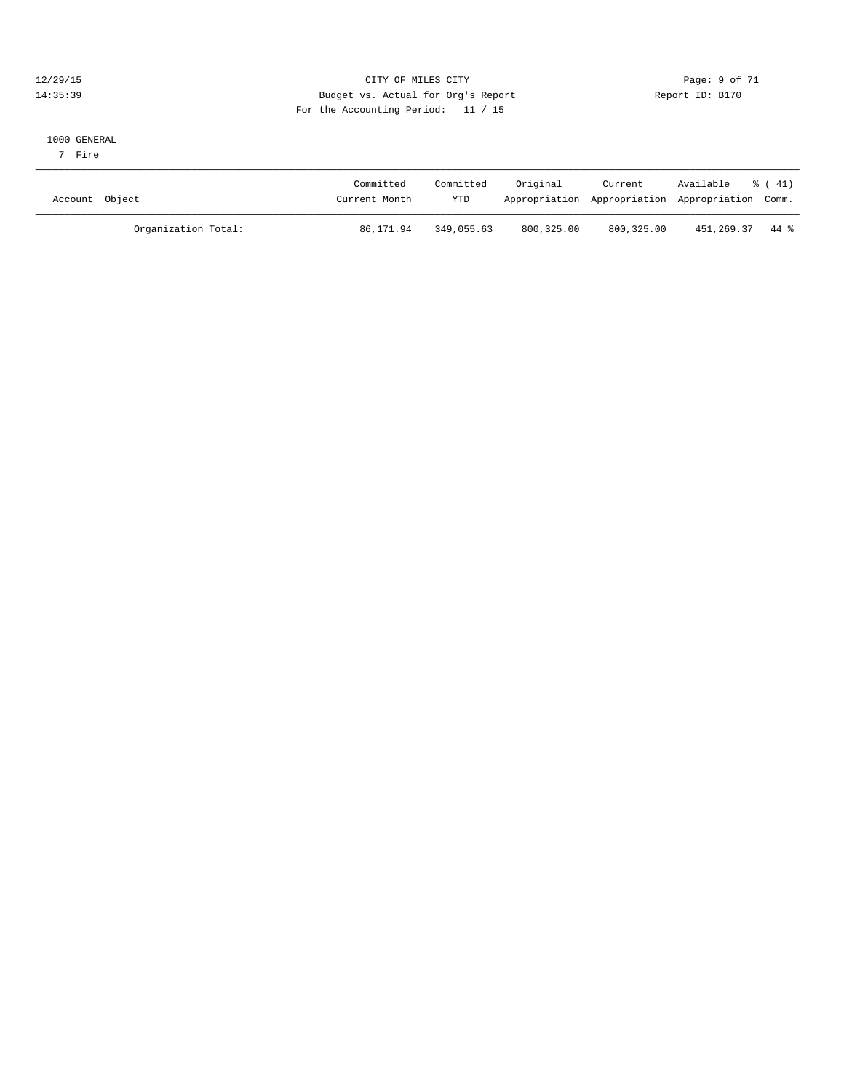#### 12/29/15 CITY OF MILES CITY Page: 9 of 71 14:35:39 Budget vs. Actual for Org's Report Report ID: B170 For the Accounting Period: 11 / 15

#### 1000 GENERAL

7 Fire

| Account Object      | Committed<br>Current Month | Committed<br><b>YTD</b> | Original   | Current    | Available<br>Appropriation Appropriation Appropriation Comm. | % ( 41) |
|---------------------|----------------------------|-------------------------|------------|------------|--------------------------------------------------------------|---------|
| Organization Total: | 86,171.94                  | 349,055.63              | 800,325.00 | 800,325.00 | 451,269.37                                                   | 44 %    |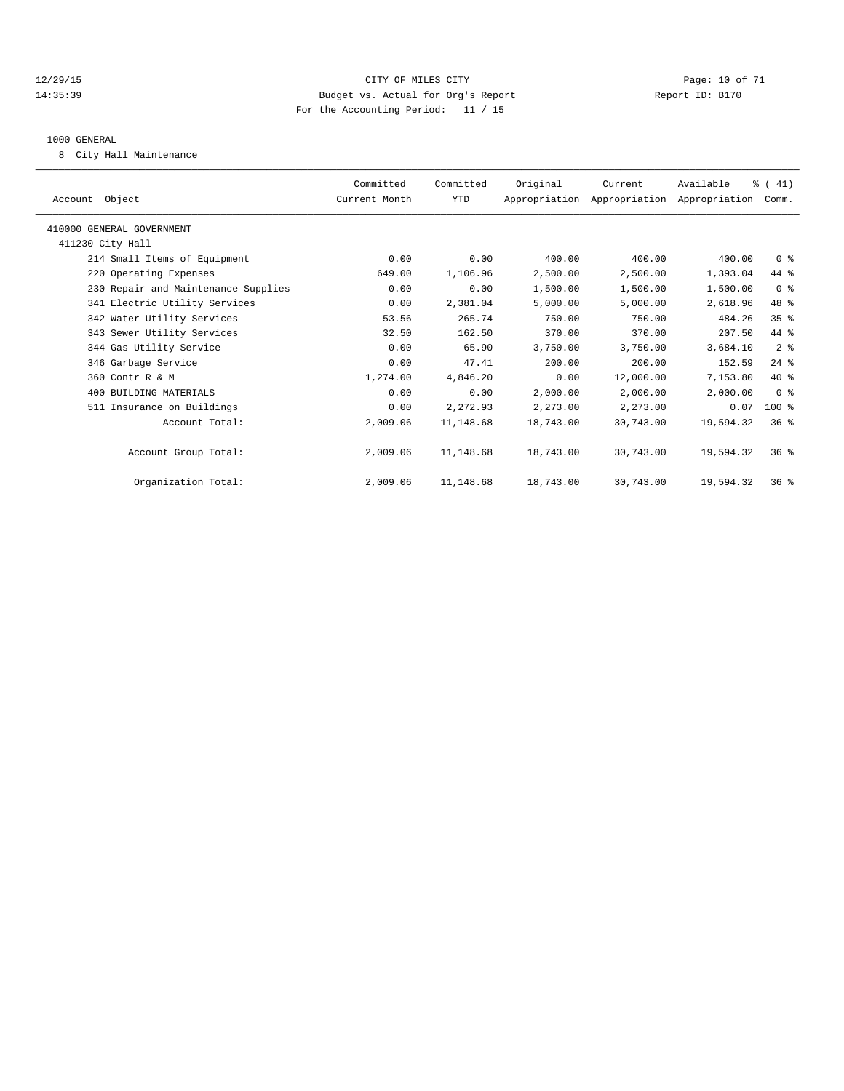#### 12/29/15 **Page: 10 of 71** CITY OF MILES CITY **Page: 10 of 71** 14:35:39 Budget vs. Actual for Org's Report Report ID: B170 For the Accounting Period: 11 / 15

#### 1000 GENERAL

8 City Hall Maintenance

| Committed<br>Current Month | Committed | Original  | Current   | Available | $\frac{1}{6}$ ( 41) |                                                                                                                                                                                                                                  |
|----------------------------|-----------|-----------|-----------|-----------|---------------------|----------------------------------------------------------------------------------------------------------------------------------------------------------------------------------------------------------------------------------|
|                            | YTD       |           |           |           |                     |                                                                                                                                                                                                                                  |
|                            |           |           |           |           |                     |                                                                                                                                                                                                                                  |
|                            |           |           |           |           |                     |                                                                                                                                                                                                                                  |
| 0.00                       | 0.00      | 400.00    | 400.00    | 400.00    |                     |                                                                                                                                                                                                                                  |
| 649.00                     | 1,106.96  | 2,500.00  | 2,500.00  | 1,393.04  |                     |                                                                                                                                                                                                                                  |
| 0.00                       | 0.00      | 1,500.00  | 1,500.00  | 1,500.00  |                     |                                                                                                                                                                                                                                  |
| 0.00                       | 2,381.04  | 5,000.00  | 5,000.00  | 2,618.96  |                     |                                                                                                                                                                                                                                  |
| 53.56                      | 265.74    | 750.00    | 750.00    | 484.26    |                     |                                                                                                                                                                                                                                  |
| 32.50                      | 162.50    | 370.00    | 370.00    | 207.50    |                     |                                                                                                                                                                                                                                  |
| 0.00                       | 65.90     | 3,750.00  | 3,750.00  | 3,684.10  |                     |                                                                                                                                                                                                                                  |
| 0.00                       | 47.41     | 200.00    | 200.00    | 152.59    |                     |                                                                                                                                                                                                                                  |
| 1,274.00                   | 4,846.20  | 0.00      | 12,000.00 | 7,153.80  |                     |                                                                                                                                                                                                                                  |
| 0.00                       | 0.00      | 2,000.00  | 2,000.00  | 2,000.00  |                     |                                                                                                                                                                                                                                  |
| 0.00                       | 2,272.93  | 2,273.00  | 2,273.00  | 0.07      |                     |                                                                                                                                                                                                                                  |
| 2,009.06                   | 11,148.68 | 18,743.00 | 30,743.00 | 19,594.32 |                     |                                                                                                                                                                                                                                  |
| 2,009.06                   | 11,148.68 | 18,743.00 | 30,743.00 | 19,594.32 |                     |                                                                                                                                                                                                                                  |
| 2,009.06                   | 11,148.68 | 18,743.00 | 30,743.00 | 19,594.32 |                     |                                                                                                                                                                                                                                  |
|                            |           |           |           |           |                     | Appropriation Appropriation Appropriation Comm.<br>0 <sup>8</sup><br>44 %<br>0 <sup>8</sup><br>48 %<br>$35$ $%$<br>44 %<br>2 <sup>8</sup><br>$24$ $%$<br>$40*$<br>0 <sup>8</sup><br>$100$ %<br>$36*$<br>$36*$<br>36 <sup>8</sup> |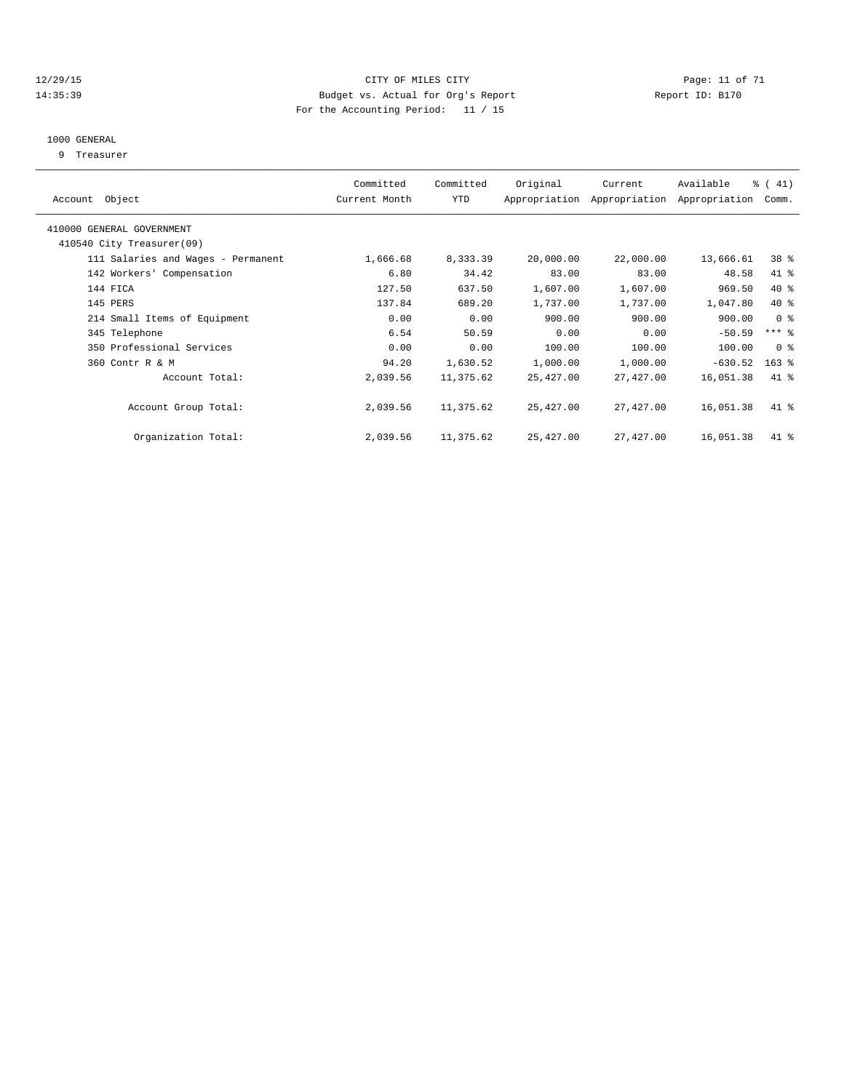#### 12/29/15 Page: 11 of 71 14:35:39 Budget vs. Actual for Org's Report Report ID: B170 For the Accounting Period: 11 / 15

#### 1000 GENERAL

9 Treasurer

| Account Object                     | Committed<br>Current Month | Committed<br>YTD | Original  | Current<br>Appropriation Appropriation | Available<br>Appropriation | $\frac{1}{6}$ ( 41)<br>Comm. |  |
|------------------------------------|----------------------------|------------------|-----------|----------------------------------------|----------------------------|------------------------------|--|
| 410000 GENERAL GOVERNMENT          |                            |                  |           |                                        |                            |                              |  |
| 410540 City Treasurer(09)          |                            |                  |           |                                        |                            |                              |  |
| 111 Salaries and Wages - Permanent | 1,666.68                   | 8,333.39         | 20,000.00 | 22,000.00                              | 13,666.61                  | 38 %                         |  |
| 142 Workers' Compensation          | 6.80                       | 34.42            | 83.00     | 83.00                                  | 48.58                      | 41 %                         |  |
| 144 FICA                           | 127.50                     | 637.50           | 1,607.00  | 1,607.00                               | 969.50                     | 40 %                         |  |
| 145 PERS                           | 137.84                     | 689.20           | 1,737.00  | 1,737.00                               | 1,047.80                   | 40 %                         |  |
| 214 Small Items of Equipment       | 0.00                       | 0.00             | 900.00    | 900.00                                 | 900.00                     | 0 <sup>8</sup>               |  |
| 345 Telephone                      | 6.54                       | 50.59            | 0.00      | 0.00                                   | $-50.59$                   | $***$ $-$                    |  |
| 350 Professional Services          | 0.00                       | 0.00             | 100.00    | 100.00                                 | 100.00                     | 0 <sup>8</sup>               |  |
| 360 Contr R & M                    | 94.20                      | 1,630.52         | 1,000.00  | 1,000.00                               | $-630.52$                  | $163$ $%$                    |  |
| Account Total:                     | 2,039.56                   | 11,375.62        | 25,427.00 | 27,427.00                              | 16,051.38                  | $41*$                        |  |
|                                    |                            |                  |           |                                        |                            |                              |  |
| Account Group Total:               | 2,039.56                   | 11,375.62        | 25,427.00 | 27,427.00                              | 16,051.38                  | $41$ %                       |  |
|                                    |                            |                  |           |                                        |                            |                              |  |
| Organization Total:                | 2,039.56                   | 11,375.62        | 25,427.00 | 27,427.00                              | 16,051.38                  | 41 %                         |  |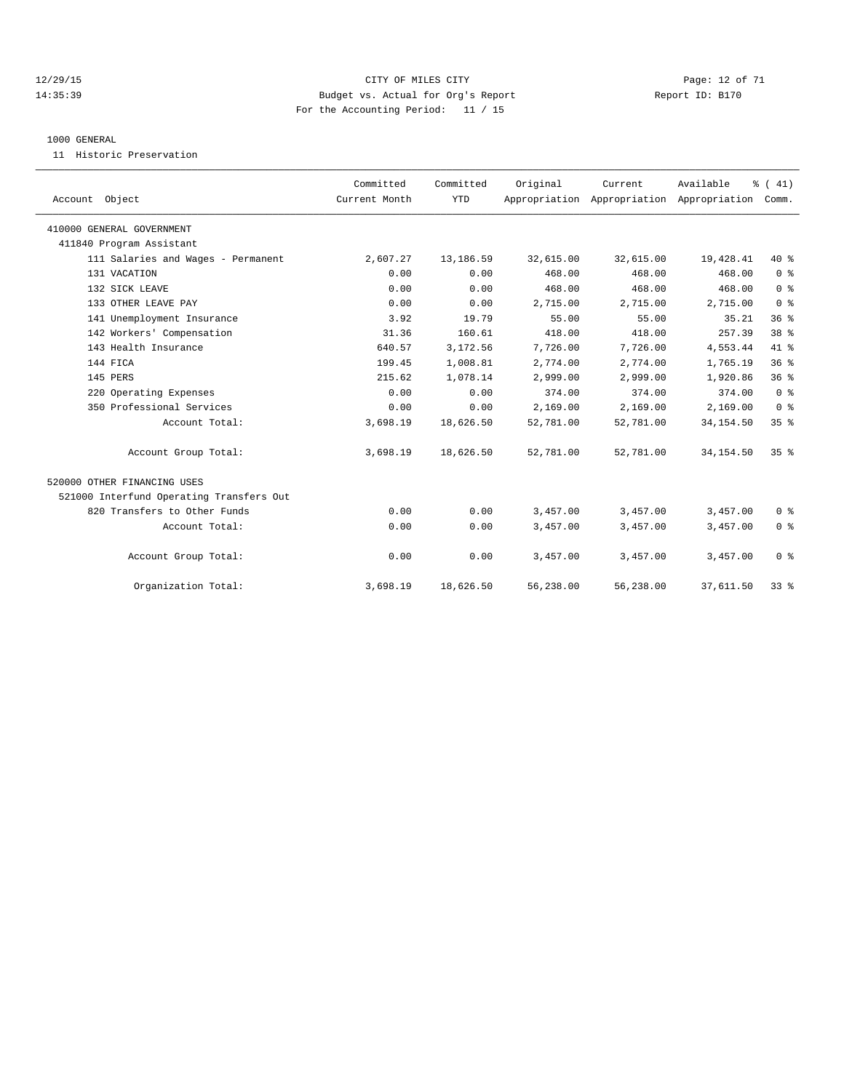#### 12/29/15 Page: 12 of 71 14:35:39 Budget vs. Actual for Org's Report Report ID: B170 For the Accounting Period: 11 / 15

#### 1000 GENERAL

11 Historic Preservation

| Account Object                           | Committed<br>Current Month | Committed<br><b>YTD</b> | Original  | Current<br>Appropriation Appropriation Appropriation | Available  | % (41)<br>Comm. |  |
|------------------------------------------|----------------------------|-------------------------|-----------|------------------------------------------------------|------------|-----------------|--|
| 410000 GENERAL GOVERNMENT                |                            |                         |           |                                                      |            |                 |  |
| 411840 Program Assistant                 |                            |                         |           |                                                      |            |                 |  |
| 111 Salaries and Wages - Permanent       | 2,607.27                   | 13,186.59               | 32,615.00 | 32,615.00                                            | 19,428.41  | 40 %            |  |
| 131 VACATION                             | 0.00                       | 0.00                    | 468.00    | 468.00                                               | 468.00     | 0 <sup>8</sup>  |  |
| 132 SICK LEAVE                           | 0.00                       | 0.00                    | 468.00    | 468.00                                               | 468.00     | 0 <sup>8</sup>  |  |
| 133 OTHER LEAVE PAY                      | 0.00                       | 0.00                    | 2,715.00  | 2,715.00                                             | 2,715.00   | 0 <sup>8</sup>  |  |
| 141 Unemployment Insurance               | 3.92                       | 19.79                   | 55.00     | 55.00                                                | 35.21      | 36 <sup>8</sup> |  |
| 142 Workers' Compensation                | 31.36                      | 160.61                  | 418.00    | 418.00                                               | 257.39     | 38 <sup>8</sup> |  |
| 143 Health Insurance                     | 640.57                     | 3,172.56                | 7,726.00  | 7,726.00                                             | 4,553.44   | 41.8            |  |
| 144 FICA                                 | 199.45                     | 1,008.81                | 2,774.00  | 2,774.00                                             | 1,765.19   | 36 <sup>8</sup> |  |
| 145 PERS                                 | 215.62                     | 1,078.14                | 2,999.00  | 2,999.00                                             | 1,920.86   | 36 <sup>8</sup> |  |
| 220 Operating Expenses                   | 0.00                       | 0.00                    | 374.00    | 374.00                                               | 374.00     | 0 <sup>8</sup>  |  |
| 350 Professional Services                | 0.00                       | 0.00                    | 2,169.00  | 2,169.00                                             | 2,169.00   | 0 <sup>8</sup>  |  |
| Account Total:                           | 3,698.19                   | 18,626.50               | 52,781.00 | 52,781.00                                            | 34, 154.50 | 35%             |  |
| Account Group Total:                     | 3,698.19                   | 18,626.50               | 52,781.00 | 52,781.00                                            | 34, 154.50 | 35 <sup>8</sup> |  |
| 520000 OTHER FINANCING USES              |                            |                         |           |                                                      |            |                 |  |
| 521000 Interfund Operating Transfers Out |                            |                         |           |                                                      |            |                 |  |
| 820 Transfers to Other Funds             | 0.00                       | 0.00                    | 3,457.00  | 3,457.00                                             | 3,457.00   | 0 <sup>8</sup>  |  |
| Account Total:                           | 0.00                       | 0.00                    | 3,457.00  | 3,457.00                                             | 3,457.00   | 0 <sup>8</sup>  |  |
| Account Group Total:                     | 0.00                       | 0.00                    | 3,457.00  | 3,457.00                                             | 3,457.00   | 0 <sup>8</sup>  |  |
| Organization Total:                      | 3,698.19                   | 18,626.50               | 56,238.00 | 56,238.00                                            | 37,611.50  | 33 <sup>8</sup> |  |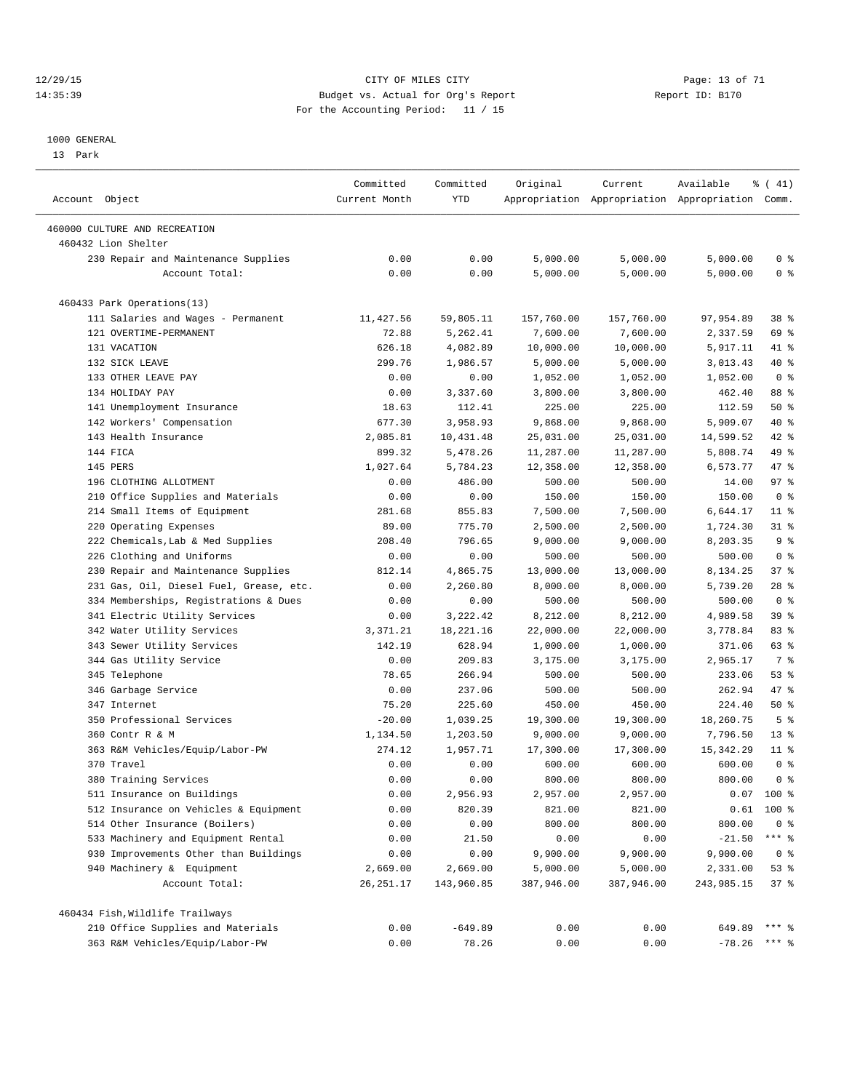#### 12/29/15 **Page: 13 of 71** CITY OF MILES CITY **CITY Page: 13 of 71** 14:35:39 Budget vs. Actual for Org's Report Report ID: B170 For the Accounting Period: 11 / 15

————————————————————————————————————————————————————————————————————————————————————————————————————————————————————————————————————

#### 1000 GENERAL

13 Park

|                                         | Committed     | Committed  | Original   | Current    | Available                                       | $\frac{1}{6}$ ( 41) |
|-----------------------------------------|---------------|------------|------------|------------|-------------------------------------------------|---------------------|
| Account Object                          | Current Month | YTD        |            |            | Appropriation Appropriation Appropriation Comm. |                     |
| 460000 CULTURE AND RECREATION           |               |            |            |            |                                                 |                     |
| 460432 Lion Shelter                     |               |            |            |            |                                                 |                     |
| 230 Repair and Maintenance Supplies     | 0.00          | 0.00       | 5,000.00   | 5,000.00   | 5,000.00                                        | 0 <sup>8</sup>      |
| Account Total:                          | 0.00          | 0.00       | 5,000.00   | 5,000.00   | 5,000.00                                        | 0 <sup>8</sup>      |
| 460433 Park Operations(13)              |               |            |            |            |                                                 |                     |
| 111 Salaries and Wages - Permanent      | 11,427.56     | 59,805.11  | 157,760.00 | 157,760.00 | 97,954.89                                       | 38 %                |
| 121 OVERTIME-PERMANENT                  | 72.88         | 5,262.41   | 7,600.00   | 7,600.00   | 2,337.59                                        | 69 %                |
| 131 VACATION                            | 626.18        | 4,082.89   | 10,000.00  | 10,000.00  | 5,917.11                                        | 41 %                |
| 132 SICK LEAVE                          | 299.76        | 1,986.57   | 5,000.00   | 5,000.00   | 3,013.43                                        | 40 %                |
| 133 OTHER LEAVE PAY                     | 0.00          | 0.00       | 1,052.00   | 1,052.00   | 1,052.00                                        | 0 <sup>8</sup>      |
| 134 HOLIDAY PAY                         | 0.00          | 3,337.60   | 3,800.00   | 3,800.00   | 462.40                                          | 88 %                |
| 141 Unemployment Insurance              | 18.63         | 112.41     | 225.00     | 225.00     | 112.59                                          | 50%                 |
| 142 Workers' Compensation               | 677.30        | 3,958.93   | 9,868.00   | 9,868.00   | 5,909.07                                        | 40 %                |
| 143 Health Insurance                    | 2,085.81      | 10,431.48  | 25,031.00  | 25,031.00  | 14,599.52                                       | 42 %                |
| 144 FICA                                | 899.32        | 5,478.26   | 11,287.00  | 11,287.00  | 5,808.74                                        | 49 %                |
| 145 PERS                                | 1,027.64      | 5,784.23   | 12,358.00  | 12,358.00  | 6,573.77                                        | 47 %                |
| 196 CLOTHING ALLOTMENT                  | 0.00          | 486.00     | 500.00     | 500.00     | 14.00                                           | 97%                 |
| 210 Office Supplies and Materials       | 0.00          | 0.00       | 150.00     | 150.00     | 150.00                                          | 0 <sup>8</sup>      |
| 214 Small Items of Equipment            | 281.68        | 855.83     | 7,500.00   | 7,500.00   | 6,644.17                                        | $11$ %              |
| 220 Operating Expenses                  | 89.00         | 775.70     | 2,500.00   | 2,500.00   | 1,724.30                                        | 31 %                |
| 222 Chemicals, Lab & Med Supplies       | 208.40        | 796.65     | 9,000.00   | 9,000.00   | 8,203.35                                        | 9 <sup>°</sup>      |
| 226 Clothing and Uniforms               | 0.00          | 0.00       | 500.00     | 500.00     | 500.00                                          | 0 <sup>8</sup>      |
| 230 Repair and Maintenance Supplies     | 812.14        | 4,865.75   | 13,000.00  | 13,000.00  | 8,134.25                                        | 37%                 |
| 231 Gas, Oil, Diesel Fuel, Grease, etc. | 0.00          | 2,260.80   | 8,000.00   | 8,000.00   | 5,739.20                                        | $28$ %              |
| 334 Memberships, Registrations & Dues   | 0.00          | 0.00       | 500.00     | 500.00     | 500.00                                          | 0 <sup>8</sup>      |
| 341 Electric Utility Services           | 0.00          | 3,222.42   | 8,212.00   | 8,212.00   | 4,989.58                                        | 39 %                |
| 342 Water Utility Services              | 3,371.21      | 18,221.16  | 22,000.00  | 22,000.00  | 3,778.84                                        | 83%                 |
| 343 Sewer Utility Services              | 142.19        | 628.94     | 1,000.00   | 1,000.00   | 371.06                                          | 63 %                |
| 344 Gas Utility Service                 | 0.00          | 209.83     | 3,175.00   | 3,175.00   | 2,965.17                                        | 7 %                 |
| 345 Telephone                           | 78.65         | 266.94     | 500.00     | 500.00     | 233.06                                          | $53$ $%$            |
| 346 Garbage Service                     | 0.00          | 237.06     | 500.00     | 500.00     | 262.94                                          | 47 %                |
| 347 Internet                            | 75.20         | 225.60     | 450.00     | 450.00     | 224.40                                          | 50%                 |
| 350 Professional Services               | $-20.00$      | 1,039.25   | 19,300.00  | 19,300.00  | 18,260.75                                       | 5 <sup>°</sup>      |
| 360 Contr R & M                         | 1,134.50      | 1,203.50   | 9,000.00   | 9,000.00   | 7,796.50                                        | $13*$               |
| 363 R&M Vehicles/Equip/Labor-PW         | 274.12        | 1,957.71   | 17,300.00  | 17,300.00  | 15, 342.29                                      | $11$ %              |
| 370 Travel                              | 0.00          | 0.00       | 600.00     | 600.00     | 600.00                                          | 0 <sup>8</sup>      |
| 380 Training Services                   | 0.00          | 0.00       | 800.00     | 800.00     | 800.00                                          | 0 <sup>8</sup>      |
| 511 Insurance on Buildings              | 0.00          | 2,956.93   | 2,957.00   | 2,957.00   |                                                 | $0.07$ 100 %        |
| 512 Insurance on Vehicles & Equipment   | 0.00          | 820.39     | 821.00     | 821.00     |                                                 | $0.61$ 100 %        |
| 514 Other Insurance (Boilers)           | 0.00          | 0.00       | 800.00     | 800.00     | 800.00                                          | $0$ %               |
| 533 Machinery and Equipment Rental      | 0.00          | 21.50      | 0.00       | 0.00       | $-21.50$                                        | $***$ $_{8}$        |
| 930 Improvements Other than Buildings   | 0.00          | 0.00       | 9,900.00   | 9,900.00   | 9,900.00                                        | 0 <sup>8</sup>      |
| 940 Machinery & Equipment               | 2,669.00      | 2,669.00   | 5,000.00   | 5,000.00   | 2,331.00                                        | 53%                 |
|                                         |               | 143,960.85 |            |            |                                                 |                     |
| Account Total:                          | 26, 251.17    |            | 387,946.00 | 387,946.00 | 243,985.15                                      | 37%                 |
| 460434 Fish, Wildlife Trailways         |               |            |            |            |                                                 |                     |
| 210 Office Supplies and Materials       | 0.00          | $-649.89$  | 0.00       | 0.00       | 649.89                                          | $***$ $_{8}$        |
| 363 R&M Vehicles/Equip/Labor-PW         | 0.00          | 78.26      | 0.00       | 0.00       | $-78.26$                                        | $***$ $%$           |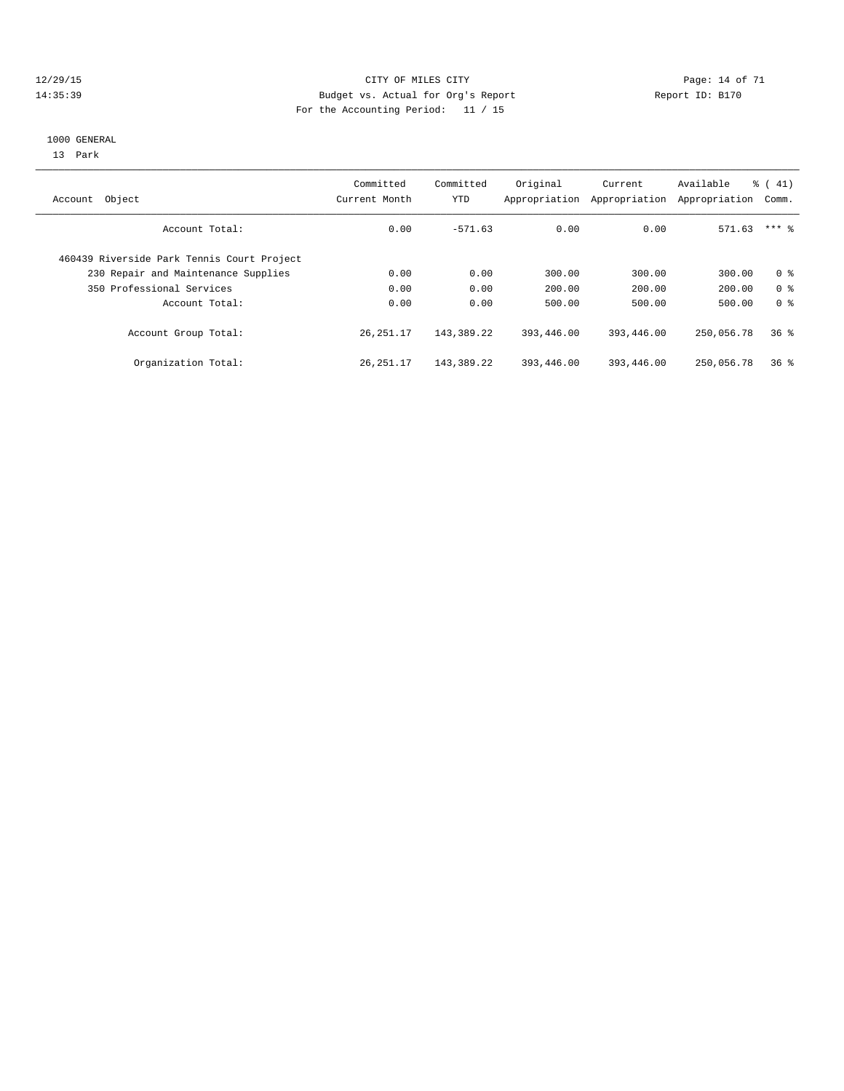#### 12/29/15 Page: 14 of 71 14:35:39 Budget vs. Actual for Org's Report Report ID: B170 For the Accounting Period: 11 / 15

#### 1000 GENERAL

13 Park

| Object<br>Account                          | Committed<br>Current Month | Committed<br><b>YTD</b> | Original<br>Appropriation | Current<br>Appropriation | Available<br>Appropriation | $\frac{1}{6}$ ( 41)<br>Comm. |
|--------------------------------------------|----------------------------|-------------------------|---------------------------|--------------------------|----------------------------|------------------------------|
| Account Total:                             | 0.00                       | $-571.63$               | 0.00                      | 0.00                     | 571.63                     | $***$ 2                      |
| 460439 Riverside Park Tennis Court Project |                            |                         |                           |                          |                            |                              |
| 230 Repair and Maintenance Supplies        | 0.00                       | 0.00                    | 300.00                    | 300.00                   | 300.00                     | 0 <sup>8</sup>               |
| 350 Professional Services                  | 0.00                       | 0.00                    | 200.00                    | 200.00                   | 200.00                     | 0 <sup>8</sup>               |
| Account Total:                             | 0.00                       | 0.00                    | 500.00                    | 500.00                   | 500.00                     | 0 <sup>8</sup>               |
| Account Group Total:                       | 26, 251.17                 | 143,389.22              | 393,446.00                | 393,446.00               | 250,056.78                 | 36 <sup>8</sup>              |
| Organization Total:                        | 26, 251.17                 | 143,389.22              | 393,446.00                | 393,446.00               | 250,056.78                 | 36%                          |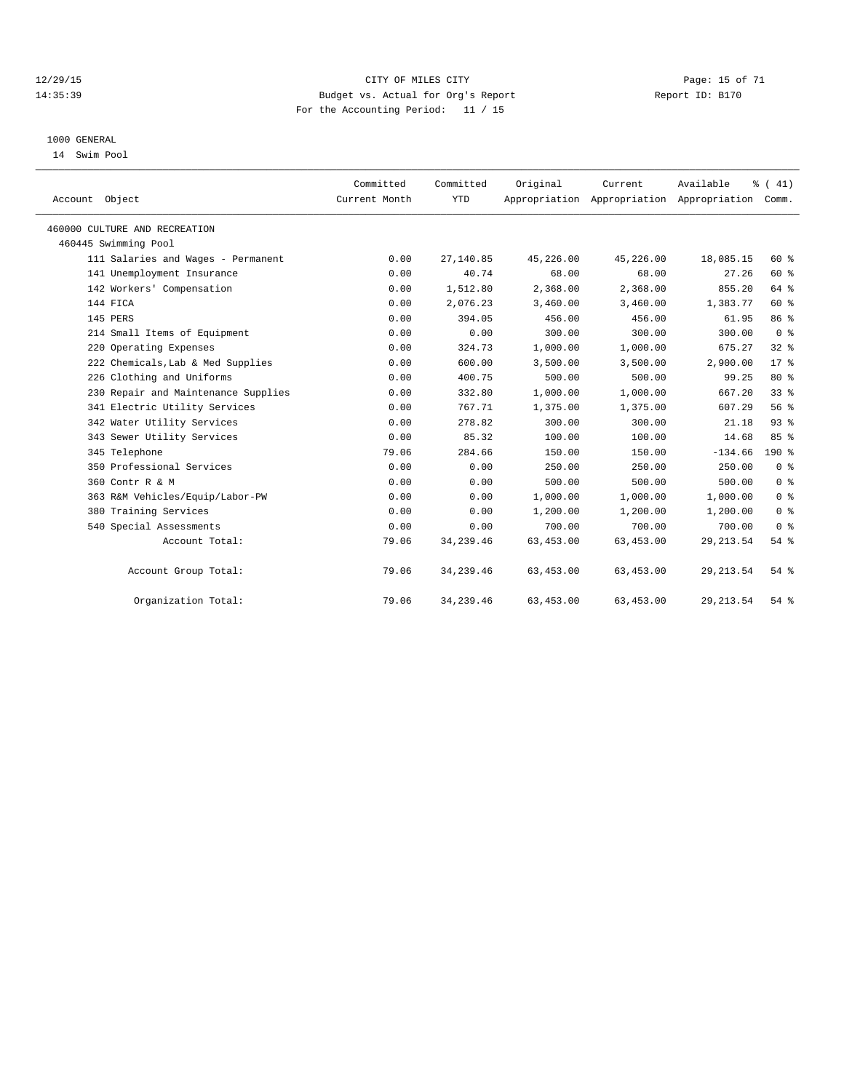#### 12/29/15 Page: 15 of 71 14:35:39 Budget vs. Actual for Org's Report Report ID: B170 For the Accounting Period: 11 / 15

#### 1000 GENERAL

14 Swim Pool

| Account Object                      | Committed<br>Current Month | Committed<br><b>YTD</b> | Original   | Current    | Available<br>Appropriation Appropriation Appropriation Comm. | % (41)          |
|-------------------------------------|----------------------------|-------------------------|------------|------------|--------------------------------------------------------------|-----------------|
| 460000 CULTURE AND RECREATION       |                            |                         |            |            |                                                              |                 |
| 460445 Swimming Pool                |                            |                         |            |            |                                                              |                 |
| 111 Salaries and Wages - Permanent  | 0.00                       | 27,140.85               | 45,226.00  | 45,226.00  | 18,085.15                                                    | 60 %            |
| 141 Unemployment Insurance          | 0.00                       | 40.74                   | 68.00      | 68.00      | 27.26                                                        | 60 %            |
| 142 Workers' Compensation           | 0.00                       | 1,512.80                | 2,368.00   | 2,368.00   | 855.20                                                       | 64 %            |
| 144 FICA                            | 0.00                       | 2,076.23                | 3,460.00   | 3,460.00   | 1,383.77                                                     | 60 %            |
| 145 PERS                            | 0.00                       | 394.05                  | 456.00     | 456.00     | 61.95                                                        | 86 %            |
| 214 Small Items of Equipment        | 0.00                       | 0.00                    | 300.00     | 300.00     | 300.00                                                       | 0 <sup>8</sup>  |
| 220 Operating Expenses              | 0.00                       | 324.73                  | 1,000.00   | 1,000.00   | 675.27                                                       | 32 <sup>8</sup> |
| 222 Chemicals, Lab & Med Supplies   | 0.00                       | 600.00                  | 3,500.00   | 3,500.00   | 2,900.00                                                     | $17*$           |
| 226 Clothing and Uniforms           | 0.00                       | 400.75                  | 500.00     | 500.00     | 99.25                                                        | 80 %            |
| 230 Repair and Maintenance Supplies | 0.00                       | 332.80                  | 1,000.00   | 1,000.00   | 667.20                                                       | 33 <sup>8</sup> |
| 341 Electric Utility Services       | 0.00                       | 767.71                  | 1,375.00   | 1,375.00   | 607.29                                                       | 56 %            |
| 342 Water Utility Services          | 0.00                       | 278.82                  | 300.00     | 300.00     | 21.18                                                        | 93%             |
| 343 Sewer Utility Services          | 0.00                       | 85.32                   | 100.00     | 100.00     | 14.68                                                        | 85%             |
| 345 Telephone                       | 79.06                      | 284.66                  | 150.00     | 150.00     | $-134.66$                                                    | 190%            |
| 350 Professional Services           | 0.00                       | 0.00                    | 250.00     | 250.00     | 250.00                                                       | 0 <sup>8</sup>  |
| 360 Contr R & M                     | 0.00                       | 0.00                    | 500.00     | 500.00     | 500.00                                                       | 0 <sup>8</sup>  |
| 363 R&M Vehicles/Equip/Labor-PW     | 0.00                       | 0.00                    | 1,000.00   | 1,000.00   | 1,000.00                                                     | 0 <sup>8</sup>  |
| 380 Training Services               | 0.00                       | 0.00                    | 1,200.00   | 1,200.00   | 1,200.00                                                     | 0 <sup>8</sup>  |
| 540 Special Assessments             | 0.00                       | 0.00                    | 700.00     | 700.00     | 700.00                                                       | 0 <sup>8</sup>  |
| Account Total:                      | 79.06                      | 34, 239.46              | 63, 453.00 | 63,453.00  | 29, 213.54                                                   | 54 %            |
| Account Group Total:                | 79.06                      | 34, 239. 46             | 63,453.00  | 63,453.00  | 29, 213.54                                                   | $54$ $%$        |
| Organization Total:                 | 79.06                      | 34, 239.46              | 63, 453.00 | 63, 453.00 | 29, 213.54                                                   | 54 %            |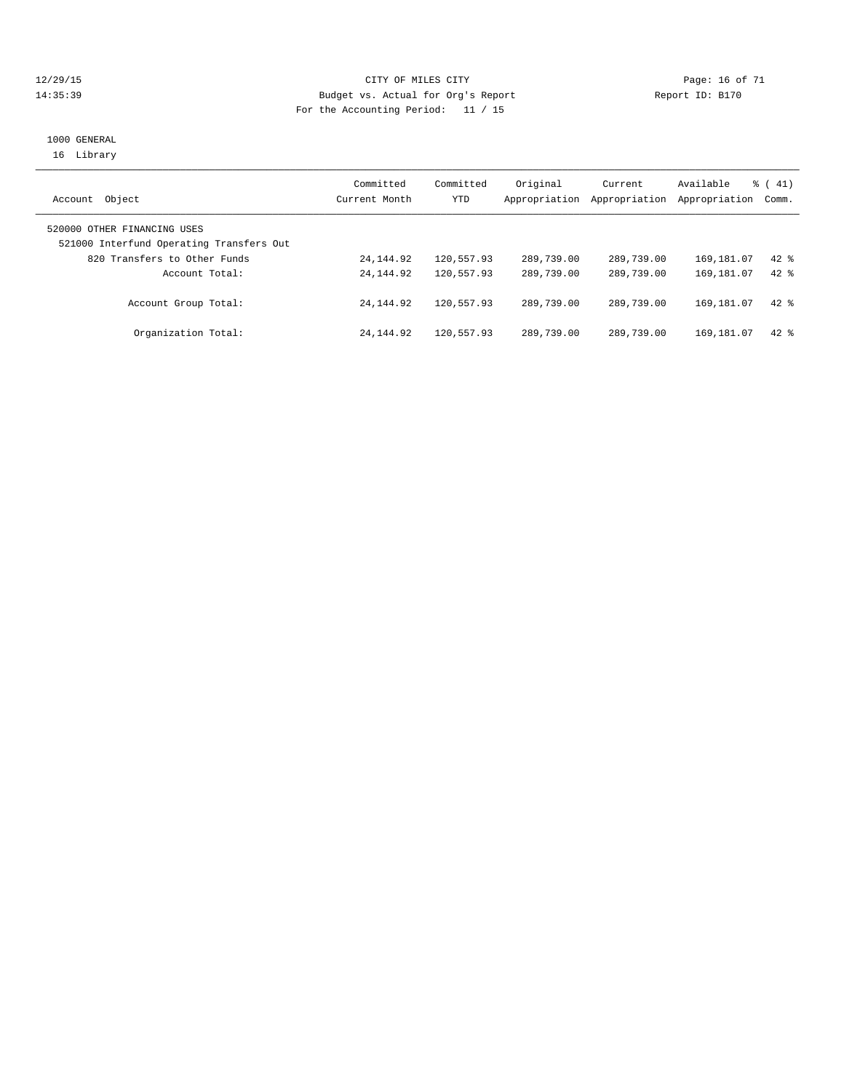#### 12/29/15 **Page: 16 of 71** CITY OF MILES CITY **Page: 16 of 71** 14:35:39 Budget vs. Actual for Org's Report Report ID: B170 For the Accounting Period: 11 / 15

#### 1000 GENERAL 16 Library

| Object<br>Account                                                       | Committed<br>Current Month | Committed<br>YTD | Original<br>Appropriation | Current<br>Appropriation | Available<br>Appropriation | $\frac{1}{6}$ ( 41)<br>Comm. |
|-------------------------------------------------------------------------|----------------------------|------------------|---------------------------|--------------------------|----------------------------|------------------------------|
| 520000 OTHER FINANCING USES<br>521000 Interfund Operating Transfers Out |                            |                  |                           |                          |                            |                              |
| 820 Transfers to Other Funds                                            | 24, 144.92                 | 120,557.93       | 289,739.00                | 289,739.00               | 169,181.07                 | $42*$                        |
| Account Total:                                                          | 24, 144, 92                | 120,557.93       | 289,739.00                | 289,739.00               | 169, 181.07                | $42*$                        |
| Account Group Total:                                                    | 24, 144, 92                | 120,557.93       | 289,739.00                | 289,739.00               | 169, 181.07                | $42*$                        |
| Organization Total:                                                     | 24, 144, 92                | 120,557.93       | 289,739.00                | 289,739.00               | 169, 181, 07               | $42*$                        |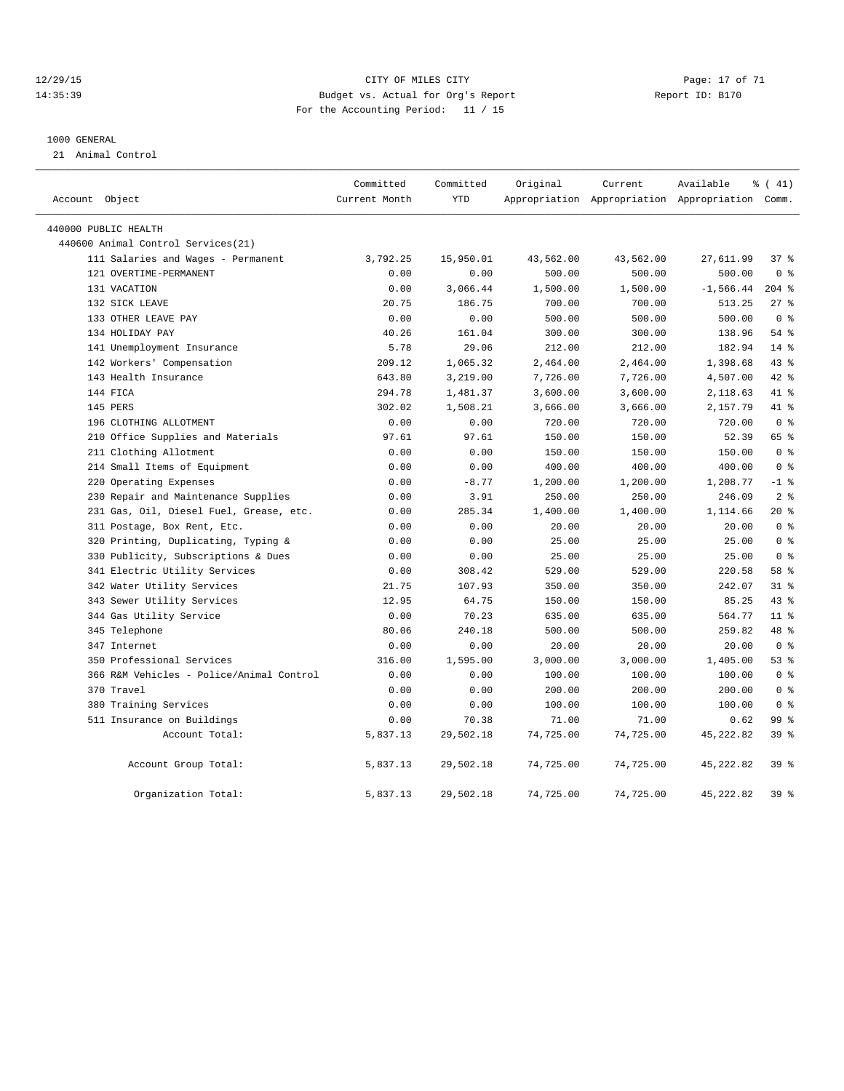#### 12/29/15 Page: 17 of 71 CHT CHE CITY CONTROL CONTROL CONTROL PAGE: 17 OF 71 14:35:39 Budget vs. Actual for Org's Report Report ID: B170 For the Accounting Period: 11 / 15

#### 1000 GENERAL

21 Animal Control

|                |                                          | Committed     | Committed  | Original  | Current   | Available                                       | % (41)          |
|----------------|------------------------------------------|---------------|------------|-----------|-----------|-------------------------------------------------|-----------------|
| Account Object |                                          | Current Month | <b>YTD</b> |           |           | Appropriation Appropriation Appropriation Comm. |                 |
|                | 440000 PUBLIC HEALTH                     |               |            |           |           |                                                 |                 |
|                | 440600 Animal Control Services (21)      |               |            |           |           |                                                 |                 |
|                | 111 Salaries and Wages - Permanent       | 3,792.25      | 15,950.01  | 43,562.00 | 43,562.00 | 27,611.99                                       | 37%             |
|                | 121 OVERTIME-PERMANENT                   | 0.00          | 0.00       | 500.00    | 500.00    | 500.00                                          | 0 <sup>8</sup>  |
|                | 131 VACATION                             | 0.00          | 3,066.44   | 1,500.00  | 1,500.00  | $-1,566.44$                                     | $204$ %         |
|                | 132 SICK LEAVE                           | 20.75         | 186.75     | 700.00    | 700.00    | 513.25                                          | 27%             |
|                | 133 OTHER LEAVE PAY                      | 0.00          | 0.00       | 500.00    | 500.00    | 500.00                                          | 0 <sup>8</sup>  |
|                | 134 HOLIDAY PAY                          | 40.26         | 161.04     | 300.00    | 300.00    | 138.96                                          | 54 %            |
|                | 141 Unemployment Insurance               | 5.78          | 29.06      | 212.00    | 212.00    | 182.94                                          | $14*$           |
|                | 142 Workers' Compensation                | 209.12        | 1,065.32   | 2,464.00  | 2,464.00  | 1,398.68                                        | 43.8            |
|                | 143 Health Insurance                     | 643.80        | 3,219.00   | 7,726.00  | 7,726.00  | 4,507.00                                        | 42.8            |
|                | 144 FICA                                 | 294.78        | 1,481.37   | 3,600.00  | 3,600.00  | 2,118.63                                        | 41 %            |
|                | 145 PERS                                 | 302.02        | 1,508.21   | 3,666.00  | 3,666.00  | 2,157.79                                        | 41 %            |
|                | 196 CLOTHING ALLOTMENT                   | 0.00          | 0.00       | 720.00    | 720.00    | 720.00                                          | 0 <sup>8</sup>  |
|                | 210 Office Supplies and Materials        | 97.61         | 97.61      | 150.00    | 150.00    | 52.39                                           | 65 %            |
|                | 211 Clothing Allotment                   | 0.00          | 0.00       | 150.00    | 150.00    | 150.00                                          | 0 <sup>8</sup>  |
|                | 214 Small Items of Equipment             | 0.00          | 0.00       | 400.00    | 400.00    | 400.00                                          | 0 <sup>8</sup>  |
|                | 220 Operating Expenses                   | 0.00          | $-8.77$    | 1,200.00  | 1,200.00  | 1,208.77                                        | $-1$ %          |
|                | 230 Repair and Maintenance Supplies      | 0.00          | 3.91       | 250.00    | 250.00    | 246.09                                          | 2 <sup>8</sup>  |
|                | 231 Gas, Oil, Diesel Fuel, Grease, etc.  | 0.00          | 285.34     | 1,400.00  | 1,400.00  | 1,114.66                                        | $20*$           |
|                | 311 Postage, Box Rent, Etc.              | 0.00          | 0.00       | 20.00     | 20.00     | 20.00                                           | 0 <sup>8</sup>  |
|                | 320 Printing, Duplicating, Typing &      | 0.00          | 0.00       | 25.00     | 25.00     | 25.00                                           | 0 <sup>8</sup>  |
|                | 330 Publicity, Subscriptions & Dues      | 0.00          | 0.00       | 25.00     | 25.00     | 25.00                                           | 0 <sup>8</sup>  |
|                | 341 Electric Utility Services            | 0.00          | 308.42     | 529.00    | 529.00    | 220.58                                          | 58 %            |
|                | 342 Water Utility Services               | 21.75         | 107.93     | 350.00    | 350.00    | 242.07                                          | 31.8            |
|                | 343 Sewer Utility Services               | 12.95         | 64.75      | 150.00    | 150.00    | 85.25                                           | 43.8            |
|                | 344 Gas Utility Service                  | 0.00          | 70.23      | 635.00    | 635.00    | 564.77                                          | $11$ %          |
|                | 345 Telephone                            | 80.06         | 240.18     | 500.00    | 500.00    | 259.82                                          | 48 %            |
|                | 347 Internet                             | 0.00          | 0.00       | 20.00     | 20.00     | 20.00                                           | 0 <sup>8</sup>  |
|                | 350 Professional Services                | 316.00        | 1,595.00   | 3,000.00  | 3,000.00  | 1,405.00                                        | 53%             |
|                | 366 R&M Vehicles - Police/Animal Control | 0.00          | 0.00       | 100.00    | 100.00    | 100.00                                          | 0 <sup>8</sup>  |
|                | 370 Travel                               | 0.00          | 0.00       | 200.00    | 200.00    | 200.00                                          | 0 <sup>8</sup>  |
|                | 380 Training Services                    | 0.00          | 0.00       | 100.00    | 100.00    | 100.00                                          | 0 <sup>8</sup>  |
|                | 511 Insurance on Buildings               | 0.00          | 70.38      | 71.00     | 71.00     | 0.62                                            | 99 %            |
|                | Account Total:                           | 5,837.13      | 29,502.18  | 74,725.00 | 74,725.00 | 45, 222.82                                      | 39 %            |
|                | Account Group Total:                     | 5,837.13      | 29,502.18  | 74,725.00 | 74,725.00 | 45, 222.82                                      | 39 <sup>8</sup> |
|                | Organization Total:                      | 5,837.13      | 29,502.18  | 74,725.00 | 74,725.00 | 45, 222.82                                      | 39 <sup>8</sup> |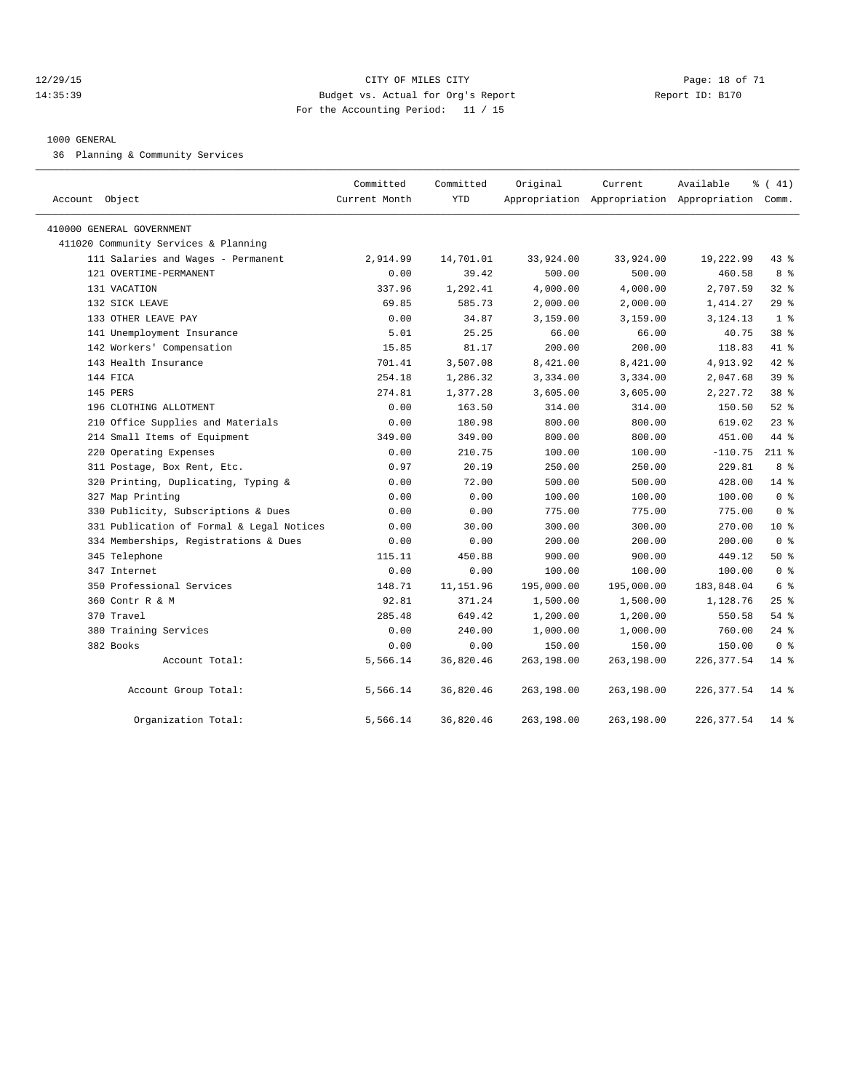#### 12/29/15 Page: 18 of 71 14:35:39 Budget vs. Actual for Org's Report Report ID: B170 For the Accounting Period: 11 / 15

#### 1000 GENERAL

36 Planning & Community Services

| Account Object                            | Committed<br>Current Month | Committed<br><b>YTD</b> | Original   | Current    | Available<br>Appropriation Appropriation Appropriation Comm. | % (41)          |
|-------------------------------------------|----------------------------|-------------------------|------------|------------|--------------------------------------------------------------|-----------------|
| 410000 GENERAL GOVERNMENT                 |                            |                         |            |            |                                                              |                 |
| 411020 Community Services & Planning      |                            |                         |            |            |                                                              |                 |
| 111 Salaries and Wages - Permanent        | 2,914.99                   | 14,701.01               | 33,924.00  | 33,924.00  | 19,222.99                                                    | $43$ %          |
| 121 OVERTIME-PERMANENT                    | 0.00                       | 39.42                   | 500.00     | 500.00     | 460.58                                                       | 8 %             |
| 131 VACATION                              | 337.96                     | 1,292.41                | 4,000.00   | 4,000.00   | 2,707.59                                                     | 32 <sub>8</sub> |
| 132 SICK LEAVE                            | 69.85                      | 585.73                  | 2,000.00   | 2,000.00   | 1,414.27                                                     | 29%             |
| 133 OTHER LEAVE PAY                       | 0.00                       | 34.87                   | 3,159.00   | 3,159.00   | 3,124.13                                                     | 1 <sup>8</sup>  |
| 141 Unemployment Insurance                | 5.01                       | 25.25                   | 66.00      | 66.00      | 40.75                                                        | 38 %            |
| 142 Workers' Compensation                 | 15.85                      | 81.17                   | 200.00     | 200.00     | 118.83                                                       | 41 %            |
| 143 Health Insurance                      | 701.41                     | 3,507.08                | 8,421.00   | 8,421.00   | 4,913.92                                                     | $42$ $%$        |
| 144 FICA                                  | 254.18                     | 1,286.32                | 3,334.00   | 3,334.00   | 2,047.68                                                     | 39 %            |
| 145 PERS                                  | 274.81                     | 1,377.28                | 3,605.00   | 3,605.00   | 2,227.72                                                     | 38 <sup>8</sup> |
| 196 CLOTHING ALLOTMENT                    | 0.00                       | 163.50                  | 314.00     | 314.00     | 150.50                                                       | $52$ $%$        |
| 210 Office Supplies and Materials         | 0.00                       | 180.98                  | 800.00     | 800.00     | 619.02                                                       | $23$ $%$        |
| 214 Small Items of Equipment              | 349.00                     | 349.00                  | 800.00     | 800.00     | 451.00                                                       | 44 %            |
| 220 Operating Expenses                    | 0.00                       | 210.75                  | 100.00     | 100.00     | $-110.75$                                                    | $211$ %         |
| 311 Postage, Box Rent, Etc.               | 0.97                       | 20.19                   | 250.00     | 250.00     | 229.81                                                       | 8 %             |
| 320 Printing, Duplicating, Typing &       | 0.00                       | 72.00                   | 500.00     | 500.00     | 428.00                                                       | 14 %            |
| 327 Map Printing                          | 0.00                       | 0.00                    | 100.00     | 100.00     | 100.00                                                       | 0 <sup>8</sup>  |
| 330 Publicity, Subscriptions & Dues       | 0.00                       | 0.00                    | 775.00     | 775.00     | 775.00                                                       | 0 <sup>8</sup>  |
| 331 Publication of Formal & Legal Notices | 0.00                       | 30.00                   | 300.00     | 300.00     | 270.00                                                       | $10*$           |
| 334 Memberships, Registrations & Dues     | 0.00                       | 0.00                    | 200.00     | 200.00     | 200.00                                                       | 0 <sup>8</sup>  |
| 345 Telephone                             | 115.11                     | 450.88                  | 900.00     | 900.00     | 449.12                                                       | 50%             |
| 347 Internet                              | 0.00                       | 0.00                    | 100.00     | 100.00     | 100.00                                                       | 0 <sup>8</sup>  |
| 350 Professional Services                 | 148.71                     | 11, 151.96              | 195,000.00 | 195,000.00 | 183,848.04                                                   | 6 %             |
| 360 Contr R & M                           | 92.81                      | 371.24                  | 1,500.00   | 1,500.00   | 1,128.76                                                     | $25$ %          |
| 370 Travel                                | 285.48                     | 649.42                  | 1,200.00   | 1,200.00   | 550.58                                                       | $54$ $%$        |
| 380 Training Services                     | 0.00                       | 240.00                  | 1,000.00   | 1,000.00   | 760.00                                                       | $24$ %          |
| 382 Books                                 | 0.00                       | 0.00                    | 150.00     | 150.00     | 150.00                                                       | 0 <sup>8</sup>  |
| Account Total:                            | 5,566.14                   | 36,820.46               | 263,198.00 | 263,198.00 | 226, 377.54                                                  | $14$ %          |
| Account Group Total:                      | 5,566.14                   | 36,820.46               | 263,198.00 | 263,198.00 | 226, 377.54                                                  | $14*$           |
| Organization Total:                       | 5,566.14                   | 36,820.46               | 263,198.00 | 263,198.00 | 226, 377.54                                                  | $14$ %          |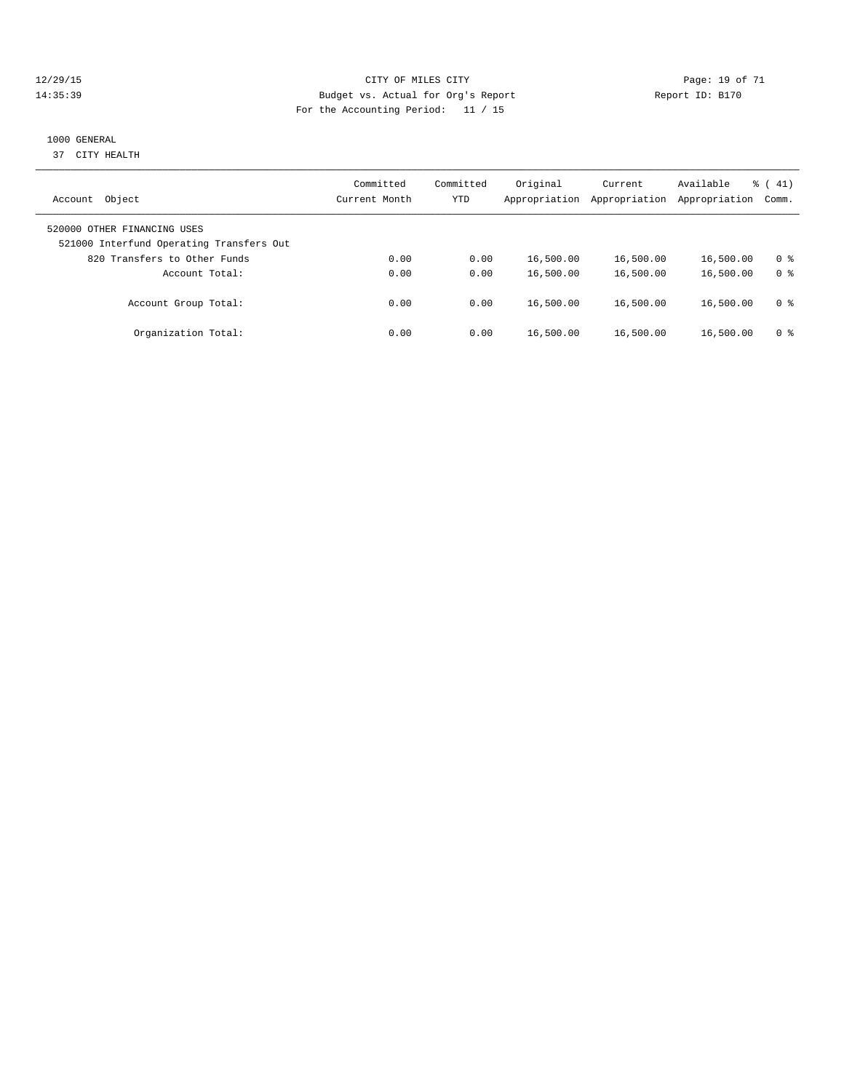#### 12/29/15 **Page: 19 of 71** CITY OF MILES CITY **CITY Page: 19 of 71** 14:35:39 Budget vs. Actual for Org's Report Report ID: B170 For the Accounting Period: 11 / 15

#### 1000 GENERAL

37 CITY HEALTH

| Object<br>Account                                                       | Committed<br>Current Month | Committed<br><b>YTD</b> | Original<br>Appropriation | Current<br>Appropriation | Available<br>Appropriation | $\frac{1}{6}$ ( 41)<br>Comm. |
|-------------------------------------------------------------------------|----------------------------|-------------------------|---------------------------|--------------------------|----------------------------|------------------------------|
| 520000 OTHER FINANCING USES<br>521000 Interfund Operating Transfers Out |                            |                         |                           |                          |                            |                              |
| 820 Transfers to Other Funds<br>Account Total:                          | 0.00<br>0.00               | 0.00<br>0.00            | 16,500.00<br>16,500.00    | 16,500.00<br>16,500.00   | 16,500.00<br>16,500.00     | 0 ક<br>0 <sup>8</sup>        |
| Account Group Total:                                                    | 0.00                       | 0.00                    | 16,500.00                 | 16,500.00                | 16,500.00                  | 0 <sup>8</sup>               |
| Organization Total:                                                     | 0.00                       | 0.00                    | 16,500.00                 | 16,500.00                | 16,500.00                  | 0 ક                          |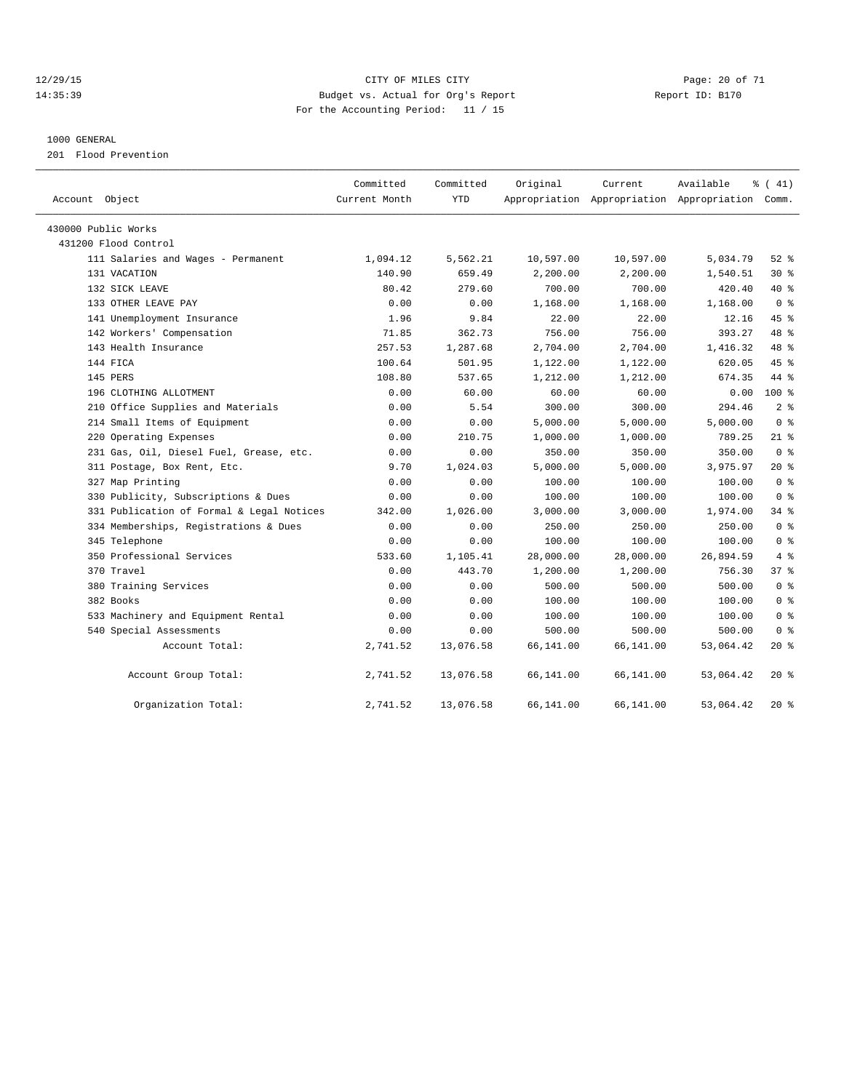#### 12/29/15 **Page: 20 of 71** CITY OF MILES CITY **Page: 20 of 71** 14:35:39 Budget vs. Actual for Org's Report Report ID: B170 For the Accounting Period: 11 / 15

#### 1000 GENERAL

201 Flood Prevention

| Account Object                            | Committed<br>Current Month | Committed<br><b>YTD</b> | Original  | Current   | Available<br>Appropriation Appropriation Appropriation Comm. | % (41)          |
|-------------------------------------------|----------------------------|-------------------------|-----------|-----------|--------------------------------------------------------------|-----------------|
| 430000 Public Works                       |                            |                         |           |           |                                                              |                 |
| 431200 Flood Control                      |                            |                         |           |           |                                                              |                 |
| 111 Salaries and Wages - Permanent        | 1,094.12                   | 5,562.21                | 10,597.00 | 10,597.00 | 5,034.79                                                     | $52$ $%$        |
| 131 VACATION                              | 140.90                     | 659.49                  | 2,200.00  | 2,200.00  | 1,540.51                                                     | $30*$           |
| 132 SICK LEAVE                            | 80.42                      | 279.60                  | 700.00    | 700.00    | 420.40                                                       | 40 %            |
| 133 OTHER LEAVE PAY                       | 0.00                       | 0.00                    | 1,168.00  | 1,168.00  | 1,168.00                                                     | 0 <sup>8</sup>  |
| 141 Unemployment Insurance                | 1.96                       | 9.84                    | 22.00     | 22.00     | 12.16                                                        | 45%             |
| 142 Workers' Compensation                 | 71.85                      | 362.73                  | 756.00    | 756.00    | 393.27                                                       | 48 %            |
| 143 Health Insurance                      | 257.53                     | 1,287.68                | 2,704.00  | 2,704.00  | 1,416.32                                                     | 48 %            |
| 144 FICA                                  | 100.64                     | 501.95                  | 1,122.00  | 1,122.00  | 620.05                                                       | 45 %            |
| 145 PERS                                  | 108.80                     | 537.65                  | 1,212.00  | 1,212.00  | 674.35                                                       | 44 %            |
| 196 CLOTHING ALLOTMENT                    | 0.00                       | 60.00                   | 60.00     | 60.00     | 0.00                                                         | $100$ %         |
| 210 Office Supplies and Materials         | 0.00                       | 5.54                    | 300.00    | 300.00    | 294.46                                                       | 2 <sup>°</sup>  |
| 214 Small Items of Equipment              | 0.00                       | 0.00                    | 5,000.00  | 5,000.00  | 5,000.00                                                     | 0 <sup>8</sup>  |
| 220 Operating Expenses                    | 0.00                       | 210.75                  | 1,000.00  | 1,000.00  | 789.25                                                       | $21$ %          |
| 231 Gas, Oil, Diesel Fuel, Grease, etc.   | 0.00                       | 0.00                    | 350.00    | 350.00    | 350.00                                                       | $0 \approx$     |
| 311 Postage, Box Rent, Etc.               | 9.70                       | 1,024.03                | 5,000.00  | 5,000.00  | 3,975.97                                                     | $20*$           |
| 327 Map Printing                          | 0.00                       | 0.00                    | 100.00    | 100.00    | 100.00                                                       | 0 <sup>8</sup>  |
| 330 Publicity, Subscriptions & Dues       | 0.00                       | 0.00                    | 100.00    | 100.00    | 100.00                                                       | 0 <sup>8</sup>  |
| 331 Publication of Formal & Legal Notices | 342.00                     | 1,026.00                | 3,000.00  | 3,000.00  | 1,974.00                                                     | 34.8            |
| 334 Memberships, Registrations & Dues     | 0.00                       | 0.00                    | 250.00    | 250.00    | 250.00                                                       | 0 <sup>8</sup>  |
| 345 Telephone                             | 0.00                       | 0.00                    | 100.00    | 100.00    | 100.00                                                       | 0 <sup>8</sup>  |
| 350 Professional Services                 | 533.60                     | 1,105.41                | 28,000.00 | 28,000.00 | 26,894.59                                                    | 4%              |
| 370 Travel                                | 0.00                       | 443.70                  | 1,200.00  | 1,200.00  | 756.30                                                       | 37 <sup>8</sup> |
| 380 Training Services                     | 0.00                       | 0.00                    | 500.00    | 500.00    | 500.00                                                       | 0 <sup>8</sup>  |
| 382 Books                                 | 0.00                       | 0.00                    | 100.00    | 100.00    | 100.00                                                       | 0 <sup>8</sup>  |
| 533 Machinery and Equipment Rental        | 0.00                       | 0.00                    | 100.00    | 100.00    | 100.00                                                       | 0 <sup>8</sup>  |
| 540 Special Assessments                   | 0.00                       | 0.00                    | 500.00    | 500.00    | 500.00                                                       | 0 <sup>8</sup>  |
| Account Total:                            | 2,741.52                   | 13,076.58               | 66,141.00 | 66,141.00 | 53,064.42                                                    | $20*$           |
| Account Group Total:                      | 2,741.52                   | 13,076.58               | 66,141.00 | 66,141.00 | 53,064.42                                                    | $20*$           |
| Organization Total:                       | 2,741.52                   | 13,076.58               | 66,141.00 | 66,141.00 | 53,064.42                                                    | $20*$           |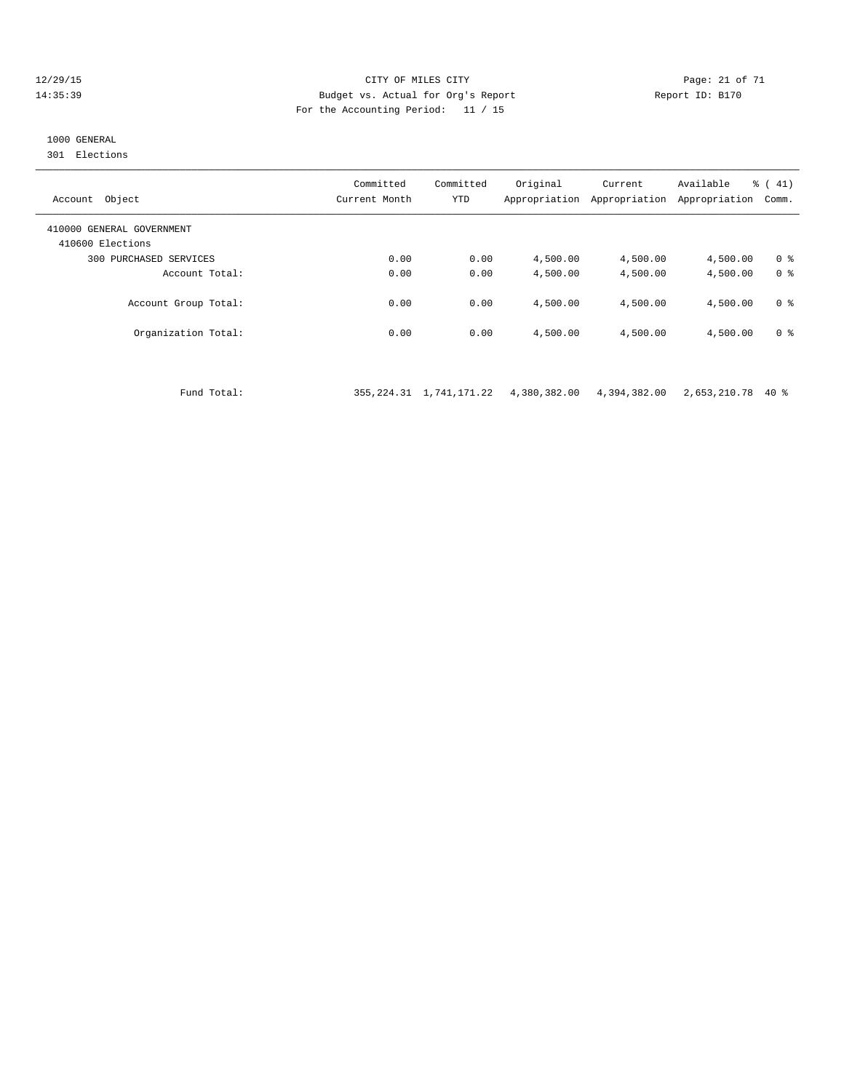#### 12/29/15 Page: 21 of 71 14:35:39 Budget vs. Actual for Org's Report Report ID: B170 For the Accounting Period: 11 / 15

# 1000 GENERAL

301 Elections

| Object<br>Account                             | Committed<br>Current Month | Committed<br><b>YTD</b> | Original<br>Appropriation | Current<br>Appropriation | Available<br>Appropriation | % (41)<br>Comm. |
|-----------------------------------------------|----------------------------|-------------------------|---------------------------|--------------------------|----------------------------|-----------------|
| 410000 GENERAL GOVERNMENT<br>410600 Elections |                            |                         |                           |                          |                            |                 |
| 300 PURCHASED SERVICES                        | 0.00                       | 0.00                    | 4,500.00                  | 4,500.00                 | 4,500.00                   | 0 ક             |
| Account Total:                                | 0.00                       | 0.00                    | 4,500.00                  | 4,500.00                 | 4,500.00                   | 0 <sup>8</sup>  |
| Account Group Total:                          | 0.00                       | 0.00                    | 4,500.00                  | 4,500.00                 | 4,500.00                   | 0 ક             |
| Organization Total:                           | 0.00                       | 0.00                    | 4,500.00                  | 4,500.00                 | 4,500.00                   | 0 ક             |

Fund Total: 355,224.31 1,741,171.22 4,380,382.00 4,394,382.00 2,653,210.78 40 %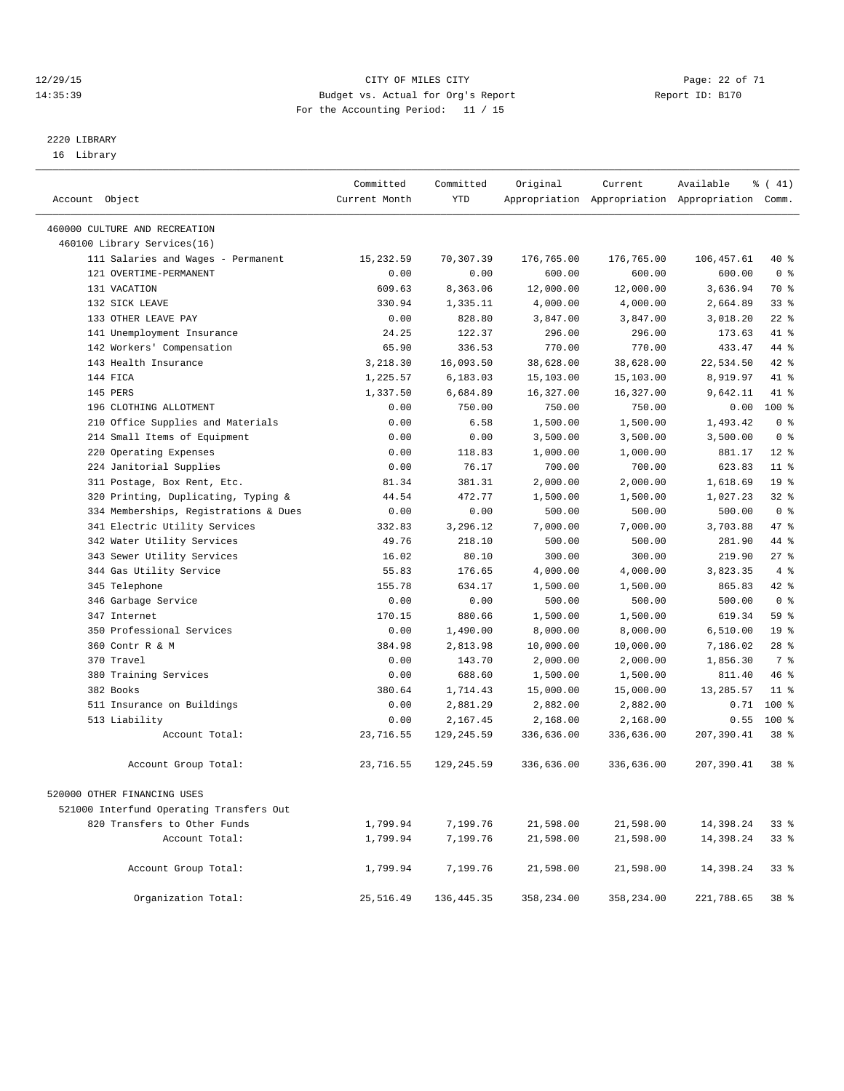#### 12/29/15 Page: 22 of 71 14:35:39 Budget vs. Actual for Org's Report Report ID: B170 For the Accounting Period: 11 / 15

————————————————————————————————————————————————————————————————————————————————————————————————————————————————————————————————————

# 2220 LIBRARY

16 Library

|                                          | Committed     | Committed   | Original   | Current    | Available                                       | $\frac{1}{6}$ ( 41) |
|------------------------------------------|---------------|-------------|------------|------------|-------------------------------------------------|---------------------|
| Account Object                           | Current Month | <b>YTD</b>  |            |            | Appropriation Appropriation Appropriation Comm. |                     |
| 460000 CULTURE AND RECREATION            |               |             |            |            |                                                 |                     |
| 460100 Library Services(16)              |               |             |            |            |                                                 |                     |
| 111 Salaries and Wages - Permanent       | 15,232.59     | 70,307.39   | 176,765.00 | 176,765.00 | 106,457.61                                      | 40 %                |
| 121 OVERTIME-PERMANENT                   | 0.00          | 0.00        | 600.00     | 600.00     | 600.00                                          | 0 <sup>8</sup>      |
| 131 VACATION                             | 609.63        | 8,363.06    | 12,000.00  | 12,000.00  | 3,636.94                                        | 70 %                |
| 132 SICK LEAVE                           | 330.94        | 1,335.11    | 4,000.00   | 4,000.00   | 2,664.89                                        | 33 <sup>8</sup>     |
| 133 OTHER LEAVE PAY                      | 0.00          | 828.80      | 3,847.00   | 3,847.00   | 3,018.20                                        | $22$ %              |
| 141 Unemployment Insurance               | 24.25         | 122.37      | 296.00     | 296.00     | 173.63                                          | 41 %                |
| 142 Workers' Compensation                | 65.90         | 336.53      | 770.00     | 770.00     | 433.47                                          | 44 %                |
| 143 Health Insurance                     | 3,218.30      | 16,093.50   | 38,628.00  | 38,628.00  | 22,534.50                                       | 42 %                |
| 144 FICA                                 | 1,225.57      | 6,183.03    | 15,103.00  | 15,103.00  | 8,919.97                                        | 41 %                |
| 145 PERS                                 | 1,337.50      | 6,684.89    | 16,327.00  | 16,327.00  | 9,642.11                                        | 41 %                |
| 196 CLOTHING ALLOTMENT                   | 0.00          | 750.00      | 750.00     | 750.00     | 0.00                                            | $100$ %             |
| 210 Office Supplies and Materials        | 0.00          | 6.58        | 1,500.00   | 1,500.00   | 1,493.42                                        | 0 <sup>8</sup>      |
| 214 Small Items of Equipment             | 0.00          | 0.00        | 3,500.00   | 3,500.00   | 3,500.00                                        | 0 <sup>8</sup>      |
| 220 Operating Expenses                   | 0.00          | 118.83      | 1,000.00   | 1,000.00   | 881.17                                          | $12*$               |
| 224 Janitorial Supplies                  | 0.00          | 76.17       | 700.00     | 700.00     | 623.83                                          | $11$ %              |
| 311 Postage, Box Rent, Etc.              | 81.34         | 381.31      | 2,000.00   | 2,000.00   | 1,618.69                                        | 19 <sup>°</sup>     |
| 320 Printing, Duplicating, Typing &      | 44.54         | 472.77      | 1,500.00   | 1,500.00   | 1,027.23                                        | $32$ $%$            |
| 334 Memberships, Registrations & Dues    | 0.00          | 0.00        | 500.00     | 500.00     | 500.00                                          | 0 <sup>8</sup>      |
| 341 Electric Utility Services            | 332.83        | 3,296.12    | 7,000.00   | 7,000.00   | 3,703.88                                        | 47 %                |
| 342 Water Utility Services               | 49.76         | 218.10      | 500.00     | 500.00     | 281.90                                          | 44 %                |
| 343 Sewer Utility Services               | 16.02         | 80.10       | 300.00     | 300.00     | 219.90                                          | 27%                 |
| 344 Gas Utility Service                  | 55.83         | 176.65      | 4,000.00   | 4,000.00   | 3,823.35                                        | 4%                  |
| 345 Telephone                            | 155.78        | 634.17      | 1,500.00   | 1,500.00   | 865.83                                          | 42 %                |
| 346 Garbage Service                      | 0.00          | 0.00        | 500.00     | 500.00     | 500.00                                          | 0 <sup>8</sup>      |
| 347 Internet                             | 170.15        | 880.66      | 1,500.00   | 1,500.00   | 619.34                                          | 59 %                |
| 350 Professional Services                | 0.00          | 1,490.00    | 8,000.00   | 8,000.00   | 6,510.00                                        | 19 <sup>°</sup>     |
| 360 Contr R & M                          | 384.98        | 2,813.98    | 10,000.00  | 10,000.00  | 7,186.02                                        | $28$ %              |
| 370 Travel                               | 0.00          | 143.70      | 2,000.00   | 2,000.00   | 1,856.30                                        | 7 %                 |
| 380 Training Services                    | 0.00          | 688.60      | 1,500.00   | 1,500.00   | 811.40                                          | 46%                 |
| 382 Books                                | 380.64        | 1,714.43    | 15,000.00  | 15,000.00  | 13,285.57                                       | $11$ %              |
| 511 Insurance on Buildings               | 0.00          | 2,881.29    | 2,882.00   | 2,882.00   | 0.71                                            | $100$ %             |
| 513 Liability                            | 0.00          | 2,167.45    | 2,168.00   | 2,168.00   | 0.55                                            | $100$ %             |
| Account Total:                           | 23,716.55     | 129, 245.59 | 336,636.00 | 336,636.00 | 207,390.41                                      | 38 <sup>8</sup>     |
| Account Group Total:                     | 23,716.55     | 129,245.59  | 336,636.00 | 336,636.00 | 207,390.41                                      | 38 <sup>8</sup>     |
| 520000 OTHER FINANCING USES              |               |             |            |            |                                                 |                     |
| 521000 Interfund Operating Transfers Out |               |             |            |            |                                                 |                     |
| 820 Transfers to Other Funds             | 1,799.94      | 7,199.76    | 21,598.00  | 21,598.00  | 14,398.24                                       | 33 %                |
| Account Total:                           | 1,799.94      | 7,199.76    | 21,598.00  | 21,598.00  | 14,398.24                                       | 33%                 |
| Account Group Total:                     | 1,799.94      | 7,199.76    | 21,598.00  | 21,598.00  | 14,398.24                                       | 33%                 |
| Organization Total:                      | 25,516.49     | 136,445.35  | 358,234.00 | 358,234.00 | 221,788.65                                      | 38 %                |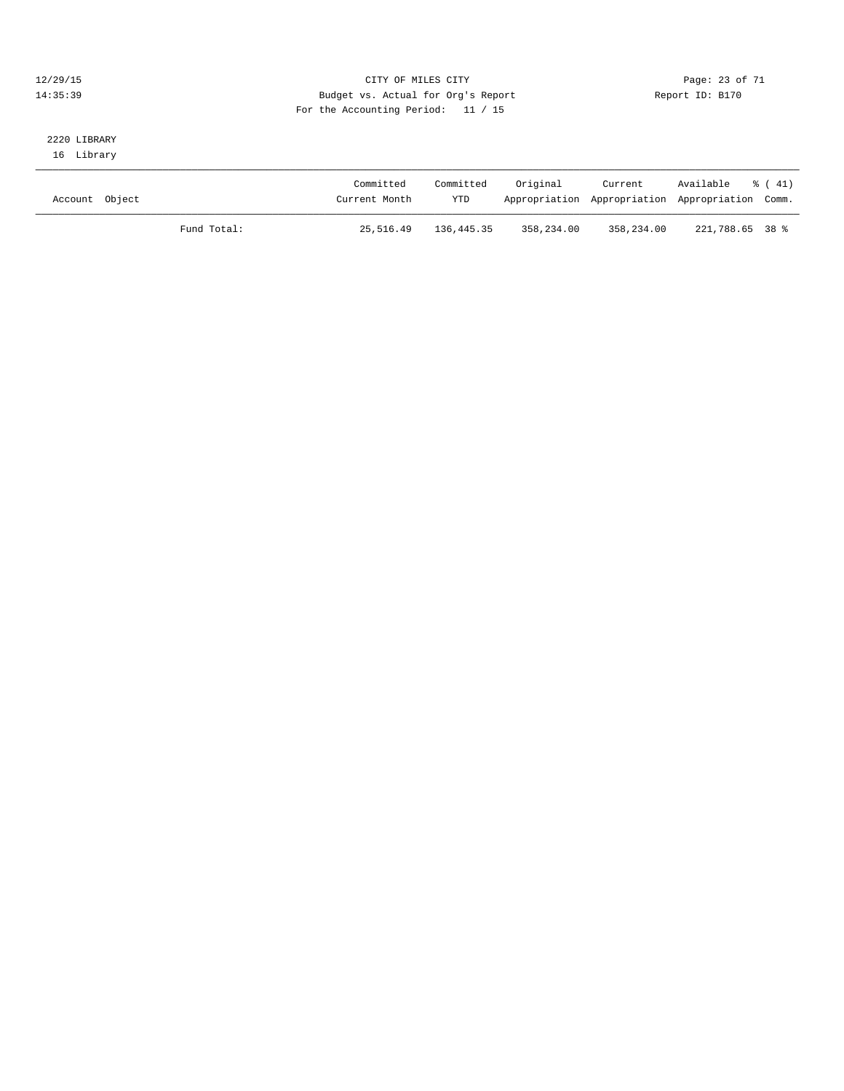#### 12/29/15 Page: 23 of 71 14:35:39 Budget vs. Actual for Org's Report Report ID: B170 For the Accounting Period: 11 / 15

#### 2220 LIBRARY 16 Library

| Account Object | Committed<br>Current Month | Committed<br><b>YTD</b> | Original   | Current    | Available<br>% ( 41)<br>Appropriation Appropriation Appropriation Comm. |
|----------------|----------------------------|-------------------------|------------|------------|-------------------------------------------------------------------------|
| Fund Total:    | 25,516.49                  | 136,445.35              | 358,234.00 | 358,234.00 | 221,788.65 38 %                                                         |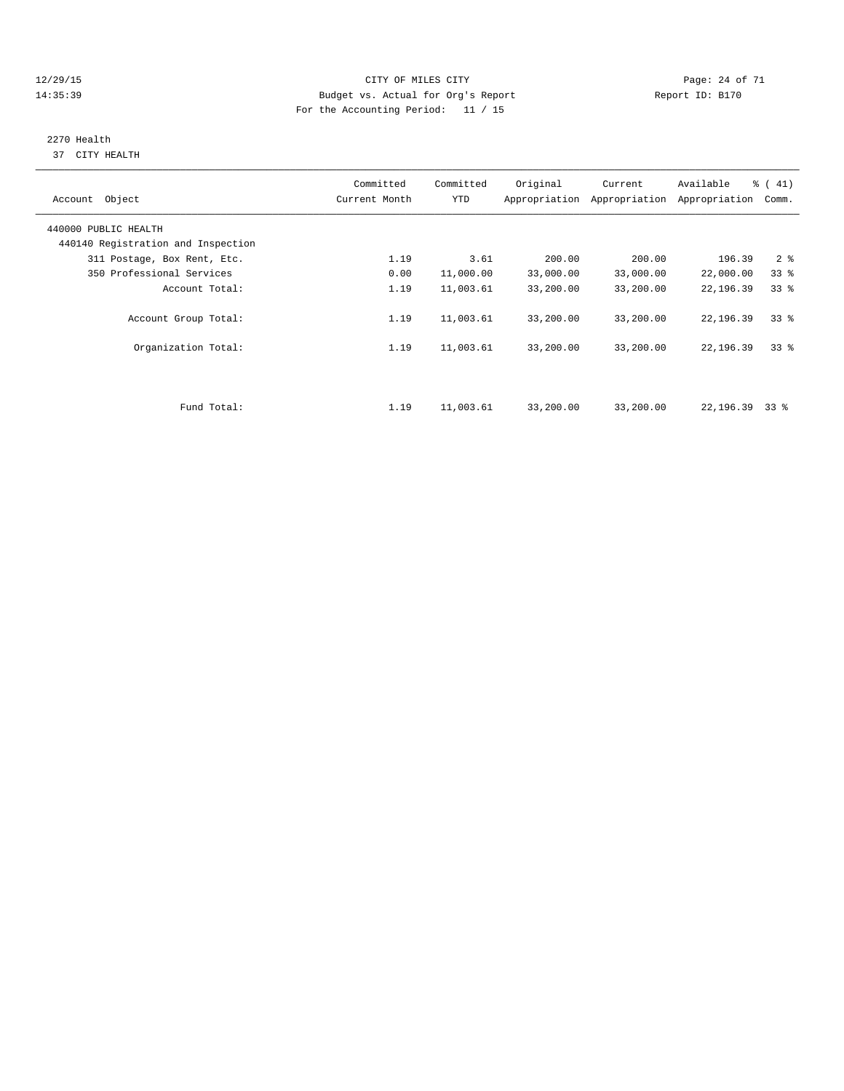#### 12/29/15 Page: 24 of 71 14:35:39 Budget vs. Actual for Org's Report Report ID: B170 For the Accounting Period: 11 / 15

# 2270 Health

37 CITY HEALTH

| Account Object                     | Committed<br>Current Month | Committed<br>YTD | Original  | Current<br>Appropriation Appropriation | Available<br>Appropriation | $\frac{1}{6}$ ( 41)<br>Comm. |
|------------------------------------|----------------------------|------------------|-----------|----------------------------------------|----------------------------|------------------------------|
| 440000 PUBLIC HEALTH               |                            |                  |           |                                        |                            |                              |
| 440140 Registration and Inspection |                            |                  |           |                                        |                            |                              |
| 311 Postage, Box Rent, Etc.        | 1.19                       | 3.61             | 200.00    | 200.00                                 | 196.39                     | 2 <sub>8</sub>               |
| 350 Professional Services          | 0.00                       | 11,000.00        | 33,000.00 | 33,000.00                              | 22,000.00                  | 33 <sup>8</sup>              |
| Account Total:                     | 1.19                       | 11,003.61        | 33,200.00 | 33,200.00                              | 22,196.39                  | 33 <sup>8</sup>              |
| Account Group Total:               | 1.19                       | 11,003.61        | 33,200.00 | 33,200.00                              | 22,196.39                  | 33 <sup>8</sup>              |
| Organization Total:                | 1.19                       | 11,003.61        | 33,200.00 | 33,200.00                              | 22,196.39                  | 338                          |
|                                    |                            |                  |           |                                        |                            |                              |
| Fund Total:                        | 1.19                       | 11,003.61        | 33,200.00 | 33,200.00                              | 22,196.39                  | 338                          |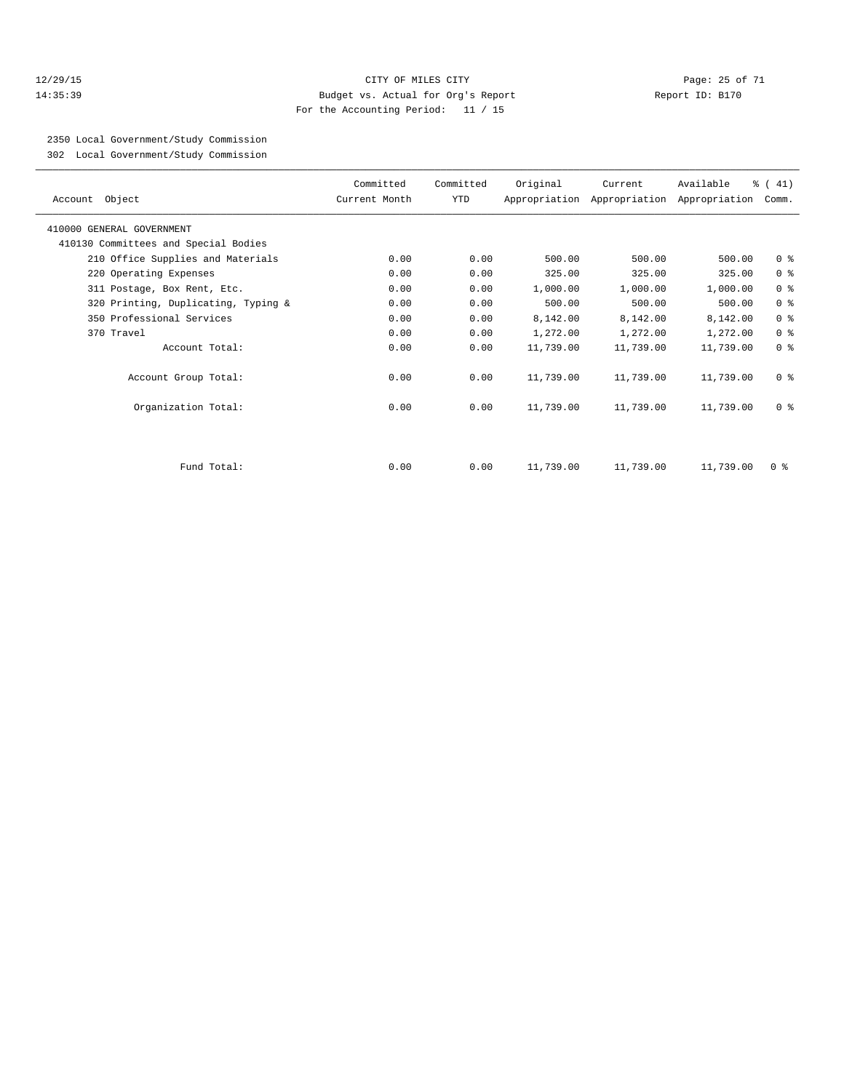#### 12/29/15 Page: 25 of 71 14:35:39 Budget vs. Actual for Org's Report Report ID: B170 For the Accounting Period: 11 / 15

2350 Local Government/Study Commission

302 Local Government/Study Commission

| Account Object                       | Committed<br>Current Month | Committed<br>YTD | Original  | Current   | Available<br>Appropriation Appropriation Appropriation | % (41)<br>Comm. |
|--------------------------------------|----------------------------|------------------|-----------|-----------|--------------------------------------------------------|-----------------|
| 410000 GENERAL GOVERNMENT            |                            |                  |           |           |                                                        |                 |
| 410130 Committees and Special Bodies |                            |                  |           |           |                                                        |                 |
| 210 Office Supplies and Materials    | 0.00                       | 0.00             | 500.00    | 500.00    | 500.00                                                 | 0 <sup>8</sup>  |
| 220 Operating Expenses               | 0.00                       | 0.00             | 325.00    | 325.00    | 325.00                                                 | 0 <sup>8</sup>  |
| 311 Postage, Box Rent, Etc.          | 0.00                       | 0.00             | 1,000.00  | 1,000.00  | 1,000.00                                               | 0 <sup>8</sup>  |
| 320 Printing, Duplicating, Typing &  | 0.00                       | 0.00             | 500.00    | 500.00    | 500.00                                                 | 0 <sup>8</sup>  |
| 350 Professional Services            | 0.00                       | 0.00             | 8,142.00  | 8,142.00  | 8,142.00                                               | 0 <sup>8</sup>  |
| 370 Travel                           | 0.00                       | 0.00             | 1,272.00  | 1,272.00  | 1,272.00                                               | 0 <sup>8</sup>  |
| Account Total:                       | 0.00                       | 0.00             | 11,739.00 | 11,739.00 | 11,739.00                                              | 0 <sup>8</sup>  |
| Account Group Total:                 | 0.00                       | 0.00             | 11,739.00 | 11,739.00 | 11,739.00                                              | 0 <sup>8</sup>  |
| Organization Total:                  | 0.00                       | 0.00             | 11,739.00 | 11,739.00 | 11,739.00                                              | 0 <sup>8</sup>  |
|                                      |                            |                  |           |           |                                                        |                 |
| Fund Total:                          | 0.00                       | 0.00             | 11,739.00 | 11,739.00 | 11,739.00                                              | $0 \approx$     |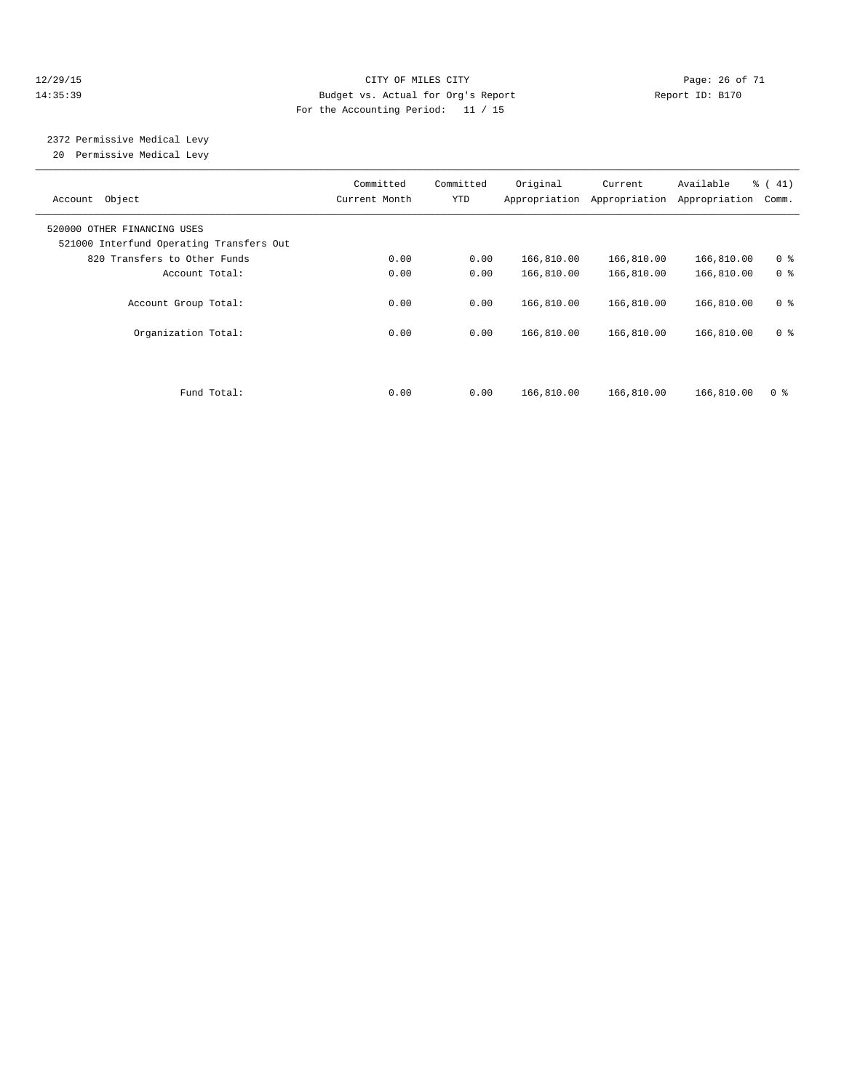#### 12/29/15 **Page: 26 of 71** CITY OF MILES CITY **Page: 26 of 71** 14:35:39 Budget vs. Actual for Org's Report Report ID: B170 For the Accounting Period: 11 / 15

# 2372 Permissive Medical Levy

20 Permissive Medical Levy

| Object<br>Account                                                       | Committed<br>Current Month | Committed<br>YTD | Original<br>Appropriation | Current<br>Appropriation | Available<br>Appropriation | % (41)<br>Comm. |
|-------------------------------------------------------------------------|----------------------------|------------------|---------------------------|--------------------------|----------------------------|-----------------|
| 520000 OTHER FINANCING USES<br>521000 Interfund Operating Transfers Out |                            |                  |                           |                          |                            |                 |
| 820 Transfers to Other Funds                                            | 0.00                       | 0.00             | 166,810.00                | 166,810.00               | 166,810.00                 | 0 <sup>8</sup>  |
| Account Total:                                                          | 0.00                       | 0.00             | 166,810.00                | 166,810.00               | 166,810.00                 | 0 <sup>8</sup>  |
| Account Group Total:                                                    | 0.00                       | 0.00             | 166,810.00                | 166,810.00               | 166,810.00                 | 0 <sup>8</sup>  |
| Organization Total:                                                     | 0.00                       | 0.00             | 166,810.00                | 166,810.00               | 166,810.00                 | 0 <sup>8</sup>  |
|                                                                         |                            |                  |                           |                          |                            |                 |
| Fund Total:                                                             | 0.00                       | 0.00             | 166,810.00                | 166,810.00               | 166,810.00                 | 0 <sup>8</sup>  |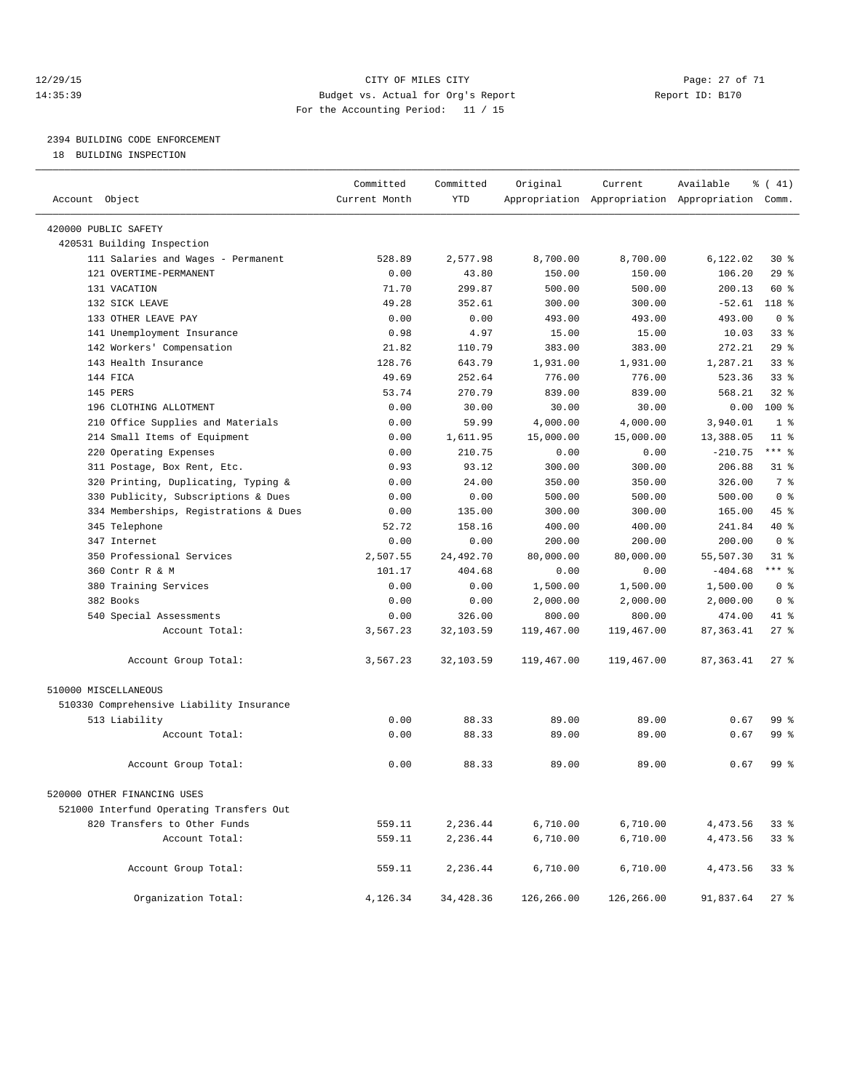#### 12/29/15 **Page: 27 of 71** CITY OF MILES CITY **Page: 27 of 71** 14:35:39 Budget vs. Actual for Org's Report Report ID: B170 For the Accounting Period: 11 / 15

————————————————————————————————————————————————————————————————————————————————————————————————————————————————————————————————————

# 2394 BUILDING CODE ENFORCEMENT

18 BUILDING INSPECTION

|                                           | Committed        | Committed           | Original             | Current                                         | Available            | $\frac{1}{6}$ ( 41) |
|-------------------------------------------|------------------|---------------------|----------------------|-------------------------------------------------|----------------------|---------------------|
| Account Object                            | Current Month    | YTD                 |                      | Appropriation Appropriation Appropriation Comm. |                      |                     |
| 420000 PUBLIC SAFETY                      |                  |                     |                      |                                                 |                      |                     |
| 420531 Building Inspection                |                  |                     |                      |                                                 |                      |                     |
| 111 Salaries and Wages - Permanent        | 528.89           | 2,577.98            | 8,700.00             | 8,700.00                                        | 6,122.02             | $30*$               |
| 121 OVERTIME-PERMANENT                    | 0.00             | 43.80               | 150.00               | 150.00                                          | 106.20               | 29%                 |
| 131 VACATION                              | 71.70            | 299.87              | 500.00               | 500.00                                          | 200.13               | 60 %                |
| 132 SICK LEAVE                            | 49.28            | 352.61              | 300.00               | 300.00                                          | $-52.61$             | 118 %               |
| 133 OTHER LEAVE PAY                       | 0.00             | 0.00                | 493.00               | 493.00                                          | 493.00               | 0 <sup>8</sup>      |
| 141 Unemployment Insurance                | 0.98             | 4.97                | 15.00                | 15.00                                           | 10.03                | 33%                 |
| 142 Workers' Compensation                 | 21.82            | 110.79              | 383.00               | 383.00                                          | 272.21               | 29%                 |
| 143 Health Insurance                      | 128.76           | 643.79              | 1,931.00             | 1,931.00                                        | 1,287.21             | 33 <sup>8</sup>     |
| 144 FICA                                  | 49.69            | 252.64              | 776.00               | 776.00                                          | 523.36               | $33$ $%$            |
| 145 PERS                                  | 53.74            | 270.79              | 839.00               | 839.00                                          | 568.21               | 32%                 |
| 196 CLOTHING ALLOTMENT                    | 0.00             | 30.00               | 30.00                | 30.00                                           | 0.00                 | 100 %               |
| 210 Office Supplies and Materials         | 0.00             | 59.99               | 4,000.00             | 4,000.00                                        | 3,940.01             | 1 <sup>°</sup>      |
| 214 Small Items of Equipment              | 0.00             | 1,611.95            | 15,000.00            | 15,000.00                                       | 13,388.05            | $11*$               |
| 220 Operating Expenses                    | 0.00             | 210.75              | 0.00                 | 0.00                                            | $-210.75$            | $***$ $-$           |
| 311 Postage, Box Rent, Etc.               | 0.93             | 93.12               | 300.00               | 300.00                                          | 206.88               | $31$ $%$            |
| 320 Printing, Duplicating, Typing &       | 0.00             | 24.00               | 350.00               | 350.00                                          | 326.00               | 7 %                 |
| 330 Publicity, Subscriptions & Dues       | 0.00             | 0.00                | 500.00               | 500.00                                          | 500.00               | 0 <sup>8</sup>      |
| 334 Memberships, Registrations & Dues     | 0.00             | 135.00              | 300.00               | 300.00                                          | 165.00               | 45 %                |
| 345 Telephone                             | 52.72            | 158.16              | 400.00               | 400.00                                          | 241.84               | 40 %                |
| 347 Internet                              | 0.00             | 0.00                | 200.00               | 200.00                                          | 200.00               | 0 <sup>8</sup>      |
| 350 Professional Services                 | 2,507.55         | 24,492.70           | 80,000.00            | 80,000.00                                       | 55,507.30            | $31$ %              |
| 360 Contr R & M                           | 101.17           | 404.68              | 0.00                 | 0.00                                            | $-404.68$            | $***$ $_{8}$        |
| 380 Training Services                     | 0.00             | 0.00                | 1,500.00             | 1,500.00                                        | 1,500.00             | 0 <sup>8</sup>      |
| 382 Books                                 | 0.00             | 0.00                | 2,000.00             | 2,000.00                                        | 2,000.00             | 0 <sup>8</sup>      |
| 540 Special Assessments<br>Account Total: | 0.00<br>3,567.23 | 326.00<br>32,103.59 | 800.00<br>119,467.00 | 800.00<br>119,467.00                            | 474.00<br>87, 363.41 | 41 %<br>27%         |
|                                           |                  |                     |                      |                                                 |                      |                     |
| Account Group Total:                      | 3,567.23         | 32,103.59           | 119,467.00           | 119,467.00                                      | 87, 363.41           | $27$ %              |
| 510000 MISCELLANEOUS                      |                  |                     |                      |                                                 |                      |                     |
| 510330 Comprehensive Liability Insurance  |                  |                     |                      |                                                 |                      |                     |
| 513 Liability                             | 0.00             | 88.33               | 89.00                | 89.00                                           | 0.67                 | 99 %                |
| Account Total:                            | 0.00             | 88.33               | 89.00                | 89.00                                           | 0.67                 | 99 %                |
| Account Group Total:                      | 0.00             | 88.33               | 89.00                | 89.00                                           | 0.67                 | 99 %                |
|                                           |                  |                     |                      |                                                 |                      |                     |
| 520000 OTHER FINANCING USES               |                  |                     |                      |                                                 |                      |                     |
| 521000 Interfund Operating Transfers Out  |                  |                     |                      |                                                 |                      |                     |
| 820 Transfers to Other Funds              | 559.11           | 2,236.44            | 6,710.00             | 6,710.00                                        | 4,473.56             | 33 %                |
| Account Total:                            | 559.11           | 2,236.44            | 6,710.00             | 6,710.00                                        | 4,473.56             | 33%                 |
| Account Group Total:                      | 559.11           | 2,236.44            | 6,710.00             | 6,710.00                                        | 4,473.56             | 33 %                |
| Organization Total:                       | 4,126.34         | 34,428.36           | 126,266.00           | 126,266.00                                      | 91,837.64            | 27 %                |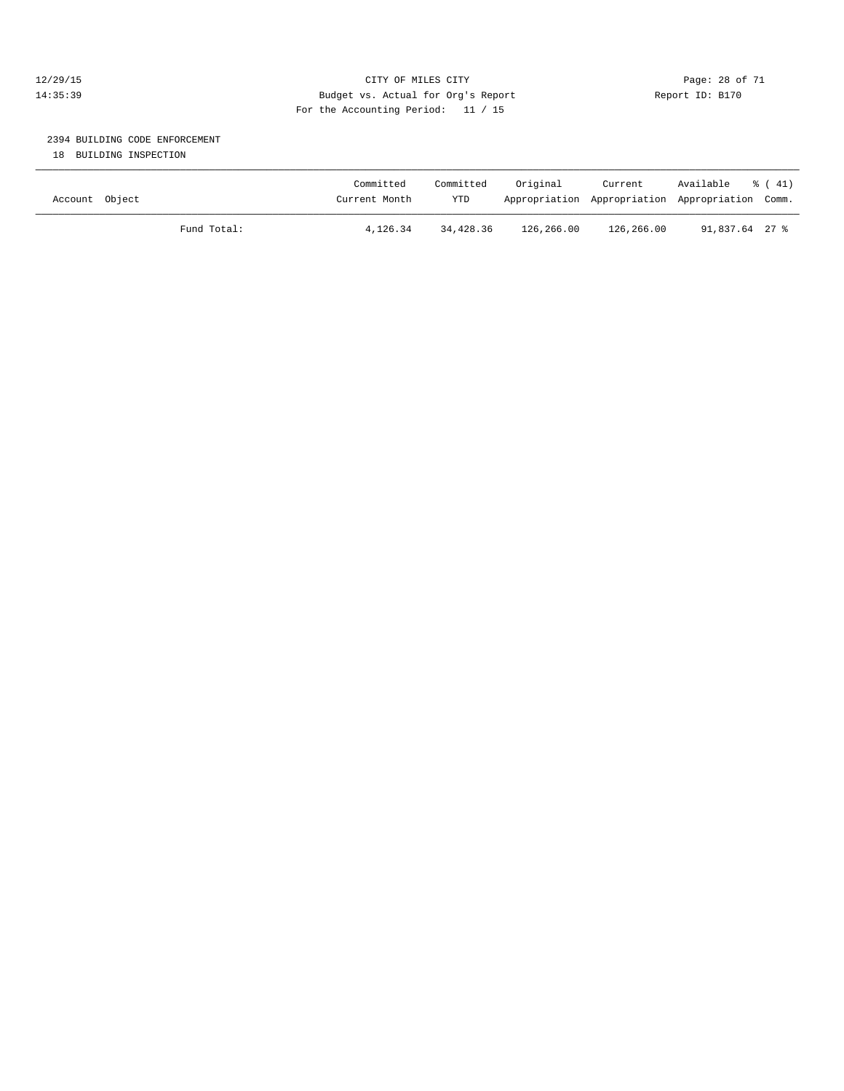#### 12/29/15 **Page: 28 of 71** CITY OF MILES CITY **Page: 28 of 71** 14:35:39 Budget vs. Actual for Org's Report Report ID: B170 For the Accounting Period: 11 / 15

# 2394 BUILDING CODE ENFORCEMENT

18 BUILDING INSPECTION

| Account Object |             | Committed<br>Current Month | Committed<br>YTD | Original   | Current<br>Appropriation Appropriation Appropriation Comm. | Available      | $\frac{1}{6}$ (41) |
|----------------|-------------|----------------------------|------------------|------------|------------------------------------------------------------|----------------|--------------------|
|                | Fund Total: | 4,126.34                   | 34,428.36        | 126,266.00 | 126,266.00                                                 | 91,837.64 27 % |                    |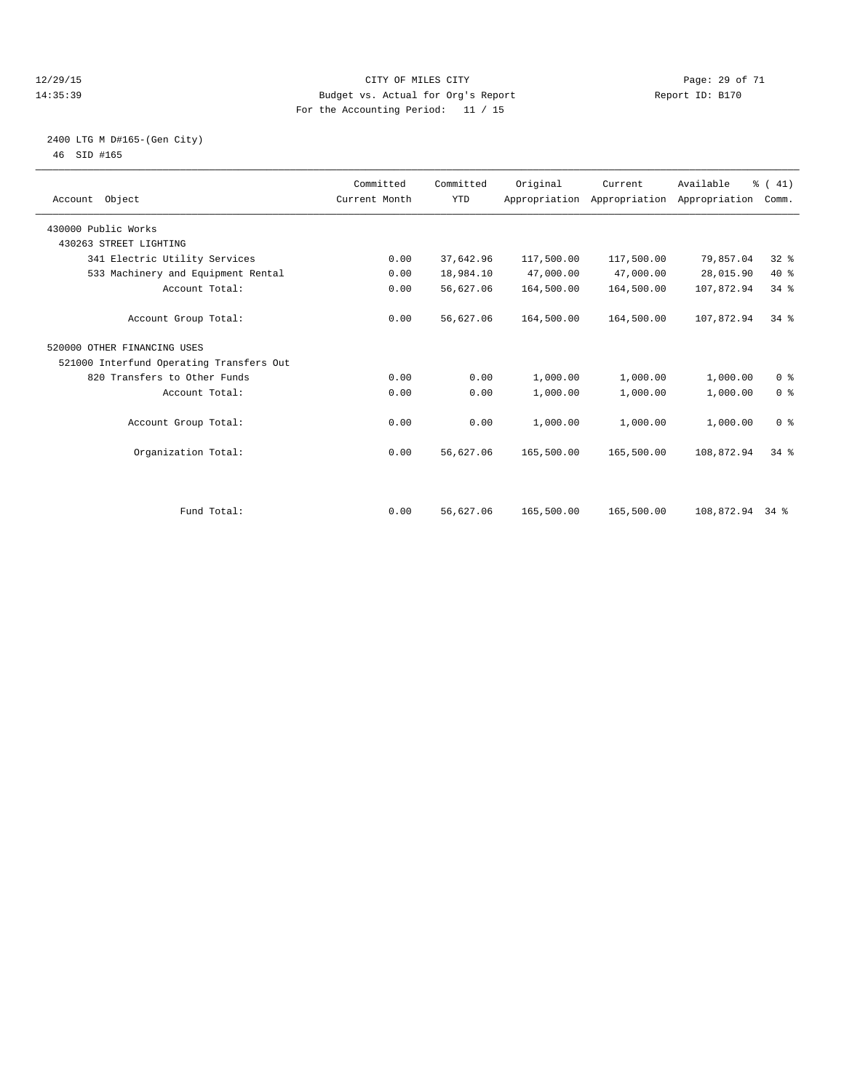#### 12/29/15 Page: 29 of 71 14:35:39 Budget vs. Actual for Org's Report Report ID: B170 For the Accounting Period: 11 / 15

#### 2400 LTG M D#165-(Gen City) 46 SID #165

| Account Object                           | Committed<br>Current Month | Committed<br><b>YTD</b> | Original   | Current    | Available<br>Appropriation Appropriation Appropriation | % (41)<br>Comm. |  |
|------------------------------------------|----------------------------|-------------------------|------------|------------|--------------------------------------------------------|-----------------|--|
| 430000 Public Works                      |                            |                         |            |            |                                                        |                 |  |
| 430263 STREET LIGHTING                   |                            |                         |            |            |                                                        |                 |  |
| 341 Electric Utility Services            | 0.00                       | 37,642.96               | 117,500.00 | 117,500.00 | 79,857.04                                              | 32%             |  |
| 533 Machinery and Equipment Rental       | 0.00                       | 18,984.10               | 47,000.00  | 47,000.00  | 28,015.90                                              | $40*$           |  |
| Account Total:                           | 0.00                       | 56,627.06               | 164,500.00 | 164,500.00 | 107,872.94                                             | 34%             |  |
| Account Group Total:                     | 0.00                       | 56,627.06               | 164,500.00 | 164,500.00 | 107,872.94                                             | $34$ $%$        |  |
| 520000 OTHER FINANCING USES              |                            |                         |            |            |                                                        |                 |  |
| 521000 Interfund Operating Transfers Out |                            |                         |            |            |                                                        |                 |  |
| 820 Transfers to Other Funds             | 0.00                       | 0.00                    | 1,000.00   | 1,000.00   | 1,000.00                                               | 0 <sup>8</sup>  |  |
| Account Total:                           | 0.00                       | 0.00                    | 1,000.00   | 1,000.00   | 1,000.00                                               | 0 <sup>8</sup>  |  |
| Account Group Total:                     | 0.00                       | 0.00                    | 1,000.00   | 1,000.00   | 1,000.00                                               | 0 <sup>8</sup>  |  |
| Organization Total:                      | 0.00                       | 56,627.06               | 165,500.00 | 165,500.00 | 108,872.94                                             | $34$ $%$        |  |
|                                          |                            |                         |            |            |                                                        |                 |  |
| Fund Total:                              | 0.00                       | 56,627.06               | 165,500.00 | 165,500.00 | 108,872.94 34 %                                        |                 |  |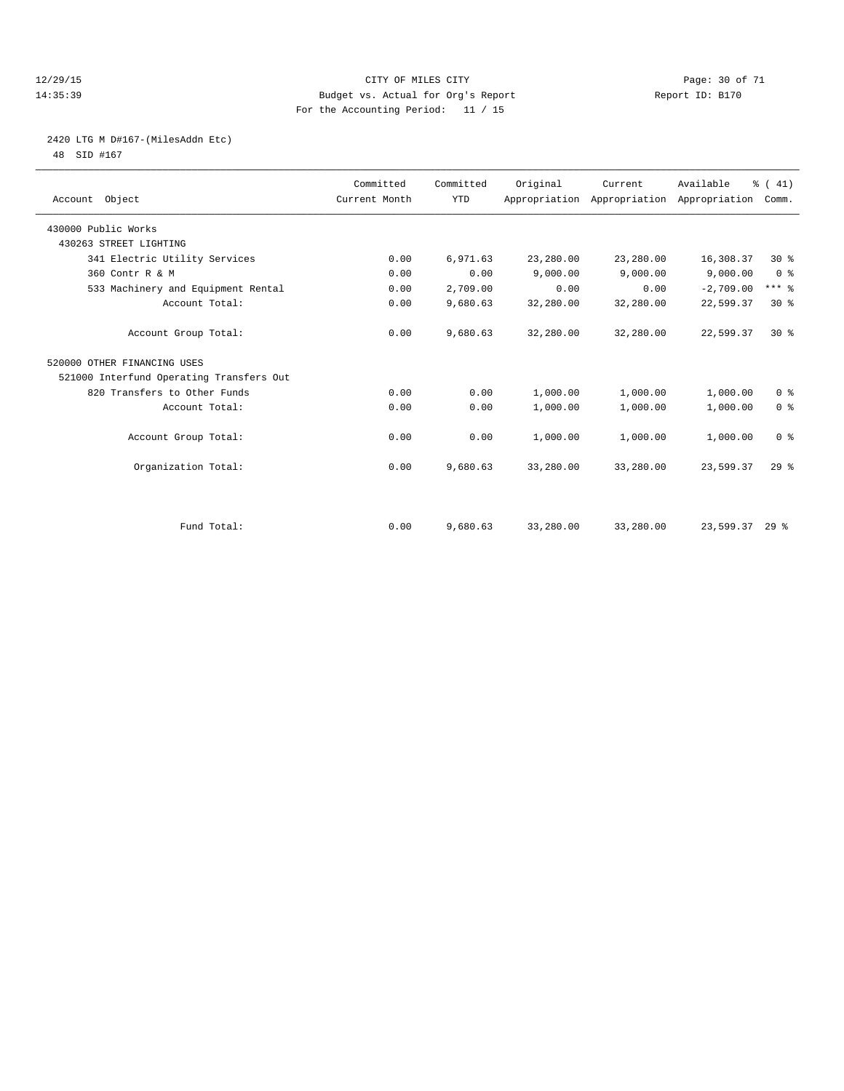#### 12/29/15 Page: 30 of 71 14:35:39 Budget vs. Actual for Org's Report Report ID: B170 For the Accounting Period: 11 / 15

# 2420 LTG M D#167-(MilesAddn Etc)

48 SID #167

| Account Object                           | Committed<br>Current Month | Committed<br><b>YTD</b> | Original  | Current   | Available<br>Appropriation Appropriation Appropriation | % (41)<br>Comm. |
|------------------------------------------|----------------------------|-------------------------|-----------|-----------|--------------------------------------------------------|-----------------|
| 430000 Public Works                      |                            |                         |           |           |                                                        |                 |
| 430263 STREET LIGHTING                   |                            |                         |           |           |                                                        |                 |
| 341 Electric Utility Services            | 0.00                       | 6,971.63                | 23,280.00 | 23,280.00 | 16,308.37                                              | $30*$           |
| 360 Contr R & M                          | 0.00                       | 0.00                    | 9,000.00  | 9,000.00  | 9,000.00                                               | 0 <sup>8</sup>  |
| 533 Machinery and Equipment Rental       | 0.00                       | 2,709.00                | 0.00      | 0.00      | $-2,709.00$                                            | $***$ $%$       |
| Account Total:                           | 0.00                       | 9,680.63                | 32,280.00 | 32,280.00 | 22,599.37                                              | $30*$           |
| Account Group Total:                     | 0.00                       | 9,680.63                | 32,280.00 | 32,280.00 | 22,599.37                                              | $30*$           |
| 520000 OTHER FINANCING USES              |                            |                         |           |           |                                                        |                 |
| 521000 Interfund Operating Transfers Out |                            |                         |           |           |                                                        |                 |
| 820 Transfers to Other Funds             | 0.00                       | 0.00                    | 1,000.00  | 1,000.00  | 1,000.00                                               | 0 <sup>8</sup>  |
| Account Total:                           | 0.00                       | 0.00                    | 1,000.00  | 1,000.00  | 1,000.00                                               | 0 <sup>8</sup>  |
| Account Group Total:                     | 0.00                       | 0.00                    | 1,000.00  | 1,000.00  | 1,000.00                                               | 0 <sup>8</sup>  |
| Organization Total:                      | 0.00                       | 9,680.63                | 33,280.00 | 33,280.00 | 23,599.37                                              | 29 <sup>8</sup> |
|                                          |                            |                         |           |           |                                                        |                 |
| Fund Total:                              | 0.00                       | 9,680.63                | 33,280.00 | 33,280.00 | 23,599.37 29 %                                         |                 |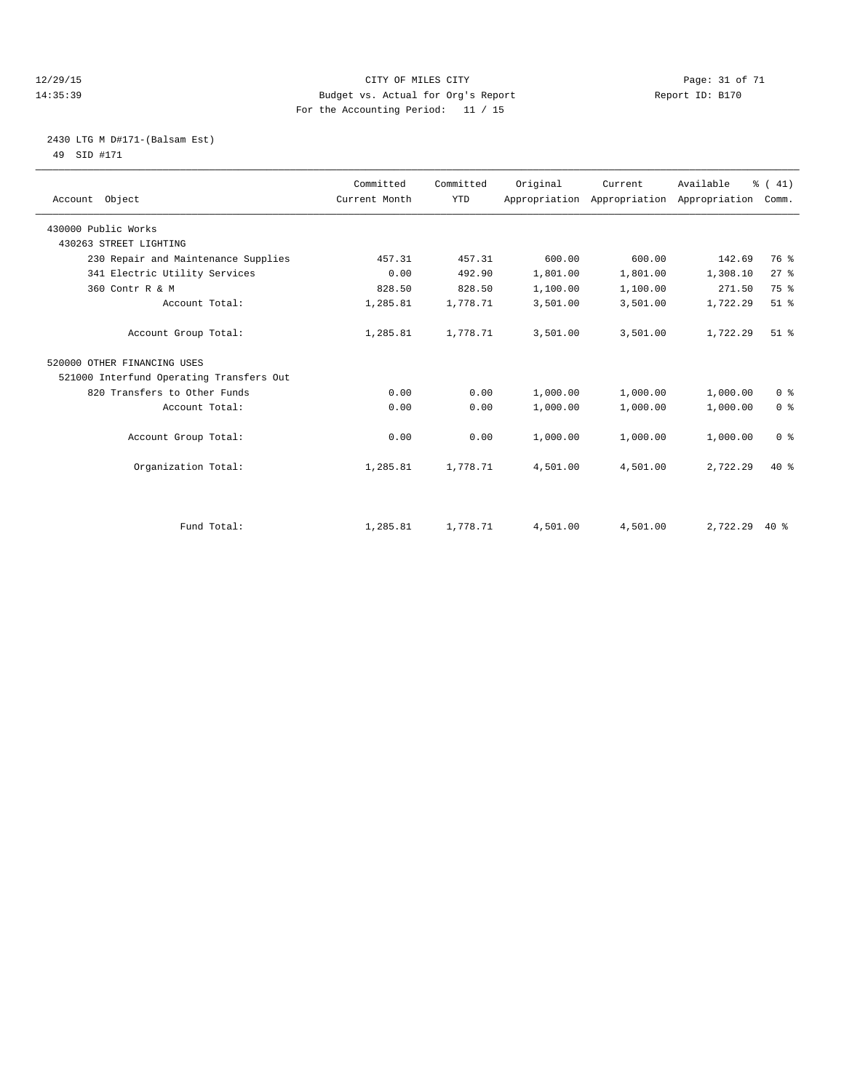#### 12/29/15 Page: 31 of 71 14:35:39 Budget vs. Actual for Org's Report Report ID: B170 For the Accounting Period: 11 / 15

#### 2430 LTG M D#171-(Balsam Est) 49 SID #171

| Account Object                           | Committed<br>Current Month | Committed<br><b>YTD</b> | Original | Current  | Available<br>Appropriation Appropriation Appropriation | % (41)<br>Comm. |
|------------------------------------------|----------------------------|-------------------------|----------|----------|--------------------------------------------------------|-----------------|
| 430000 Public Works                      |                            |                         |          |          |                                                        |                 |
| 430263 STREET LIGHTING                   |                            |                         |          |          |                                                        |                 |
| 230 Repair and Maintenance Supplies      | 457.31                     | 457.31                  | 600.00   | 600.00   | 142.69                                                 | 76 %            |
| 341 Electric Utility Services            | 0.00                       | 492.90                  | 1,801.00 | 1,801.00 | 1,308.10                                               | $27$ $%$        |
| 360 Contr R & M                          | 828.50                     | 828.50                  | 1,100.00 | 1,100.00 | 271.50                                                 | 75 %            |
| Account Total:                           | 1,285.81                   | 1,778.71                | 3,501.00 | 3,501.00 | 1,722.29                                               | $51$ $%$        |
| Account Group Total:                     | 1,285.81                   | 1,778.71                | 3,501.00 | 3,501.00 | 1,722.29                                               | $51$ $%$        |
| 520000 OTHER FINANCING USES              |                            |                         |          |          |                                                        |                 |
| 521000 Interfund Operating Transfers Out |                            |                         |          |          |                                                        |                 |
| 820 Transfers to Other Funds             | 0.00                       | 0.00                    | 1,000.00 | 1,000.00 | 1,000.00                                               | 0 <sup>8</sup>  |
| Account Total:                           | 0.00                       | 0.00                    | 1,000.00 | 1,000.00 | 1,000.00                                               | 0 <sup>8</sup>  |
| Account Group Total:                     | 0.00                       | 0.00                    | 1,000.00 | 1,000.00 | 1,000.00                                               | 0 <sup>8</sup>  |
| Organization Total:                      | 1,285.81                   | 1,778.71                | 4,501.00 | 4,501.00 | 2,722.29                                               | $40*$           |
|                                          |                            |                         |          |          |                                                        |                 |
| Fund Total:                              | 1,285.81                   | 1,778.71                | 4,501.00 | 4,501.00 | 2,722.29                                               | $40*$           |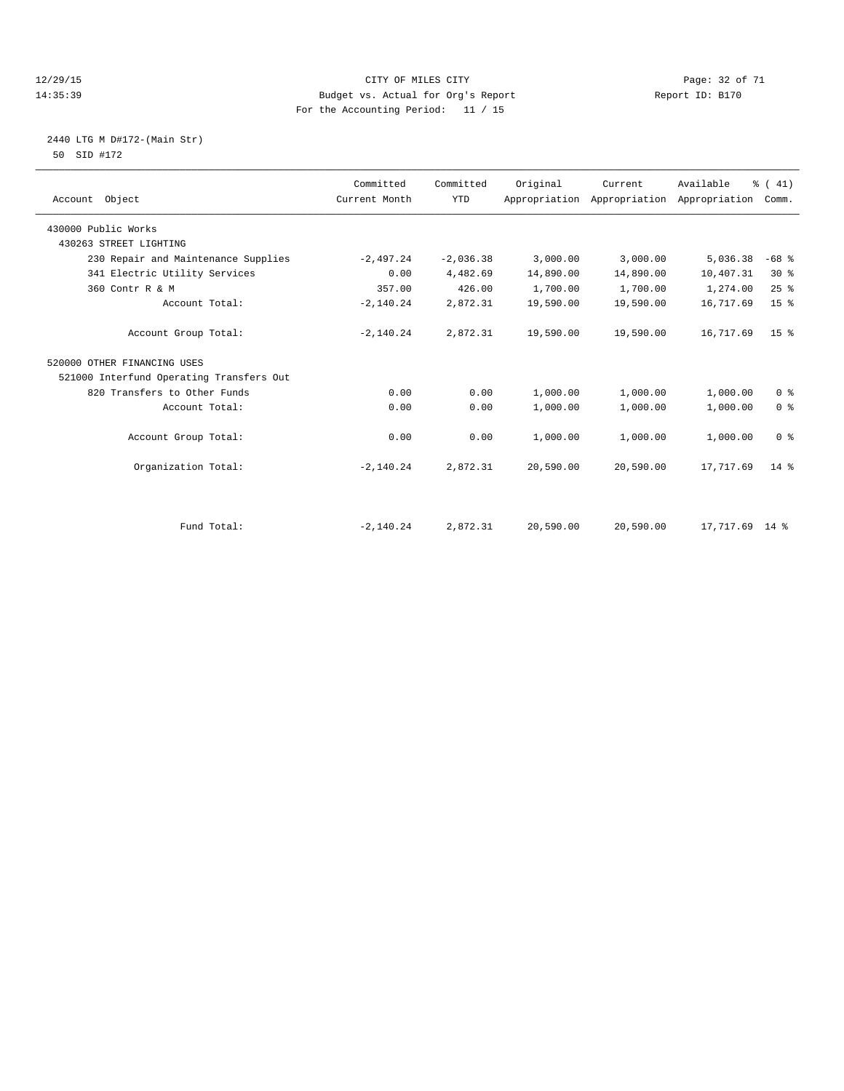#### 12/29/15 Page: 32 of 71 14:35:39 Budget vs. Actual for Org's Report Report ID: B170 For the Accounting Period: 11 / 15

#### 2440 LTG M D#172-(Main Str) 50 SID #172

| Account Object                           | Committed<br>Current Month | Committed<br><b>YTD</b> | Original  | Current<br>Appropriation Appropriation | Available<br>Appropriation | % (41)<br>Comm. |
|------------------------------------------|----------------------------|-------------------------|-----------|----------------------------------------|----------------------------|-----------------|
| 430000 Public Works                      |                            |                         |           |                                        |                            |                 |
| 430263 STREET LIGHTING                   |                            |                         |           |                                        |                            |                 |
| 230 Repair and Maintenance Supplies      | $-2,497.24$                | $-2,036.38$             | 3,000.00  | 3,000.00                               | 5,036.38                   | $-68$ %         |
| 341 Electric Utility Services            | 0.00                       | 4,482.69                | 14,890.00 | 14,890.00                              | 10,407.31                  | $30*$           |
| 360 Contr R & M                          | 357.00                     | 426.00                  | 1,700.00  | 1,700.00                               | 1,274.00                   | 25%             |
| Account Total:                           | $-2,140.24$                | 2,872.31                | 19,590.00 | 19,590.00                              | 16,717.69                  | 15 <sup>8</sup> |
| Account Group Total:                     | $-2,140.24$                | 2,872.31                | 19,590.00 | 19,590.00                              | 16,717.69                  | 15 <sup>8</sup> |
| 520000 OTHER FINANCING USES              |                            |                         |           |                                        |                            |                 |
| 521000 Interfund Operating Transfers Out |                            |                         |           |                                        |                            |                 |
| 820 Transfers to Other Funds             | 0.00                       | 0.00                    | 1,000.00  | 1,000.00                               | 1,000.00                   | 0 <sup>8</sup>  |
| Account Total:                           | 0.00                       | 0.00                    | 1,000.00  | 1,000.00                               | 1,000.00                   | 0 <sup>8</sup>  |
| Account Group Total:                     | 0.00                       | 0.00                    | 1,000.00  | 1,000.00                               | 1,000.00                   | 0 <sup>8</sup>  |
| Organization Total:                      | $-2,140.24$                | 2,872.31                | 20,590.00 | 20,590.00                              | 17,717.69                  | $14*$           |
|                                          |                            |                         |           |                                        |                            |                 |
| Fund Total:                              | $-2,140.24$                | 2,872.31                | 20,590.00 | 20,590.00                              | 17,717.69 14 %             |                 |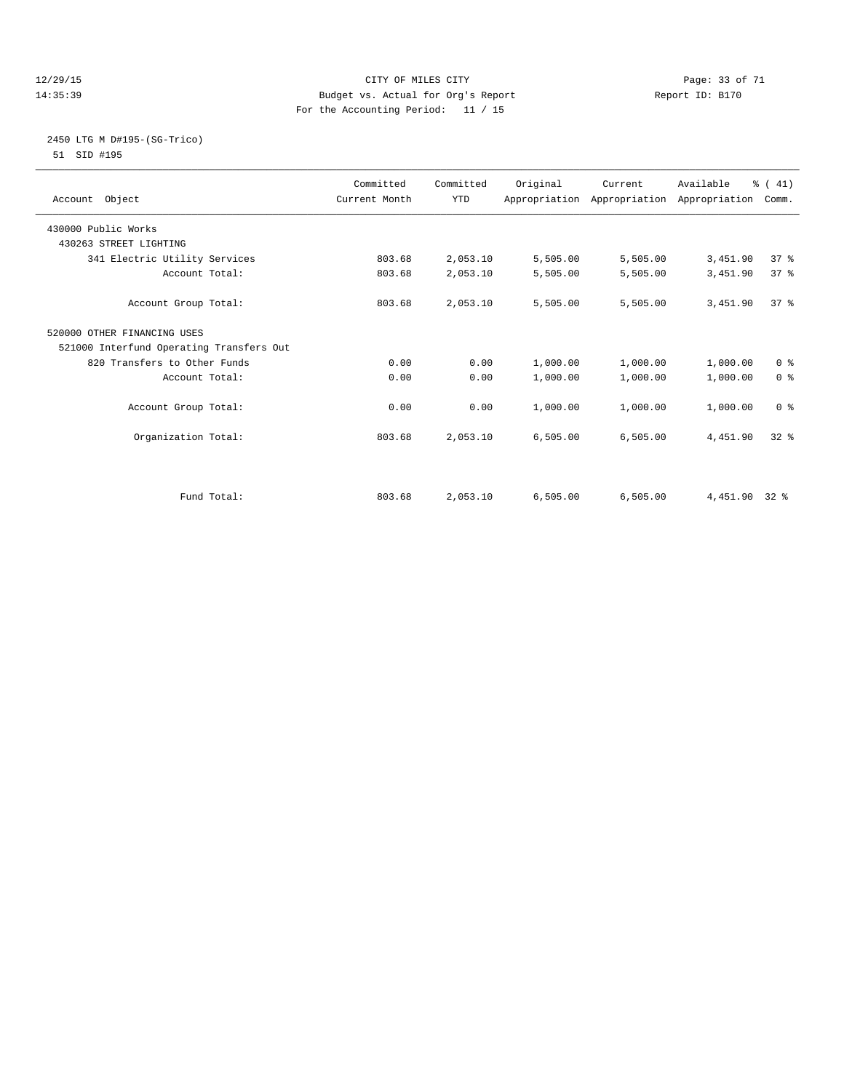#### 12/29/15 Page: 33 of 71 14:35:39 Budget vs. Actual for Org's Report Report ID: B170 For the Accounting Period: 11 / 15

#### 2450 LTG M D#195-(SG-Trico) 51 SID #195

| Account Object                           | Committed<br>Current Month | Committed<br><b>YTD</b> | Original | Current  | Available<br>Appropriation Appropriation Appropriation | % (41)<br>Comm. |  |
|------------------------------------------|----------------------------|-------------------------|----------|----------|--------------------------------------------------------|-----------------|--|
| 430000 Public Works                      |                            |                         |          |          |                                                        |                 |  |
| 430263 STREET LIGHTING                   |                            |                         |          |          |                                                        |                 |  |
| 341 Electric Utility Services            | 803.68                     | 2,053.10                | 5,505.00 | 5,505.00 | 3,451.90                                               | 37 <sup>8</sup> |  |
| Account Total:                           | 803.68                     | 2,053.10                | 5,505.00 | 5,505.00 | 3,451.90                                               | 37%             |  |
| Account Group Total:                     | 803.68                     | 2,053.10                | 5,505.00 | 5,505.00 | 3,451.90                                               | 37 <sup>8</sup> |  |
| 520000 OTHER FINANCING USES              |                            |                         |          |          |                                                        |                 |  |
| 521000 Interfund Operating Transfers Out |                            |                         |          |          |                                                        |                 |  |
| 820 Transfers to Other Funds             | 0.00                       | 0.00                    | 1,000.00 | 1,000.00 | 1,000.00                                               | 0 <sup>8</sup>  |  |
| Account Total:                           | 0.00                       | 0.00                    | 1,000.00 | 1,000.00 | 1,000.00                                               | 0 <sup>8</sup>  |  |
| Account Group Total:                     | 0.00                       | 0.00                    | 1,000.00 | 1,000.00 | 1,000.00                                               | 0 <sup>8</sup>  |  |
| Organization Total:                      | 803.68                     | 2,053.10                | 6,505.00 | 6,505.00 | 4,451.90                                               | $32*$           |  |
|                                          |                            |                         |          |          |                                                        |                 |  |
| Fund Total:                              | 803.68                     | 2,053.10                | 6,505.00 | 6,505.00 | 4,451.90 32 %                                          |                 |  |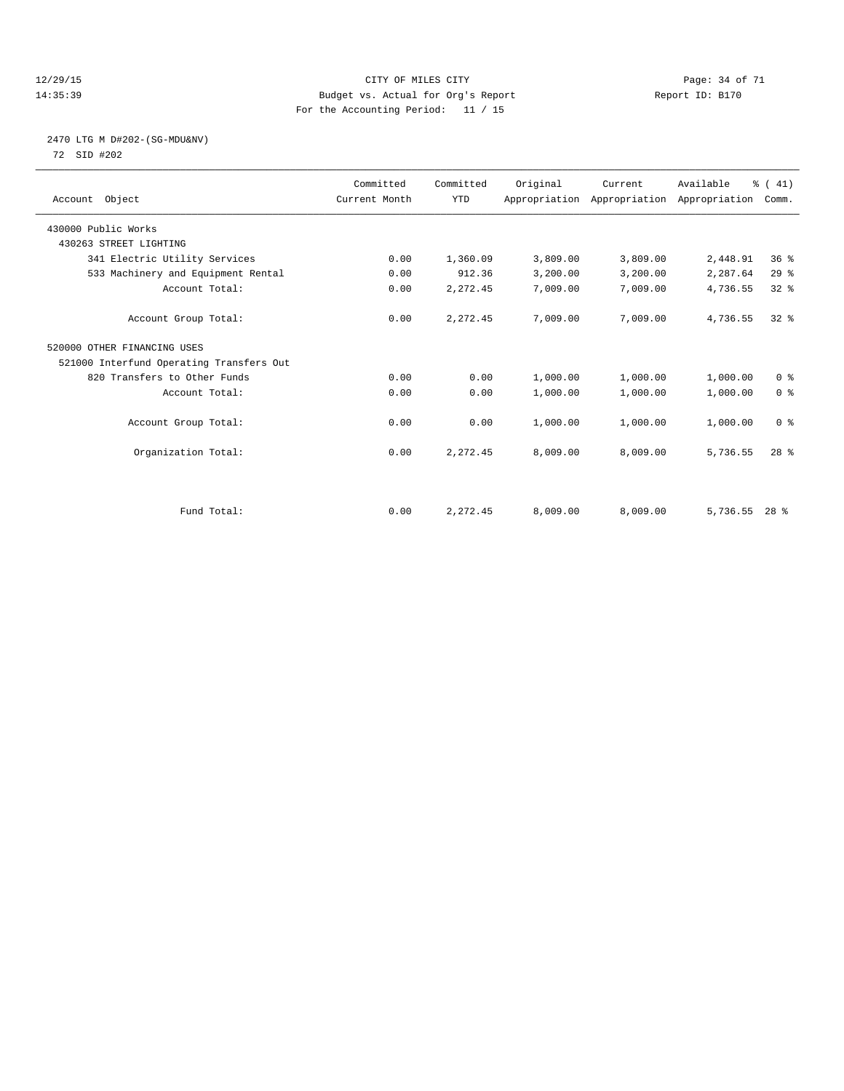#### 12/29/15 Page: 34 of 71 14:35:39 Budget vs. Actual for Org's Report Report ID: B170 For the Accounting Period: 11 / 15

#### 2470 LTG M D#202-(SG-MDU&NV) 72 SID #202

| Account Object                           | Committed<br>Current Month | Committed<br><b>YTD</b> | Original | Current  | Available<br>Appropriation Appropriation Appropriation | % (41)<br>Comm. |  |
|------------------------------------------|----------------------------|-------------------------|----------|----------|--------------------------------------------------------|-----------------|--|
| 430000 Public Works                      |                            |                         |          |          |                                                        |                 |  |
| 430263 STREET LIGHTING                   |                            |                         |          |          |                                                        |                 |  |
| 341 Electric Utility Services            | 0.00                       | 1,360.09                | 3,809.00 | 3,809.00 | 2,448.91                                               | 36 <sup>8</sup> |  |
| 533 Machinery and Equipment Rental       | 0.00                       | 912.36                  | 3,200.00 | 3,200.00 | 2,287.64                                               | 29%             |  |
| Account Total:                           | 0.00                       | 2,272.45                | 7,009.00 | 7,009.00 | 4,736.55                                               | 32 <sup>8</sup> |  |
| Account Group Total:                     | 0.00                       | 2,272.45                | 7,009.00 | 7,009.00 | 4,736.55                                               | $32*$           |  |
| 520000 OTHER FINANCING USES              |                            |                         |          |          |                                                        |                 |  |
| 521000 Interfund Operating Transfers Out |                            |                         |          |          |                                                        |                 |  |
| 820 Transfers to Other Funds             | 0.00                       | 0.00                    | 1,000.00 | 1,000.00 | 1,000.00                                               | 0 <sup>8</sup>  |  |
| Account Total:                           | 0.00                       | 0.00                    | 1,000.00 | 1,000.00 | 1,000.00                                               | 0 <sup>8</sup>  |  |
| Account Group Total:                     | 0.00                       | 0.00                    | 1,000.00 | 1,000.00 | 1,000.00                                               | 0 <sup>8</sup>  |  |
| Organization Total:                      | 0.00                       | 2,272.45                | 8,009.00 | 8,009.00 | 5,736.55                                               | 28 <sup>8</sup> |  |
|                                          |                            |                         |          |          |                                                        |                 |  |
| Fund Total:                              | 0.00                       | 2,272.45                | 8,009.00 | 8,009.00 | $5,736.55$ 28 %                                        |                 |  |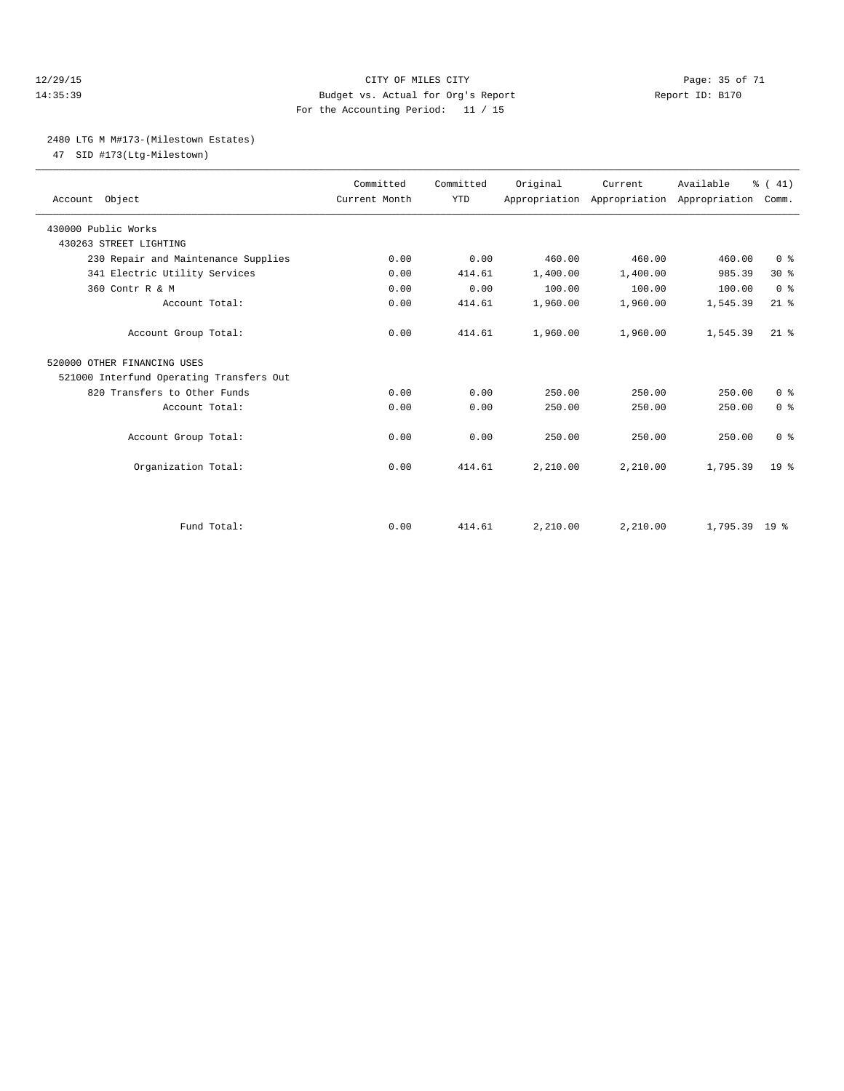#### 12/29/15 **Page: 35 of 71** CITY OF MILES CITY **Page: 35 of 71** 14:35:39 Budget vs. Actual for Org's Report Report ID: B170 For the Accounting Period: 11 / 15

#### 2480 LTG M M#173-(Milestown Estates)

47 SID #173(Ltg-Milestown)

| Account Object                           | Committed<br>Current Month | Committed<br><b>YTD</b> | Original | Current<br>Appropriation Appropriation Appropriation | Available       | % (41)<br>Comm. |
|------------------------------------------|----------------------------|-------------------------|----------|------------------------------------------------------|-----------------|-----------------|
| 430000 Public Works                      |                            |                         |          |                                                      |                 |                 |
| 430263 STREET LIGHTING                   |                            |                         |          |                                                      |                 |                 |
| 230 Repair and Maintenance Supplies      | 0.00                       | 0.00                    | 460.00   | 460.00                                               | 460.00          | 0 <sup>8</sup>  |
| 341 Electric Utility Services            | 0.00                       | 414.61                  | 1,400.00 | 1,400.00                                             | 985.39          | $30*$           |
| 360 Contr R & M                          | 0.00                       | 0.00                    | 100.00   | 100.00                                               | 100.00          | 0 <sup>8</sup>  |
| Account Total:                           | 0.00                       | 414.61                  | 1,960.00 | 1,960.00                                             | 1,545.39        | $21$ %          |
| Account Group Total:                     | 0.00                       | 414.61                  | 1,960.00 | 1,960.00                                             | 1,545.39        | $21$ $%$        |
| 520000 OTHER FINANCING USES              |                            |                         |          |                                                      |                 |                 |
| 521000 Interfund Operating Transfers Out |                            |                         |          |                                                      |                 |                 |
| 820 Transfers to Other Funds             | 0.00                       | 0.00                    | 250.00   | 250.00                                               | 250.00          | 0 <sup>8</sup>  |
| Account Total:                           | 0.00                       | 0.00                    | 250.00   | 250.00                                               | 250.00          | 0 <sup>8</sup>  |
| Account Group Total:                     | 0.00                       | 0.00                    | 250.00   | 250.00                                               | 250.00          | 0 <sup>8</sup>  |
| Organization Total:                      | 0.00                       | 414.61                  | 2,210.00 | 2,210.00                                             | 1,795.39        | 19 <sup>°</sup> |
| Fund Total:                              | 0.00                       | 414.61                  | 2,210.00 | 2,210.00                                             | $1,795.39$ 19 % |                 |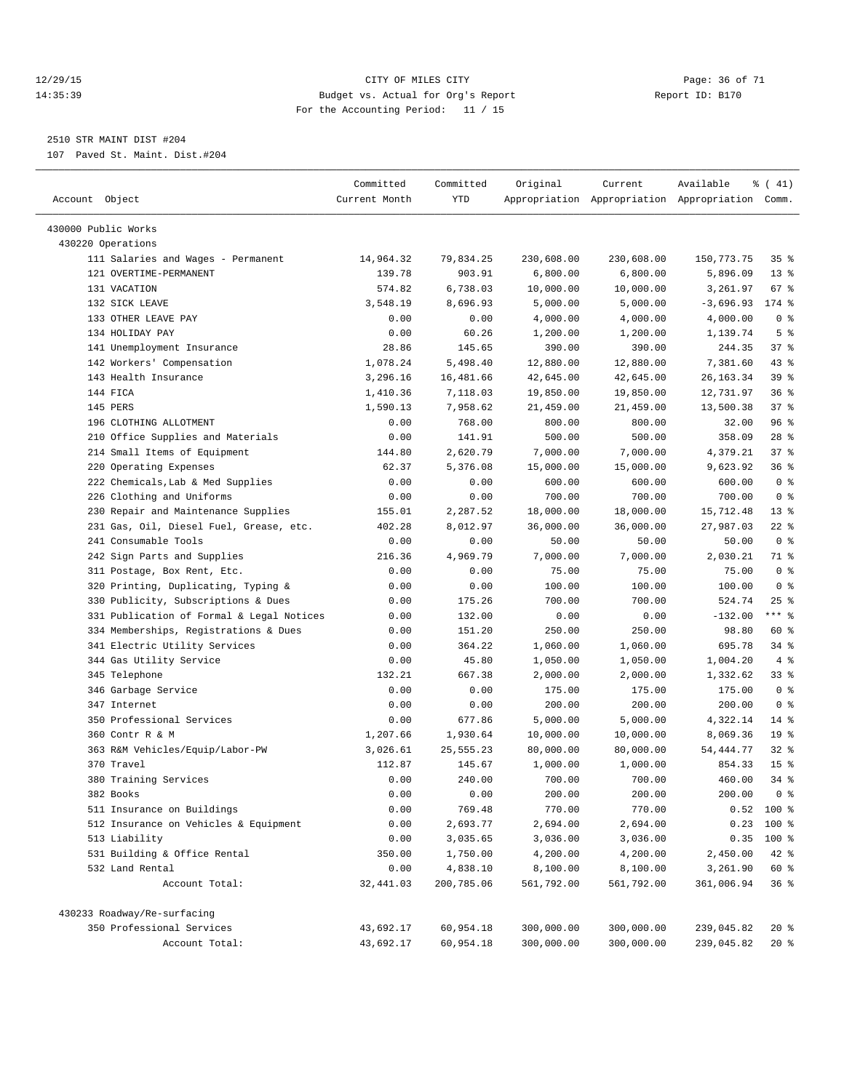#### 12/29/15 Page: 36 of 71 14:35:39 Budget vs. Actual for Org's Report Report ID: B170 For the Accounting Period: 11 / 15

————————————————————————————————————————————————————————————————————————————————————————————————————————————————————————————————————

# 2510 STR MAINT DIST #204

107 Paved St. Maint. Dist.#204

|                                           | Committed     | Committed   | Original   | Current            | Available                                       | $\frac{1}{6}$ ( 41) |
|-------------------------------------------|---------------|-------------|------------|--------------------|-------------------------------------------------|---------------------|
| Account Object                            | Current Month | YTD         |            |                    | Appropriation Appropriation Appropriation Comm. |                     |
| 430000 Public Works                       |               |             |            |                    |                                                 |                     |
| 430220 Operations                         |               |             |            |                    |                                                 |                     |
| 111 Salaries and Wages - Permanent        | 14,964.32     | 79,834.25   | 230,608.00 | 230,608.00         | 150,773.75                                      | 35%                 |
| 121 OVERTIME-PERMANENT                    | 139.78        | 903.91      | 6,800.00   | 6,800.00           | 5,896.09                                        | $13*$               |
| 131 VACATION                              | 574.82        | 6,738.03    | 10,000.00  | 10,000.00          | 3,261.97                                        | 67 %                |
| 132 SICK LEAVE                            | 3,548.19      | 8,696.93    | 5,000.00   | 5,000.00           | $-3,696.93$                                     | 174 %               |
| 133 OTHER LEAVE PAY                       | 0.00          | 0.00        | 4,000.00   | 4,000.00           | 4,000.00                                        | 0 <sup>8</sup>      |
| 134 HOLIDAY PAY                           | 0.00          | 60.26       | 1,200.00   |                    | 1,139.74                                        | 5 <sup>°</sup>      |
| 141 Unemployment Insurance                | 28.86         | 145.65      | 390.00     | 1,200.00<br>390.00 | 244.35                                          | 37%                 |
|                                           | 1,078.24      |             |            |                    |                                                 | 43 %                |
| 142 Workers' Compensation                 |               | 5,498.40    | 12,880.00  | 12,880.00          | 7,381.60                                        |                     |
| 143 Health Insurance                      | 3,296.16      | 16,481.66   | 42,645.00  | 42,645.00          | 26, 163. 34                                     | 39 %                |
| 144 FICA                                  | 1,410.36      | 7,118.03    | 19,850.00  | 19,850.00          | 12,731.97                                       | 36%                 |
| 145 PERS                                  | 1,590.13      | 7,958.62    | 21,459.00  | 21,459.00          | 13,500.38                                       | 37%                 |
| 196 CLOTHING ALLOTMENT                    | 0.00          | 768.00      | 800.00     | 800.00             | 32.00                                           | 96 %                |
| 210 Office Supplies and Materials         | 0.00          | 141.91      | 500.00     | 500.00             | 358.09                                          | $28$ %              |
| 214 Small Items of Equipment              | 144.80        | 2,620.79    | 7,000.00   | 7,000.00           | 4,379.21                                        | 37%                 |
| 220 Operating Expenses                    | 62.37         | 5,376.08    | 15,000.00  | 15,000.00          | 9,623.92                                        | 36%                 |
| 222 Chemicals, Lab & Med Supplies         | 0.00          | 0.00        | 600.00     | 600.00             | 600.00                                          | 0 <sup>8</sup>      |
| 226 Clothing and Uniforms                 | 0.00          | 0.00        | 700.00     | 700.00             | 700.00                                          | 0 <sup>8</sup>      |
| 230 Repair and Maintenance Supplies       | 155.01        | 2,287.52    | 18,000.00  | 18,000.00          | 15,712.48                                       | $13*$               |
| 231 Gas, Oil, Diesel Fuel, Grease, etc.   | 402.28        | 8,012.97    | 36,000.00  | 36,000.00          | 27,987.03                                       | $22$ %              |
| 241 Consumable Tools                      | 0.00          | 0.00        | 50.00      | 50.00              | 50.00                                           | 0 <sup>8</sup>      |
| 242 Sign Parts and Supplies               | 216.36        | 4,969.79    | 7,000.00   | 7,000.00           | 2,030.21                                        | 71 %                |
| 311 Postage, Box Rent, Etc.               | 0.00          | 0.00        | 75.00      | 75.00              | 75.00                                           | 0 <sup>8</sup>      |
| 320 Printing, Duplicating, Typing &       | 0.00          | 0.00        | 100.00     | 100.00             | 100.00                                          | 0 <sup>8</sup>      |
| 330 Publicity, Subscriptions & Dues       | 0.00          | 175.26      | 700.00     | 700.00             | 524.74                                          | $25$ %              |
| 331 Publication of Formal & Legal Notices | 0.00          | 132.00      | 0.00       | 0.00               | $-132.00$                                       | $***$ $_{8}$        |
| 334 Memberships, Registrations & Dues     | 0.00          | 151.20      | 250.00     | 250.00             | 98.80                                           | 60 %                |
| 341 Electric Utility Services             | 0.00          | 364.22      | 1,060.00   | 1,060.00           | 695.78                                          | 34%                 |
| 344 Gas Utility Service                   | 0.00          | 45.80       | 1,050.00   | 1,050.00           | 1,004.20                                        | 4%                  |
| 345 Telephone                             | 132.21        | 667.38      | 2,000.00   | 2,000.00           | 1,332.62                                        | 33%                 |
| 346 Garbage Service                       | 0.00          | 0.00        | 175.00     | 175.00             | 175.00                                          | 0 <sup>8</sup>      |
| 347 Internet                              | 0.00          | 0.00        | 200.00     | 200.00             | 200.00                                          | 0 <sup>8</sup>      |
| 350 Professional Services                 | 0.00          | 677.86      | 5,000.00   | 5,000.00           | 4,322.14                                        | $14*$               |
| 360 Contr R & M                           | 1,207.66      | 1,930.64    | 10,000.00  | 10,000.00          | 8,069.36                                        | 19 <sup>°</sup>     |
| 363 R&M Vehicles/Equip/Labor-PW           | 3,026.61      | 25, 555. 23 | 80,000.00  | 80,000.00          | 54, 444. 77                                     | $32$ $%$            |
| 370 Travel                                | 112.87        | 145.67      | 1,000.00   | 1,000.00           | 854.33                                          | 15 <sup>8</sup>     |
| 380 Training Services                     | 0.00          | 240.00      | 700.00     | 700.00             | 460.00                                          | 34 %                |
| 382 Books                                 | 0.00          | 0.00        | 200.00     | 200.00             | 200.00                                          | 0 <sup>8</sup>      |
| 511 Insurance on Buildings                | 0.00          | 769.48      | 770.00     | 770.00             |                                                 | $0.52$ 100 %        |
| 512 Insurance on Vehicles & Equipment     | 0.00          | 2,693.77    | 2,694.00   | 2,694.00           | 0.23                                            | 100 %               |
| 513 Liability                             | 0.00          | 3,035.65    | 3,036.00   | 3,036.00           | 0.35                                            | 100 %               |
| 531 Building & Office Rental              | 350.00        | 1,750.00    | 4,200.00   | 4,200.00           | 2,450.00                                        | 42 %                |
| 532 Land Rental                           | 0.00          | 4,838.10    | 8,100.00   | 8,100.00           | 3,261.90                                        | 60 %                |
| Account Total:                            | 32,441.03     | 200,785.06  | 561,792.00 | 561,792.00         | 361,006.94                                      | 36%                 |
| 430233 Roadway/Re-surfacing               |               |             |            |                    |                                                 |                     |
| 350 Professional Services                 | 43,692.17     | 60,954.18   | 300,000.00 | 300,000.00         | 239,045.82                                      | $20*$               |
| Account Total:                            | 43,692.17     | 60,954.18   | 300,000.00 | 300,000.00         | 239,045.82                                      | $20*$               |
|                                           |               |             |            |                    |                                                 |                     |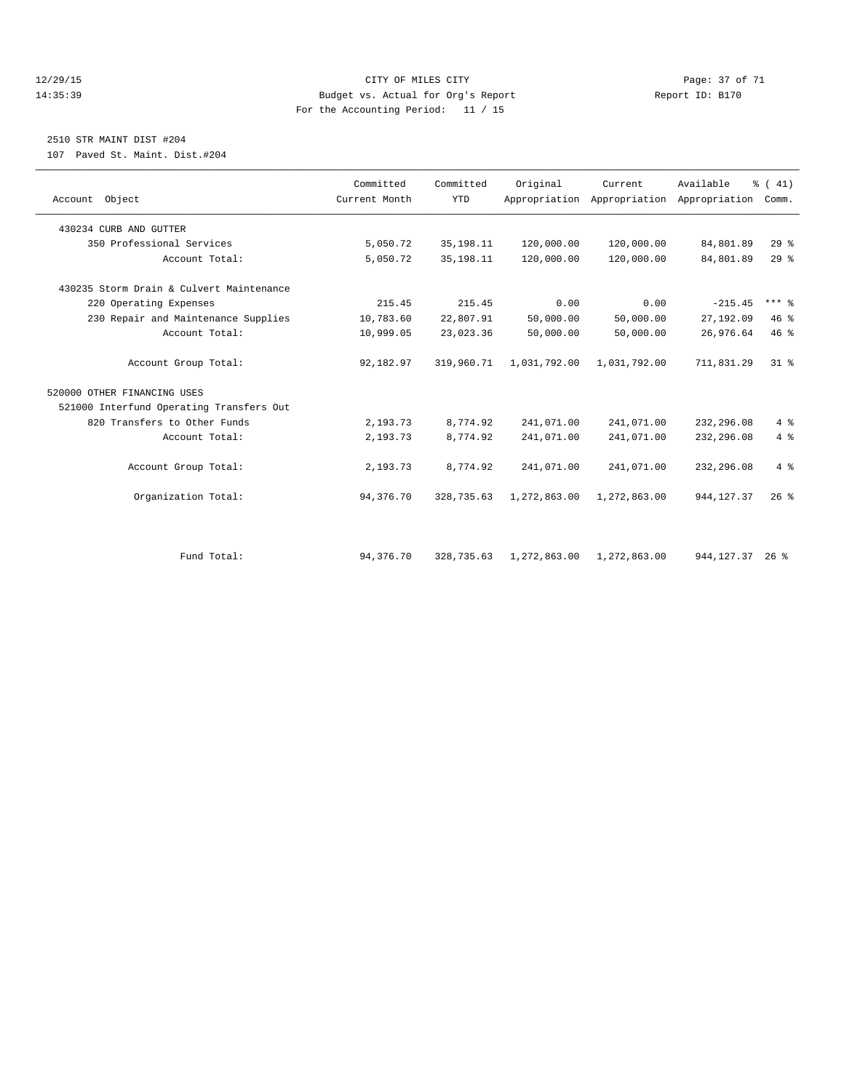#### 12/29/15 Page: 37 of 71 14:35:39 Budget vs. Actual for Org's Report Report ID: B170 For the Accounting Period: 11 / 15

# 2510 STR MAINT DIST #204

107 Paved St. Maint. Dist.#204

| Account Object                           | Committed<br>Current Month | Committed<br><b>YTD</b> | Original     | Current      | Available<br>Appropriation Appropriation Appropriation | $\frac{1}{6}$ ( 41)<br>Comm. |
|------------------------------------------|----------------------------|-------------------------|--------------|--------------|--------------------------------------------------------|------------------------------|
| 430234 CURB AND GUTTER                   |                            |                         |              |              |                                                        |                              |
| 350 Professional Services                | 5,050.72                   | 35, 198. 11             | 120,000.00   | 120,000.00   | 84,801.89                                              | 29%                          |
| Account Total:                           | 5,050.72                   | 35, 198. 11             | 120,000.00   | 120,000.00   | 84,801.89                                              | 29 <sup>8</sup>              |
| 430235 Storm Drain & Culvert Maintenance |                            |                         |              |              |                                                        |                              |
| 220 Operating Expenses                   | 215.45                     | 215.45                  | 0.00         | 0.00         | $-215.45$                                              | $***$ $%$                    |
| 230 Repair and Maintenance Supplies      | 10,783.60                  | 22,807.91               | 50,000.00    | 50,000.00    | 27,192.09                                              | 46%                          |
| Account Total:                           | 10,999.05                  | 23,023.36               | 50,000.00    | 50,000.00    | 26,976.64                                              | 46%                          |
| Account Group Total:                     | 92,182.97                  | 319,960.71              | 1,031,792.00 | 1,031,792.00 | 711,831.29                                             | 31.8                         |
| 520000 OTHER FINANCING USES              |                            |                         |              |              |                                                        |                              |
| 521000 Interfund Operating Transfers Out |                            |                         |              |              |                                                        |                              |
| 820 Transfers to Other Funds             | 2,193.73                   | 8,774.92                | 241,071.00   | 241,071.00   | 232,296.08                                             | 4%                           |
| Account Total:                           | 2,193.73                   | 8,774.92                | 241,071.00   | 241,071.00   | 232,296.08                                             | 4%                           |
| Account Group Total:                     | 2,193.73                   | 8,774.92                | 241,071.00   | 241,071.00   | 232,296.08                                             | $4\degree$                   |
| Organization Total:                      | 94,376.70                  | 328,735.63              | 1,272,863.00 | 1,272,863.00 | 944, 127.37                                            | 26%                          |
|                                          |                            |                         |              |              |                                                        |                              |
| Fund Total:                              | 94,376.70                  | 328,735.63              | 1,272,863.00 | 1,272,863.00 | 944, 127. 37 26 %                                      |                              |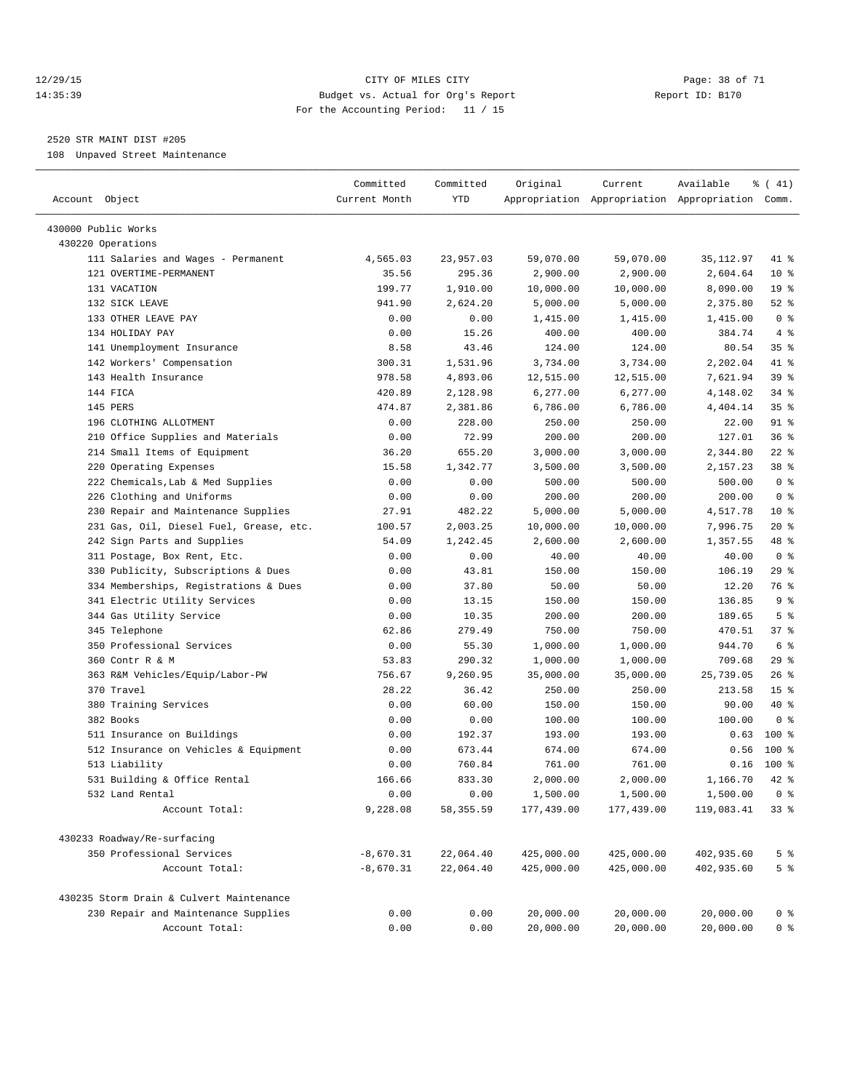#### 12/29/15 **Page: 38 of 71** CITY OF MILES CITY **Page: 38 of 71** 14:35:39 Budget vs. Actual for Org's Report Report ID: B170 For the Accounting Period: 11 / 15

————————————————————————————————————————————————————————————————————————————————————————————————————————————————————————————————————

# 2520 STR MAINT DIST #205

108 Unpaved Street Maintenance

|                                          | Committed     | Committed | Original   | Current    | Available                                       | $\frac{1}{6}$ ( 41) |
|------------------------------------------|---------------|-----------|------------|------------|-------------------------------------------------|---------------------|
| Account Object                           | Current Month | YTD       |            |            | Appropriation Appropriation Appropriation Comm. |                     |
| 430000 Public Works                      |               |           |            |            |                                                 |                     |
| 430220 Operations                        |               |           |            |            |                                                 |                     |
| 111 Salaries and Wages - Permanent       | 4,565.03      | 23,957.03 | 59,070.00  | 59,070.00  | 35, 112.97                                      | 41 %                |
| 121 OVERTIME-PERMANENT                   | 35.56         | 295.36    | 2,900.00   | 2,900.00   | 2,604.64                                        | $10*$               |
| 131 VACATION                             | 199.77        | 1,910.00  | 10,000.00  | 10,000.00  | 8,090.00                                        | 19 <sup>°</sup>     |
| 132 SICK LEAVE                           | 941.90        | 2,624.20  | 5,000.00   | 5,000.00   | 2,375.80                                        | $52$ $%$            |
| 133 OTHER LEAVE PAY                      | 0.00          | 0.00      | 1,415.00   | 1,415.00   | 1,415.00                                        | 0 <sup>8</sup>      |
| 134 HOLIDAY PAY                          | 0.00          | 15.26     | 400.00     | 400.00     | 384.74                                          | 4%                  |
| 141 Unemployment Insurance               | 8.58          | 43.46     | 124.00     | 124.00     | 80.54                                           | 35%                 |
| 142 Workers' Compensation                | 300.31        | 1,531.96  | 3,734.00   | 3,734.00   | 2,202.04                                        | 41 %                |
| 143 Health Insurance                     | 978.58        | 4,893.06  | 12,515.00  | 12,515.00  | 7,621.94                                        | 39 %                |
| 144 FICA                                 | 420.89        | 2,128.98  | 6,277.00   | 6,277.00   | 4,148.02                                        | $34$ $%$            |
| 145 PERS                                 | 474.87        | 2,381.86  | 6,786.00   | 6,786.00   | 4,404.14                                        | 35%                 |
| 196 CLOTHING ALLOTMENT                   | 0.00          | 228.00    | 250.00     | 250.00     | 22.00                                           | 91 %                |
| 210 Office Supplies and Materials        | 0.00          | 72.99     | 200.00     | 200.00     | 127.01                                          | 36%                 |
| 214 Small Items of Equipment             | 36.20         | 655.20    | 3,000.00   | 3,000.00   | 2,344.80                                        | $22$ %              |
| 220 Operating Expenses                   | 15.58         | 1,342.77  | 3,500.00   | 3,500.00   | 2,157.23                                        | 38 %                |
| 222 Chemicals, Lab & Med Supplies        | 0.00          | 0.00      | 500.00     | 500.00     | 500.00                                          | 0 <sup>8</sup>      |
| 226 Clothing and Uniforms                | 0.00          | 0.00      | 200.00     | 200.00     | 200.00                                          | 0 <sup>8</sup>      |
| 230 Repair and Maintenance Supplies      | 27.91         | 482.22    | 5,000.00   | 5,000.00   | 4,517.78                                        | $10*$               |
| 231 Gas, Oil, Diesel Fuel, Grease, etc.  | 100.57        | 2,003.25  | 10,000.00  | 10,000.00  | 7,996.75                                        | $20*$               |
| 242 Sign Parts and Supplies              | 54.09         | 1,242.45  | 2,600.00   | 2,600.00   | 1,357.55                                        | 48 %                |
| 311 Postage, Box Rent, Etc.              | 0.00          | 0.00      | 40.00      | 40.00      | 40.00                                           | 0 <sup>8</sup>      |
| 330 Publicity, Subscriptions & Dues      | 0.00          | 43.81     | 150.00     | 150.00     | 106.19                                          | 29%                 |
| 334 Memberships, Registrations & Dues    | 0.00          | 37.80     | 50.00      | 50.00      | 12.20                                           | 76 %                |
| 341 Electric Utility Services            | 0.00          | 13.15     | 150.00     | 150.00     | 136.85                                          | 9%                  |
| 344 Gas Utility Service                  | 0.00          | 10.35     | 200.00     | 200.00     | 189.65                                          | 5 <sup>°</sup>      |
| 345 Telephone                            | 62.86         | 279.49    | 750.00     | 750.00     | 470.51                                          | 37%                 |
| 350 Professional Services                | 0.00          | 55.30     | 1,000.00   | 1,000.00   | 944.70                                          | 6 %                 |
| 360 Contr R & M                          | 53.83         | 290.32    | 1,000.00   | 1,000.00   | 709.68                                          | 29%                 |
| 363 R&M Vehicles/Equip/Labor-PW          | 756.67        | 9,260.95  | 35,000.00  | 35,000.00  | 25,739.05                                       | $26$ %              |
| 370 Travel                               | 28.22         | 36.42     | 250.00     | 250.00     | 213.58                                          | 15 <sup>8</sup>     |
| 380 Training Services                    | 0.00          | 60.00     | 150.00     | 150.00     | 90.00                                           | 40 %                |
| 382 Books                                | 0.00          | 0.00      | 100.00     | 100.00     | 100.00                                          | 0 <sup>8</sup>      |
| 511 Insurance on Buildings               | 0.00          | 192.37    | 193.00     | 193.00     | 0.63                                            | $100*$              |
| 512 Insurance on Vehicles & Equipment    | 0.00          | 673.44    | 674.00     | 674.00     | 0.56                                            | $100$ %             |
| 513 Liability                            | 0.00          | 760.84    | 761.00     | 761.00     | 0.16                                            | 100 %               |
| 531 Building & Office Rental             | 166.66        | 833.30    | 2,000.00   | 2,000.00   | 1,166.70                                        | 42 %                |
| 532 Land Rental                          | 0.00          | 0.00      | 1,500.00   | 1,500.00   | $1,500.00$ 0 %                                  |                     |
| Account Total:                           | 9,228.08      | 58,355.59 | 177,439.00 | 177,439.00 | 119,083.41                                      | 338                 |
|                                          |               |           |            |            |                                                 |                     |
| 430233 Roadway/Re-surfacing              |               |           |            |            |                                                 |                     |
| 350 Professional Services                | $-8,670.31$   | 22,064.40 | 425,000.00 | 425,000.00 | 402,935.60                                      | 5 <sup>°</sup>      |
| Account Total:                           | $-8,670.31$   | 22,064.40 | 425,000.00 | 425,000.00 | 402,935.60                                      | 5 <sup>°</sup>      |
| 430235 Storm Drain & Culvert Maintenance |               |           |            |            |                                                 |                     |
| 230 Repair and Maintenance Supplies      | 0.00          | 0.00      | 20,000.00  | 20,000.00  | 20,000.00                                       | 0 %                 |
| Account Total:                           | 0.00          | 0.00      | 20,000.00  | 20,000.00  | 20,000.00                                       | 0 <sup>8</sup>      |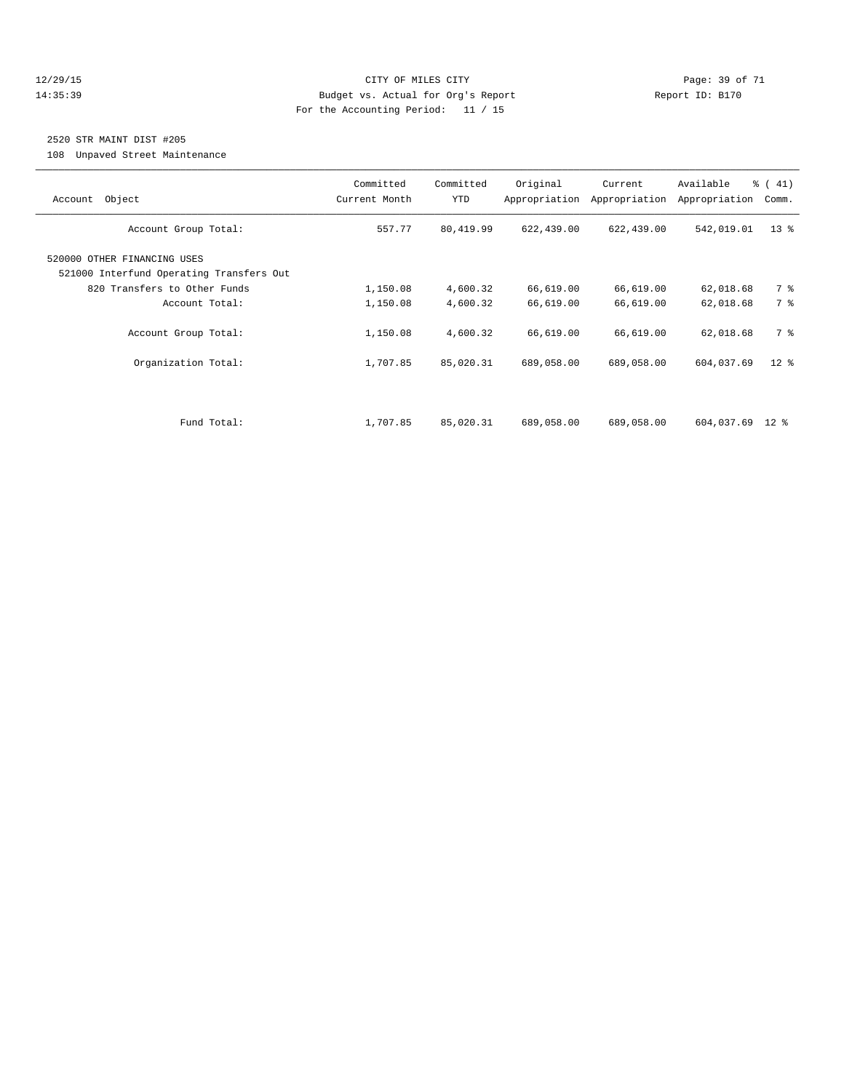#### 12/29/15 **Page: 39 of 71** CITY OF MILES CITY **Page: 39 of 71** 14:35:39 Budget vs. Actual for Org's Report Report ID: B170 For the Accounting Period: 11 / 15

# 2520 STR MAINT DIST #205

108 Unpaved Street Maintenance

| Object<br>Account                                                       | Committed<br>Current Month | Committed<br><b>YTD</b> | Original<br>Appropriation | Current<br>Appropriation | Available<br>Appropriation | % (41)<br>Comm. |
|-------------------------------------------------------------------------|----------------------------|-------------------------|---------------------------|--------------------------|----------------------------|-----------------|
| Account Group Total:                                                    | 557.77                     | 80, 419.99              | 622,439.00                | 622,439.00               | 542,019.01                 | $13*$           |
| 520000 OTHER FINANCING USES<br>521000 Interfund Operating Transfers Out |                            |                         |                           |                          |                            |                 |
| 820 Transfers to Other Funds                                            | 1,150.08                   | 4,600.32                | 66,619.00                 | 66,619.00                | 62,018.68                  | 7 %             |
| Account Total:                                                          | 1,150.08                   | 4,600.32                | 66,619.00                 | 66,619.00                | 62,018.68                  | 7 %             |
| Account Group Total:                                                    | 1,150.08                   | 4,600.32                | 66,619.00                 | 66,619.00                | 62,018.68                  | 7 %             |
| Organization Total:                                                     | 1,707.85                   | 85,020.31               | 689,058.00                | 689,058.00               | 604,037.69                 | $12$ %          |
|                                                                         |                            |                         |                           |                          |                            |                 |
| Fund Total:                                                             | 1,707.85                   | 85,020.31               | 689,058.00                | 689,058.00               | 604,037.69 12 %            |                 |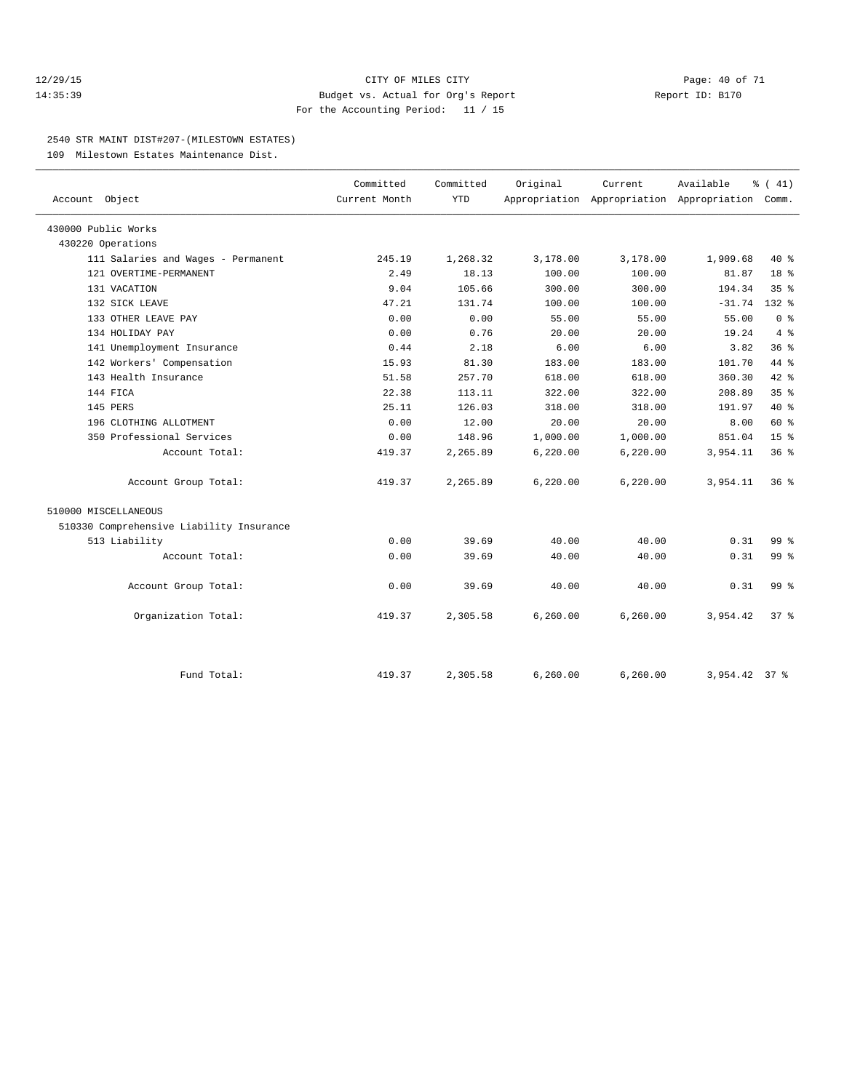#### 12/29/15 **Page: 40 of 71** CITY OF MILES CITY **Page: 40 of 71** 14:35:39 Budget vs. Actual for Org's Report Report ID: B170 For the Accounting Period: 11 / 15

#### 2540 STR MAINT DIST#207-(MILESTOWN ESTATES)

109 Milestown Estates Maintenance Dist.

| Account Object                           | Committed<br>Current Month | Committed<br><b>YTD</b> | Original  | Current<br>Appropriation Appropriation Appropriation Comm. | Available     | $\frac{1}{6}$ ( 41) |
|------------------------------------------|----------------------------|-------------------------|-----------|------------------------------------------------------------|---------------|---------------------|
| 430000 Public Works                      |                            |                         |           |                                                            |               |                     |
| 430220 Operations                        |                            |                         |           |                                                            |               |                     |
| 111 Salaries and Wages - Permanent       | 245.19                     | 1,268.32                | 3,178.00  | 3,178.00                                                   | 1,909.68      | $40*$               |
| 121 OVERTIME-PERMANENT                   | 2.49                       | 18.13                   | 100.00    | 100.00                                                     | 81.87         | 18 %                |
| 131 VACATION                             | 9.04                       | 105.66                  | 300.00    | 300.00                                                     | 194.34        | 35 <sup>8</sup>     |
| 132 SICK LEAVE                           | 47.21                      | 131.74                  | 100.00    | 100.00                                                     | $-31.74$      | $132*$              |
| 133 OTHER LEAVE PAY                      | 0.00                       | 0.00                    | 55.00     | 55.00                                                      | 55.00         | 0 <sup>8</sup>      |
| 134 HOLIDAY PAY                          | 0.00                       | 0.76                    | 20.00     | 20.00                                                      | 19.24         | 4%                  |
| 141 Unemployment Insurance               | 0.44                       | 2.18                    | 6.00      | 6.00                                                       | 3.82          | 36 <sup>8</sup>     |
| 142 Workers' Compensation                | 15.93                      | 81.30                   | 183.00    | 183.00                                                     | 101.70        | 44 %                |
| 143 Health Insurance                     | 51.58                      | 257.70                  | 618.00    | 618.00                                                     | 360.30        | 42.8                |
| 144 FICA                                 | 22.38                      | 113.11                  | 322.00    | 322.00                                                     | 208.89        | 35 <sup>8</sup>     |
| 145 PERS                                 | 25.11                      | 126.03                  | 318.00    | 318.00                                                     | 191.97        | $40*$               |
| 196 CLOTHING ALLOTMENT                   | 0.00                       | 12.00                   | 20.00     | 20.00                                                      | 8.00          | 60 %                |
| 350 Professional Services                | 0.00                       | 148.96                  | 1,000.00  | 1,000.00                                                   | 851.04        | 15 <sup>°</sup>     |
| Account Total:                           | 419.37                     | 2,265.89                | 6, 220.00 | 6, 220.00                                                  | 3,954.11      | 36 <sup>8</sup>     |
| Account Group Total:                     | 419.37                     | 2,265.89                | 6, 220.00 | 6, 220.00                                                  | 3,954.11      | $36*$               |
| 510000 MISCELLANEOUS                     |                            |                         |           |                                                            |               |                     |
| 510330 Comprehensive Liability Insurance |                            |                         |           |                                                            |               |                     |
| 513 Liability                            | 0.00                       | 39.69                   | 40.00     | 40.00                                                      | 0.31          | 99 <sub>8</sub>     |
| Account Total:                           | 0.00                       | 39.69                   | 40.00     | 40.00                                                      | 0.31          | 99 <sub>8</sub>     |
| Account Group Total:                     | 0.00                       | 39.69                   | 40.00     | 40.00                                                      | 0.31          | 99 <sub>8</sub>     |
| Organization Total:                      | 419.37                     | 2,305.58                | 6, 260.00 | 6,260.00                                                   | 3,954.42      | $37*$               |
| Fund Total:                              | 419.37                     | 2,305.58                | 6,260.00  | 6, 260.00                                                  | 3,954.42 37 % |                     |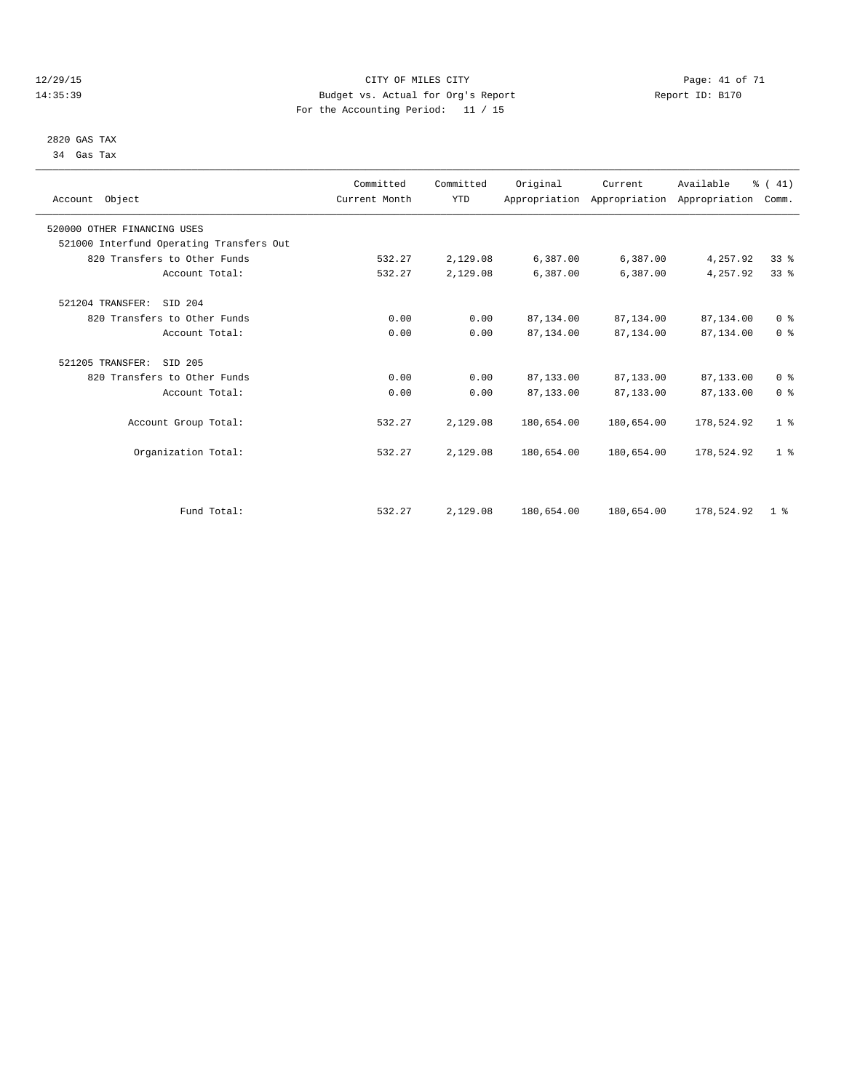#### 12/29/15 Page: 41 of 71 14:35:39 Budget vs. Actual for Org's Report Report ID: B170 For the Accounting Period: 11 / 15

 2820 GAS TAX 34 Gas Tax

| Account Object                           | Committed<br>Current Month | Committed<br><b>YTD</b> | Original   | Current<br>Appropriation Appropriation Appropriation | Available  | % (41)<br>Comm. |  |
|------------------------------------------|----------------------------|-------------------------|------------|------------------------------------------------------|------------|-----------------|--|
| 520000 OTHER FINANCING USES              |                            |                         |            |                                                      |            |                 |  |
| 521000 Interfund Operating Transfers Out |                            |                         |            |                                                      |            |                 |  |
| 820 Transfers to Other Funds             | 532.27                     | 2,129.08                | 6,387.00   | 6,387.00                                             | 4,257.92   | 33%             |  |
| Account Total:                           | 532.27                     | 2,129.08                | 6,387.00   | 6,387.00                                             | 4,257.92   | 33 <sup>8</sup> |  |
| 521204 TRANSFER:<br>SID 204              |                            |                         |            |                                                      |            |                 |  |
| 820 Transfers to Other Funds             | 0.00                       | 0.00                    | 87,134.00  | 87,134.00                                            | 87,134.00  | 0 <sup>8</sup>  |  |
| Account Total:                           | 0.00                       | 0.00                    | 87,134.00  | 87,134.00                                            | 87,134.00  | 0 <sup>8</sup>  |  |
| 521205 TRANSFER:<br>SID 205              |                            |                         |            |                                                      |            |                 |  |
| 820 Transfers to Other Funds             | 0.00                       | 0.00                    | 87,133.00  | 87,133.00                                            | 87,133.00  | 0 <sup>8</sup>  |  |
| Account Total:                           | 0.00                       | 0.00                    | 87,133.00  | 87,133.00                                            | 87,133.00  | 0 <sup>8</sup>  |  |
| Account Group Total:                     | 532.27                     | 2,129.08                | 180,654.00 | 180,654.00                                           | 178,524.92 | 1 <sup>8</sup>  |  |
| Organization Total:                      | 532.27                     | 2,129.08                | 180,654.00 | 180,654.00                                           | 178,524.92 | 1 <sup>8</sup>  |  |
|                                          |                            |                         |            |                                                      |            |                 |  |
| Fund Total:                              | 532.27                     | 2,129.08                | 180,654.00 | 180,654.00                                           | 178,524.92 | 1 <sup>8</sup>  |  |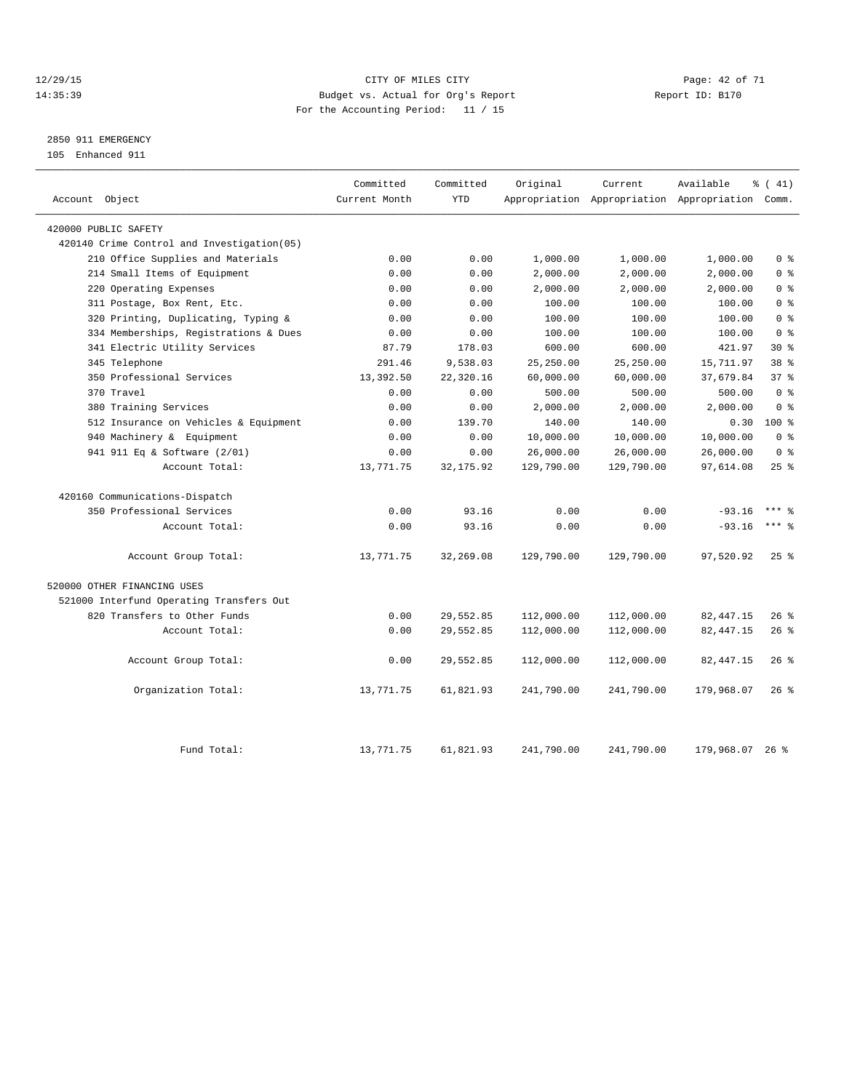#### 12/29/15 **Page: 42 of 71** CITY OF MILES CITY **Page: 42 of 71** 14:35:39 Budget vs. Actual for Org's Report Report ID: B170 For the Accounting Period: 11 / 15

# 2850 911 EMERGENCY

105 Enhanced 911

| Account Object                             | Committed<br>Current Month | Committed<br><b>YTD</b> | Original   | Current    | Available<br>Appropriation Appropriation Appropriation Comm. | % (41)              |
|--------------------------------------------|----------------------------|-------------------------|------------|------------|--------------------------------------------------------------|---------------------|
| 420000 PUBLIC SAFETY                       |                            |                         |            |            |                                                              |                     |
| 420140 Crime Control and Investigation(05) |                            |                         |            |            |                                                              |                     |
| 210 Office Supplies and Materials          | 0.00                       | 0.00                    | 1,000.00   | 1,000.00   | 1,000.00                                                     | 0 <sup>8</sup>      |
| 214 Small Items of Equipment               | 0.00                       | 0.00                    | 2,000.00   | 2,000.00   | 2,000.00                                                     | 0 <sup>8</sup>      |
| 220 Operating Expenses                     | 0.00                       | 0.00                    | 2,000.00   | 2,000.00   | 2,000.00                                                     | 0 <sup>8</sup>      |
| 311 Postage, Box Rent, Etc.                | 0.00                       | 0.00                    | 100.00     | 100.00     | 100.00                                                       | 0 <sup>8</sup>      |
| 320 Printing, Duplicating, Typing &        | 0.00                       | 0.00                    | 100.00     | 100.00     | 100.00                                                       | 0 <sup>8</sup>      |
| 334 Memberships, Registrations & Dues      | 0.00                       | 0.00                    | 100.00     | 100.00     | 100.00                                                       | 0 <sup>8</sup>      |
| 341 Electric Utility Services              | 87.79                      | 178.03                  | 600.00     | 600.00     | 421.97                                                       | $30*$               |
| 345 Telephone                              | 291.46                     | 9,538.03                | 25,250.00  | 25.250.00  | 15,711.97                                                    | 38 <sup>8</sup>     |
| 350 Professional Services                  | 13,392.50                  | 22,320.16               | 60,000.00  | 60,000.00  | 37,679.84                                                    | 37 <sup>8</sup>     |
| 370 Travel                                 | 0.00                       | 0.00                    | 500.00     | 500.00     | 500.00                                                       | 0 <sup>8</sup>      |
| 380 Training Services                      | 0.00                       | 0.00                    | 2,000.00   | 2,000.00   | 2,000.00                                                     | 0 <sup>8</sup>      |
| 512 Insurance on Vehicles & Equipment      | 0.00                       | 139.70                  | 140.00     | 140.00     | 0.30                                                         | $100*$              |
| 940 Machinery & Equipment                  | 0.00                       | 0.00                    | 10,000.00  | 10,000.00  | 10,000.00                                                    | 0 <sup>8</sup>      |
| 941 911 Eq & Software (2/01)               | 0.00                       | 0.00                    | 26,000.00  | 26,000.00  | 26,000.00                                                    | 0 <sup>8</sup>      |
| Account Total:                             | 13,771.75                  | 32, 175.92              | 129,790.00 | 129,790.00 | 97,614.08                                                    | 25%                 |
| 420160 Communications-Dispatch             |                            |                         |            |            |                                                              |                     |
| 350 Professional Services                  | 0.00                       | 93.16                   | 0.00       | 0.00       | $-93.16$                                                     | $***$ $\frac{6}{5}$ |
| Account Total:                             | 0.00                       | 93.16                   | 0.00       | 0.00       | $-93.16$                                                     | $***$ 8             |
| Account Group Total:                       | 13,771.75                  | 32,269.08               | 129,790.00 | 129,790.00 | 97,520.92                                                    | $25$ $\frac{6}{5}$  |
| 520000 OTHER FINANCING USES                |                            |                         |            |            |                                                              |                     |
| 521000 Interfund Operating Transfers Out   |                            |                         |            |            |                                                              |                     |
| 820 Transfers to Other Funds               | 0.00                       | 29,552.85               | 112,000.00 | 112,000.00 | 82, 447.15                                                   | 26%                 |
| Account Total:                             | 0.00                       | 29,552.85               | 112,000.00 | 112,000.00 | 82, 447.15                                                   | 26%                 |
| Account Group Total:                       | 0.00                       | 29,552.85               | 112,000.00 | 112,000.00 | 82, 447.15                                                   | $26$ %              |
| Organization Total:                        | 13,771.75                  | 61,821.93               | 241,790.00 | 241,790.00 | 179,968.07                                                   | $26$ %              |
| Fund Total:                                | 13,771.75                  | 61,821.93               | 241,790.00 | 241,790.00 | 179,968.07 26 %                                              |                     |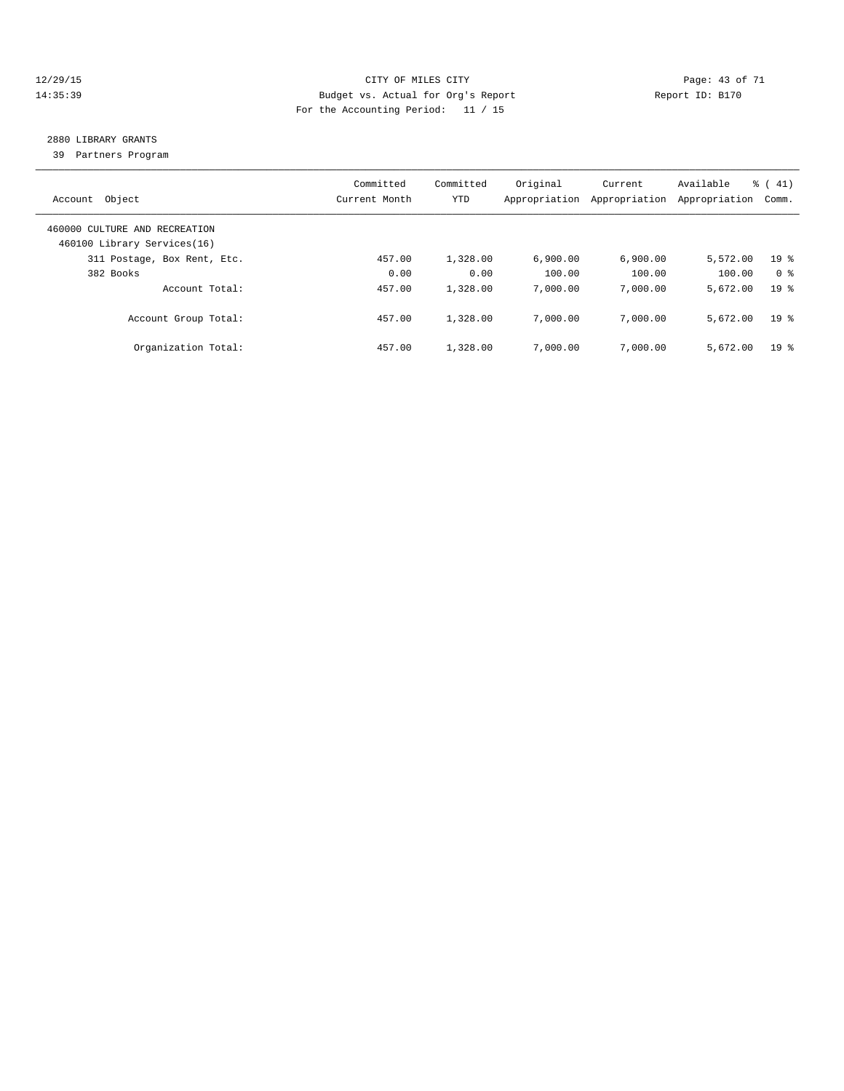#### 12/29/15 **Page: 43 of 71** CITY OF MILES CITY **Page: 43 of 71** 14:35:39 Budget vs. Actual for Org's Report Report ID: B170 For the Accounting Period: 11 / 15

# 2880 LIBRARY GRANTS

39 Partners Program

| Object<br>Account                                            | Committed<br>Current Month | Committed<br>YTD | Original<br>Appropriation | Current<br>Appropriation | Available<br>Appropriation | $\frac{1}{6}$ ( 41)<br>Comm. |
|--------------------------------------------------------------|----------------------------|------------------|---------------------------|--------------------------|----------------------------|------------------------------|
| 460000 CULTURE AND RECREATION<br>460100 Library Services(16) |                            |                  |                           |                          |                            |                              |
| 311 Postage, Box Rent, Etc.                                  | 457.00                     | 1,328.00         | 6.900.00                  | 6.900.00                 | 5,572.00                   | 19 <sup>8</sup>              |
| 382 Books                                                    | 0.00                       | 0.00             | 100.00                    | 100.00                   | 100.00                     | 0 <sup>8</sup>               |
| Account Total:                                               | 457.00                     | 1,328.00         | 7,000.00                  | 7,000.00                 | 5,672.00                   | 19 <sup>8</sup>              |
| Account Group Total:                                         | 457.00                     | 1,328.00         | 7,000.00                  | 7,000.00                 | 5,672.00                   | 19 <sup>8</sup>              |
| Organization Total:                                          | 457.00                     | 1,328.00         | 7,000.00                  | 7,000.00                 | 5,672.00                   | 19 <sup>8</sup>              |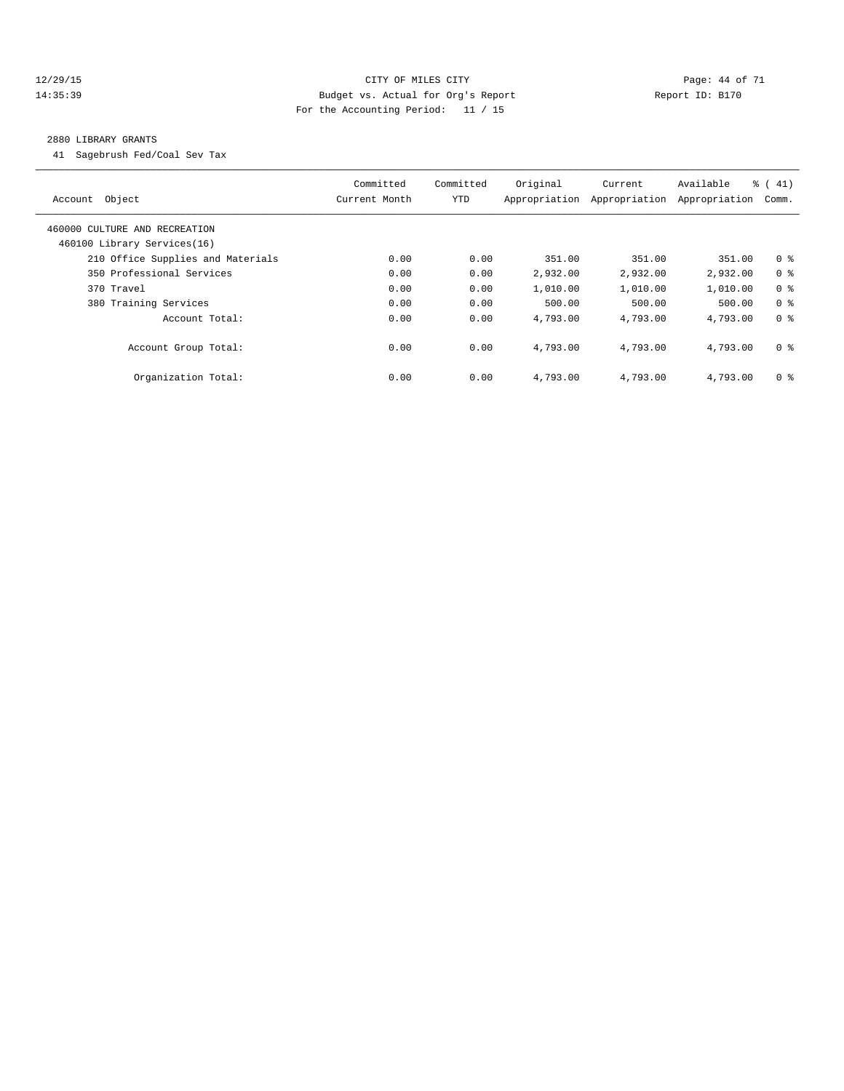#### 12/29/15 **Page: 44 of 71** CITY OF MILES CITY **Page: 44 of 71** 14:35:39 Budget vs. Actual for Org's Report Report ID: B170 For the Accounting Period: 11 / 15

#### 2880 LIBRARY GRANTS

41 Sagebrush Fed/Coal Sev Tax

| Account Object                                               | Committed<br>Current Month | Committed<br>YTD | Original<br>Appropriation | Current<br>Appropriation | Available<br>Appropriation | $\frac{1}{6}$ ( 41)<br>Comm. |
|--------------------------------------------------------------|----------------------------|------------------|---------------------------|--------------------------|----------------------------|------------------------------|
| 460000 CULTURE AND RECREATION<br>460100 Library Services(16) |                            |                  |                           |                          |                            |                              |
| 210 Office Supplies and Materials                            | 0.00                       | 0.00             | 351.00                    | 351.00                   | 351.00                     | 0 <sup>8</sup>               |
| 350 Professional Services                                    | 0.00                       | 0.00             | 2,932.00                  | 2,932.00                 | 2,932.00                   | 0 <sup>8</sup>               |
| 370 Travel                                                   | 0.00                       | 0.00             | 1,010.00                  | 1,010.00                 | 1,010.00                   | 0 <sup>8</sup>               |
| 380 Training Services                                        | 0.00                       | 0.00             | 500.00                    | 500.00                   | 500.00                     | 0 <sup>8</sup>               |
| Account Total:                                               | 0.00                       | 0.00             | 4,793.00                  | 4,793.00                 | 4,793.00                   | 0 <sup>8</sup>               |
| Account Group Total:                                         | 0.00                       | 0.00             | 4,793.00                  | 4,793.00                 | 4,793.00                   | 0 <sup>8</sup>               |
| Organization Total:                                          | 0.00                       | 0.00             | 4,793.00                  | 4,793.00                 | 4,793.00                   | 0 <sup>8</sup>               |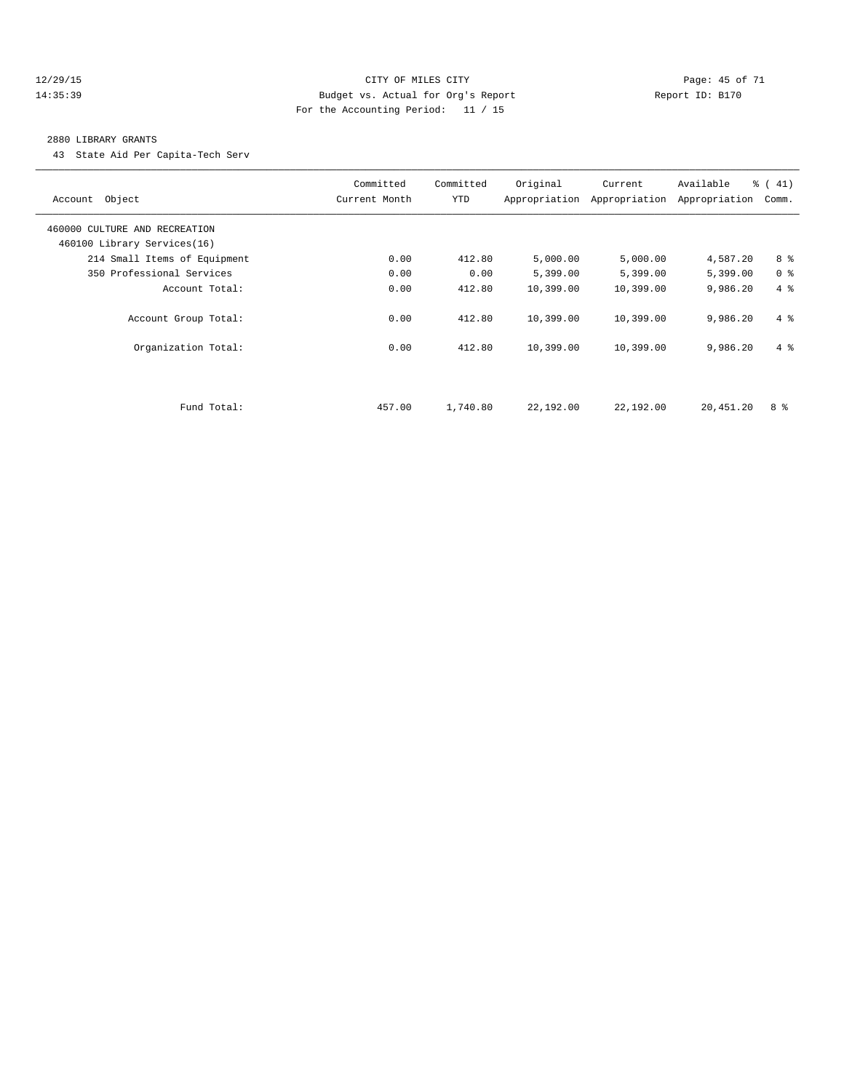#### 12/29/15 **Page: 45 of 71** CITY OF MILES CITY **Page: 45 of 71** 14:35:39 Budget vs. Actual for Org's Report Report ID: B170 For the Accounting Period: 11 / 15

#### 2880 LIBRARY GRANTS

43 State Aid Per Capita-Tech Serv

| Account Object                | Committed<br>Current Month | Committed<br><b>YTD</b> | Original  | Current<br>Appropriation Appropriation | Available<br>Appropriation | $\frac{1}{6}$ (41)<br>Comm. |
|-------------------------------|----------------------------|-------------------------|-----------|----------------------------------------|----------------------------|-----------------------------|
| 460000 CULTURE AND RECREATION |                            |                         |           |                                        |                            |                             |
| 460100 Library Services(16)   |                            |                         |           |                                        |                            |                             |
| 214 Small Items of Equipment  | 0.00                       | 412.80                  | 5,000.00  | 5,000.00                               | 4,587.20                   | 8 %                         |
| 350 Professional Services     | 0.00                       | 0.00                    | 5,399.00  | 5,399.00                               | 5,399.00                   | 0 <sup>8</sup>              |
| Account Total:                | 0.00                       | 412.80                  | 10,399.00 | 10,399.00                              | 9,986.20                   | 4%                          |
| Account Group Total:          | 0.00                       | 412.80                  | 10,399.00 | 10,399.00                              | 9,986.20                   | $4 \text{ }$                |
| Organization Total:           | 0.00                       | 412.80                  | 10,399.00 | 10,399.00                              | 9,986.20                   | $4 \text{ }$                |
|                               |                            |                         |           |                                        |                            |                             |
| Fund Total:                   | 457.00                     | 1,740.80                | 22,192.00 | 22,192.00                              | 20,451.20                  | 8 %                         |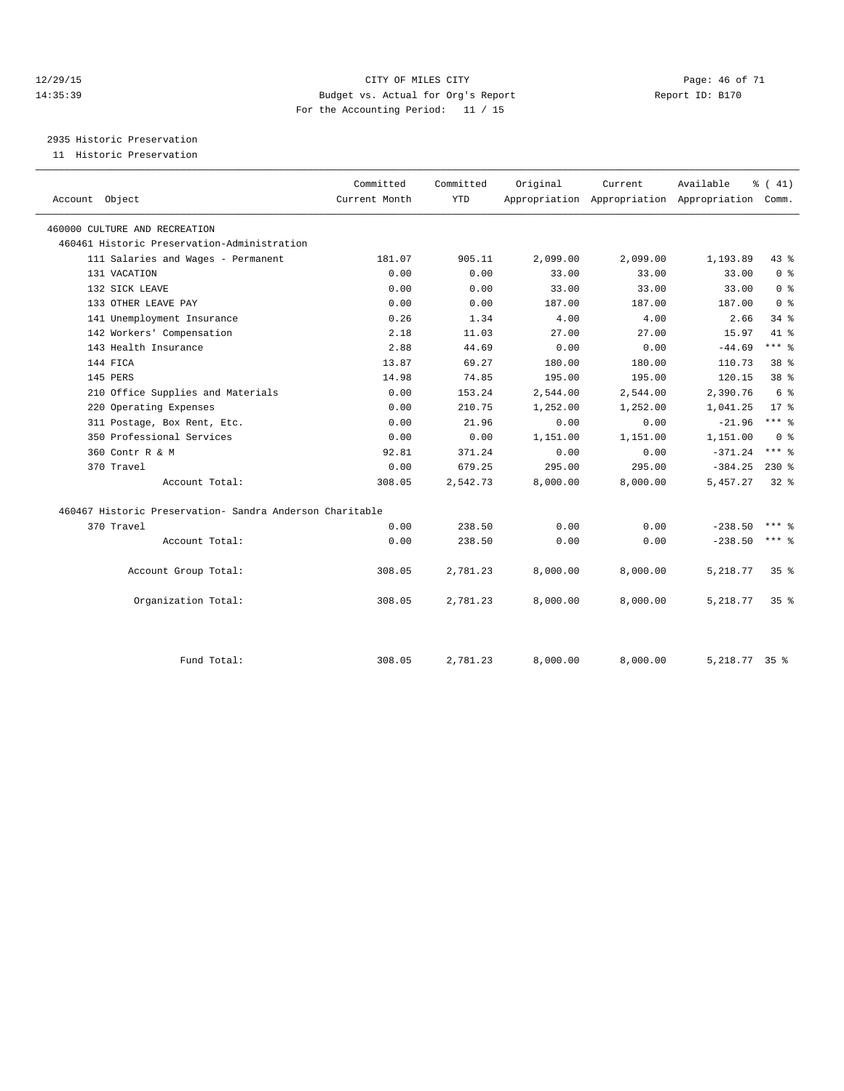#### 12/29/15 **Page: 46 of 71** CITY OF MILES CITY **Page: 46 of 71** 14:35:39 Budget vs. Actual for Org's Report Report ID: B170 For the Accounting Period: 11 / 15

2935 Historic Preservation

11 Historic Preservation

|                                                          | Committed     | Committed  | Original | Current  | Available                                 | $\frac{1}{6}$ ( 41) |  |
|----------------------------------------------------------|---------------|------------|----------|----------|-------------------------------------------|---------------------|--|
| Account Object                                           | Current Month | <b>YTD</b> |          |          | Appropriation Appropriation Appropriation | Comm.               |  |
| 460000 CULTURE AND RECREATION                            |               |            |          |          |                                           |                     |  |
| 460461 Historic Preservation-Administration              |               |            |          |          |                                           |                     |  |
| 111 Salaries and Wages - Permanent                       | 181.07        | 905.11     | 2,099.00 | 2,099.00 | 1,193.89                                  | $43*$               |  |
| 131 VACATION                                             | 0.00          | 0.00       | 33.00    | 33.00    | 33.00                                     | 0 <sup>8</sup>      |  |
| 132 SICK LEAVE                                           | 0.00          | 0.00       | 33.00    | 33.00    | 33.00                                     | 0 <sup>8</sup>      |  |
| 133 OTHER LEAVE PAY                                      | 0.00          | 0.00       | 187.00   | 187.00   | 187.00                                    | 0 <sup>8</sup>      |  |
| 141 Unemployment Insurance                               | 0.26          | 1.34       | 4.00     | 4.00     | 2.66                                      | 34.8                |  |
| 142 Workers' Compensation                                | 2.18          | 11.03      | 27.00    | 27.00    | 15.97                                     | 41.8                |  |
| 143 Health Insurance                                     | 2.88          | 44.69      | 0.00     | 0.00     | $-44.69$                                  | $***$ 8             |  |
| 144 FICA                                                 | 13.87         | 69.27      | 180.00   | 180.00   | 110.73                                    | 38 <sup>8</sup>     |  |
| 145 PERS                                                 | 14.98         | 74.85      | 195.00   | 195.00   | 120.15                                    | 38 <sup>8</sup>     |  |
| 210 Office Supplies and Materials                        | 0.00          | 153.24     | 2,544.00 | 2,544.00 | 2,390.76                                  | 6 %                 |  |
| 220 Operating Expenses                                   | 0.00          | 210.75     | 1,252.00 | 1,252.00 | 1,041.25                                  | $17*$               |  |
| 311 Postage, Box Rent, Etc.                              | 0.00          | 21.96      | 0.00     | 0.00     | $-21.96$                                  | $***$ 8             |  |
| 350 Professional Services                                | 0.00          | 0.00       | 1,151.00 | 1,151.00 | 1,151.00                                  | 0 <sup>8</sup>      |  |
| 360 Contr R & M                                          | 92.81         | 371.24     | 0.00     | 0.00     | $-371.24$                                 | $***$ $%$           |  |
| 370 Travel                                               | 0.00          | 679.25     | 295.00   | 295.00   | $-384.25$                                 | $230*$              |  |
| Account Total:                                           | 308.05        | 2,542.73   | 8,000.00 | 8,000.00 | 5,457.27                                  | $32$ $%$            |  |
| 460467 Historic Preservation- Sandra Anderson Charitable |               |            |          |          |                                           |                     |  |
| 370 Travel                                               | 0.00          | 238.50     | 0.00     | 0.00     | $-238.50$                                 | $***$ $\frac{6}{5}$ |  |
| Account Total:                                           | 0.00          | 238.50     | 0.00     | 0.00     | $-238.50$                                 | *** 응               |  |
| Account Group Total:                                     | 308.05        | 2,781.23   | 8,000.00 | 8,000.00 | 5,218.77                                  | 35 <sup>8</sup>     |  |
| Organization Total:                                      | 308.05        | 2,781.23   | 8,000.00 | 8,000.00 | 5,218.77                                  | 35 <sup>8</sup>     |  |
|                                                          |               |            |          |          |                                           |                     |  |
| Fund Total:                                              | 308.05        | 2,781.23   | 8,000.00 | 8,000.00 | $5,218.77$ 35 %                           |                     |  |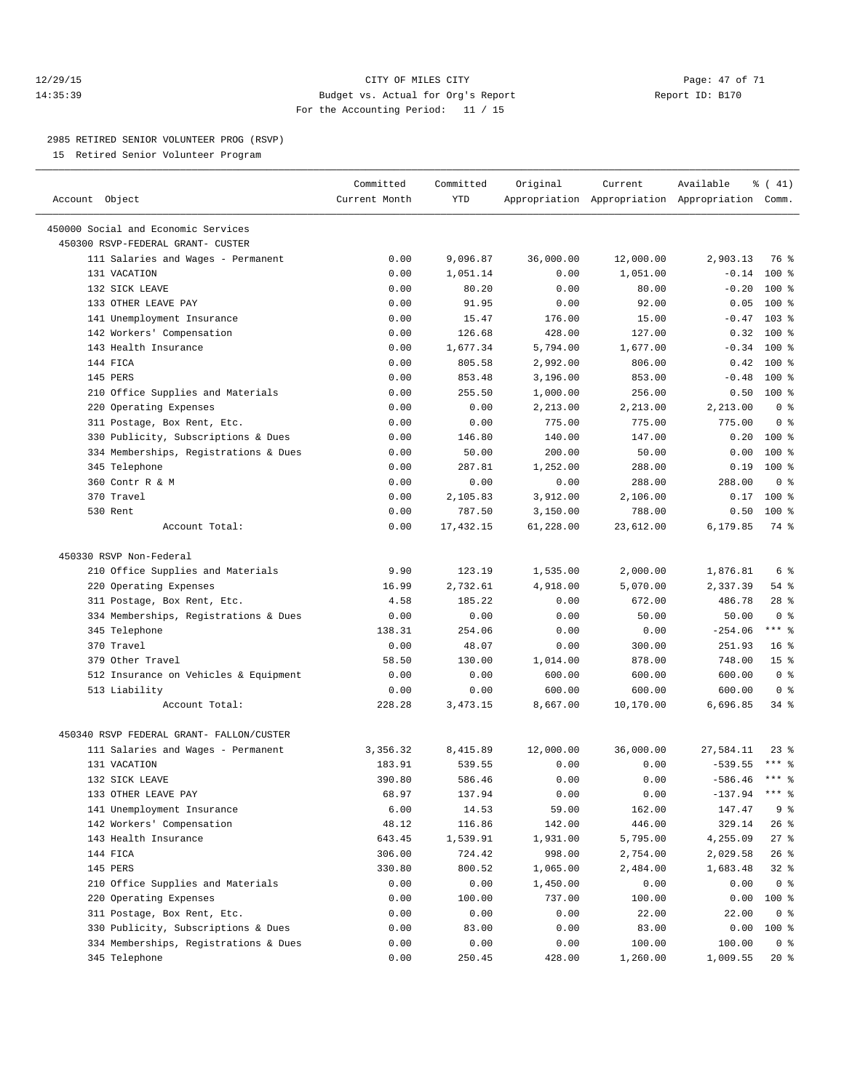#### 12/29/15 **Page: 47 of 71** CITY OF MILES CITY **Page: 47 of 71** 14:35:39 Budget vs. Actual for Org's Report Report ID: B170 For the Accounting Period: 11 / 15

————————————————————————————————————————————————————————————————————————————————————————————————————————————————————————————————————

#### 2985 RETIRED SENIOR VOLUNTEER PROG (RSVP)

15 Retired Senior Volunteer Program

| Account Object                           | Committed<br>Current Month | Committed<br>YTD | Original  | Current   | Available<br>Appropriation Appropriation Appropriation Comm. | % (41)          |  |
|------------------------------------------|----------------------------|------------------|-----------|-----------|--------------------------------------------------------------|-----------------|--|
| 450000 Social and Economic Services      |                            |                  |           |           |                                                              |                 |  |
| 450300 RSVP-FEDERAL GRANT- CUSTER        |                            |                  |           |           |                                                              |                 |  |
| 111 Salaries and Wages - Permanent       | 0.00                       | 9,096.87         | 36,000.00 | 12,000.00 | 2,903.13                                                     | 76 %            |  |
| 131 VACATION                             | 0.00                       | 1,051.14         | 0.00      | 1,051.00  | $-0.14$                                                      | $100$ %         |  |
| 132 SICK LEAVE                           | 0.00                       | 80.20            | 0.00      | 80.00     | $-0.20$                                                      | $100*$          |  |
| 133 OTHER LEAVE PAY                      | 0.00                       | 91.95            | 0.00      | 92.00     | 0.05                                                         | 100 %           |  |
| 141 Unemployment Insurance               | 0.00                       | 15.47            | 176.00    | 15.00     | $-0.47$                                                      | $103$ %         |  |
| 142 Workers' Compensation                | 0.00                       | 126.68           | 428.00    | 127.00    | 0.32                                                         | 100 %           |  |
| 143 Health Insurance                     | 0.00                       | 1,677.34         | 5,794.00  | 1,677.00  | $-0.34$                                                      | $100*$          |  |
| 144 FICA                                 | 0.00                       | 805.58           | 2,992.00  | 806.00    | 0.42                                                         | $100*$          |  |
| 145 PERS                                 | 0.00                       | 853.48           | 3,196.00  | 853.00    | $-0.48$                                                      | 100 %           |  |
| 210 Office Supplies and Materials        | 0.00                       | 255.50           | 1,000.00  | 256.00    | 0.50                                                         | $100*$          |  |
| 220 Operating Expenses                   | 0.00                       | 0.00             | 2,213.00  | 2,213.00  | 2,213.00                                                     | 0 <sup>8</sup>  |  |
| 311 Postage, Box Rent, Etc.              | 0.00                       | 0.00             | 775.00    | 775.00    | 775.00                                                       | 0 <sup>8</sup>  |  |
| 330 Publicity, Subscriptions & Dues      | 0.00                       | 146.80           | 140.00    | 147.00    |                                                              | $0.20$ 100 %    |  |
| 334 Memberships, Registrations & Dues    | 0.00                       | 50.00            | 200.00    | 50.00     | 0.00                                                         | 100 %           |  |
| 345 Telephone                            | 0.00                       | 287.81           | 1,252.00  | 288.00    | 0.19                                                         | $100*$          |  |
| 360 Contr R & M                          | 0.00                       | 0.00             | 0.00      | 288.00    | 288.00                                                       | 0 <sup>8</sup>  |  |
| 370 Travel                               | 0.00                       | 2,105.83         | 3,912.00  | 2,106.00  | 0.17                                                         | $100*$          |  |
| 530 Rent                                 | 0.00                       | 787.50           | 3,150.00  | 788.00    | 0.50                                                         | $100*$          |  |
| Account Total:                           | 0.00                       | 17, 432.15       | 61,228.00 | 23,612.00 | 6,179.85                                                     | 74 %            |  |
| 450330 RSVP Non-Federal                  |                            |                  |           |           |                                                              |                 |  |
| 210 Office Supplies and Materials        | 9.90                       | 123.19           | 1,535.00  | 2,000.00  | 1,876.81                                                     | 6 %             |  |
| 220 Operating Expenses                   | 16.99                      | 2,732.61         | 4,918.00  | 5,070.00  | 2,337.39                                                     | 54 %            |  |
| 311 Postage, Box Rent, Etc.              | 4.58                       | 185.22           | 0.00      | 672.00    | 486.78                                                       | $28$ %          |  |
| 334 Memberships, Registrations & Dues    | 0.00                       | 0.00             | 0.00      | 50.00     | 50.00                                                        | 0 <sup>8</sup>  |  |
| 345 Telephone                            | 138.31                     | 254.06           | 0.00      | 0.00      | $-254.06$                                                    | $***$ $-$       |  |
| 370 Travel                               | 0.00                       | 48.07            | 0.00      | 300.00    | 251.93                                                       | 16 <sup>°</sup> |  |
| 379 Other Travel                         | 58.50                      | 130.00           | 1,014.00  | 878.00    | 748.00                                                       | 15 <sup>°</sup> |  |
| 512 Insurance on Vehicles & Equipment    | 0.00                       | 0.00             | 600.00    | 600.00    | 600.00                                                       | 0 <sup>8</sup>  |  |
| 513 Liability                            | 0.00                       | 0.00             | 600.00    | 600.00    | 600.00                                                       | 0 <sup>8</sup>  |  |
| Account Total:                           | 228.28                     | 3,473.15         | 8,667.00  | 10,170.00 | 6,696.85                                                     | 34 %            |  |
| 450340 RSVP FEDERAL GRANT- FALLON/CUSTER |                            |                  |           |           |                                                              |                 |  |
| 111 Salaries and Wages - Permanent       | 3,356.32                   | 8,415.89         | 12,000.00 | 36,000.00 | 27,584.11                                                    | $23$ %          |  |
| 131 VACATION                             | 183.91                     | 539.55           | 0.00      | 0.00      | $-539.55$                                                    | *** 응           |  |
| 132 SICK LEAVE                           | 390.80                     | 586.46           | 0.00      | 0.00      | $-586.46$                                                    | $***$ $-$       |  |
| 133 OTHER LEAVE PAY                      | 68.97                      | 137.94           | 0.00      | 0.00      | $-137.94$                                                    | *** %           |  |
| 141 Unemployment Insurance               | 6.00                       | 14.53            | 59.00     | 162.00    | 147.47                                                       | 9%              |  |
| 142 Workers' Compensation                | 48.12                      | 116.86           | 142.00    | 446.00    | 329.14                                                       | $26$ %          |  |
| 143 Health Insurance                     | 643.45                     | 1,539.91         | 1,931.00  | 5,795.00  | 4,255.09                                                     | $27$ %          |  |
| 144 FICA                                 | 306.00                     | 724.42           | 998.00    | 2,754.00  | 2,029.58                                                     | $26$ %          |  |
| 145 PERS                                 | 330.80                     | 800.52           | 1,065.00  | 2,484.00  | 1,683.48                                                     | $32*$           |  |
| 210 Office Supplies and Materials        | 0.00                       | 0.00             | 1,450.00  | 0.00      | 0.00                                                         | 0 <sup>8</sup>  |  |
| 220 Operating Expenses                   | 0.00                       | 100.00           | 737.00    | 100.00    | 0.00                                                         | 100 %           |  |
| 311 Postage, Box Rent, Etc.              | 0.00                       | 0.00             | 0.00      | 22.00     | 22.00                                                        | 0 <sup>8</sup>  |  |
| 330 Publicity, Subscriptions & Dues      | 0.00                       | 83.00            | 0.00      | 83.00     | 0.00                                                         | 100 %           |  |
| 334 Memberships, Registrations & Dues    | 0.00                       | 0.00             | 0.00      | 100.00    | 100.00                                                       | 0 <sup>8</sup>  |  |
| 345 Telephone                            | 0.00                       | 250.45           | 428.00    | 1,260.00  | 1,009.55                                                     | $20*$           |  |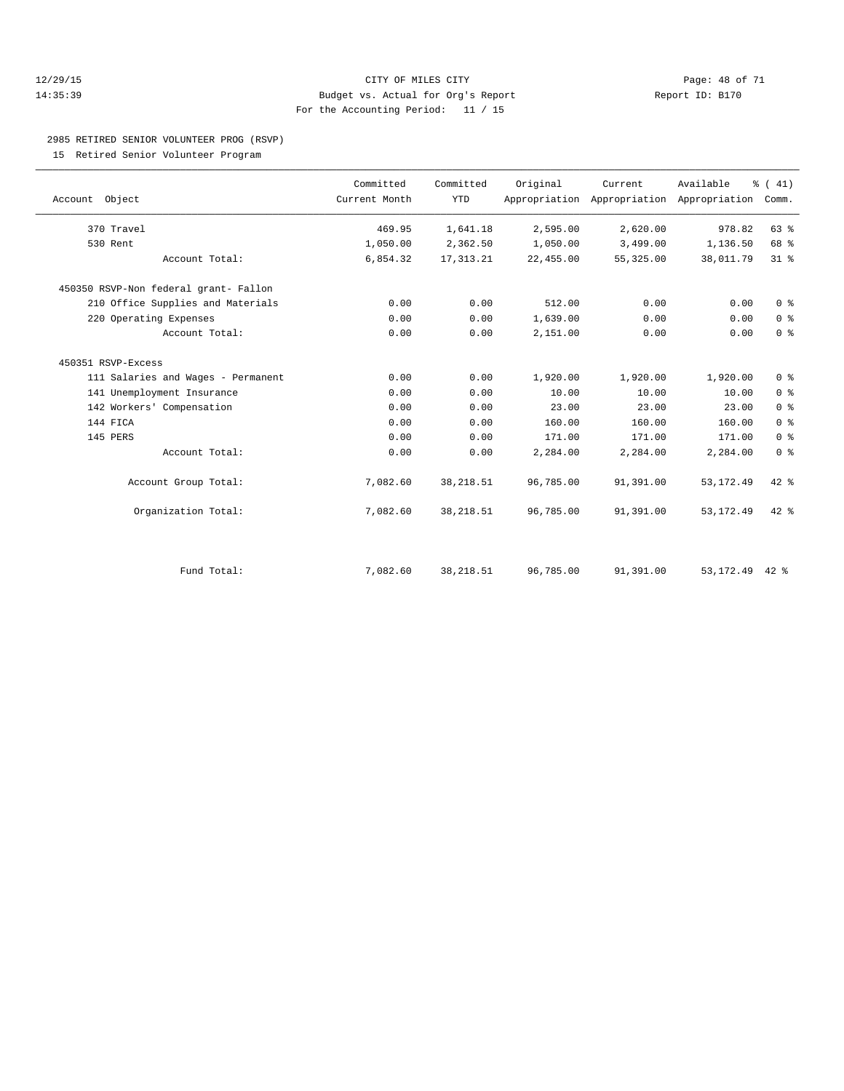#### 12/29/15 **Page: 48 of 71** CITY OF MILES CITY **Page: 48 of 71** 14:35:39 Budget vs. Actual for Org's Report Report ID: B170 For the Accounting Period: 11 / 15

## 2985 RETIRED SENIOR VOLUNTEER PROG (RSVP)

15 Retired Senior Volunteer Program

| Account Object                        | Committed<br>Current Month | Committed<br><b>YTD</b> | Original  | Current<br>Appropriation Appropriation Appropriation | Available  | $\frac{1}{6}$ ( 41)<br>Comm. |  |
|---------------------------------------|----------------------------|-------------------------|-----------|------------------------------------------------------|------------|------------------------------|--|
| 370 Travel                            | 469.95                     | 1,641.18                | 2,595.00  | 2,620.00                                             | 978.82     | 63 %                         |  |
| 530 Rent                              | 1,050.00                   | 2,362.50                | 1,050.00  | 3,499.00                                             | 1,136.50   | 68 %                         |  |
| Account Total:                        | 6,854.32                   | 17, 313.21              | 22,455.00 | 55, 325.00                                           | 38,011.79  | 31.8                         |  |
| 450350 RSVP-Non federal grant- Fallon |                            |                         |           |                                                      |            |                              |  |
| 210 Office Supplies and Materials     | 0.00                       | 0.00                    | 512.00    | 0.00                                                 | 0.00       | 0 <sup>8</sup>               |  |
| 220 Operating Expenses                | 0.00                       | 0.00                    | 1,639.00  | 0.00                                                 | 0.00       | 0 <sup>8</sup>               |  |
| Account Total:                        | 0.00                       | 0.00                    | 2,151.00  | 0.00                                                 | 0.00       | 0 <sup>8</sup>               |  |
| 450351 RSVP-Excess                    |                            |                         |           |                                                      |            |                              |  |
| 111 Salaries and Wages - Permanent    | 0.00                       | 0.00                    | 1,920.00  | 1,920.00                                             | 1,920.00   | 0 <sup>8</sup>               |  |
| 141 Unemployment Insurance            | 0.00                       | 0.00                    | 10.00     | 10.00                                                | 10.00      | 0 <sup>8</sup>               |  |
| 142 Workers' Compensation             | 0.00                       | 0.00                    | 23.00     | 23.00                                                | 23.00      | 0 <sup>8</sup>               |  |
| 144 FICA                              | 0.00                       | 0.00                    | 160.00    | 160.00                                               | 160.00     | 0 <sup>8</sup>               |  |
| 145 PERS                              | 0.00                       | 0.00                    | 171.00    | 171.00                                               | 171.00     | 0 <sup>8</sup>               |  |
| Account Total:                        | 0.00                       | 0.00                    | 2,284.00  | 2,284.00                                             | 2,284.00   | 0 <sup>8</sup>               |  |
| Account Group Total:                  | 7,082.60                   | 38, 218.51              | 96,785.00 | 91,391.00                                            | 53, 172.49 | 42 %                         |  |
| Organization Total:                   | 7,082.60                   | 38, 218.51              | 96,785.00 | 91,391.00                                            | 53, 172.49 | 42 %                         |  |
| Fund Total:                           | 7,082.60                   |                         | 96,785.00 |                                                      | 53, 172.49 |                              |  |
|                                       |                            | 38, 218.51              |           | 91,391.00                                            |            | $42$ %                       |  |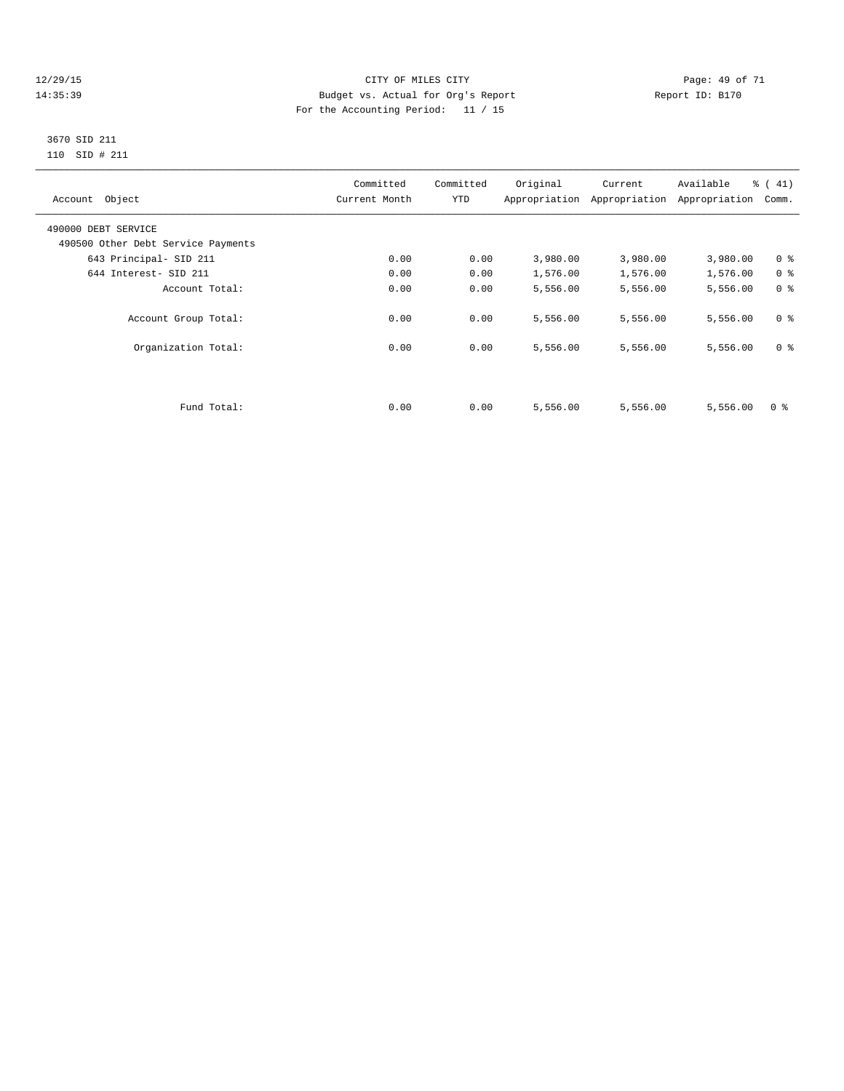#### 12/29/15 Page: 49 of 71 14:35:39 Budget vs. Actual for Org's Report Report ID: B170 For the Accounting Period: 11 / 15

#### 3670 SID 211 110 SID # 211

| Account Object                     | Committed<br>Current Month | Committed<br>YTD | Original | Current<br>Appropriation Appropriation | Available<br>Appropriation | $\frac{1}{6}$ (41)<br>Comm. |
|------------------------------------|----------------------------|------------------|----------|----------------------------------------|----------------------------|-----------------------------|
| 490000 DEBT SERVICE                |                            |                  |          |                                        |                            |                             |
| 490500 Other Debt Service Payments |                            |                  |          |                                        |                            |                             |
| 643 Principal- SID 211             | 0.00                       | 0.00             | 3,980.00 | 3,980.00                               | 3,980.00                   | 0 <sup>8</sup>              |
| 644 Interest- SID 211              | 0.00                       | 0.00             | 1,576.00 | 1,576.00                               | 1,576.00                   | 0 <sup>8</sup>              |
| Account Total:                     | 0.00                       | 0.00             | 5,556.00 | 5,556.00                               | 5,556.00                   | 0 <sup>8</sup>              |
| Account Group Total:               | 0.00                       | 0.00             | 5,556.00 | 5,556.00                               | 5,556.00                   | 0 <sup>8</sup>              |
| Organization Total:                | 0.00                       | 0.00             | 5,556.00 | 5,556.00                               | 5,556.00                   | 0 <sup>8</sup>              |
|                                    |                            |                  |          |                                        |                            |                             |
| Fund Total:                        | 0.00                       | 0.00             | 5,556.00 | 5,556.00                               | 5,556.00                   | 0 <sup>8</sup>              |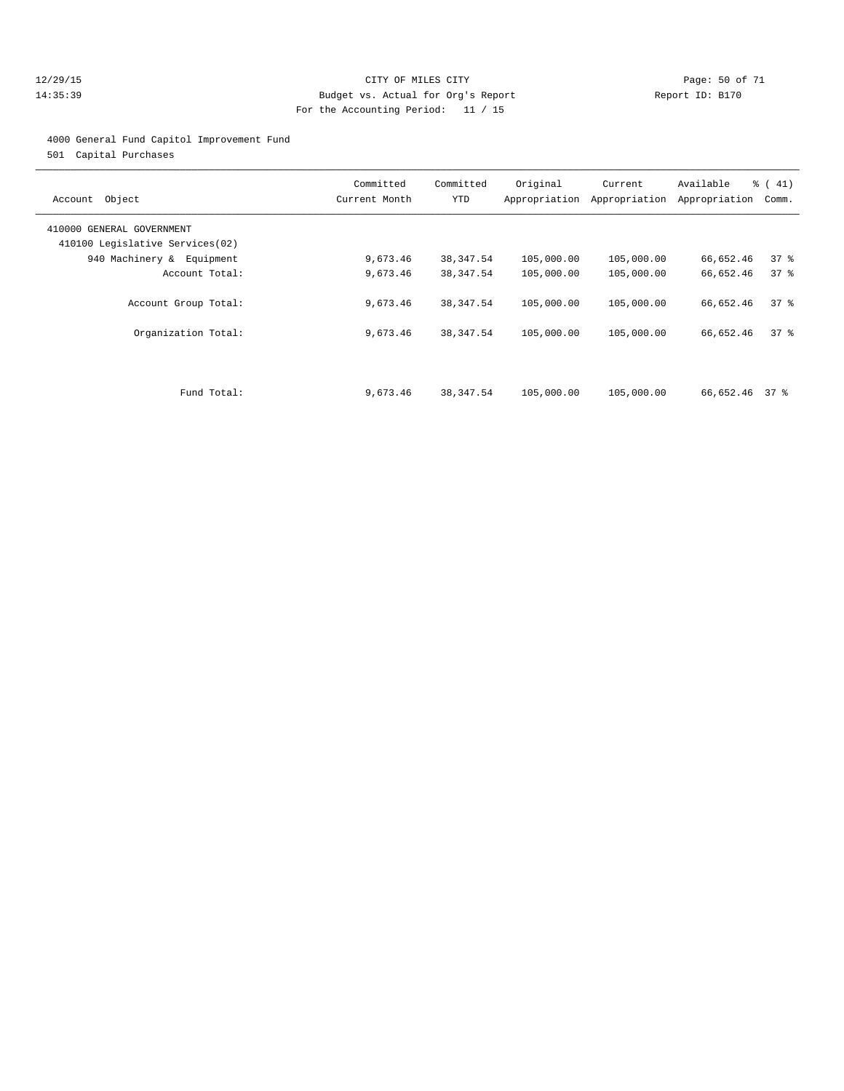#### 12/29/15 **Page: 50 of 71** CITY OF MILES CITY **Page: 50 of 71** 14:35:39 Budget vs. Actual for Org's Report Report ID: B170 For the Accounting Period: 11 / 15

#### 4000 General Fund Capitol Improvement Fund

501 Capital Purchases

| Object<br>Account                                            | Committed<br>Current Month | Committed<br>YTD | Original<br>Appropriation | Current<br>Appropriation | Available<br>Appropriation | $\frac{1}{6}$ ( 41)<br>Comm. |
|--------------------------------------------------------------|----------------------------|------------------|---------------------------|--------------------------|----------------------------|------------------------------|
| 410000 GENERAL GOVERNMENT<br>410100 Legislative Services(02) |                            |                  |                           |                          |                            |                              |
| 940 Machinery & Equipment                                    | 9,673.46                   | 38,347.54        | 105,000.00                | 105,000.00               | 66,652.46                  | 37%                          |
| Account Total:                                               | 9,673.46                   | 38, 347.54       | 105,000.00                | 105,000.00               | 66,652.46                  | $37*$                        |
| Account Group Total:                                         | 9,673.46                   | 38,347.54        | 105,000.00                | 105,000.00               | 66,652.46                  | $37$ $\frac{6}{5}$           |
| Organization Total:                                          | 9,673.46                   | 38, 347.54       | 105,000.00                | 105,000.00               | 66,652.46                  | 378                          |
|                                                              |                            |                  |                           |                          |                            |                              |
| Fund Total:                                                  | 9,673.46                   | 38, 347.54       | 105,000.00                | 105,000.00               | 66,652.46 37 %             |                              |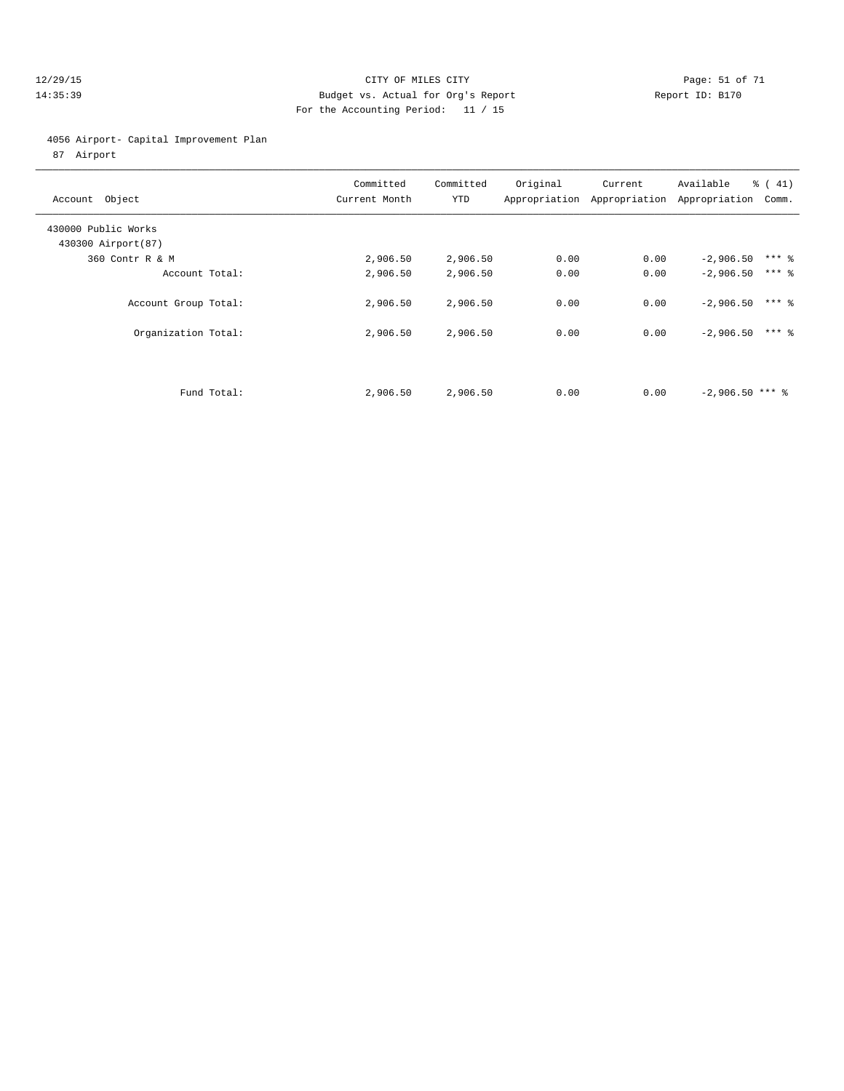#### 12/29/15 **Page: 51 of 71** CITY OF MILES CITY **CITY Page: 51 of 71** 14:35:39 Budget vs. Actual for Org's Report Report ID: B170 For the Accounting Period: 11 / 15

# 4056 Airport- Capital Improvement Plan

87 Airport

| Account Object                             | Committed<br>Current Month | Committed<br>YTD | Original | Current<br>Appropriation Appropriation | Available<br>$\frac{1}{6}$ ( 41)<br>Appropriation<br>Comm. |  |
|--------------------------------------------|----------------------------|------------------|----------|----------------------------------------|------------------------------------------------------------|--|
| 430000 Public Works<br>430300 Airport (87) |                            |                  |          |                                        |                                                            |  |
| 360 Contr R & M                            | 2,906.50                   | 2,906.50         | 0.00     | 0.00                                   | $***$ 2<br>$-2,906.50$                                     |  |
| Account Total:                             | 2,906.50                   | 2,906.50         | 0.00     | 0.00                                   | $***$ 2<br>$-2,906.50$                                     |  |
| Account Group Total:                       | 2,906.50                   | 2,906.50         | 0.00     | 0.00                                   | $***$ %<br>$-2,906.50$                                     |  |
| Organization Total:                        | 2,906.50                   | 2,906.50         | 0.00     | 0.00                                   | $***$ 2<br>$-2,906.50$                                     |  |
|                                            |                            |                  |          |                                        |                                                            |  |
| Fund Total:                                | 2,906.50                   | 2,906.50         | 0.00     | 0.00                                   | $-2,906.50$ *** \                                          |  |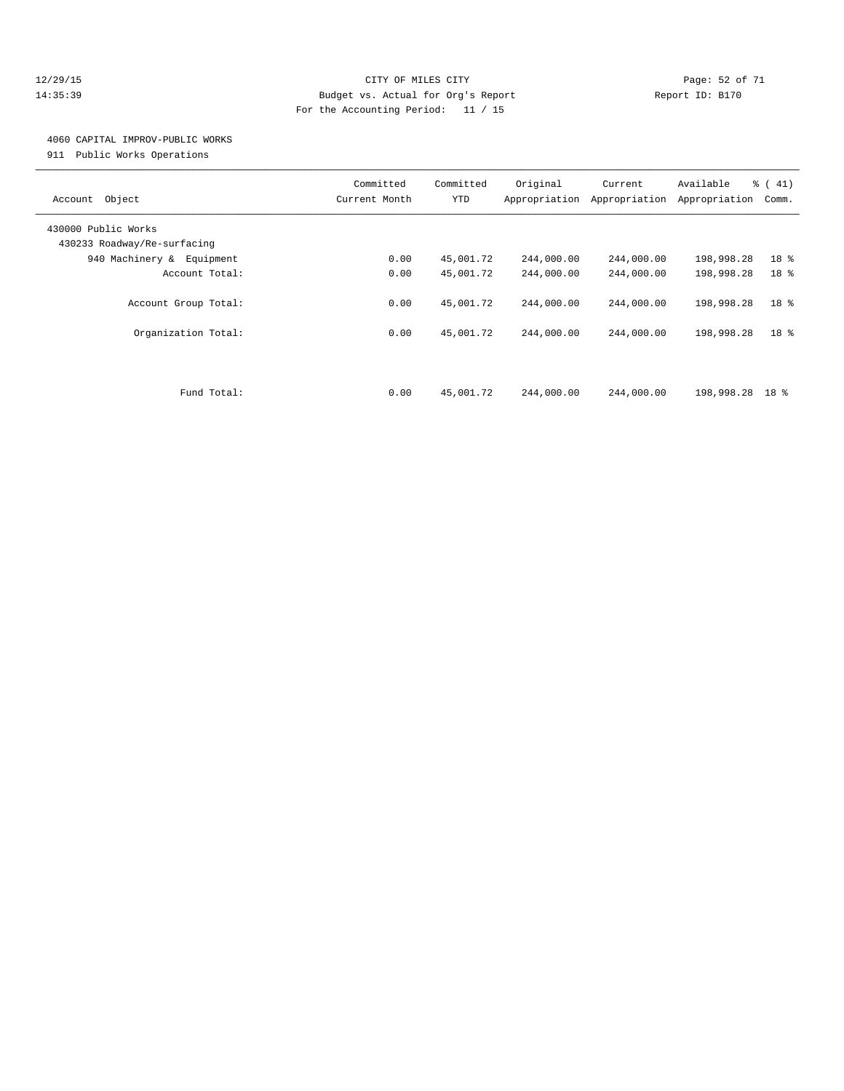#### 12/29/15 **Page: 52 of 71** CITY OF MILES CITY **CITY Page: 52 of 71** 14:35:39 Budget vs. Actual for Org's Report Report ID: B170 For the Accounting Period: 11 / 15

## 4060 CAPITAL IMPROV-PUBLIC WORKS

911 Public Works Operations

| Object<br>Account                                  | Committed<br>Current Month | Committed<br>YTD | Original<br>Appropriation | Current<br>Appropriation | Available<br>Appropriation | % (41)<br>Comm. |
|----------------------------------------------------|----------------------------|------------------|---------------------------|--------------------------|----------------------------|-----------------|
| 430000 Public Works<br>430233 Roadway/Re-surfacing |                            |                  |                           |                          |                            |                 |
| 940 Machinery & Equipment                          | 0.00                       | 45,001.72        | 244,000.00                | 244,000.00               | 198,998.28                 | 18 %            |
| Account Total:                                     | 0.00                       | 45,001.72        | 244,000.00                | 244,000.00               | 198,998.28                 | 18 <sup>8</sup> |
| Account Group Total:                               | 0.00                       | 45,001.72        | 244,000.00                | 244,000.00               | 198,998.28                 | 18 %            |
| Organization Total:                                | 0.00                       | 45,001.72        | 244,000.00                | 244,000.00               | 198,998.28                 | 18 <sup>8</sup> |
|                                                    |                            |                  |                           |                          |                            |                 |
| Fund Total:                                        | 0.00                       | 45,001.72        | 244,000.00                | 244,000.00               | 198,998.28                 | 18 %            |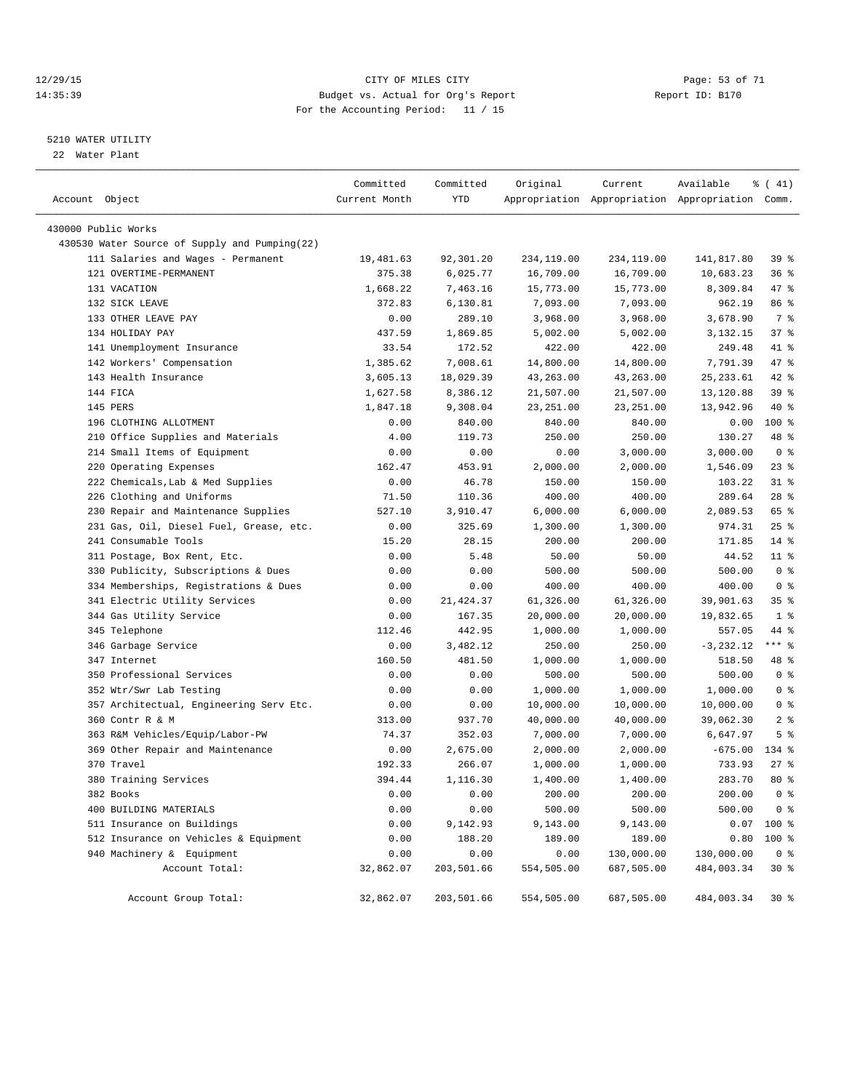#### 12/29/15 Page: 53 of 71 14:35:39 Budget vs. Actual for Org's Report Report ID: B170 For the Accounting Period: 11 / 15

————————————————————————————————————————————————————————————————————————————————————————————————————————————————————————————————————

#### 5210 WATER UTILITY

22 Water Plant

|                                               | Committed     | Committed  | Original   | Current    | Available                                       | $\frac{1}{6}$ ( 41) |
|-----------------------------------------------|---------------|------------|------------|------------|-------------------------------------------------|---------------------|
| Account Object                                | Current Month | YTD        |            |            | Appropriation Appropriation Appropriation Comm. |                     |
| 430000 Public Works                           |               |            |            |            |                                                 |                     |
| 430530 Water Source of Supply and Pumping(22) |               |            |            |            |                                                 |                     |
| 111 Salaries and Wages - Permanent            | 19,481.63     | 92,301.20  | 234,119.00 | 234,119.00 | 141,817.80                                      | 39%                 |
| 121 OVERTIME-PERMANENT                        | 375.38        | 6,025.77   | 16,709.00  | 16,709.00  | 10,683.23                                       | 36%                 |
| 131 VACATION                                  | 1,668.22      | 7,463.16   | 15,773.00  | 15,773.00  | 8,309.84                                        | 47 %                |
| 132 SICK LEAVE                                | 372.83        | 6,130.81   | 7,093.00   | 7,093.00   | 962.19                                          | 86 %                |
| 133 OTHER LEAVE PAY                           | 0.00          | 289.10     | 3,968.00   | 3,968.00   | 3,678.90                                        | 7 %                 |
| 134 HOLIDAY PAY                               | 437.59        | 1,869.85   | 5,002.00   | 5,002.00   | 3,132.15                                        | 37%                 |
| 141 Unemployment Insurance                    | 33.54         | 172.52     | 422.00     | 422.00     | 249.48                                          | 41 %                |
| 142 Workers' Compensation                     | 1,385.62      | 7,008.61   | 14,800.00  | 14,800.00  | 7,791.39                                        | 47 %                |
| 143 Health Insurance                          | 3,605.13      | 18,029.39  | 43,263.00  | 43,263.00  | 25, 233.61                                      | 42 %                |
| 144 FICA                                      | 1,627.58      | 8,386.12   | 21,507.00  | 21,507.00  | 13,120.88                                       | 39 %                |
| 145 PERS                                      | 1,847.18      | 9,308.04   | 23, 251.00 | 23, 251.00 | 13,942.96                                       | 40 %                |
| 196 CLOTHING ALLOTMENT                        | 0.00          | 840.00     | 840.00     | 840.00     | 0.00                                            | 100 %               |
| 210 Office Supplies and Materials             | 4.00          | 119.73     | 250.00     | 250.00     | 130.27                                          | 48 %                |
| 214 Small Items of Equipment                  | 0.00          | 0.00       | 0.00       | 3,000.00   | 3,000.00                                        | 0 <sup>8</sup>      |
| 220 Operating Expenses                        | 162.47        | 453.91     | 2,000.00   | 2,000.00   | 1,546.09                                        | $23$ $%$            |
| 222 Chemicals, Lab & Med Supplies             | 0.00          | 46.78      | 150.00     | 150.00     | 103.22                                          | $31$ %              |
| 226 Clothing and Uniforms                     | 71.50         | 110.36     | 400.00     | 400.00     | 289.64                                          | $28$ %              |
| 230 Repair and Maintenance Supplies           | 527.10        | 3,910.47   | 6,000.00   | 6,000.00   | 2,089.53                                        | 65 %                |
| 231 Gas, Oil, Diesel Fuel, Grease, etc.       | 0.00          | 325.69     | 1,300.00   | 1,300.00   | 974.31                                          | $25$ $%$            |
| 241 Consumable Tools                          | 15.20         | 28.15      | 200.00     | 200.00     | 171.85                                          | $14*$               |
| 311 Postage, Box Rent, Etc.                   | 0.00          | 5.48       | 50.00      | 50.00      | 44.52                                           | $11$ %              |
| 330 Publicity, Subscriptions & Dues           | 0.00          | 0.00       | 500.00     | 500.00     | 500.00                                          | 0 <sup>8</sup>      |
| 334 Memberships, Registrations & Dues         | 0.00          | 0.00       | 400.00     | 400.00     | 400.00                                          | 0 <sup>8</sup>      |
| 341 Electric Utility Services                 | 0.00          | 21,424.37  | 61,326.00  | 61,326.00  | 39,901.63                                       | 35%                 |
| 344 Gas Utility Service                       | 0.00          | 167.35     | 20,000.00  | 20,000.00  | 19,832.65                                       | 1 <sup>8</sup>      |
| 345 Telephone                                 | 112.46        | 442.95     | 1,000.00   | 1,000.00   | 557.05                                          | 44 %                |
| 346 Garbage Service                           | 0.00          | 3,482.12   | 250.00     | 250.00     | $-3, 232.12$                                    | $***$ $_{8}$        |
| 347 Internet                                  | 160.50        | 481.50     | 1,000.00   | 1,000.00   | 518.50                                          | 48 %                |
| 350 Professional Services                     | 0.00          | 0.00       | 500.00     | 500.00     | 500.00                                          | 0 <sup>8</sup>      |
| 352 Wtr/Swr Lab Testing                       | 0.00          | 0.00       | 1,000.00   | 1,000.00   | 1,000.00                                        | 0 <sup>8</sup>      |
| 357 Architectual, Engineering Serv Etc.       | 0.00          | 0.00       | 10,000.00  | 10,000.00  | 10,000.00                                       | 0 <sup>8</sup>      |
| 360 Contr R & M                               | 313.00        | 937.70     | 40,000.00  | 40,000.00  | 39,062.30                                       | 2 <sub>8</sub>      |
| 363 R&M Vehicles/Equip/Labor-PW               | 74.37         | 352.03     | 7,000.00   | 7,000.00   | 6,647.97                                        | 5 <sup>8</sup>      |
| 369 Other Repair and Maintenance              | 0.00          | 2,675.00   | 2,000.00   | 2,000.00   | $-675.00$                                       | 134 %               |
| 370 Travel                                    | 192.33        | 266.07     | 1,000.00   | 1,000.00   | 733.93                                          | $27$ %              |
| 380 Training Services                         | 394.44        | 1,116.30   | 1,400.00   | 1,400.00   | 283.70                                          | $80*$               |
| 382 Books                                     | 0.00          | 0.00       | 200.00     | 200.00     | 200.00                                          | 0 <sup>8</sup>      |
| 400 BUILDING MATERIALS                        | 0.00          | 0.00       | 500.00     | 500.00     | 500.00                                          | 0 <sup>8</sup>      |
| 511 Insurance on Buildings                    | 0.00          | 9,142.93   | 9,143.00   | 9,143.00   |                                                 | $0.07$ 100 %        |
| 512 Insurance on Vehicles & Equipment         | 0.00          | 188.20     | 189.00     | 189.00     | 0.80                                            | 100 %               |
| 940 Machinery & Equipment                     | 0.00          | 0.00       | 0.00       | 130,000.00 | 130,000.00                                      | 0 <sup>8</sup>      |
| Account Total:                                | 32,862.07     | 203,501.66 | 554,505.00 | 687,505.00 | 484,003.34                                      | $30*$               |
| Account Group Total:                          | 32,862.07     | 203,501.66 | 554,505.00 | 687,505.00 | 484,003.34                                      | $30*$               |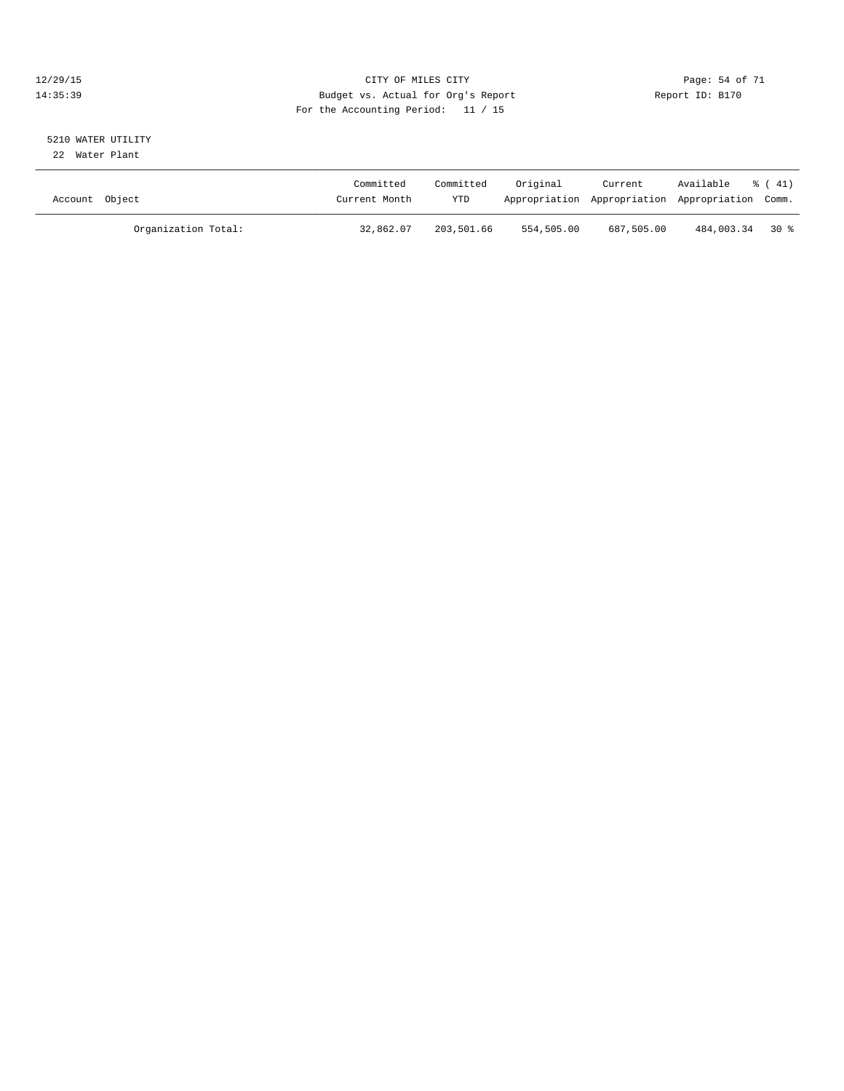#### 12/29/15 Page: 54 of 71 14:35:39 Budget vs. Actual for Org's Report Report ID: B170 For the Accounting Period: 11 / 15

# 5210 WATER UTILITY

22 Water Plant

| Account Object |                     | Committed<br>Current Month | Committed<br>YTD | Original   | Current    | Available<br>Appropriation Appropriation Appropriation Comm. | $\frac{1}{6}$ ( 41) |
|----------------|---------------------|----------------------------|------------------|------------|------------|--------------------------------------------------------------|---------------------|
|                | Organization Total: | 32,862.07                  | 203,501.66       | 554,505.00 | 687,505.00 | 484,003.34 30 %                                              |                     |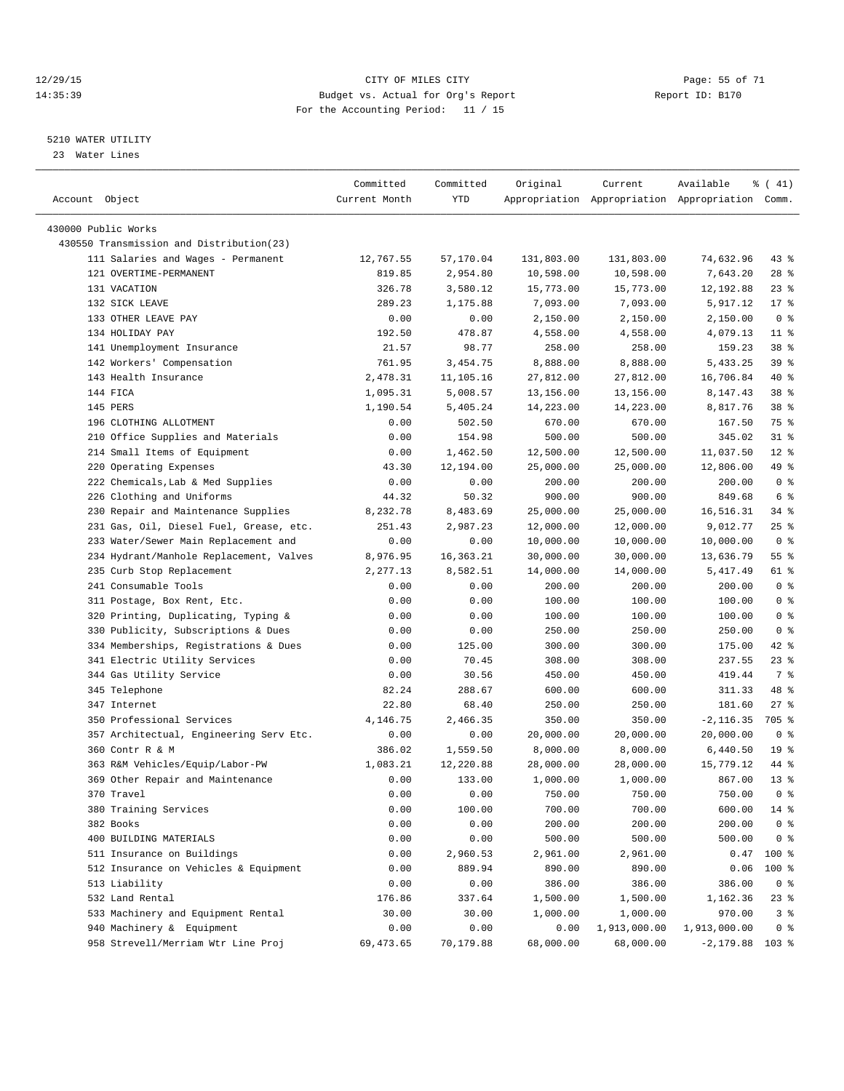#### 12/29/15 Page: 55 of 71 14:35:39 Budget vs. Actual for Org's Report Report ID: B170 For the Accounting Period: 11 / 15

————————————————————————————————————————————————————————————————————————————————————————————————————————————————————————————————————

#### 5210 WATER UTILITY

23 Water Lines

|                                          | Committed      | Committed | Original   | Current      | Available                                       | $\frac{1}{6}$ ( 41) |
|------------------------------------------|----------------|-----------|------------|--------------|-------------------------------------------------|---------------------|
| Account Object                           | Current Month  | YTD       |            |              | Appropriation Appropriation Appropriation Comm. |                     |
| 430000 Public Works                      |                |           |            |              |                                                 |                     |
| 430550 Transmission and Distribution(23) |                |           |            |              |                                                 |                     |
| 111 Salaries and Wages - Permanent       | 12,767.55      | 57,170.04 | 131,803.00 | 131,803.00   | 74,632.96                                       | $43$ %              |
| 121 OVERTIME-PERMANENT                   | 819.85         | 2,954.80  |            | 10,598.00    | 7,643.20                                        | $28$ %              |
| 131 VACATION                             |                |           | 10,598.00  |              |                                                 | $23$ $%$            |
| 132 SICK LEAVE                           | 326.78         | 3,580.12  | 15,773.00  | 15,773.00    | 12,192.88                                       | $17*$               |
| 133 OTHER LEAVE PAY                      | 289.23<br>0.00 | 1,175.88  | 7,093.00   | 7,093.00     | 5,917.12                                        | 0 <sup>8</sup>      |
|                                          | 192.50         | 0.00      | 2,150.00   | 2,150.00     | 2,150.00                                        |                     |
| 134 HOLIDAY PAY                          |                | 478.87    | 4,558.00   | 4,558.00     | 4,079.13                                        | $11$ %              |
| 141 Unemployment Insurance               | 21.57          | 98.77     | 258.00     | 258.00       | 159.23                                          | 38 <sup>8</sup>     |
| 142 Workers' Compensation                | 761.95         | 3,454.75  | 8,888.00   | 8,888.00     | 5,433.25                                        | 39 %                |
| 143 Health Insurance                     | 2,478.31       | 11,105.16 | 27,812.00  | 27,812.00    | 16,706.84                                       | 40 %                |
| 144 FICA                                 | 1,095.31       | 5,008.57  | 13,156.00  | 13,156.00    | 8,147.43                                        | 38 %                |
| 145 PERS                                 | 1,190.54       | 5,405.24  | 14,223.00  | 14,223.00    | 8,817.76                                        | 38 <sup>8</sup>     |
| 196 CLOTHING ALLOTMENT                   | 0.00           | 502.50    | 670.00     | 670.00       | 167.50                                          | 75 %                |
| 210 Office Supplies and Materials        | 0.00           | 154.98    | 500.00     | 500.00       | 345.02                                          | $31$ $%$            |
| 214 Small Items of Equipment             | 0.00           | 1,462.50  | 12,500.00  | 12,500.00    | 11,037.50                                       | $12*$               |
| 220 Operating Expenses                   | 43.30          | 12,194.00 | 25,000.00  | 25,000.00    | 12,806.00                                       | 49 %                |
| 222 Chemicals, Lab & Med Supplies        | 0.00           | 0.00      | 200.00     | 200.00       | 200.00                                          | 0 <sup>8</sup>      |
| 226 Clothing and Uniforms                | 44.32          | 50.32     | 900.00     | 900.00       | 849.68                                          | $6\degree$          |
| 230 Repair and Maintenance Supplies      | 8,232.78       | 8,483.69  | 25,000.00  | 25,000.00    | 16,516.31                                       | 34 %                |
| 231 Gas, Oil, Diesel Fuel, Grease, etc.  | 251.43         | 2,987.23  | 12,000.00  | 12,000.00    | 9,012.77                                        | $25$ %              |
| 233 Water/Sewer Main Replacement and     | 0.00           | 0.00      | 10,000.00  | 10,000.00    | 10,000.00                                       | 0 <sup>8</sup>      |
| 234 Hydrant/Manhole Replacement, Valves  | 8,976.95       | 16,363.21 | 30,000.00  | 30,000.00    | 13,636.79                                       | 55%                 |
| 235 Curb Stop Replacement                | 2,277.13       | 8,582.51  | 14,000.00  | 14,000.00    | 5,417.49                                        | 61 %                |
| 241 Consumable Tools                     | 0.00           | 0.00      | 200.00     | 200.00       | 200.00                                          | 0 <sup>8</sup>      |
| 311 Postage, Box Rent, Etc.              | 0.00           | 0.00      | 100.00     | 100.00       | 100.00                                          | 0 <sup>8</sup>      |
| 320 Printing, Duplicating, Typing &      | 0.00           | 0.00      | 100.00     | 100.00       | 100.00                                          | 0 <sup>8</sup>      |
| 330 Publicity, Subscriptions & Dues      | 0.00           | 0.00      | 250.00     | 250.00       | 250.00                                          | 0 <sup>8</sup>      |
| 334 Memberships, Registrations & Dues    | 0.00           | 125.00    | 300.00     | 300.00       | 175.00                                          | $42$ %              |
| 341 Electric Utility Services            | 0.00           | 70.45     | 308.00     | 308.00       | 237.55                                          | 23 %                |
| 344 Gas Utility Service                  | 0.00           | 30.56     | 450.00     | 450.00       | 419.44                                          | 7 %                 |
| 345 Telephone                            | 82.24          | 288.67    | 600.00     | 600.00       | 311.33                                          | 48 %                |
| 347 Internet                             | 22.80          | 68.40     | 250.00     | 250.00       | 181.60                                          | $27$ %              |
| 350 Professional Services                | 4,146.75       | 2,466.35  | 350.00     | 350.00       | $-2, 116.35$                                    | 705 %               |
| 357 Architectual, Engineering Serv Etc.  | 0.00           | 0.00      | 20,000.00  | 20,000.00    | 20,000.00                                       | 0 <sup>8</sup>      |
| 360 Contr R & M                          | 386.02         | 1,559.50  | 8,000.00   | 8,000.00     | 6,440.50                                        | 19 <sup>°</sup>     |
| 363 R&M Vehicles/Equip/Labor-PW          | 1,083.21       | 12,220.88 | 28,000.00  | 28,000.00    | 15,779.12                                       | 44 %                |
| 369 Other Repair and Maintenance         | 0.00           | 133.00    | 1,000.00   | 1,000.00     | 867.00                                          | $13*$               |
| 370 Travel                               | 0.00           | 0.00      | 750.00     | 750.00       | 750.00                                          | 0 <sup>8</sup>      |
| 380 Training Services                    | 0.00           | 100.00    | 700.00     | 700.00       | 600.00                                          | 14 %                |
| 382 Books                                | 0.00           | 0.00      | 200.00     | 200.00       | 200.00                                          | 0 <sup>8</sup>      |
| 400 BUILDING MATERIALS                   | 0.00           | 0.00      | 500.00     | 500.00       | 500.00                                          | 0 <sup>8</sup>      |
| 511 Insurance on Buildings               | 0.00           | 2,960.53  | 2,961.00   | 2,961.00     | 0.47                                            | 100 %               |
| 512 Insurance on Vehicles & Equipment    | 0.00           | 889.94    | 890.00     | 890.00       | 0.06                                            | 100 %               |
| 513 Liability                            | 0.00           | 0.00      | 386.00     | 386.00       | 386.00                                          | 0 <sup>8</sup>      |
| 532 Land Rental                          | 176.86         | 337.64    | 1,500.00   | 1,500.00     | 1,162.36                                        | 23 %                |
| 533 Machinery and Equipment Rental       | 30.00          | 30.00     | 1,000.00   | 1,000.00     | 970.00                                          | 3 <sup>°</sup>      |
| 940 Machinery & Equipment                | 0.00           | 0.00      | 0.00       | 1,913,000.00 | 1,913,000.00                                    | 0 <sup>8</sup>      |
| 958 Strevell/Merriam Wtr Line Proj       | 69, 473.65     | 70,179.88 | 68,000.00  | 68,000.00    | $-2,179.88$ 103 %                               |                     |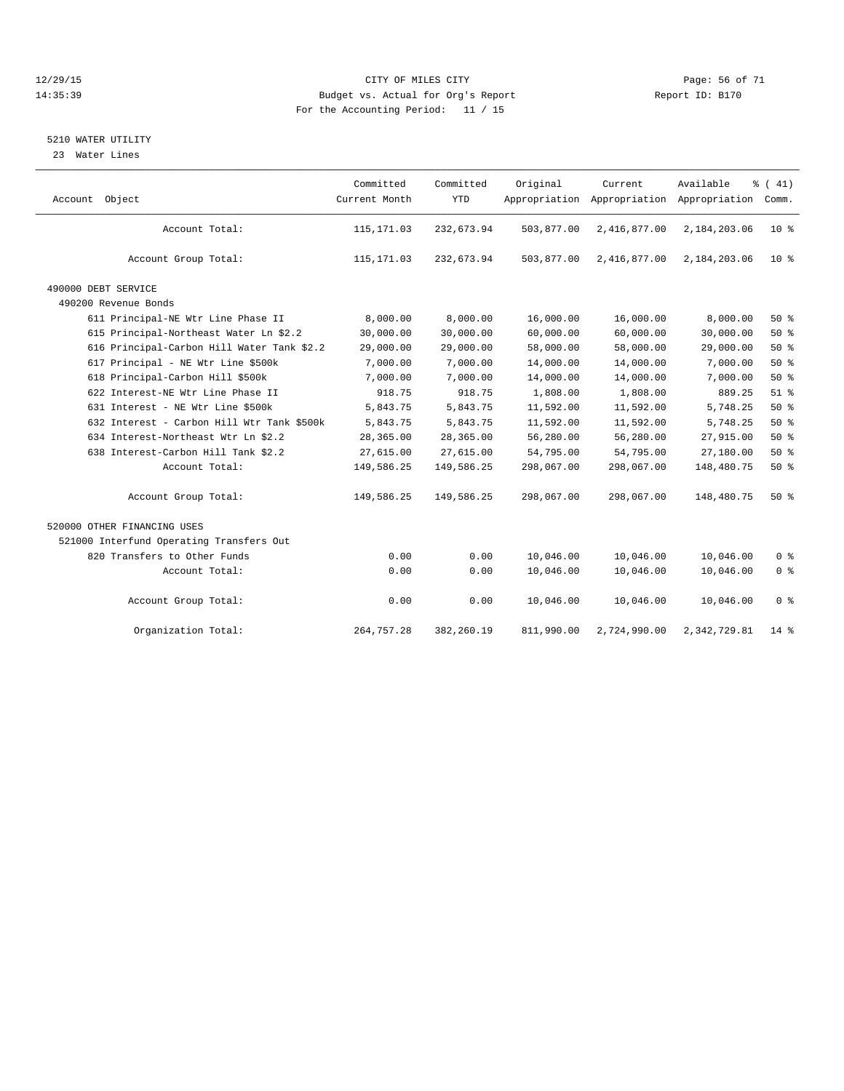#### 12/29/15 Page: 56 of 71 14:35:39 Budget vs. Actual for Org's Report Report ID: B170 For the Accounting Period: 11 / 15

#### 5210 WATER UTILITY

23 Water Lines

| Account Object                             | Committed<br>Current Month | Committed<br><b>YTD</b> | Original<br>Appropriation | Current<br>Appropriation | Available<br>Appropriation | % (41)<br>Comm. |
|--------------------------------------------|----------------------------|-------------------------|---------------------------|--------------------------|----------------------------|-----------------|
| Account Total:                             | 115, 171.03                | 232,673.94              | 503,877.00                | 2,416,877.00             | 2,184,203.06               | $10*$           |
| Account Group Total:                       | 115, 171.03                | 232,673.94              | 503,877.00                | 2,416,877.00             | 2,184,203.06               | $10*$           |
| 490000 DEBT SERVICE                        |                            |                         |                           |                          |                            |                 |
| 490200 Revenue Bonds                       |                            |                         |                           |                          |                            |                 |
| 611 Principal-NE Wtr Line Phase II         | 8,000.00                   | 8,000.00                | 16,000.00                 | 16,000.00                | 8,000.00                   | $50*$           |
| 615 Principal-Northeast Water Ln \$2.2     | 30,000.00                  | 30,000.00               | 60,000.00                 | 60,000.00                | 30,000.00                  | 50%             |
| 616 Principal-Carbon Hill Water Tank \$2.2 | 29,000.00                  | 29,000.00               | 58,000.00                 | 58,000.00                | 29,000.00                  | $50*$           |
| 617 Principal - NE Wtr Line \$500k         | 7,000.00                   | 7,000.00                | 14,000.00                 | 14,000.00                | 7,000.00                   | 50%             |
| 618 Principal-Carbon Hill \$500k           | 7,000.00                   | 7,000.00                | 14,000.00                 | 14,000.00                | 7,000.00                   | 50%             |
| 622 Interest-NE Wtr Line Phase II          | 918.75                     | 918.75                  | 1,808.00                  | 1,808.00                 | 889.25                     | 51 <sup>8</sup> |
| 631 Interest - NE Wtr Line \$500k          | 5,843.75                   | 5,843.75                | 11,592.00                 | 11,592.00                | 5,748.25                   | 50%             |
| 632 Interest - Carbon Hill Wtr Tank \$500k | 5,843.75                   | 5,843.75                | 11,592.00                 | 11,592.00                | 5,748.25                   | 50%             |
| 634 Interest-Northeast Wtr Ln \$2.2        | 28,365.00                  | 28,365.00               | 56,280.00                 | 56,280.00                | 27,915.00                  | $50*$           |
| 638 Interest-Carbon Hill Tank \$2.2        | 27,615.00                  | 27,615.00               | 54,795.00                 | 54,795.00                | 27,180.00                  | 50%             |
| Account Total:                             | 149,586.25                 | 149,586.25              | 298,067.00                | 298,067.00               | 148,480.75                 | 50%             |
| Account Group Total:                       | 149,586.25                 | 149,586.25              | 298,067.00                | 298,067.00               | 148,480.75                 | $50*$           |
| 520000 OTHER FINANCING USES                |                            |                         |                           |                          |                            |                 |
| 521000 Interfund Operating Transfers Out   |                            |                         |                           |                          |                            |                 |
| 820 Transfers to Other Funds               | 0.00                       | 0.00                    | 10,046.00                 | 10,046.00                | 10,046.00                  | 0 <sup>8</sup>  |
| Account Total:                             | 0.00                       | 0.00                    | 10,046.00                 | 10,046.00                | 10,046.00                  | 0 <sup>8</sup>  |
| Account Group Total:                       | 0.00                       | 0.00                    | 10,046.00                 | 10,046.00                | 10,046.00                  | 0 <sup>8</sup>  |
| Organization Total:                        | 264,757.28                 | 382,260.19              | 811,990.00                | 2,724,990.00             | 2,342,729.81               | $14*$           |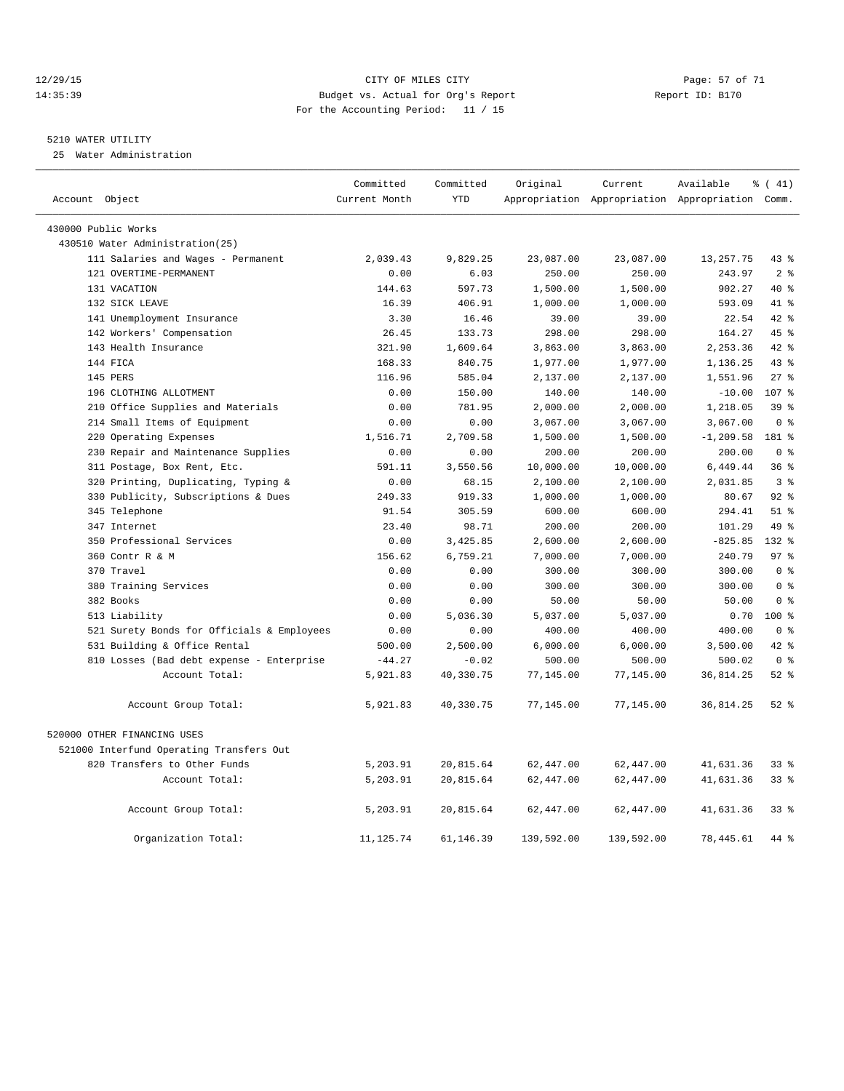#### 12/29/15 Page: 57 of 71 14:35:39 Budget vs. Actual for Org's Report Report ID: B170 For the Accounting Period: 11 / 15

#### 5210 WATER UTILITY

25 Water Administration

| Account Object                             | Committed<br>Current Month | Committed<br><b>YTD</b> | Original   | Current    | Available<br>Appropriation Appropriation Appropriation Comm. | $\frac{1}{6}$ ( 41) |
|--------------------------------------------|----------------------------|-------------------------|------------|------------|--------------------------------------------------------------|---------------------|
|                                            |                            |                         |            |            |                                                              |                     |
| 430000 Public Works                        |                            |                         |            |            |                                                              |                     |
| 430510 Water Administration(25)            |                            |                         |            |            |                                                              |                     |
| 111 Salaries and Wages - Permanent         | 2,039.43                   | 9,829.25                | 23,087.00  | 23,087.00  | 13, 257. 75                                                  | $43$ $%$            |
| 121 OVERTIME-PERMANENT                     | 0.00                       | 6.03                    | 250.00     | 250.00     | 243.97                                                       | 2 <sup>8</sup>      |
| 131 VACATION                               | 144.63                     | 597.73                  | 1,500.00   | 1,500.00   | 902.27                                                       | $40*$               |
| 132 SICK LEAVE                             | 16.39                      | 406.91                  | 1,000.00   | 1,000.00   | 593.09                                                       | 41 %                |
| 141 Unemployment Insurance                 | 3.30                       | 16.46                   | 39.00      | 39.00      | 22.54                                                        | 42 %                |
| 142 Workers' Compensation                  | 26.45                      | 133.73                  | 298.00     | 298.00     | 164.27                                                       | 45%                 |
| 143 Health Insurance                       | 321.90                     | 1,609.64                | 3,863.00   | 3,863.00   | 2,253.36                                                     | 42 %                |
| 144 FICA                                   | 168.33                     | 840.75                  | 1,977.00   | 1,977.00   | 1,136.25                                                     | 43%                 |
| 145 PERS                                   | 116.96                     | 585.04                  | 2,137.00   | 2,137.00   | 1,551.96                                                     | $27$ $%$            |
| 196 CLOTHING ALLOTMENT                     | 0.00                       | 150.00                  | 140.00     | 140.00     | $-10.00$                                                     | 107 %               |
| 210 Office Supplies and Materials          | 0.00                       | 781.95                  | 2,000.00   | 2,000.00   | 1,218.05                                                     | 39 <sup>8</sup>     |
| 214 Small Items of Equipment               | 0.00                       | 0.00                    | 3,067.00   | 3,067.00   | 3,067.00                                                     | 0 <sup>8</sup>      |
| 220 Operating Expenses                     | 1,516.71                   | 2,709.58                | 1,500.00   | 1,500.00   | $-1, 209.58$                                                 | 181 %               |
| 230 Repair and Maintenance Supplies        | 0.00                       | 0.00                    | 200.00     | 200.00     | 200.00                                                       | 0 <sup>8</sup>      |
| 311 Postage, Box Rent, Etc.                | 591.11                     | 3,550.56                | 10,000.00  | 10,000.00  | 6,449.44                                                     | 36 <sup>8</sup>     |
| 320 Printing, Duplicating, Typing &        | 0.00                       | 68.15                   | 2,100.00   | 2,100.00   | 2,031.85                                                     | 3 <sup>°</sup>      |
| 330 Publicity, Subscriptions & Dues        | 249.33                     | 919.33                  | 1,000.00   | 1,000.00   | 80.67                                                        | 92 <sup>°</sup>     |
| 345 Telephone                              | 91.54                      | 305.59                  | 600.00     | 600.00     | 294.41                                                       | $51$ %              |
| 347 Internet                               | 23.40                      | 98.71                   | 200.00     | 200.00     | 101.29                                                       | 49 %                |
| 350 Professional Services                  | 0.00                       | 3,425.85                | 2,600.00   | 2,600.00   | $-825.85$                                                    | $132*$              |
| 360 Contr R & M                            | 156.62                     | 6,759.21                | 7,000.00   | 7,000.00   | 240.79                                                       | 97 <sub>8</sub>     |
| 370 Travel                                 | 0.00                       | 0.00                    | 300.00     | 300.00     | 300.00                                                       | 0 <sup>8</sup>      |
| 380 Training Services                      | 0.00                       | 0.00                    | 300.00     | 300.00     | 300.00                                                       | 0 <sup>8</sup>      |
| 382 Books                                  | 0.00                       | 0.00                    | 50.00      | 50.00      | 50.00                                                        | 0 <sup>8</sup>      |
| 513 Liability                              | 0.00                       | 5,036.30                | 5,037.00   | 5,037.00   | 0.70                                                         | $100*$              |
| 521 Surety Bonds for Officials & Employees | 0.00                       | 0.00                    | 400.00     | 400.00     | 400.00                                                       | 0 <sup>8</sup>      |
| 531 Building & Office Rental               | 500.00                     | 2,500.00                | 6,000.00   | 6,000.00   | 3,500.00                                                     | 42.8                |
| 810 Losses (Bad debt expense - Enterprise  | $-44.27$                   | $-0.02$                 | 500.00     | 500.00     | 500.02                                                       | 0 <sup>8</sup>      |
| Account Total:                             | 5,921.83                   | 40,330.75               | 77,145.00  | 77,145.00  | 36,814.25                                                    | $52$ $%$            |
| Account Group Total:                       | 5,921.83                   | 40,330.75               | 77,145.00  | 77,145.00  | 36,814.25                                                    | $52$ $%$            |
| 520000 OTHER FINANCING USES                |                            |                         |            |            |                                                              |                     |
| 521000 Interfund Operating Transfers Out   |                            |                         |            |            |                                                              |                     |
| 820 Transfers to Other Funds               | 5,203.91                   | 20,815.64               | 62,447.00  | 62,447.00  | 41,631.36                                                    | $33$ $%$            |
| Account Total:                             | 5,203.91                   | 20,815.64               | 62,447.00  | 62,447.00  | 41,631.36                                                    | 33 <sup>8</sup>     |
| Account Group Total:                       | 5,203.91                   | 20,815.64               | 62,447.00  | 62,447.00  | 41,631.36                                                    | $33$ $%$            |
| Organization Total:                        | 11, 125.74                 | 61, 146.39              | 139,592.00 | 139,592.00 | 78,445.61                                                    | 44 %                |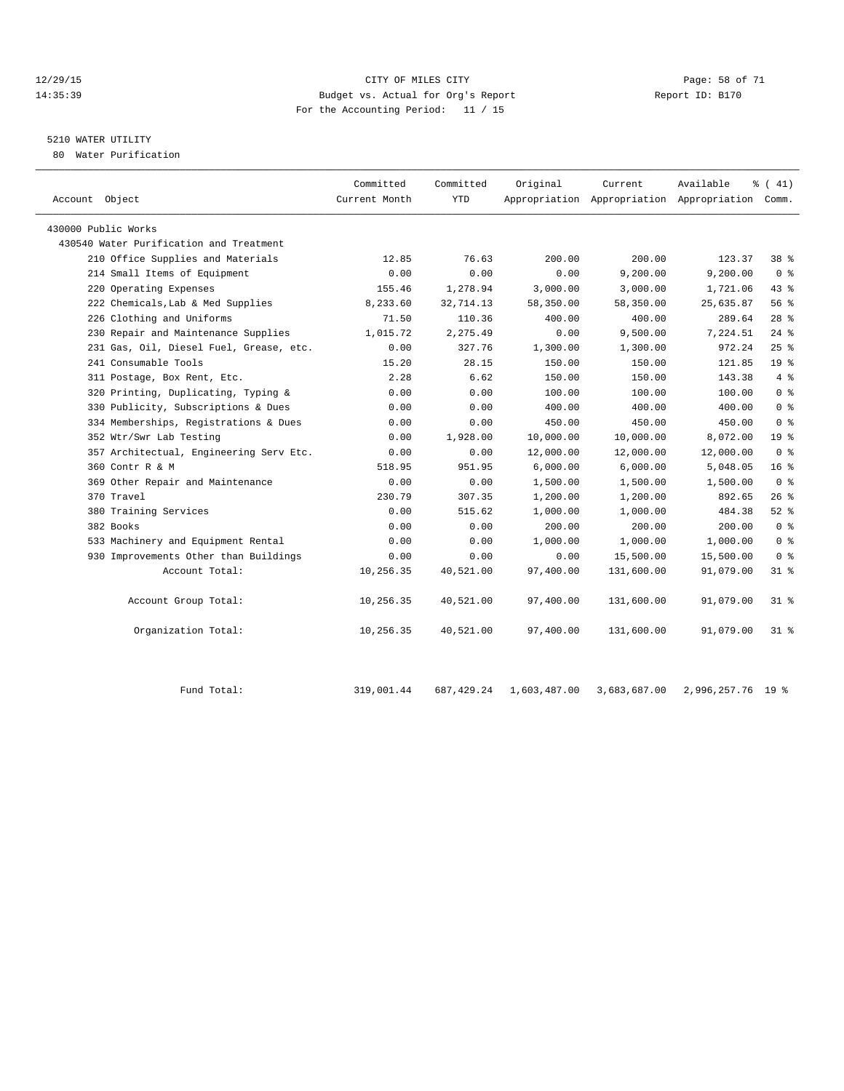#### 12/29/15 Page: 58 of 71 14:35:39 Budget vs. Actual for Org's Report Report ID: B170 For the Accounting Period: 11 / 15

# 5210 WATER UTILITY

80 Water Purification

| Account Object                          | Committed<br>Current Month | Committed<br><b>YTD</b> | Original     | Current      | Available<br>Appropriation Appropriation Appropriation Comm. | % (41)          |
|-----------------------------------------|----------------------------|-------------------------|--------------|--------------|--------------------------------------------------------------|-----------------|
|                                         |                            |                         |              |              |                                                              |                 |
| 430000 Public Works                     |                            |                         |              |              |                                                              |                 |
| 430540 Water Purification and Treatment |                            |                         |              |              |                                                              |                 |
| 210 Office Supplies and Materials       | 12.85                      | 76.63                   | 200.00       | 200.00       | 123.37                                                       | 38 %            |
| 214 Small Items of Equipment            | 0.00                       | 0.00                    | 0.00         | 9,200.00     | 9,200.00                                                     | 0 <sup>8</sup>  |
| 220 Operating Expenses                  | 155.46                     | 1,278.94                | 3,000.00     | 3,000.00     | 1,721.06                                                     | 43 %            |
| 222 Chemicals, Lab & Med Supplies       | 8,233.60                   | 32,714.13               | 58,350.00    | 58,350.00    | 25,635.87                                                    | 56%             |
| 226 Clothing and Uniforms               | 71.50                      | 110.36                  | 400.00       | 400.00       | 289.64                                                       | $28$ %          |
| 230 Repair and Maintenance Supplies     | 1,015.72                   | 2,275.49                | 0.00         | 9,500.00     | 7,224.51                                                     | $24$ %          |
| 231 Gas, Oil, Diesel Fuel, Grease, etc. | 0.00                       | 327.76                  | 1,300.00     | 1,300.00     | 972.24                                                       | 25%             |
| 241 Consumable Tools                    | 15.20                      | 28.15                   | 150.00       | 150.00       | 121.85                                                       | 19 <sup>°</sup> |
| 311 Postage, Box Rent, Etc.             | 2.28                       | 6.62                    | 150.00       | 150.00       | 143.38                                                       | 4%              |
| 320 Printing, Duplicating, Typing &     | 0.00                       | 0.00                    | 100.00       | 100.00       | 100.00                                                       | 0 <sup>8</sup>  |
| 330 Publicity, Subscriptions & Dues     | 0.00                       | 0.00                    | 400.00       | 400.00       | 400.00                                                       | 0 <sup>8</sup>  |
| 334 Memberships, Registrations & Dues   | 0.00                       | 0.00                    | 450.00       | 450.00       | 450.00                                                       | 0 <sup>8</sup>  |
| 352 Wtr/Swr Lab Testing                 | 0.00                       | 1,928.00                | 10,000.00    | 10,000.00    | 8,072.00                                                     | 19 <sup>°</sup> |
| 357 Architectual, Engineering Serv Etc. | 0.00                       | 0.00                    | 12,000.00    | 12,000.00    | 12,000.00                                                    | 0 <sup>8</sup>  |
| 360 Contr R & M                         | 518.95                     | 951.95                  | 6,000.00     | 6,000.00     | 5,048.05                                                     | 16 <sup>8</sup> |
| 369 Other Repair and Maintenance        | 0.00                       | 0.00                    | 1,500.00     | 1,500.00     | 1,500.00                                                     | 0 <sup>8</sup>  |
| 370 Travel                              | 230.79                     | 307.35                  | 1,200.00     | 1,200.00     | 892.65                                                       | $26$ %          |
| 380 Training Services                   | 0.00                       | 515.62                  | 1,000.00     | 1,000.00     | 484.38                                                       | $52$ $%$        |
| 382 Books                               | 0.00                       | 0.00                    | 200.00       | 200.00       | 200.00                                                       | 0 <sup>8</sup>  |
| 533 Machinery and Equipment Rental      | 0.00                       | 0.00                    | 1,000.00     | 1,000.00     | 1,000.00                                                     | 0 <sup>8</sup>  |
| 930 Improvements Other than Buildings   | 0.00                       | 0.00                    | 0.00         | 15,500.00    | 15,500.00                                                    | 0 <sup>8</sup>  |
| Account Total:                          | 10,256.35                  | 40,521.00               | 97,400.00    | 131,600.00   | 91,079.00                                                    | 31 %            |
| Account Group Total:                    | 10,256.35                  | 40,521.00               | 97,400.00    | 131,600.00   | 91,079.00                                                    | $31$ %          |
| Organization Total:                     | 10,256.35                  | 40,521.00               | 97,400.00    | 131,600.00   | 91,079.00                                                    | 31 %            |
| Fund Total:                             | 319,001.44                 | 687, 429.24             | 1,603,487.00 | 3,683,687.00 | 2,996,257.76                                                 | 19 %            |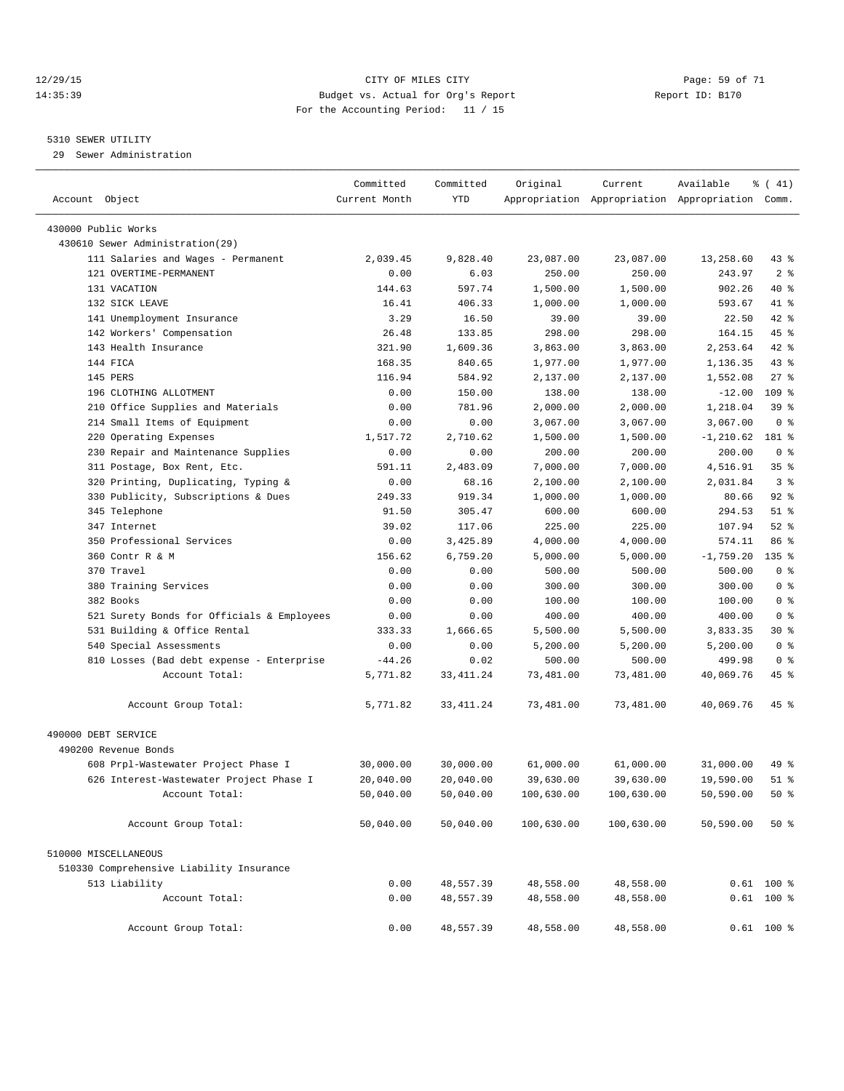#### 12/29/15 Page: 59 of 71 14:35:39 Budget vs. Actual for Org's Report Report ID: B170 For the Accounting Period: 11 / 15

————————————————————————————————————————————————————————————————————————————————————————————————————————————————————————————————————

#### 5310 SEWER UTILITY

29 Sewer Administration

|                                            | Committed     | Committed  | Original   | Current                                         | Available    | $\frac{1}{6}$ ( 41) |
|--------------------------------------------|---------------|------------|------------|-------------------------------------------------|--------------|---------------------|
| Account Object                             | Current Month | <b>YTD</b> |            | Appropriation Appropriation Appropriation Comm. |              |                     |
| 430000 Public Works                        |               |            |            |                                                 |              |                     |
| 430610 Sewer Administration(29)            |               |            |            |                                                 |              |                     |
| 111 Salaries and Wages - Permanent         | 2,039.45      | 9,828.40   | 23,087.00  | 23,087.00                                       | 13,258.60    | 43 %                |
| 121 OVERTIME-PERMANENT                     | 0.00          | 6.03       | 250.00     | 250.00                                          | 243.97       | 2 <sup>8</sup>      |
| 131 VACATION                               | 144.63        | 597.74     | 1,500.00   | 1,500.00                                        | 902.26       | 40 %                |
| 132 SICK LEAVE                             | 16.41         | 406.33     | 1,000.00   | 1,000.00                                        | 593.67       | 41 %                |
| 141 Unemployment Insurance                 | 3.29          | 16.50      | 39.00      | 39.00                                           | 22.50        | 42 %                |
| 142 Workers' Compensation                  | 26.48         | 133.85     | 298.00     | 298.00                                          | 164.15       | 45 %                |
| 143 Health Insurance                       | 321.90        | 1,609.36   | 3,863.00   | 3,863.00                                        | 2,253.64     | 42 %                |
| 144 FICA                                   | 168.35        | 840.65     | 1,977.00   | 1,977.00                                        | 1,136.35     | 43 %                |
| 145 PERS                                   | 116.94        | 584.92     | 2,137.00   | 2,137.00                                        | 1,552.08     | $27$ %              |
| 196 CLOTHING ALLOTMENT                     | 0.00          | 150.00     | 138.00     | 138.00                                          | $-12.00$     | $109$ %             |
| 210 Office Supplies and Materials          | 0.00          | 781.96     | 2,000.00   | 2,000.00                                        | 1,218.04     | 39 %                |
| 214 Small Items of Equipment               | 0.00          | 0.00       | 3,067.00   | 3,067.00                                        | 3,067.00     | 0 <sup>8</sup>      |
| 220 Operating Expenses                     | 1,517.72      | 2,710.62   | 1,500.00   | 1,500.00                                        | $-1, 210.62$ | 181 %               |
| 230 Repair and Maintenance Supplies        | 0.00          | 0.00       | 200.00     | 200.00                                          | 200.00       | 0 <sup>8</sup>      |
| 311 Postage, Box Rent, Etc.                | 591.11        | 2,483.09   | 7,000.00   | 7,000.00                                        | 4,516.91     | 35 <sup>8</sup>     |
| 320 Printing, Duplicating, Typing &        | 0.00          | 68.16      | 2,100.00   | 2,100.00                                        | 2,031.84     | 3 <sup>8</sup>      |
| 330 Publicity, Subscriptions & Dues        | 249.33        | 919.34     | 1,000.00   | 1,000.00                                        | 80.66        | $92$ $%$            |
| 345 Telephone                              | 91.50         | 305.47     | 600.00     | 600.00                                          | 294.53       | $51$ %              |
| 347 Internet                               | 39.02         | 117.06     | 225.00     | 225.00                                          | 107.94       | $52$ $%$            |
| 350 Professional Services                  | 0.00          | 3,425.89   | 4,000.00   | 4,000.00                                        | 574.11       | 86 %                |
| 360 Contr R & M                            | 156.62        | 6,759.20   | 5,000.00   | 5,000.00                                        | $-1,759.20$  | $135$ %             |
| 370 Travel                                 | 0.00          | 0.00       | 500.00     | 500.00                                          | 500.00       | 0 <sup>8</sup>      |
| 380 Training Services                      | 0.00          | 0.00       | 300.00     | 300.00                                          | 300.00       | 0 <sup>8</sup>      |
| 382 Books                                  | 0.00          | 0.00       | 100.00     | 100.00                                          | 100.00       | 0 <sup>8</sup>      |
| 521 Surety Bonds for Officials & Employees | 0.00          | 0.00       | 400.00     | 400.00                                          | 400.00       | 0 <sup>8</sup>      |
| 531 Building & Office Rental               | 333.33        | 1,666.65   | 5,500.00   | 5,500.00                                        | 3,833.35     | 30 %                |
| 540 Special Assessments                    | 0.00          | 0.00       | 5,200.00   | 5,200.00                                        | 5,200.00     | 0 <sup>8</sup>      |
| 810 Losses (Bad debt expense - Enterprise  | $-44.26$      | 0.02       | 500.00     | 500.00                                          | 499.98       | 0 <sup>8</sup>      |
| Account Total:                             | 5,771.82      | 33, 411.24 | 73,481.00  | 73,481.00                                       | 40,069.76    | 45 %                |
|                                            |               |            |            |                                                 |              |                     |
| Account Group Total:                       | 5,771.82      | 33, 411.24 | 73,481.00  | 73,481.00                                       | 40,069.76    | 45 %                |
| 490000 DEBT SERVICE                        |               |            |            |                                                 |              |                     |
| 490200 Revenue Bonds                       |               |            |            |                                                 |              |                     |
| 608 Prpl-Wastewater Project Phase I        | 30,000.00     | 30,000.00  | 61,000.00  | 61,000.00                                       | 31,000.00    | 49 %                |
| 626 Interest-Wastewater Project Phase I    | 20,040.00     | 20,040.00  | 39,630.00  | 39,630.00                                       | 19,590.00    | $51$ %              |
| Account Total:                             | 50,040.00     | 50,040.00  | 100,630.00 | 100,630.00                                      | 50,590.00    | $50*$               |
| Account Group Total:                       | 50,040.00     | 50,040.00  | 100,630.00 | 100,630.00                                      | 50,590.00    | $50*$               |
| 510000 MISCELLANEOUS                       |               |            |            |                                                 |              |                     |
| 510330 Comprehensive Liability Insurance   |               |            |            |                                                 |              |                     |
| 513 Liability                              | 0.00          | 48,557.39  | 48,558.00  | 48,558.00                                       |              | $0.61$ 100 %        |
| Account Total:                             | 0.00          | 48,557.39  | 48,558.00  | 48,558.00                                       |              | $0.61$ 100 %        |
| Account Group Total:                       | 0.00          | 48,557.39  | 48,558.00  | 48,558.00                                       |              | $0.61$ 100 %        |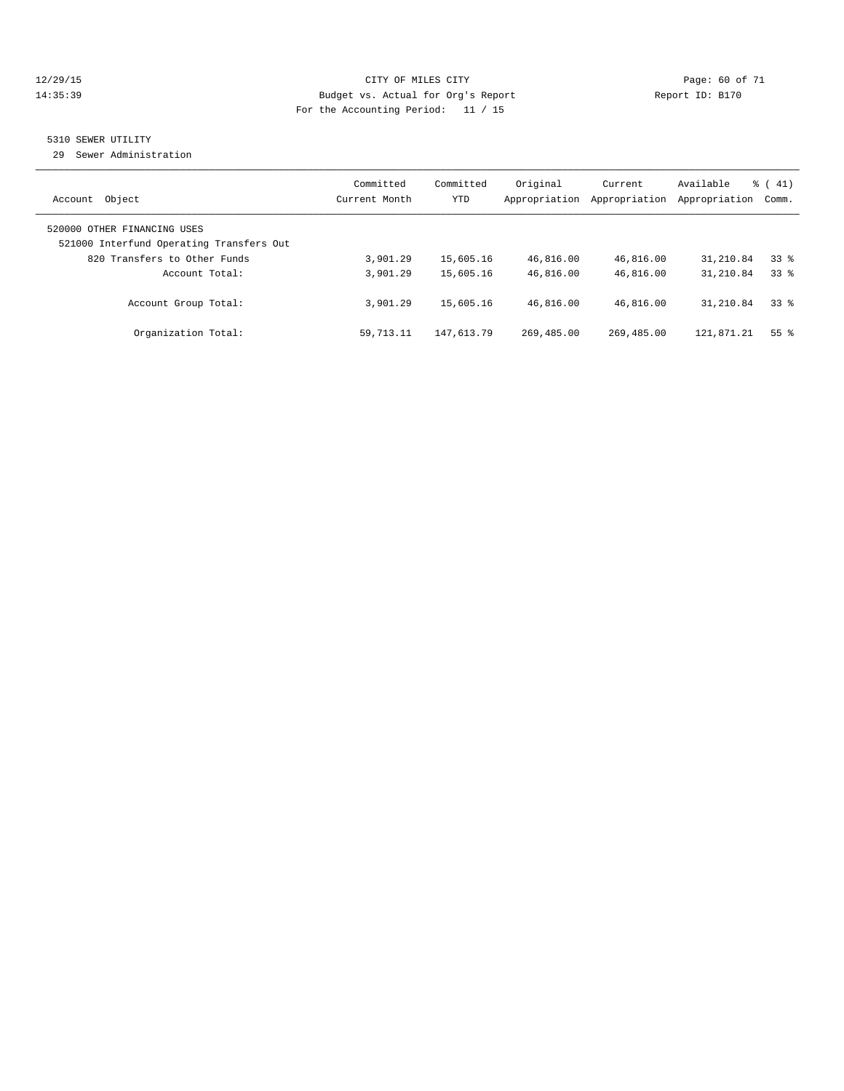#### 12/29/15 **Page: 60 of 71** CITY OF MILES CITY **Page: 60 of 71** 14:35:39 Budget vs. Actual for Org's Report Report ID: B170 For the Accounting Period: 11 / 15

# 5310 SEWER UTILITY

29 Sewer Administration

| Object<br>Account                                                       | Committed<br>Current Month | Committed<br><b>YTD</b> | Original<br>Appropriation | Current<br>Appropriation | Available<br>Appropriation | $\frac{1}{6}$ ( 41)<br>Comm. |
|-------------------------------------------------------------------------|----------------------------|-------------------------|---------------------------|--------------------------|----------------------------|------------------------------|
| 520000 OTHER FINANCING USES<br>521000 Interfund Operating Transfers Out |                            |                         |                           |                          |                            |                              |
| 820 Transfers to Other Funds<br>Account Total:                          | 3,901.29<br>3,901.29       | 15,605.16<br>15,605.16  | 46,816.00<br>46,816.00    | 46,816.00<br>46,816.00   | 31,210.84<br>31,210.84     | 338<br>338                   |
| Account Group Total:                                                    | 3,901.29                   | 15,605.16               | 46,816.00                 | 46,816.00                | 31,210.84                  | 338                          |
| Organization Total:                                                     | 59,713.11                  | 147,613.79              | 269,485.00                | 269,485.00               | 121,871.21                 | 55 <sup>8</sup>              |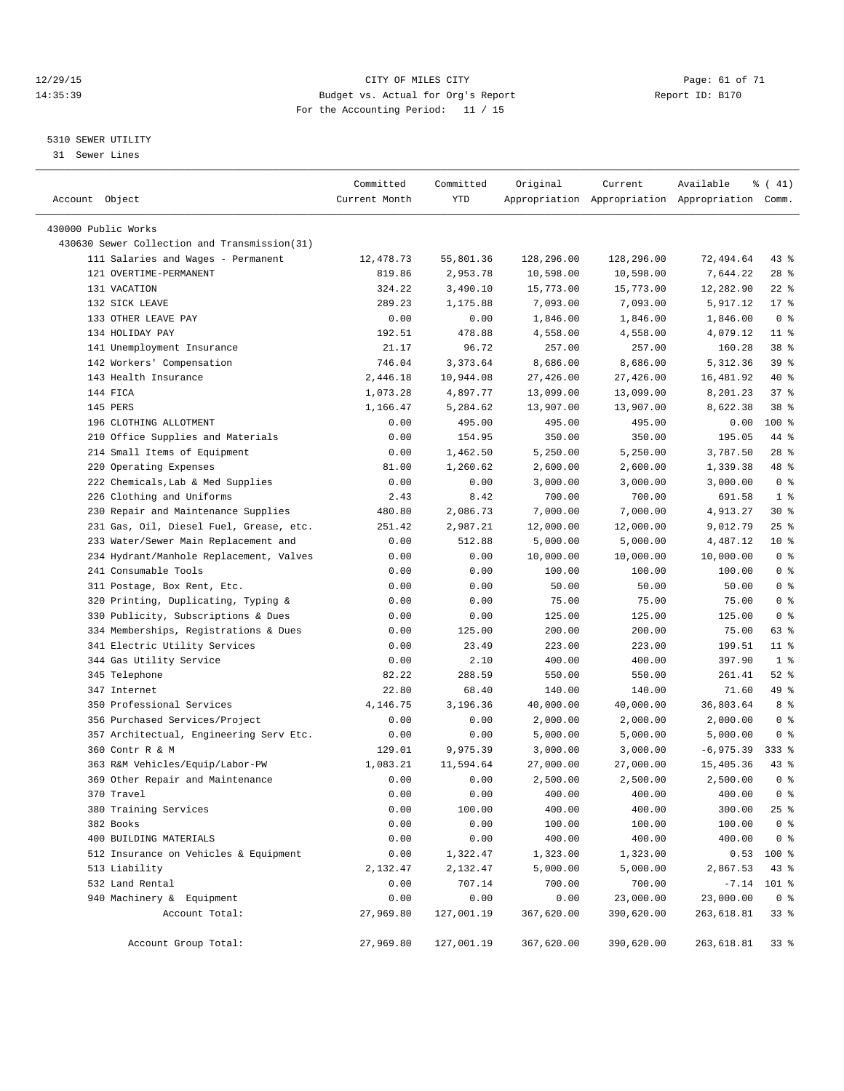#### 12/29/15 Page: 61 of 71 14:35:39 Budget vs. Actual for Org's Report Report ID: B170 For the Accounting Period: 11 / 15

————————————————————————————————————————————————————————————————————————————————————————————————————————————————————————————————————

#### 5310 SEWER UTILITY

31 Sewer Lines

| Account Object                               | Committed<br>Current Month | Committed<br>YTD | Original   | Current    | Available<br>Appropriation Appropriation Appropriation Comm. | % (41)         |
|----------------------------------------------|----------------------------|------------------|------------|------------|--------------------------------------------------------------|----------------|
| 430000 Public Works                          |                            |                  |            |            |                                                              |                |
| 430630 Sewer Collection and Transmission(31) |                            |                  |            |            |                                                              |                |
| 111 Salaries and Wages - Permanent           | 12,478.73                  | 55,801.36        | 128,296.00 | 128,296.00 | 72,494.64                                                    | 43 %           |
| 121 OVERTIME-PERMANENT                       | 819.86                     | 2,953.78         | 10,598.00  | 10,598.00  | 7,644.22                                                     | $28$ %         |
| 131 VACATION                                 | 324.22                     | 3,490.10         | 15,773.00  | 15,773.00  | 12,282.90                                                    | $22$ %         |
| 132 SICK LEAVE                               | 289.23                     | 1,175.88         | 7,093.00   | 7,093.00   | 5,917.12                                                     | $17*$          |
| 133 OTHER LEAVE PAY                          | 0.00                       | 0.00             | 1,846.00   | 1,846.00   | 1,846.00                                                     | 0 <sup>8</sup> |
| 134 HOLIDAY PAY                              | 192.51                     | 478.88           | 4,558.00   | 4,558.00   | 4,079.12                                                     | $11*$          |
| 141 Unemployment Insurance                   | 21.17                      | 96.72            | 257.00     | 257.00     | 160.28                                                       | 38 %           |
| 142 Workers' Compensation                    | 746.04                     | 3,373.64         | 8,686.00   | 8,686.00   | 5,312.36                                                     | 39 %           |
| 143 Health Insurance                         | 2,446.18                   | 10,944.08        | 27,426.00  | 27,426.00  | 16,481.92                                                    | 40 %           |
| 144 FICA                                     | 1,073.28                   | 4,897.77         | 13,099.00  | 13,099.00  | 8,201.23                                                     | 37%            |
| 145 PERS                                     | 1,166.47                   | 5,284.62         | 13,907.00  | 13,907.00  | 8,622.38                                                     | 38 %           |
| 196 CLOTHING ALLOTMENT                       | 0.00                       | 495.00           | 495.00     | 495.00     | 0.00                                                         | $100*$         |
| 210 Office Supplies and Materials            | 0.00                       | 154.95           | 350.00     | 350.00     | 195.05                                                       | 44 %           |
| 214 Small Items of Equipment                 | 0.00                       | 1,462.50         | 5,250.00   | 5,250.00   | 3,787.50                                                     | $28$ %         |
| 220 Operating Expenses                       | 81.00                      | 1,260.62         | 2,600.00   | 2,600.00   | 1,339.38                                                     | 48 %           |
| 222 Chemicals, Lab & Med Supplies            | 0.00                       | 0.00             | 3,000.00   | 3,000.00   | 3,000.00                                                     | 0 <sup>8</sup> |
| 226 Clothing and Uniforms                    | 2.43                       | 8.42             | 700.00     | 700.00     | 691.58                                                       | 1 <sup>8</sup> |
| 230 Repair and Maintenance Supplies          | 480.80                     | 2,086.73         | 7,000.00   | 7,000.00   | 4,913.27                                                     | $30*$          |
| 231 Gas, Oil, Diesel Fuel, Grease, etc.      | 251.42                     | 2,987.21         | 12,000.00  | 12,000.00  | 9,012.79                                                     | $25$ %         |
| 233 Water/Sewer Main Replacement and         | 0.00                       | 512.88           | 5,000.00   | 5,000.00   | 4,487.12                                                     | $10*$          |
| 234 Hydrant/Manhole Replacement, Valves      | 0.00                       | 0.00             | 10,000.00  | 10,000.00  | 10,000.00                                                    | 0 <sup>8</sup> |
| 241 Consumable Tools                         | 0.00                       | 0.00             | 100.00     | 100.00     | 100.00                                                       | 0 <sup>8</sup> |
| 311 Postage, Box Rent, Etc.                  | 0.00                       | 0.00             | 50.00      | 50.00      | 50.00                                                        | 0 <sup>8</sup> |
| 320 Printing, Duplicating, Typing &          | 0.00                       | 0.00             | 75.00      | 75.00      | 75.00                                                        | 0 <sup>8</sup> |
| 330 Publicity, Subscriptions & Dues          | 0.00                       | 0.00             | 125.00     | 125.00     | 125.00                                                       | 0 <sup>8</sup> |
| 334 Memberships, Registrations & Dues        | 0.00                       | 125.00           | 200.00     | 200.00     | 75.00                                                        | 63 %           |
| 341 Electric Utility Services                | 0.00                       | 23.49            | 223.00     | 223.00     | 199.51                                                       | $11$ %         |
| 344 Gas Utility Service                      | 0.00                       | 2.10             | 400.00     | 400.00     | 397.90                                                       | 1 <sup>8</sup> |
| 345 Telephone                                | 82.22                      | 288.59           | 550.00     | 550.00     | 261.41                                                       | $52$ $%$       |
| 347 Internet                                 | 22.80                      | 68.40            | 140.00     | 140.00     | 71.60                                                        | 49 %           |
| 350 Professional Services                    | 4,146.75                   | 3,196.36         | 40,000.00  | 40,000.00  | 36,803.64                                                    | 8 %            |
| 356 Purchased Services/Project               | 0.00                       | 0.00             | 2,000.00   | 2,000.00   | 2,000.00                                                     | 0 <sup>8</sup> |
| 357 Architectual, Engineering Serv Etc.      | 0.00                       | 0.00             | 5,000.00   | 5,000.00   | 5,000.00                                                     | 0 <sup>8</sup> |
| 360 Contr R & M                              | 129.01                     | 9,975.39         | 3,000.00   | 3,000.00   | $-6,975.39$                                                  | $333$ $%$      |
| 363 R&M Vehicles/Equip/Labor-PW              | 1,083.21                   | 11,594.64        | 27,000.00  | 27,000.00  | 15,405.36                                                    | $43$ %         |
| 369 Other Repair and Maintenance             | 0.00                       | 0.00             | 2,500.00   | 2,500.00   | 2,500.00                                                     | 0 <sup>8</sup> |
| 370 Travel                                   | 0.00                       | 0.00             | 400.00     | 400.00     | 400.00                                                       | $0$ %          |
| 380 Training Services                        | 0.00                       | 100.00           | 400.00     | 400.00     | 300.00                                                       | $25$ $%$       |
| 382 Books                                    | 0.00                       | 0.00             | 100.00     | 100.00     | 100.00                                                       | 0 <sup>8</sup> |
| 400 BUILDING MATERIALS                       | 0.00                       | 0.00             | 400.00     | 400.00     | 400.00                                                       | 0 <sup>8</sup> |
| 512 Insurance on Vehicles & Equipment        | 0.00                       | 1,322.47         | 1,323.00   | 1,323.00   | 0.53                                                         | 100 %          |
| 513 Liability                                | 2,132.47                   | 2,132.47         | 5,000.00   | 5,000.00   | 2,867.53                                                     | 43 %           |
| 532 Land Rental                              | 0.00                       | 707.14           | 700.00     | 700.00     | $-7.14$                                                      | 101 %          |
| 940 Machinery & Equipment                    | 0.00                       | 0.00             | 0.00       | 23,000.00  | 23,000.00                                                    | 0 <sup>8</sup> |
| Account Total:                               | 27,969.80                  | 127,001.19       | 367,620.00 | 390,620.00 | 263,618.81                                                   | 33%            |
| Account Group Total:                         | 27,969.80                  | 127,001.19       | 367,620.00 | 390,620.00 | 263,618.81                                                   | 338            |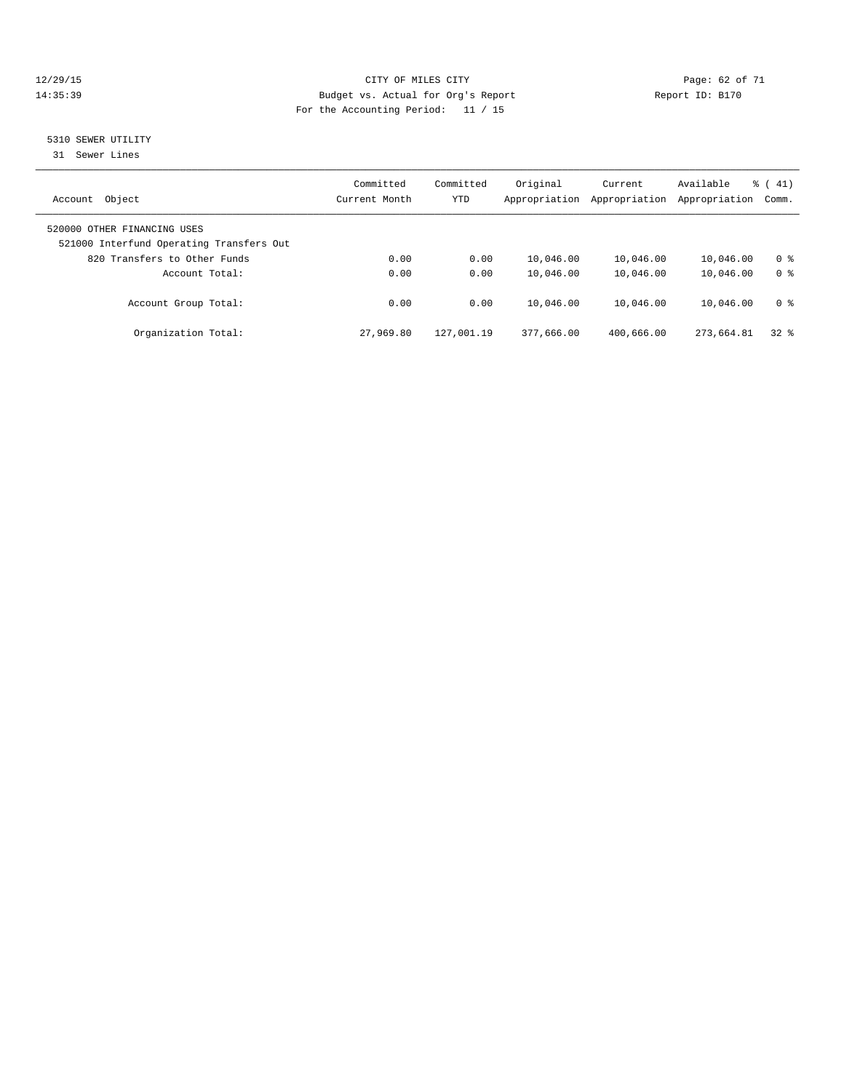#### 12/29/15 Page: 62 of 71 14:35:39 Budget vs. Actual for Org's Report Report ID: B170 For the Accounting Period: 11 / 15

## 5310 SEWER UTILITY

31 Sewer Lines

| Object<br>Account                                                       | Committed<br>Current Month | Committed<br><b>YTD</b> | Original<br>Appropriation | Current<br>Appropriation | Available<br>Appropriation | $\frac{1}{6}$ ( 41)<br>Comm.     |
|-------------------------------------------------------------------------|----------------------------|-------------------------|---------------------------|--------------------------|----------------------------|----------------------------------|
| 520000 OTHER FINANCING USES<br>521000 Interfund Operating Transfers Out |                            |                         |                           |                          |                            |                                  |
| 820 Transfers to Other Funds<br>Account Total:                          | 0.00<br>0.00               | 0.00<br>0.00            | 10,046.00<br>10,046.00    | 10,046.00<br>10,046.00   | 10,046.00<br>10,046.00     | 0 <sup>8</sup><br>0 <sup>8</sup> |
| Account Group Total:                                                    | 0.00                       | 0.00                    | 10,046.00                 | 10,046.00                | 10,046.00                  | 0 <sup>8</sup>                   |
| Organization Total:                                                     | 27,969.80                  | 127,001.19              | 377,666.00                | 400,666.00               | 273,664.81                 | 328                              |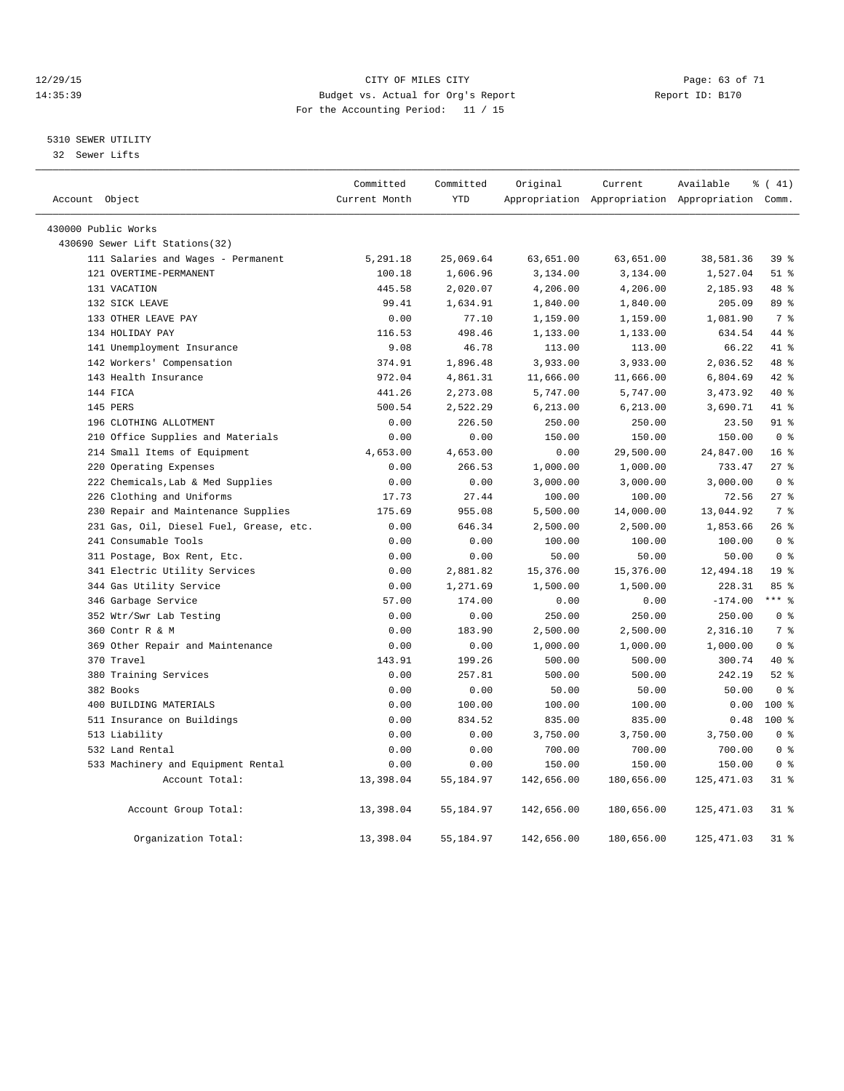#### 12/29/15 Page: 63 of 71 14:35:39 Budget vs. Actual for Org's Report Report ID: B170 For the Accounting Period: 11 / 15

#### 5310 SEWER UTILITY

32 Sewer Lifts

| Account Object                 |                                         | Committed<br>Current Month | Committed<br><b>YTD</b> | Original   | Current    | Available<br>Appropriation Appropriation Appropriation Comm. | $\frac{1}{6}$ ( 41) |
|--------------------------------|-----------------------------------------|----------------------------|-------------------------|------------|------------|--------------------------------------------------------------|---------------------|
|                                |                                         |                            |                         |            |            |                                                              |                     |
| 430000 Public Works            |                                         |                            |                         |            |            |                                                              |                     |
| 430690 Sewer Lift Stations(32) |                                         |                            |                         |            |            |                                                              |                     |
|                                | 111 Salaries and Wages - Permanent      | 5,291.18                   | 25,069.64               | 63,651.00  | 63,651.00  | 38,581.36                                                    | 39 <sup>8</sup>     |
| 121 OVERTIME-PERMANENT         |                                         | 100.18                     | 1,606.96                | 3,134.00   | 3,134.00   | 1,527.04                                                     | $51$ %              |
| 131 VACATION                   |                                         | 445.58                     | 2,020.07                | 4,206.00   | 4,206.00   | 2,185.93                                                     | 48 %                |
| 132 SICK LEAVE                 |                                         | 99.41                      | 1,634.91                | 1,840.00   | 1,840.00   | 205.09                                                       | 89 %                |
| 133 OTHER LEAVE PAY            |                                         | 0.00                       | 77.10                   | 1,159.00   | 1,159.00   | 1,081.90                                                     | 7 %                 |
| 134 HOLIDAY PAY                |                                         | 116.53                     | 498.46                  | 1,133.00   | 1,133.00   | 634.54                                                       | 44 %                |
| 141 Unemployment Insurance     |                                         | 9.08                       | 46.78                   | 113.00     | 113.00     | 66.22                                                        | 41 %                |
| 142 Workers' Compensation      |                                         | 374.91                     | 1,896.48                | 3,933.00   | 3,933.00   | 2,036.52                                                     | 48 %                |
| 143 Health Insurance           |                                         | 972.04                     | 4,861.31                | 11,666.00  | 11,666.00  | 6,804.69                                                     | 42.8                |
| 144 FTCA                       |                                         | 441.26                     | 2,273.08                | 5,747.00   | 5,747.00   | 3, 473.92                                                    | $40*$               |
| 145 PERS                       |                                         | 500.54                     | 2,522.29                | 6, 213.00  | 6,213.00   | 3,690.71                                                     | 41 %                |
| 196 CLOTHING ALLOTMENT         |                                         | 0.00                       | 226.50                  | 250.00     | 250.00     | 23.50                                                        | 91 %                |
|                                | 210 Office Supplies and Materials       | 0.00                       | 0.00                    | 150.00     | 150.00     | 150.00                                                       | 0 <sup>8</sup>      |
| 214 Small Items of Equipment   |                                         | 4,653.00                   | 4,653.00                | 0.00       | 29,500.00  | 24,847.00                                                    | 16 <sup>°</sup>     |
| 220 Operating Expenses         |                                         | 0.00                       | 266.53                  | 1,000.00   | 1,000.00   | 733.47                                                       | $27$ $%$            |
|                                | 222 Chemicals, Lab & Med Supplies       | 0.00                       | 0.00                    | 3,000.00   | 3,000.00   | 3,000.00                                                     | 0 <sup>8</sup>      |
| 226 Clothing and Uniforms      |                                         | 17.73                      | 27.44                   | 100.00     | 100.00     | 72.56                                                        | $27$ $%$            |
|                                | 230 Repair and Maintenance Supplies     | 175.69                     | 955.08                  | 5,500.00   | 14,000.00  | 13,044.92                                                    | 7 %                 |
|                                | 231 Gas, Oil, Diesel Fuel, Grease, etc. | 0.00                       | 646.34                  | 2,500.00   | 2,500.00   | 1,853.66                                                     | 26%                 |
| 241 Consumable Tools           |                                         | 0.00                       | 0.00                    | 100.00     | 100.00     | 100.00                                                       | 0 <sup>8</sup>      |
| 311 Postage, Box Rent, Etc.    |                                         | 0.00                       | 0.00                    | 50.00      | 50.00      | 50.00                                                        | 0 <sup>8</sup>      |
|                                | 341 Electric Utility Services           | 0.00                       | 2,881.82                | 15,376.00  | 15,376.00  | 12,494.18                                                    | 19 <sup>8</sup>     |
| 344 Gas Utility Service        |                                         | 0.00                       | 1,271.69                | 1,500.00   | 1,500.00   | 228.31                                                       | 85%                 |
| 346 Garbage Service            |                                         | 57.00                      | 174.00                  | 0.00       | 0.00       | $-174.00$                                                    | $***$ 8             |
| 352 Wtr/Swr Lab Testing        |                                         | 0.00                       | 0.00                    | 250.00     | 250.00     | 250.00                                                       | 0 <sup>8</sup>      |
| 360 Contr R & M                |                                         | 0.00                       | 183.90                  | 2,500.00   | 2,500.00   | 2,316.10                                                     | 7 <sup>°</sup>      |
|                                | 369 Other Repair and Maintenance        | 0.00                       | 0.00                    | 1,000.00   | 1,000.00   | 1,000.00                                                     | 0 <sup>8</sup>      |
| 370 Travel                     |                                         | 143.91                     | 199.26                  | 500.00     | 500.00     | 300.74                                                       | $40*$               |
| 380 Training Services          |                                         | 0.00                       | 257.81                  | 500.00     | 500.00     | 242.19                                                       | $52$ $%$            |
| 382 Books                      |                                         | 0.00                       | 0.00                    | 50.00      | 50.00      | 50.00                                                        | 0 <sup>8</sup>      |
| 400 BUILDING MATERIALS         |                                         | 0.00                       | 100.00                  | 100.00     | 100.00     | 0.00                                                         | 100 %               |
| 511 Insurance on Buildings     |                                         | 0.00                       | 834.52                  | 835.00     | 835.00     | 0.48                                                         | $100*$              |
| 513 Liability                  |                                         | 0.00                       | 0.00                    | 3,750.00   | 3,750.00   | 3,750.00                                                     | 0 <sup>8</sup>      |
| 532 Land Rental                |                                         | 0.00                       | 0.00                    | 700.00     | 700.00     | 700.00                                                       | 0 <sup>8</sup>      |
|                                | 533 Machinery and Equipment Rental      | 0.00                       | 0.00                    | 150.00     | 150.00     | 150.00                                                       | 0 <sup>8</sup>      |
|                                | Account Total:                          | 13,398.04                  | 55,184.97               | 142,656.00 | 180,656.00 | 125, 471.03                                                  | $31$ %              |
|                                | Account Group Total:                    | 13,398.04                  | 55,184.97               | 142,656.00 | 180,656.00 | 125, 471.03                                                  | $31$ $%$            |
|                                | Organization Total:                     | 13,398.04                  | 55, 184.97              | 142,656.00 | 180,656.00 | 125, 471.03                                                  | $31$ $%$            |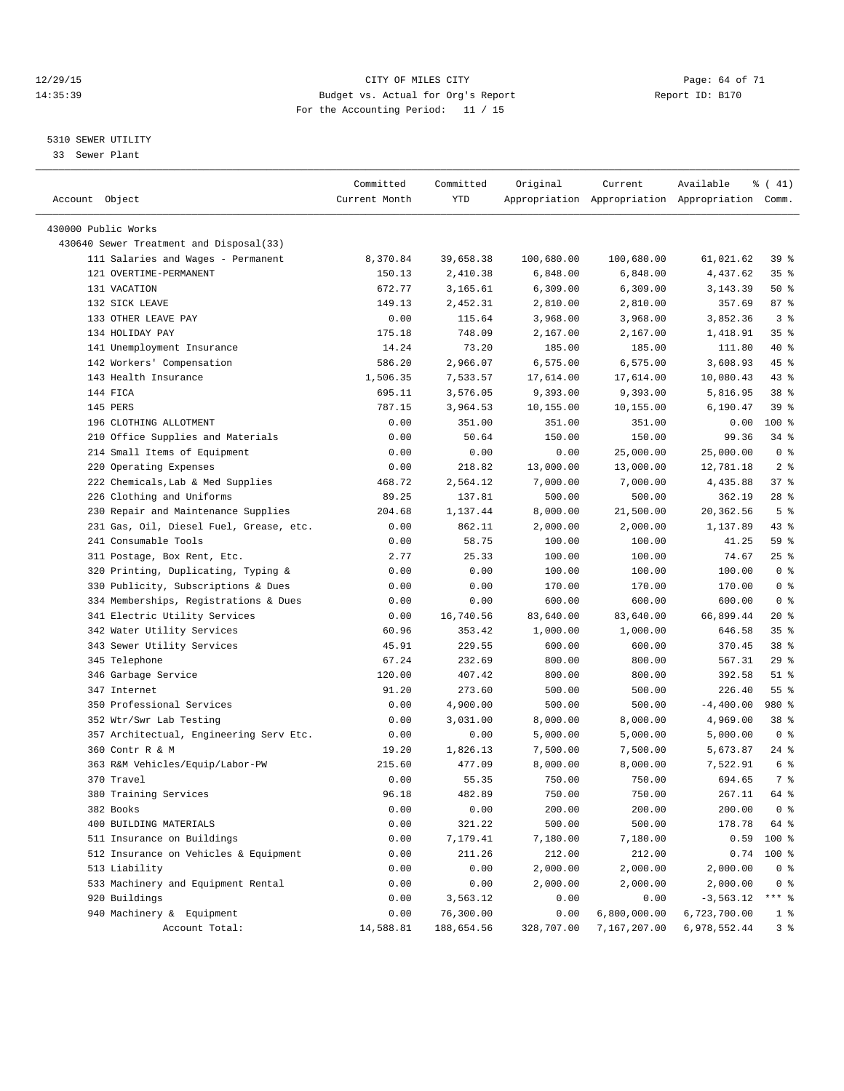#### 12/29/15 Page: 64 of 71 14:35:39 Budget vs. Actual for Org's Report Report ID: B170 For the Accounting Period: 11 / 15

————————————————————————————————————————————————————————————————————————————————————————————————————————————————————————————————————

#### 5310 SEWER UTILITY

33 Sewer Plant

|                                             | Committed     | Committed               | Original             | Current                                         | Available            | $\frac{1}{6}$ ( 41) |
|---------------------------------------------|---------------|-------------------------|----------------------|-------------------------------------------------|----------------------|---------------------|
| Account Object                              | Current Month | <b>YTD</b>              |                      | Appropriation Appropriation Appropriation Comm. |                      |                     |
| 430000 Public Works                         |               |                         |                      |                                                 |                      |                     |
| 430640 Sewer Treatment and Disposal(33)     |               |                         |                      |                                                 |                      |                     |
| 111 Salaries and Wages - Permanent          | 8,370.84      | 39,658.38               | 100,680.00           | 100,680.00                                      | 61,021.62            | 39 <sup>8</sup>     |
| 121 OVERTIME-PERMANENT                      | 150.13        | 2,410.38                | 6,848.00             | 6,848.00                                        | 4,437.62             | 35%                 |
| 131 VACATION                                | 672.77        | 3,165.61                | 6,309.00             | 6,309.00                                        | 3,143.39             | $50*$               |
| 132 SICK LEAVE                              | 149.13        | 2,452.31                | 2,810.00             | 2,810.00                                        | 357.69               | 87%                 |
| 133 OTHER LEAVE PAY                         | 0.00          | 115.64                  | 3,968.00             | 3,968.00                                        | 3,852.36             | 3 <sup>8</sup>      |
| 134 HOLIDAY PAY                             | 175.18        | 748.09                  | 2,167.00             | 2,167.00                                        | 1,418.91             | 35%                 |
| 141 Unemployment Insurance                  | 14.24         | 73.20                   | 185.00               | 185.00                                          | 111.80               | 40 %                |
| 142 Workers' Compensation                   | 586.20        | 2,966.07                | 6,575.00             | 6,575.00                                        | 3,608.93             | 45 %                |
| 143 Health Insurance                        | 1,506.35      | 7,533.57                | 17,614.00            | 17,614.00                                       | 10,080.43            | $43$ $%$            |
| 144 FICA                                    | 695.11        | 3,576.05                | 9,393.00             | 9,393.00                                        | 5,816.95             | 38 %                |
| 145 PERS                                    | 787.15        | 3,964.53                | 10,155.00            | 10,155.00                                       | 6,190.47             | 39 %                |
| 196 CLOTHING ALLOTMENT                      | 0.00          | 351.00                  | 351.00               | 351.00                                          | 0.00                 | $100$ %             |
| 210 Office Supplies and Materials           | 0.00          | 50.64                   | 150.00               | 150.00                                          | 99.36                | $34$ $%$            |
| 214 Small Items of Equipment                | 0.00          | 0.00                    | 0.00                 | 25,000.00                                       | 25,000.00            | 0 <sup>8</sup>      |
| 220 Operating Expenses                      | 0.00          | 218.82                  | 13,000.00            | 13,000.00                                       | 12,781.18            | 2 <sup>°</sup>      |
| 222 Chemicals, Lab & Med Supplies           | 468.72        | 2,564.12                | 7,000.00             | 7,000.00                                        | 4,435.88             | 37%                 |
| 226 Clothing and Uniforms                   | 89.25         | 137.81                  | 500.00               | 500.00                                          | 362.19               | $28$ %              |
| 230 Repair and Maintenance Supplies         | 204.68        | 1,137.44                | 8,000.00             | 21,500.00                                       | 20,362.56            | 5 <sup>8</sup>      |
| 231 Gas, Oil, Diesel Fuel, Grease, etc.     | 0.00          | 862.11                  | 2,000.00             | 2,000.00                                        | 1,137.89             | $43$ $%$            |
| 241 Consumable Tools                        | 0.00          | 58.75                   | 100.00               | 100.00                                          | 41.25                | 59 %                |
| 311 Postage, Box Rent, Etc.                 | 2.77          | 25.33                   | 100.00               | 100.00                                          | 74.67                | 25%                 |
| 320 Printing, Duplicating, Typing &         | 0.00          | 0.00                    | 100.00               | 100.00                                          | 100.00               | 0 <sup>8</sup>      |
| 330 Publicity, Subscriptions & Dues         | 0.00          | 0.00                    | 170.00               | 170.00                                          | 170.00               | 0 <sup>8</sup>      |
| 334 Memberships, Registrations & Dues       | 0.00          | 0.00                    | 600.00               | 600.00                                          | 600.00               | 0 <sup>8</sup>      |
| 341 Electric Utility Services               | 0.00          | 16,740.56               | 83,640.00            | 83,640.00                                       | 66,899.44            | 20 %                |
| 342 Water Utility Services                  | 60.96         | 353.42                  | 1,000.00             | 1,000.00                                        | 646.58               | 35%                 |
| 343 Sewer Utility Services                  | 45.91         | 229.55                  | 600.00               | 600.00                                          | 370.45               | 38 <sup>8</sup>     |
| 345 Telephone                               | 67.24         | 232.69                  | 800.00               | 800.00                                          | 567.31               | 29%                 |
| 346 Garbage Service                         | 120.00        | 407.42                  | 800.00               | 800.00                                          | 392.58               | $51$ %              |
| 347 Internet                                | 91.20         | 273.60                  | 500.00               | 500.00                                          | 226.40               | 55 <sup>8</sup>     |
| 350 Professional Services                   | 0.00          | 4,900.00                | 500.00               | 500.00                                          | $-4,400.00$          | 980 %               |
| 352 Wtr/Swr Lab Testing                     | 0.00          | 3,031.00                | 8,000.00             | 8,000.00                                        | 4,969.00             | 38 <sup>8</sup>     |
| 357 Architectual, Engineering Serv Etc.     | 0.00          | 0.00                    |                      |                                                 | 5,000.00             | 0 <sup>8</sup>      |
| 360 Contr R & M                             | 19.20         | 1,826.13                | 5,000.00             | 5,000.00                                        |                      | $24$ %              |
| 363 R&M Vehicles/Equip/Labor-PW             | 215.60        | 477.09                  | 7,500.00<br>8,000.00 | 7,500.00<br>8,000.00                            | 5,673.87<br>7,522.91 | 6 %                 |
| 370 Travel                                  | 0.00          | 55.35                   | 750.00               | 750.00                                          | 694.65               | 7 %                 |
| 380 Training Services                       | 96.18         | 482.89                  | 750.00               | 750.00                                          | 267.11 64 %          |                     |
|                                             |               |                         |                      |                                                 |                      |                     |
| 382 Books                                   | 0.00<br>0.00  | 0.00<br>321.22          | 200.00<br>500.00     | 200.00<br>500.00                                | 200.00               | 0 <sup>8</sup>      |
| 400 BUILDING MATERIALS                      |               |                         |                      |                                                 | 178.78               | 64 %                |
| 511 Insurance on Buildings                  | 0.00          | 7,179.41                | 7,180.00             | 7,180.00                                        | 0.59                 | 100 %               |
| 512 Insurance on Vehicles & Equipment       | 0.00          | 211.26                  | 212.00               | 212.00                                          | 0.74                 | $100*$              |
| 513 Liability                               | 0.00          | 0.00                    | 2,000.00             | 2,000.00                                        | 2,000.00             | 0 <sup>8</sup>      |
| 533 Machinery and Equipment Rental          | 0.00          | 0.00                    | 2,000.00             | 2,000.00                                        | 2,000.00             | $0$ %               |
| 920 Buildings                               | 0.00          | 3,563.12                | 0.00                 | 0.00                                            | $-3, 563.12$         | $***$ $_{8}$        |
| 940 Machinery & Equipment<br>Account Total: | 0.00          | 76,300.00<br>188,654.56 | 0.00                 | 6,800,000.00                                    | 6,723,700.00         | 1 <sup>°</sup>      |
|                                             | 14,588.81     |                         | 328,707.00           | 7,167,207.00                                    | 6,978,552.44         | 3 <sup>8</sup>      |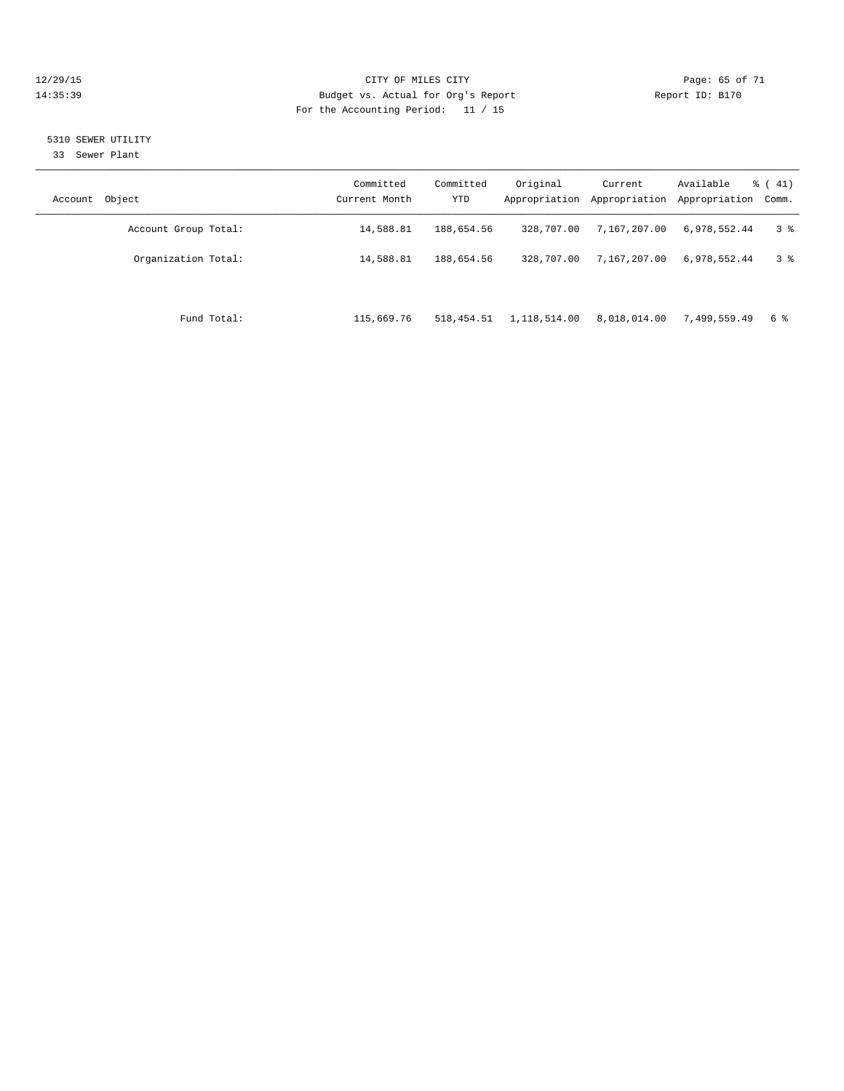#### 12/29/15 Page: 65 of 71 14:35:39 Budget vs. Actual for Org's Report Report ID: B170 For the Accounting Period: 11 / 15

#### 5310 SEWER UTILITY

33 Sewer Plant

| Account Object       | Committed<br>Current Month | Committed<br><b>YTD</b> | Original     | Current<br>Appropriation Appropriation | Available<br>Appropriation Comm. | $\frac{1}{6}$ ( 41) |
|----------------------|----------------------------|-------------------------|--------------|----------------------------------------|----------------------------------|---------------------|
| Account Group Total: | 14,588.81                  | 188,654.56              | 328,707.00   | 7,167,207.00                           | 6,978,552.44                     | 3 <sup>8</sup>      |
| Organization Total:  | 14,588.81                  | 188,654.56              | 328,707.00   | 7,167,207.00                           | 6,978,552.44                     | 3 <sup>8</sup>      |
|                      |                            |                         |              |                                        |                                  |                     |
| Fund Total:          | 115,669.76                 | 518, 454.51             | 1,118,514.00 | 8,018,014.00                           | 7,499,559.49                     | 6 %                 |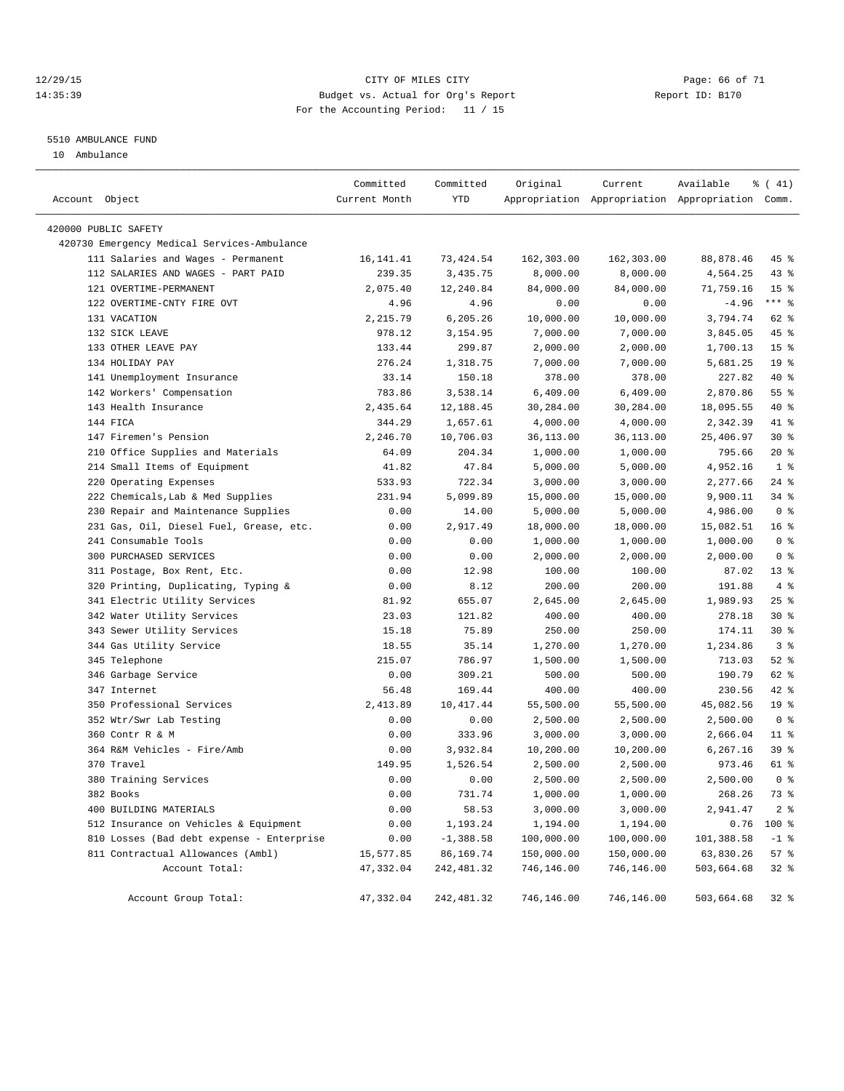#### 12/29/15 **Page: 66 of 71** CITY OF MILES CITY **Page: 66 of 71** 14:35:39 Budget vs. Actual for Org's Report Report ID: B170 For the Accounting Period: 11 / 15

#### 5510 AMBULANCE FUND

10 Ambulance

| Account Object       |                                             | Committed<br>Current Month | Committed<br>YTD | Original   | Current    | Available<br>Appropriation Appropriation Appropriation Comm. | $\frac{1}{6}$ ( 41) |
|----------------------|---------------------------------------------|----------------------------|------------------|------------|------------|--------------------------------------------------------------|---------------------|
| 420000 PUBLIC SAFETY |                                             |                            |                  |            |            |                                                              |                     |
|                      | 420730 Emergency Medical Services-Ambulance |                            |                  |            |            |                                                              |                     |
|                      | 111 Salaries and Wages - Permanent          | 16, 141.41                 | 73, 424.54       | 162,303.00 | 162,303.00 | 88,878.46                                                    | 45 %                |
|                      | 112 SALARIES AND WAGES - PART PAID          | 239.35                     | 3,435.75         | 8,000.00   | 8,000.00   | 4,564.25                                                     | $43$ %              |
|                      | 121 OVERTIME-PERMANENT                      | 2,075.40                   | 12,240.84        | 84,000.00  | 84,000.00  | 71,759.16                                                    | 15 <sup>°</sup>     |
|                      | 122 OVERTIME-CNTY FIRE OVT                  | 4.96                       | 4.96             | 0.00       | 0.00       | $-4.96$                                                      | $***$ $%$           |
|                      | 131 VACATION                                | 2,215.79                   | 6,205.26         | 10,000.00  | 10,000.00  | 3,794.74                                                     | 62 %                |
|                      | 132 SICK LEAVE                              | 978.12                     | 3,154.95         | 7,000.00   | 7,000.00   | 3,845.05                                                     | 45 %                |
|                      | 133 OTHER LEAVE PAY                         | 133.44                     | 299.87           | 2,000.00   | 2,000.00   | 1,700.13                                                     | 15 <sup>°</sup>     |
|                      | 134 HOLIDAY PAY                             | 276.24                     | 1,318.75         | 7,000.00   | 7,000.00   | 5,681.25                                                     | 19 <sup>°</sup>     |
|                      | 141 Unemployment Insurance                  | 33.14                      | 150.18           | 378.00     | 378.00     | 227.82                                                       | 40 %                |
|                      | 142 Workers' Compensation                   | 783.86                     | 3,538.14         | 6,409.00   | 6,409.00   | 2,870.86                                                     | 55%                 |
|                      | 143 Health Insurance                        | 2,435.64                   | 12,188.45        | 30,284.00  | 30,284.00  | 18,095.55                                                    | 40 %                |
| 144 FICA             |                                             | 344.29                     | 1,657.61         | 4,000.00   | 4,000.00   | 2,342.39                                                     | 41 %                |
|                      | 147 Firemen's Pension                       | 2,246.70                   | 10,706.03        | 36,113.00  | 36,113.00  | 25,406.97                                                    | $30*$               |
|                      | 210 Office Supplies and Materials           | 64.09                      | 204.34           | 1,000.00   | 1,000.00   | 795.66                                                       | $20*$               |
|                      | 214 Small Items of Equipment                | 41.82                      | 47.84            | 5,000.00   | 5,000.00   | 4,952.16                                                     | 1 <sup>8</sup>      |
|                      | 220 Operating Expenses                      | 533.93                     | 722.34           | 3,000.00   | 3,000.00   | 2,277.66                                                     | $24$ %              |
|                      | 222 Chemicals, Lab & Med Supplies           | 231.94                     | 5,099.89         | 15,000.00  | 15,000.00  | 9,900.11                                                     | 34%                 |
|                      | 230 Repair and Maintenance Supplies         | 0.00                       | 14.00            | 5,000.00   | 5,000.00   | 4,986.00                                                     | 0 <sup>8</sup>      |
|                      | 231 Gas, Oil, Diesel Fuel, Grease, etc.     | 0.00                       | 2,917.49         | 18,000.00  | 18,000.00  | 15,082.51                                                    | 16 <sup>8</sup>     |
|                      | 241 Consumable Tools                        | 0.00                       | 0.00             | 1,000.00   | 1,000.00   | 1,000.00                                                     | 0 <sup>8</sup>      |
|                      | 300 PURCHASED SERVICES                      | 0.00                       | 0.00             | 2,000.00   | 2,000.00   | 2,000.00                                                     | 0 <sup>8</sup>      |
|                      | 311 Postage, Box Rent, Etc.                 | 0.00                       | 12.98            | 100.00     | 100.00     | 87.02                                                        | 13 <sup>8</sup>     |
|                      | 320 Printing, Duplicating, Typing &         | 0.00                       | 8.12             | 200.00     | 200.00     | 191.88                                                       | 4%                  |
|                      | 341 Electric Utility Services               | 81.92                      | 655.07           | 2,645.00   | 2,645.00   | 1,989.93                                                     | 25%                 |
|                      | 342 Water Utility Services                  | 23.03                      | 121.82           | 400.00     | 400.00     | 278.18                                                       | $30*$               |
|                      | 343 Sewer Utility Services                  | 15.18                      | 75.89            | 250.00     | 250.00     | 174.11                                                       | $30*$               |
|                      | 344 Gas Utility Service                     | 18.55                      | 35.14            | 1,270.00   | 1,270.00   | 1,234.86                                                     | 3 <sup>8</sup>      |
|                      | 345 Telephone                               | 215.07                     | 786.97           | 1,500.00   | 1,500.00   | 713.03                                                       | $52$ $%$            |
|                      | 346 Garbage Service                         | 0.00                       | 309.21           | 500.00     | 500.00     | 190.79                                                       | 62 %                |
|                      | 347 Internet                                | 56.48                      | 169.44           | 400.00     | 400.00     | 230.56                                                       | 42 %                |
|                      | 350 Professional Services                   | 2,413.89                   | 10, 417.44       | 55,500.00  | 55,500.00  | 45,082.56                                                    | 19 <sup>°</sup>     |
|                      | 352 Wtr/Swr Lab Testing                     | 0.00                       | 0.00             | 2,500.00   | 2,500.00   | 2,500.00                                                     | 0 <sup>8</sup>      |
|                      | 360 Contr R & M                             | 0.00                       | 333.96           | 3,000.00   | 3,000.00   | 2,666.04                                                     | $11$ %              |
|                      | 364 R&M Vehicles - Fire/Amb                 | 0.00                       | 3,932.84         | 10,200.00  | 10,200.00  | 6,267.16                                                     | 39 %                |
|                      | 370 Travel                                  | 149.95                     | 1,526.54         | 2,500.00   | 2,500.00   | 973.46                                                       | 61 %                |
|                      | 380 Training Services                       | 0.00                       | 0.00             | 2,500.00   | 2,500.00   | 2,500.00                                                     | 0 <sup>8</sup>      |
| 382 Books            |                                             | 0.00                       | 731.74           | 1,000.00   | 1,000.00   | 268.26                                                       | 73 %                |
|                      | 400 BUILDING MATERIALS                      | 0.00                       | 58.53            | 3,000.00   | 3,000.00   | 2,941.47                                                     | 2 <sub>8</sub>      |
|                      | 512 Insurance on Vehicles & Equipment       | 0.00                       | 1,193.24         | 1,194.00   | 1,194.00   | 0.76                                                         | 100 %               |
|                      | 810 Losses (Bad debt expense - Enterprise   | 0.00                       | $-1,388.58$      | 100,000.00 | 100,000.00 | 101,388.58                                                   | $-1$ %              |
|                      | 811 Contractual Allowances (Ambl)           | 15,577.85                  | 86,169.74        | 150,000.00 | 150,000.00 | 63,830.26                                                    | 57%                 |
|                      | Account Total:                              | 47,332.04                  | 242, 481.32      | 746,146.00 | 746,146.00 | 503,664.68                                                   | $32$ $%$            |
|                      | Account Group Total:                        | 47,332.04                  | 242,481.32       | 746,146.00 | 746,146.00 | 503,664.68                                                   | $32$ $%$            |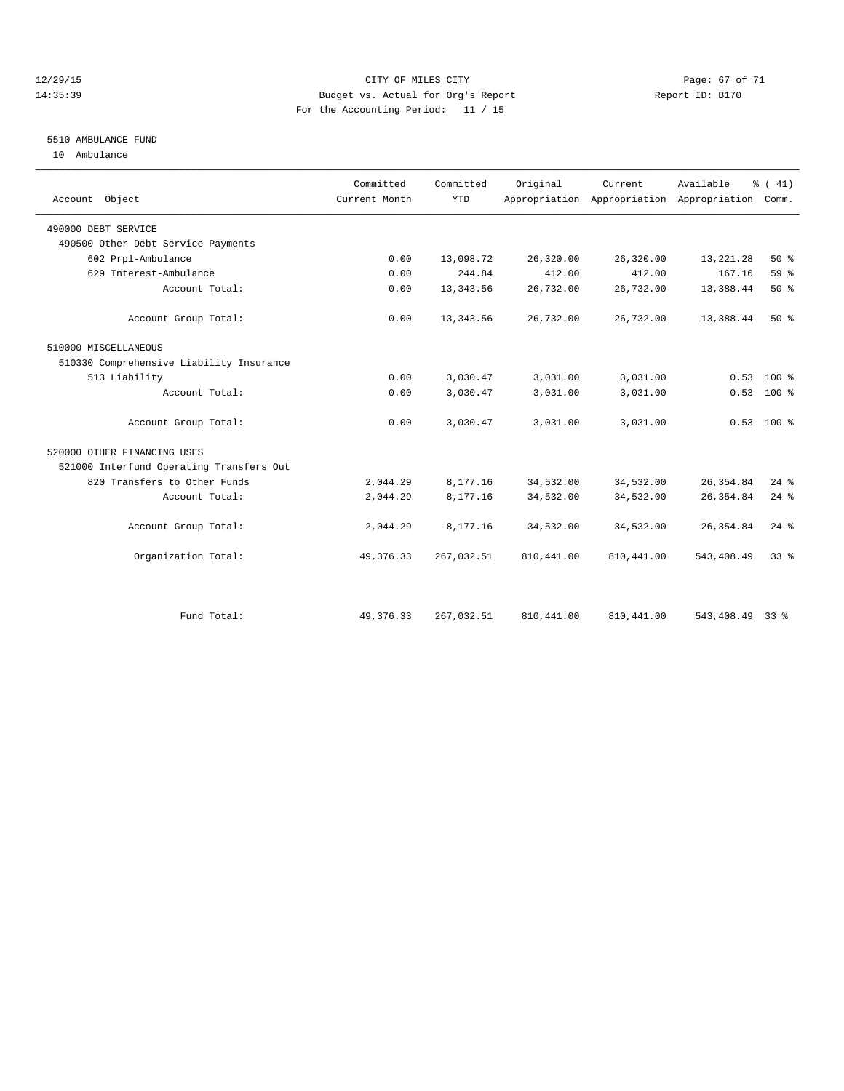#### 12/29/15 Page: 67 of 71 14:35:39 Budget vs. Actual for Org's Report Report ID: B170 For the Accounting Period: 11 / 15

## 5510 AMBULANCE FUND

10 Ambulance

| Account Object                           | Committed<br>Current Month | Committed<br><b>YTD</b> | Original    | Current     | Available<br>Appropriation Appropriation Appropriation | $\frac{1}{6}$ ( 41)<br>Comm. |
|------------------------------------------|----------------------------|-------------------------|-------------|-------------|--------------------------------------------------------|------------------------------|
| 490000 DEBT SERVICE                      |                            |                         |             |             |                                                        |                              |
| 490500 Other Debt Service Payments       |                            |                         |             |             |                                                        |                              |
| 602 Prpl-Ambulance                       | 0.00                       | 13,098.72               | 26,320.00   | 26,320.00   | 13, 221. 28                                            | $50*$                        |
| 629 Interest-Ambulance                   | 0.00                       | 244.84                  | 412.00      | 412.00      | 167.16                                                 | 59%                          |
| Account Total:                           | 0.00                       | 13, 343.56              | 26,732.00   | 26,732.00   | 13,388.44                                              | 50%                          |
| Account Group Total:                     | 0.00                       | 13, 343.56              | 26,732.00   | 26,732.00   | 13,388.44                                              | $50*$                        |
| 510000 MISCELLANEOUS                     |                            |                         |             |             |                                                        |                              |
| 510330 Comprehensive Liability Insurance |                            |                         |             |             |                                                        |                              |
| 513 Liability                            | 0.00                       | 3,030.47                | 3,031.00    | 3,031.00    | 0.53                                                   | $100*$                       |
| Account Total:                           | 0.00                       | 3,030.47                | 3,031.00    | 3,031.00    | 0.53                                                   | 100 %                        |
| Account Group Total:                     | 0.00                       | 3,030.47                | 3,031.00    | 3,031.00    |                                                        | $0.53$ 100 %                 |
| 520000 OTHER FINANCING USES              |                            |                         |             |             |                                                        |                              |
| 521000 Interfund Operating Transfers Out |                            |                         |             |             |                                                        |                              |
| 820 Transfers to Other Funds             | 2,044.29                   | 8,177.16                | 34,532.00   | 34,532.00   | 26, 354.84                                             | $24$ $%$                     |
| Account Total:                           | 2,044.29                   | 8,177.16                | 34,532.00   | 34,532.00   | 26, 354.84                                             | $24$ $%$                     |
| Account Group Total:                     | 2,044.29                   | 8,177.16                | 34,532.00   | 34,532.00   | 26, 354.84                                             | $24$ $%$                     |
| Organization Total:                      | 49, 376. 33                | 267,032.51              | 810, 441.00 | 810, 441.00 | 543, 408.49                                            | 33 <sup>8</sup>              |
|                                          |                            |                         |             |             |                                                        |                              |
| Fund Total:                              | 49, 376. 33                | 267,032.51              | 810, 441.00 | 810, 441.00 | 543,408.49                                             | 338                          |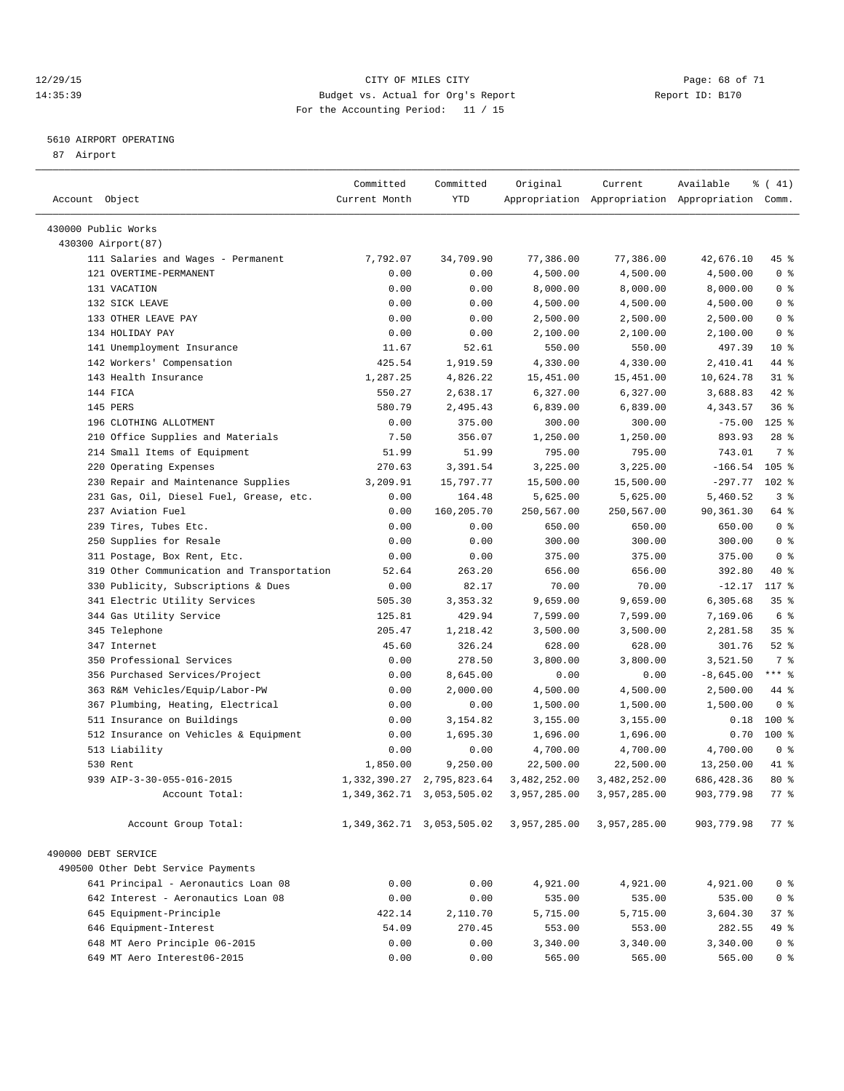#### 12/29/15 **Page: 68 of 71** CITY OF MILES CITY **Page: 68 of 71** 14:35:39 Budget vs. Actual for Org's Report Report ID: B170 For the Accounting Period: 11 / 15

————————————————————————————————————————————————————————————————————————————————————————————————————————————————————————————————————

#### 5610 AIRPORT OPERATING

87 Airport

|                                            | Committed     | Committed                       | Original     | Current      | Available                                       | $\frac{1}{6}$ ( 41) |  |
|--------------------------------------------|---------------|---------------------------------|--------------|--------------|-------------------------------------------------|---------------------|--|
| Account Object                             | Current Month | YTD                             |              |              | Appropriation Appropriation Appropriation Comm. |                     |  |
|                                            |               |                                 |              |              |                                                 |                     |  |
| 430000 Public Works<br>430300 Airport (87) |               |                                 |              |              |                                                 |                     |  |
| 111 Salaries and Wages - Permanent         | 7,792.07      | 34,709.90                       | 77,386.00    | 77,386.00    | 42,676.10                                       | 45 %                |  |
| 121 OVERTIME-PERMANENT                     | 0.00          | 0.00                            | 4,500.00     | 4,500.00     | 4,500.00                                        | 0 <sup>8</sup>      |  |
| 131 VACATION                               | 0.00          | 0.00                            | 8,000.00     | 8,000.00     | 8,000.00                                        | 0 <sup>8</sup>      |  |
| 132 SICK LEAVE                             | 0.00          | 0.00                            | 4,500.00     | 4,500.00     | 4,500.00                                        | 0 <sup>8</sup>      |  |
| 133 OTHER LEAVE PAY                        | 0.00          | 0.00                            | 2,500.00     | 2,500.00     | 2,500.00                                        | 0 <sup>8</sup>      |  |
| 134 HOLIDAY PAY                            | 0.00          | 0.00                            | 2,100.00     | 2,100.00     | 2,100.00                                        | 0 <sup>8</sup>      |  |
| 141 Unemployment Insurance                 | 11.67         | 52.61                           | 550.00       | 550.00       | 497.39                                          | $10*$               |  |
| 142 Workers' Compensation                  | 425.54        | 1,919.59                        | 4,330.00     | 4,330.00     | 2,410.41                                        | 44 %                |  |
| 143 Health Insurance                       | 1,287.25      | 4,826.22                        | 15,451.00    | 15,451.00    | 10,624.78                                       | $31$ $%$            |  |
| 144 FICA                                   | 550.27        | 2,638.17                        | 6,327.00     | 6,327.00     | 3,688.83                                        | 42 %                |  |
| 145 PERS                                   | 580.79        | 2,495.43                        | 6,839.00     | 6,839.00     | 4,343.57                                        | 36%                 |  |
| 196 CLOTHING ALLOTMENT                     | 0.00          | 375.00                          | 300.00       | 300.00       | $-75.00$                                        | $125$ %             |  |
| 210 Office Supplies and Materials          | 7.50          | 356.07                          | 1,250.00     | 1,250.00     | 893.93                                          | $28$ %              |  |
| 214 Small Items of Equipment               | 51.99         | 51.99                           | 795.00       | 795.00       | 743.01                                          | 7 %                 |  |
| 220 Operating Expenses                     | 270.63        | 3,391.54                        | 3,225.00     | 3,225.00     | $-166.54$                                       | 105 %               |  |
| 230 Repair and Maintenance Supplies        | 3,209.91      | 15,797.77                       | 15,500.00    | 15,500.00    | $-297.77$ 102 %                                 |                     |  |
| 231 Gas, Oil, Diesel Fuel, Grease, etc.    | 0.00          | 164.48                          | 5,625.00     | 5,625.00     | 5,460.52                                        | 3%                  |  |
| 237 Aviation Fuel                          | 0.00          | 160,205.70                      | 250,567.00   | 250,567.00   | 90,361.30                                       | 64 %                |  |
| 239 Tires, Tubes Etc.                      | 0.00          | 0.00                            | 650.00       | 650.00       | 650.00                                          | 0 <sup>8</sup>      |  |
| 250 Supplies for Resale                    | 0.00          | 0.00                            | 300.00       | 300.00       | 300.00                                          | 0 <sup>8</sup>      |  |
| 311 Postage, Box Rent, Etc.                | 0.00          | 0.00                            | 375.00       | 375.00       | 375.00                                          | 0 <sup>8</sup>      |  |
| 319 Other Communication and Transportation | 52.64         | 263.20                          | 656.00       | 656.00       | 392.80                                          | 40 %                |  |
| 330 Publicity, Subscriptions & Dues        | 0.00          | 82.17                           | 70.00        | 70.00        | $-12.17$                                        | 117 %               |  |
| 341 Electric Utility Services              | 505.30        | 3,353.32                        | 9,659.00     | 9,659.00     | 6,305.68                                        | 35 <sup>8</sup>     |  |
| 344 Gas Utility Service                    | 125.81        | 429.94                          | 7,599.00     | 7,599.00     | 7,169.06                                        | 6 %                 |  |
| 345 Telephone                              | 205.47        | 1,218.42                        | 3,500.00     | 3,500.00     | 2,281.58                                        | 35%                 |  |
| 347 Internet                               | 45.60         | 326.24                          | 628.00       | 628.00       | 301.76                                          | $52$ $%$            |  |
| 350 Professional Services                  | 0.00          | 278.50                          | 3,800.00     | 3,800.00     | 3,521.50                                        | 7 %                 |  |
| 356 Purchased Services/Project             | 0.00          | 8,645.00                        | 0.00         | 0.00         | $-8,645.00$                                     | $***$ $-$           |  |
| 363 R&M Vehicles/Equip/Labor-PW            | 0.00          | 2,000.00                        | 4,500.00     | 4,500.00     | 2,500.00                                        | 44 %                |  |
| 367 Plumbing, Heating, Electrical          | 0.00          | 0.00                            | 1,500.00     | 1,500.00     | 1,500.00                                        | 0 <sup>8</sup>      |  |
| 511 Insurance on Buildings                 | 0.00          | 3,154.82                        | 3,155.00     | 3,155.00     | 0.18                                            | 100 %               |  |
| 512 Insurance on Vehicles & Equipment      | 0.00          | 1,695.30                        | 1,696.00     | 1,696.00     | 0.70                                            | $100$ %             |  |
| 513 Liability                              | 0.00          | 0.00                            | 4,700.00     | 4,700.00     | 4,700.00                                        | 0 <sup>8</sup>      |  |
| 530 Rent                                   | 1,850.00      | 9,250.00                        | 22,500.00    | 22,500.00    | 13,250.00                                       | 41 %                |  |
| 939 AIP-3-30-055-016-2015                  |               | 1, 332, 390.27 2, 795, 823.64   | 3,482,252.00 | 3,482,252.00 | 686,428.36                                      | $80*$               |  |
| Account Total:                             |               | 1, 349, 362. 71 3, 053, 505. 02 | 3,957,285.00 | 3,957,285.00 | 903,779.98                                      | 77 %                |  |
| Account Group Total:                       |               | 1, 349, 362. 71 3, 053, 505. 02 | 3,957,285.00 | 3,957,285.00 | 903,779.98                                      | 77 %                |  |
| 490000 DEBT SERVICE                        |               |                                 |              |              |                                                 |                     |  |
| 490500 Other Debt Service Payments         |               |                                 |              |              |                                                 |                     |  |
| 641 Principal - Aeronautics Loan 08        | 0.00          | 0.00                            | 4,921.00     | 4,921.00     | 4,921.00                                        | 0 <sup>8</sup>      |  |
| 642 Interest - Aeronautics Loan 08         | 0.00          | 0.00                            | 535.00       | 535.00       | 535.00                                          | 0 <sup>8</sup>      |  |
| 645 Equipment-Principle                    | 422.14        | 2,110.70                        | 5,715.00     | 5,715.00     | 3,604.30                                        | 37%                 |  |
| 646 Equipment-Interest                     | 54.09         | 270.45                          | 553.00       | 553.00       | 282.55                                          | 49 %                |  |
| 648 MT Aero Principle 06-2015              | 0.00          | 0.00                            | 3,340.00     | 3,340.00     | 3,340.00                                        | 0 <sup>8</sup>      |  |
| 649 MT Aero Interest06-2015                | 0.00          | 0.00                            | 565.00       | 565.00       | 565.00                                          | 0 <sup>8</sup>      |  |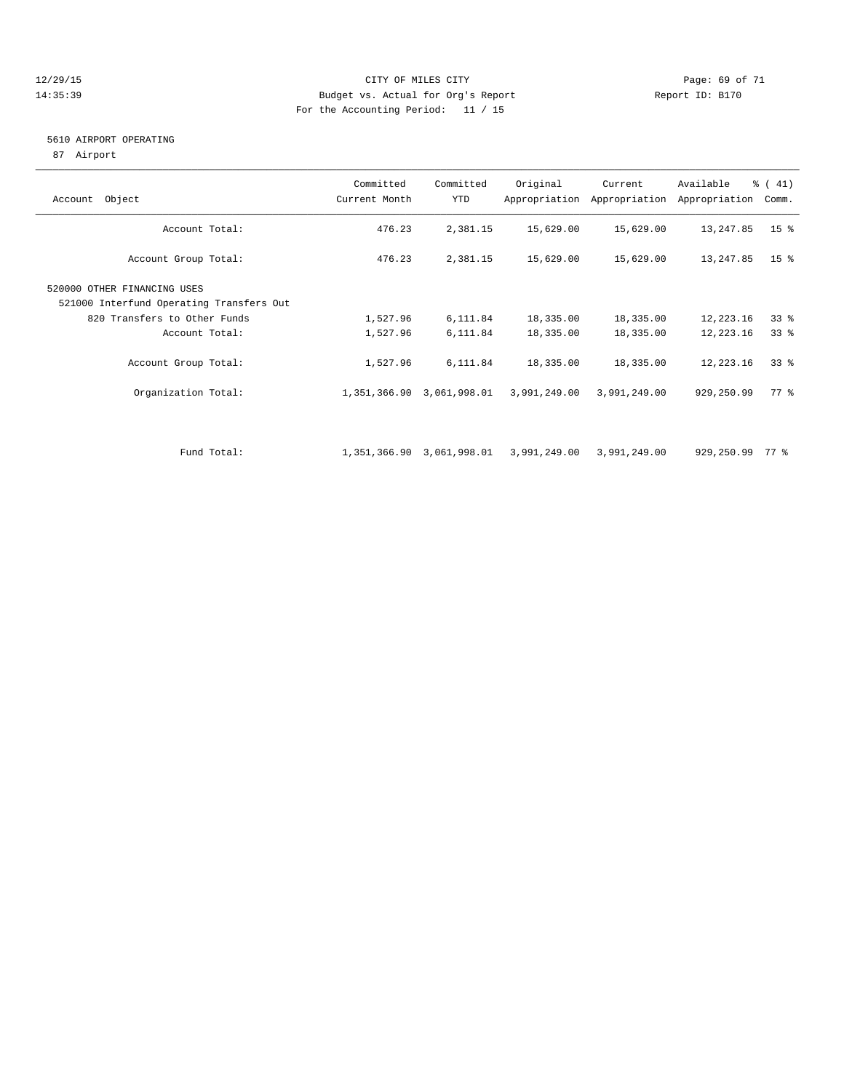#### 12/29/15 **Page: 69 of 71** CITY OF MILES CITY **Page: 69 of 71** 14:35:39 Budget vs. Actual for Org's Report Report ID: B170 For the Accounting Period: 11 / 15

#### 5610 AIRPORT OPERATING

87 Airport

| Account Object                                                                                                            | Committed<br>Current Month | Committed<br>YTD          | Original               | Current<br>Appropriation Appropriation | Available<br>Appropriation | $\frac{1}{6}$ ( 41)<br>Comm. |
|---------------------------------------------------------------------------------------------------------------------------|----------------------------|---------------------------|------------------------|----------------------------------------|----------------------------|------------------------------|
| Account Total:                                                                                                            | 476.23                     | 2,381.15                  | 15,629.00              | 15,629.00                              | 13,247.85                  | 15 <sup>8</sup>              |
| Account Group Total:                                                                                                      | 476.23                     | 2,381.15                  | 15,629.00              | 15,629.00                              | 13,247.85                  | $15*$                        |
| 520000 OTHER FINANCING USES<br>521000 Interfund Operating Transfers Out<br>820 Transfers to Other Funds<br>Account Total: | 1,527.96<br>1,527.96       | 6,111.84<br>6,111.84      | 18,335.00<br>18,335.00 | 18,335.00<br>18,335.00                 | 12,223.16<br>12,223.16     | $33*$<br>33 <sup>8</sup>     |
| Account Group Total:                                                                                                      | 1,527.96                   | 6,111.84                  | 18,335.00              | 18,335.00                              | 12,223.16                  | 338                          |
| Organization Total:                                                                                                       |                            | 1,351,366.90 3,061,998.01 | 3,991,249.00           | 3,991,249.00                           | 929,250.99                 | 77 %                         |
| Fund Total:                                                                                                               |                            | 1,351,366.90 3,061,998.01 | 3,991,249.00           | 3,991,249.00                           | 929,250.99                 | 77 %                         |